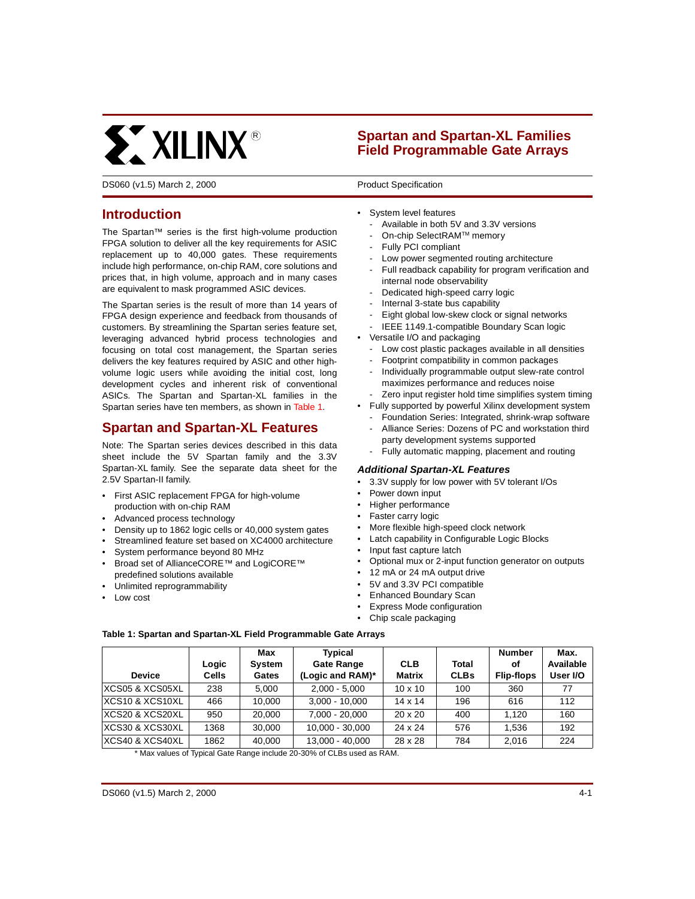

# **Spartan and Spartan-XL Families Field Programmable Gate Arrays**

DS060 (v1.5) March 2, 2000 **DS060** Product Specification

**0**

# **Introduction**

The Spartan™ series is the first high-volume production FPGA solution to deliver all the key requirements for ASIC replacement up to 40,000 gates. These requirements include high performance, on-chip RAM, core solutions and prices that, in high volume, approach and in many cases are equivalent to mask programmed ASIC devices.

The Spartan series is the result of more than 14 years of FPGA design experience and feedback from thousands of customers. By streamlining the Spartan series feature set, leveraging advanced hybrid process technologies and focusing on total cost management, the Spartan series delivers the key features required by ASIC and other highvolume logic users while avoiding the initial cost, long development cycles and inherent risk of conventional ASICs. The Spartan and Spartan-XL families in the Spartan series have ten members, as shown in [Table 1](#page-0-0).

# **Spartan and Spartan-XL Features**

Note: The Spartan series devices described in this data sheet include the 5V Spartan family and the 3.3V [Spartan-XL family. See the separate data sheet for the](http://www.xilinx.com/partinfo/ds001.pdf) 2.5V Spartan-II family.

- First ASIC replacement FPGA for high-volume production with on-chip RAM
- Advanced process technology
- Density up to 1862 logic cells or 40,000 system gates
- Streamlined feature set based on XC4000 architecture
- System performance beyond 80 MHz
- Broad set of AllianceCORE™ and LogiCORE™ predefined solutions available
- Unlimited reprogrammability
- Low cost
- System level features
	- Available in both 5V and 3.3V versions
	- On-chip SelectRAM™ memory
	- Fully PCI compliant
	- Low power segmented routing architecture
	- Full readback capability for program verification and internal node observability
	- Dedicated high-speed carry logic
	- Internal 3-state bus capability
	- Eight global low-skew clock or signal networks
	- IEEE 1149.1-compatible Boundary Scan logic
- Versatile I/O and packaging
	- Low cost plastic packages available in all densities
	- Footprint compatibility in common packages
	- Individually programmable output slew-rate control maximizes performance and reduces noise
	- Zero input register hold time simplifies system timing
- Fully supported by powerful Xilinx development system
	- Foundation Series: Integrated, shrink-wrap software
	- Alliance Series: Dozens of PC and workstation third party development systems supported
	- Fully automatic mapping, placement and routing

## **Additional Spartan-XL Features**

- 3.3V supply for low power with 5V tolerant I/Os
- Power down input
- Higher performance
- Faster carry logic
- More flexible high-speed clock network
- Latch capability in Configurable Logic Blocks
- Input fast capture latch
- Optional mux or 2-input function generator on outputs
- 12 mA or 24 mA output drive
- 5V and 3.3V PCI compatible
- Enhanced Boundary Scan
- Express Mode configuration
- Chip scale packaging

#### <span id="page-0-0"></span>**Table 1: Spartan and Spartan-XL Field Programmable Gate Arrays**

| <b>Device</b>   | Logic<br><b>Cells</b> | Max<br><b>System</b><br>Gates | Typical<br>Gate Range<br>(Logic and RAM)* | <b>CLB</b><br><b>Matrix</b> | Total<br><b>CLBs</b> | <b>Number</b><br>οf<br><b>Flip-flops</b> | Max.<br>Available<br>User I/O |
|-----------------|-----------------------|-------------------------------|-------------------------------------------|-----------------------------|----------------------|------------------------------------------|-------------------------------|
| XCS05 & XCS05XL | 238                   | 5.000                         | $2.000 - 5.000$                           | $10 \times 10$              | 100                  | 360                                      | 77                            |
| XCS10 & XCS10XL | 466                   | 10.000                        | $3.000 - 10.000$                          | $14 \times 14$              | 196                  | 616                                      | 112                           |
| XCS20 & XCS20XL | 950                   | 20,000                        | $7.000 - 20.000$                          | $20 \times 20$              | 400                  | 1.120                                    | 160                           |
| XCS30 & XCS30XL | 1368                  | 30.000                        | 10.000 - 30.000                           | 24 x 24                     | 576                  | 1,536                                    | 192                           |
| XCS40 & XCS40XL | 1862                  | 40.000                        | 13.000 - 40.000                           | 28 x 28                     | 784                  | 2.016                                    | 224                           |

\* Max values of Typical Gate Range include 20-30% of CLBs used as RAM.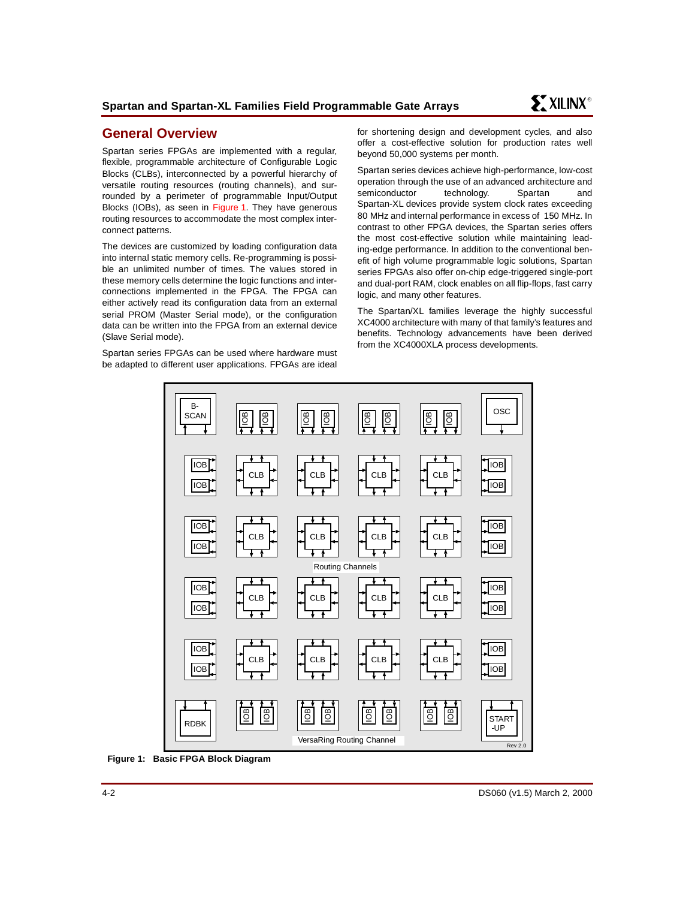# **General Overview**

Spartan series FPGAs are implemented with a regular, flexible, programmable architecture of Configurable Logic Blocks (CLBs), interconnected by a powerful hierarchy of versatile routing resources (routing channels), and surrounded by a perimeter of programmable Input/Output Blocks (IOBs), as seen in [Figure 1.](#page-1-0) They have generous routing resources to accommodate the most complex interconnect patterns.

The devices are customized by loading configuration data into internal static memory cells. Re-programming is possible an unlimited number of times. The values stored in these memory cells determine the logic functions and interconnections implemented in the FPGA. The FPGA can either actively read its configuration data from an external serial PROM (Master Serial mode), or the configuration data can be written into the FPGA from an external device (Slave Serial mode).

Spartan series FPGAs can be used where hardware must be adapted to different user applications. FPGAs are ideal for shortening design and development cycles, and also offer a cost-effective solution for production rates well beyond 50,000 systems per month.

Spartan series devices achieve high-performance, low-cost operation through the use of an advanced architecture and semiconductor technology. Spartan and Spartan-XL devices provide system clock rates exceeding 80 MHz and internal performance in excess of 150 MHz. In contrast to other FPGA devices, the Spartan series offers the most cost-effective solution while maintaining leading-edge performance. In addition to the conventional benefit of high volume programmable logic solutions, Spartan series FPGAs also offer on-chip edge-triggered single-port and dual-port RAM, clock enables on all flip-flops, fast carry logic, and many other features.

The Spartan/XL families leverage the highly successful XC4000 architecture with many of that family's features and benefits. Technology advancements have been derived from the XC4000XLA process developments.



<span id="page-1-0"></span>**Figure 1: Basic FPGA Block Diagram**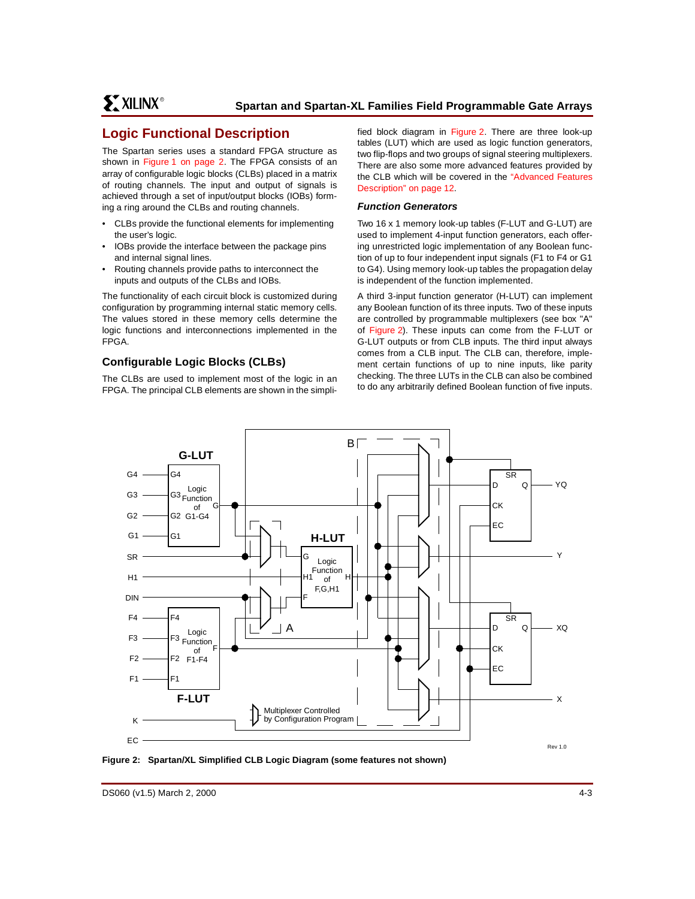# **Logic Functional Description**

The Spartan series uses a standard FPGA structure as shown in [Figure 1 on page 2](#page-1-0). The FPGA consists of an array of configurable logic blocks (CLBs) placed in a matrix of routing channels. The input and output of signals is achieved through a set of input/output blocks (IOBs) forming a ring around the CLBs and routing channels.

- CLBs provide the functional elements for implementing the user's logic.
- IOBs provide the interface between the package pins and internal signal lines.
- Routing channels provide paths to interconnect the inputs and outputs of the CLBs and IOBs.

The functionality of each circuit block is customized during configuration by programming internal static memory cells. The values stored in these memory cells determine the logic functions and interconnections implemented in the FPGA.

# **Configurable Logic Blocks (CLBs)**

The CLBs are used to implement most of the logic in an FPGA. The principal CLB elements are shown in the simplified block diagram in [Figure 2.](#page-2-0) There are three look-up tables (LUT) which are used as logic function generators, two flip-flops and two groups of signal steering multiplexers. There are also some more advanced features provided by the CLB which will be covered in the ["Advanced Features](#page-11-0) [Description" on page 12](#page-11-0).

### **Function Generators**

Two 16 x 1 memory look-up tables (F-LUT and G-LUT) are used to implement 4-input function generators, each offering unrestricted logic implementation of any Boolean function of up to four independent input signals (F1 to F4 or G1 to G4). Using memory look-up tables the propagation delay is independent of the function implemented.

A third 3-input function generator (H-LUT) can implement any Boolean function of its three inputs. Two of these inputs are controlled by programmable multiplexers (see box "A" of [Figure 2\)](#page-2-0). These inputs can come from the F-LUT or G-LUT outputs or from CLB inputs. The third input always comes from a CLB input. The CLB can, therefore, implement certain functions of up to nine inputs, like parity checking. The three LUTs in the CLB can also be combined to do any arbitrarily defined Boolean function of five inputs.



<span id="page-2-0"></span>**Figure 2: Spartan/XL Simplified CLB Logic Diagram (some features not shown)**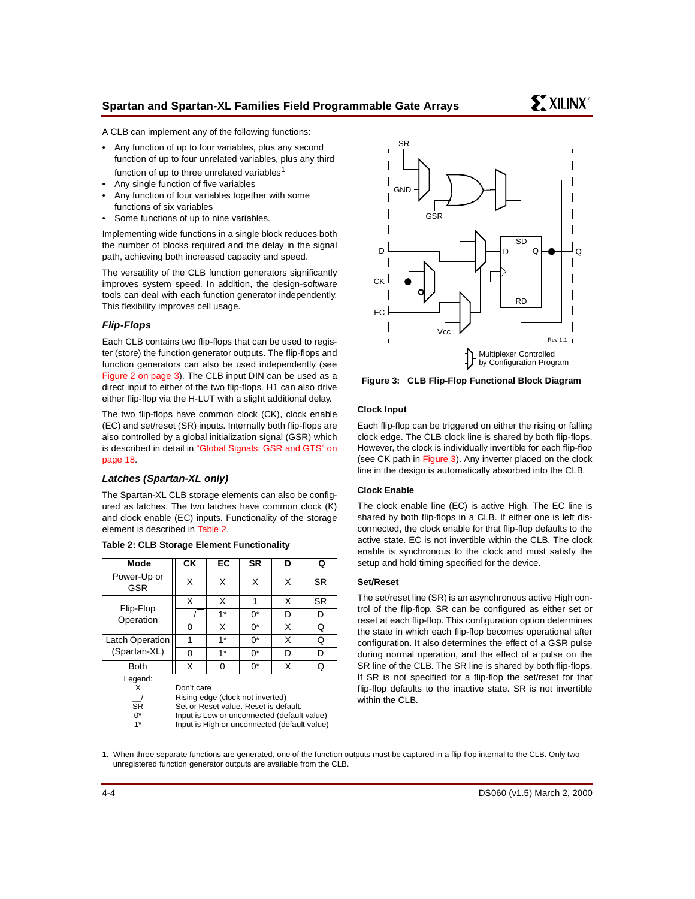A CLB can implement any of the following functions:

- Any function of up to four variables, plus any second function of up to four unrelated variables, plus any third function of up to three unrelated variables<sup>1</sup>
- Any single function of five variables
- Any function of four variables together with some functions of six variables
- Some functions of up to nine variables.

Implementing wide functions in a single block reduces both the number of blocks required and the delay in the signal path, achieving both increased capacity and speed.

The versatility of the CLB function generators significantly improves system speed. In addition, the design-software tools can deal with each function generator independently. This flexibility improves cell usage.

## **Flip-Flops**

Each CLB contains two flip-flops that can be used to register (store) the function generator outputs. The flip-flops and function generators can also be used independently (see [Figure 2 on page 3\)](#page-2-0). The CLB input DIN can be used as a direct input to either of the two flip-flops. H1 can also drive either flip-flop via the H-LUT with a slight additional delay.

The two flip-flops have common clock (CK), clock enable (EC) and set/reset (SR) inputs. Internally both flip-flops are also controlled by a global initialization signal (GSR) which is described in detail in ["Global Signals: GSR and GTS" on](#page-17-0) [page 18.](#page-17-0)

## **Latches (Spartan-XL only)**

The Spartan-XL CLB storage elements can also be configured as latches. The two latches have common clock (K) and clock enable (EC) inputs. Functionality of the storage element is described in [Table 2.](#page-3-0)

| Mode                                       | CK         | EC   | <b>SR</b>                                                                                                                                                                | D | Q         |
|--------------------------------------------|------------|------|--------------------------------------------------------------------------------------------------------------------------------------------------------------------------|---|-----------|
| Power-Up or<br>GSR                         | X          | X    | X                                                                                                                                                                        | X | <b>SR</b> |
|                                            | X          | X    | 1                                                                                                                                                                        | X | <b>SR</b> |
| Flip-Flop<br>Operation                     |            | $1*$ | 0*                                                                                                                                                                       | D | D         |
|                                            | 0          | X    | 0*                                                                                                                                                                       | X | Q         |
| Latch Operation                            | 1          | $1*$ | 0*                                                                                                                                                                       | X | Q         |
| (Spartan-XL)                               | 0          | $1*$ | 0*                                                                                                                                                                       | D | D         |
| <b>Both</b>                                | Х          | 0    | 0*                                                                                                                                                                       | X | Q         |
| Legend:<br>x<br><b>SR</b><br>$0^*$<br>$1*$ | Don't care |      | Rising edge (clock not inverted)<br>Set or Reset value. Reset is default.<br>Input is Low or unconnected (default value)<br>Input is High or unconnected (default value) |   |           |

#### <span id="page-3-0"></span>**Table 2: CLB Storage Element Functionality**



<span id="page-3-1"></span>**Figure 3: CLB Flip-Flop Functional Block Diagram**

#### **Clock Input**

Each flip-flop can be triggered on either the rising or falling clock edge. The CLB clock line is shared by both flip-flops. However, the clock is individually invertible for each flip-flop (see CK path in [Figure 3\)](#page-3-1). Any inverter placed on the clock line in the design is automatically absorbed into the CLB.

#### **Clock Enable**

The clock enable line (EC) is active High. The EC line is shared by both flip-flops in a CLB. If either one is left disconnected, the clock enable for that flip-flop defaults to the active state. EC is not invertible within the CLB. The clock enable is synchronous to the clock and must satisfy the setup and hold timing specified for the device.

#### **Set/Reset**

The set/reset line (SR) is an asynchronous active High control of the flip-flop. SR can be configured as either set or reset at each flip-flop. This configuration option determines the state in which each flip-flop becomes operational after configuration. It also determines the effect of a GSR pulse during normal operation, and the effect of a pulse on the SR line of the CLB. The SR line is shared by both flip-flops. If SR is not specified for a flip-flop the set/reset for that flip-flop defaults to the inactive state. SR is not invertible within the CLB.

1. When three separate functions are generated, one of the function outputs must be captured in a flip-flop internal to the CLB. Only two unregistered function generator outputs are available from the CLB.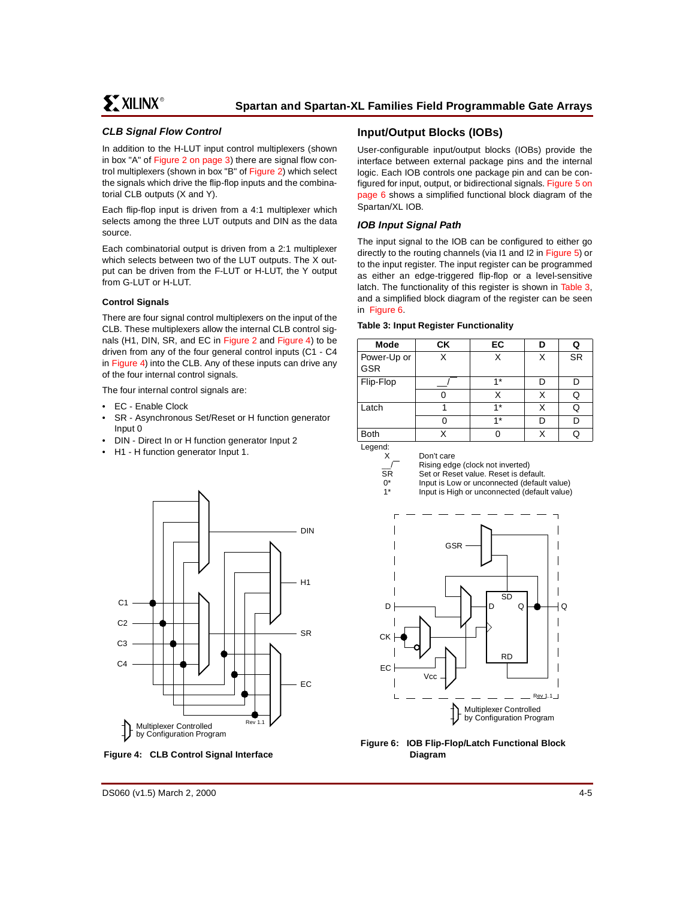## **CLB Signal Flow Control**

In addition to the H-LUT input control multiplexers (shown in box "A" of [Figure 2 on page 3\)](#page-2-0) there are signal flow control multiplexers (shown in box "B" of [Figure 2\)](#page-2-0) which select the signals which drive the flip-flop inputs and the combinatorial CLB outputs (X and Y).

Each flip-flop input is driven from a 4:1 multiplexer which selects among the three LUT outputs and DIN as the data source.

Each combinatorial output is driven from a 2:1 multiplexer which selects between two of the LUT outputs. The X output can be driven from the F-LUT or H-LUT, the Y output from G-LUT or H-LUT.

#### **Control Signals**

There are four signal control multiplexers on the input of the CLB. These multiplexers allow the internal CLB control signals (H1, DIN, SR, and EC in [Figure 2](#page-2-0) and [Figure 4\)](#page-4-0) to be driven from any of the four general control inputs (C1 - C4 in [Figure 4\)](#page-4-0) into the CLB. Any of these inputs can drive any of the four internal control signals.

The four internal control signals are:

- EC Enable Clock
- SR Asynchronous Set/Reset or H function generator Input 0
- DIN Direct In or H function generator Input 2
- H1 H function generator Input 1.



<span id="page-4-0"></span>**Figure 4: CLB Control Signal Interface**

## **Input/Output Blocks (IOBs)**

User-configurable input/output blocks (IOBs) provide the interface between external package pins and the internal logic. Each IOB controls one package pin and can be configured for input, output, or bidirectional signals. [Figure 5 on](#page-5-0) [page 6](#page-5-0) shows a simplified functional block diagram of the Spartan/XL IOB.

## **IOB Input Signal Path**

The input signal to the IOB can be configured to either go directly to the routing channels (via I1 and I2 in [Figure 5](#page-5-0)) or to the input register. The input register can be programmed as either an edge-triggered flip-flop or a level-sensitive latch. The functionality of this register is shown in [Table 3,](#page-4-1) and a simplified block diagram of the register can be seen in [Figure 6](#page-4-2).

#### <span id="page-4-1"></span>**Table 3: Input Register Functionality**

| Mode                      | СK | EC   | D | Q         |
|---------------------------|----|------|---|-----------|
| Power-Up or<br><b>GSR</b> | x  | Χ    | Χ | <b>SR</b> |
| Flip-Flop                 |    | $4*$ | D | D         |
|                           |    | Χ    | Χ | Q         |
| Latch                     |    | $1*$ | X | Q         |
|                           |    | $4*$ | D | n         |
| <b>Both</b>               |    |      | X |           |

Legend:

X \_\_/ SR  $0^*$ 1\*

Don't care

Rising edge (clock not inverted)

Set or Reset value. Reset is default.

Input is Low or unconnected (default value)

Input is High or unconnected (default value)



<span id="page-4-2"></span>**Figure 6: IOB Flip-Flop/Latch Functional Block Diagram**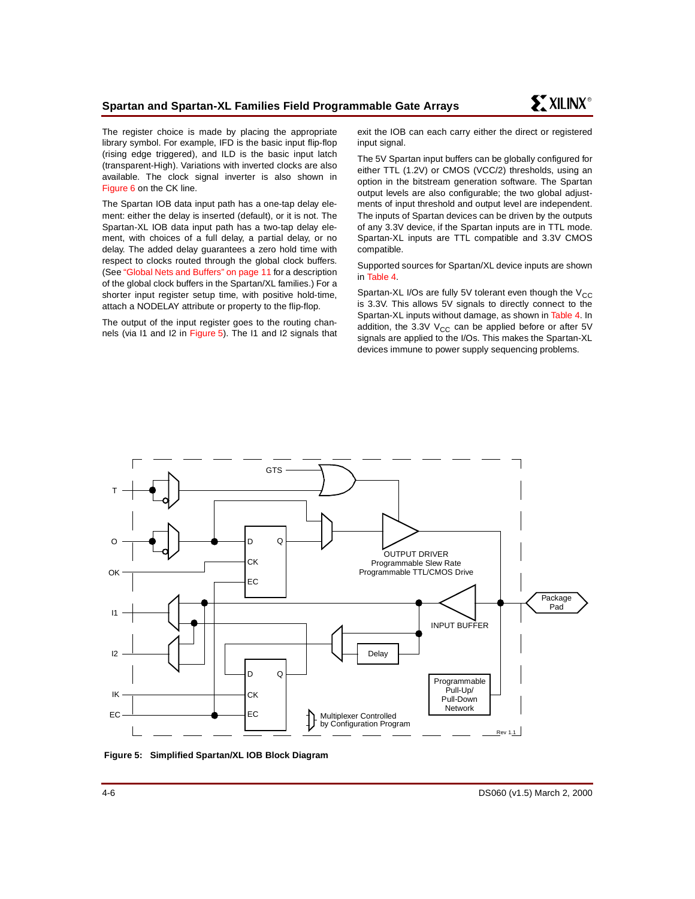The register choice is made by placing the appropriate library symbol. For example, IFD is the basic input flip-flop (rising edge triggered), and ILD is the basic input latch (transparent-High). Variations with inverted clocks are also available. The clock signal inverter is also shown in [Figure 6](#page-4-2) on the CK line.

The Spartan IOB data input path has a one-tap delay element: either the delay is inserted (default), or it is not. The Spartan-XL IOB data input path has a two-tap delay element, with choices of a full delay, a partial delay, or no delay. The added delay guarantees a zero hold time with respect to clocks routed through the global clock buffers. (See ["Global Nets and Buffers" on page 11](#page-10-0) for a description of the global clock buffers in the Spartan/XL families.) For a shorter input register setup time, with positive hold-time, attach a NODELAY attribute or property to the flip-flop.

The output of the input register goes to the routing channels (via I1 and I2 in [Figure 5\)](#page-5-0). The I1 and I2 signals that

exit the IOB can each carry either the direct or registered input signal.

The 5V Spartan input buffers can be globally configured for either TTL (1.2V) or CMOS (VCC/2) thresholds, using an option in the bitstream generation software. The Spartan output levels are also configurable; the two global adjustments of input threshold and output level are independent. The inputs of Spartan devices can be driven by the outputs of any 3.3V device, if the Spartan inputs are in TTL mode. Spartan-XL inputs are TTL compatible and 3.3V CMOS compatible.

Supported sources for Spartan/XL device inputs are shown in [Table 4](#page-6-0).

Spartan-XL I/Os are fully 5V tolerant even though the  $V_{CC}$ is 3.3V. This allows 5V signals to directly connect to the Spartan-XL inputs without damage, as shown in [Table 4](#page-6-0). In addition, the 3.3V  $V_{CC}$  can be applied before or after 5V signals are applied to the I/Os. This makes the Spartan-XL devices immune to power supply sequencing problems.



<span id="page-5-0"></span>**Figure 5: Simplified Spartan/XL IOB Block Diagram**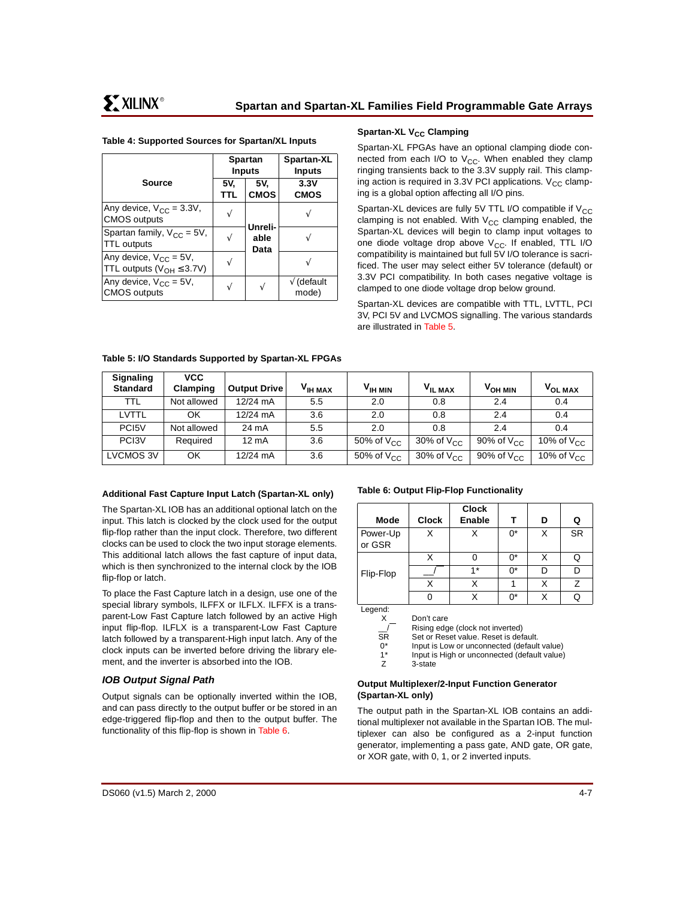<span id="page-6-0"></span>

|  | Table 4: Supported Sources for Spartan/XL Inputs |  |  |  |  |
|--|--------------------------------------------------|--|--|--|--|
|--|--------------------------------------------------|--|--|--|--|

|                                                                   | <b>Spartan</b><br><b>Inputs</b> |                    | Spartan-XL<br><b>Inputs</b>  |
|-------------------------------------------------------------------|---------------------------------|--------------------|------------------------------|
| <b>Source</b>                                                     | 5V.<br><b>TTL</b>               | 5V.<br><b>CMOS</b> | 3.3V<br><b>CMOS</b>          |
| Any device, $V_{CC} = 3.3V$ ,<br><b>CMOS</b> outputs              |                                 | Unreli-            |                              |
| Spartan family, $V_{CC} = 5V$ ,<br><b>TTL outputs</b>             |                                 | able<br>Data       |                              |
| Any device, $V_{CC} = 5V$ ,<br>TTL outputs ( $V_{OH} \leq 3.7V$ ) |                                 |                    |                              |
| Any device, $V_{CC} = 5V$ ,<br><b>CMOS</b> outputs                |                                 | ٦                  | $\sqrt{ }$ (default<br>mode) |

## **Spartan-XL V<sub>CC</sub> Clamping**

Spartan-XL FPGAs have an optional clamping diode connected from each I/O to  $V_{CC}$ . When enabled they clamp ringing transients back to the 3.3V supply rail. This clamping action is required in 3.3V PCI applications.  $V_{CC}$  clamping is a global option affecting all I/O pins.

Spartan-XL devices are fully 5V TTL I/O compatible if  $V_{CC}$ clamping is not enabled. With  $V_{CC}$  clamping enabled, the Spartan-XL devices will begin to clamp input voltages to one diode voltage drop above  $V_{CC}$ . If enabled, TTL I/O compatibility is maintained but full 5V I/O tolerance is sacrificed. The user may select either 5V tolerance (default) or 3.3V PCI compatibility. In both cases negative voltage is clamped to one diode voltage drop below ground.

Spartan-XL devices are compatible with TTL, LVTTL, PCI 3V, PCI 5V and LVCMOS signalling. The various standards are illustrated in [Table 5](#page-6-1).

| Signaling          | <b>VCC</b>  |                     |                     |                     |                     |                     |                     |
|--------------------|-------------|---------------------|---------------------|---------------------|---------------------|---------------------|---------------------|
| <b>Standard</b>    | Clamping    | <b>Output Drive</b> | V <sub>IH MAX</sub> | $V_{\text{IH MIN}}$ | V <sub>IL MAX</sub> | V <sub>OH MIN</sub> | V <sub>OL MAX</sub> |
| TTL                | Not allowed | 12/24 mA            | 5.5                 | 2.0                 | 0.8                 | 2.4                 | 0.4                 |
| LVTTL              | OK          | 12/24 mA            | 3.6                 | 2.0                 | 0.8                 | 2.4                 | 0.4                 |
| PC <sub>15</sub> V | Not allowed | 24 mA               | 5.5                 | 2.0                 | 0.8                 | 2.4                 | 0.4                 |
| PC <sub>13</sub> V | Required    | $12 \text{ mA}$     | 3.6                 | 50% of $V_{CC}$     | 30% of $V_{CC}$     | 90% of $V_{CC}$     | 10% of $V_{CC}$     |
| LVCMOS 3V          | OK          | 12/24 mA            | 3.6                 | 50% of $V_{CC}$     | 30% of $V_{CC}$     | 90% of $V_{CC}$     | 10% of $V_{CC}$     |

#### <span id="page-6-1"></span>**Table 5: I/O Standards Supported by Spartan-XL FPGAs**

#### **Additional Fast Capture Input Latch (Spartan-XL only)**

The Spartan-XL IOB has an additional optional latch on the input. This latch is clocked by the clock used for the output flip-flop rather than the input clock. Therefore, two different clocks can be used to clock the two input storage elements. This additional latch allows the fast capture of input data, which is then synchronized to the internal clock by the IOB flip-flop or latch.

To place the Fast Capture latch in a design, use one of the special library symbols, ILFFX or ILFLX. ILFFX is a transparent-Low Fast Capture latch followed by an active High input flip-flop. ILFLX is a transparent-Low Fast Capture latch followed by a transparent-High input latch. Any of the clock inputs can be inverted before driving the library element, and the inverter is absorbed into the IOB.

## **IOB Output Signal Path**

Output signals can be optionally inverted within the IOB, and can pass directly to the output buffer or be stored in an edge-triggered flip-flop and then to the output buffer. The functionality of this flip-flop is shown in [Table 6](#page-6-2).

<span id="page-6-2"></span>**Table 6: Output Flip-Flop Functionality**

| Mode               | <b>Clock</b> | <b>Clock</b><br><b>Enable</b> | т     | D | Q         |
|--------------------|--------------|-------------------------------|-------|---|-----------|
| Power-Up<br>or GSR | Χ            | X                             | $0^*$ | X | <b>SR</b> |
|                    | X            | U                             | $0^*$ | X | Q         |
| Flip-Flop          |              | $1*$                          | n*    | D | D         |
|                    | Χ            | Χ                             |       | X | Ζ         |
|                    | 0            |                               | ሰ*    | x | Q         |
| the service of a   |              |                               |       |   |           |

Legend: X

Don't care Rising edge (clock not inverted)

Set or Reset value. Reset is default.

 $\frac{-}{\text{SR}}$ Input is Low or unconnected (default value)

 $0^*$ Input is High or unconnected (default value)

1\* Z 3-state

#### **Output Multiplexer/2-Input Function Generator (Spartan-XL only)**

The output path in the Spartan-XL IOB contains an additional multiplexer not available in the Spartan IOB. The multiplexer can also be configured as a 2-input function generator, implementing a pass gate, AND gate, OR gate, or XOR gate, with 0, 1, or 2 inverted inputs.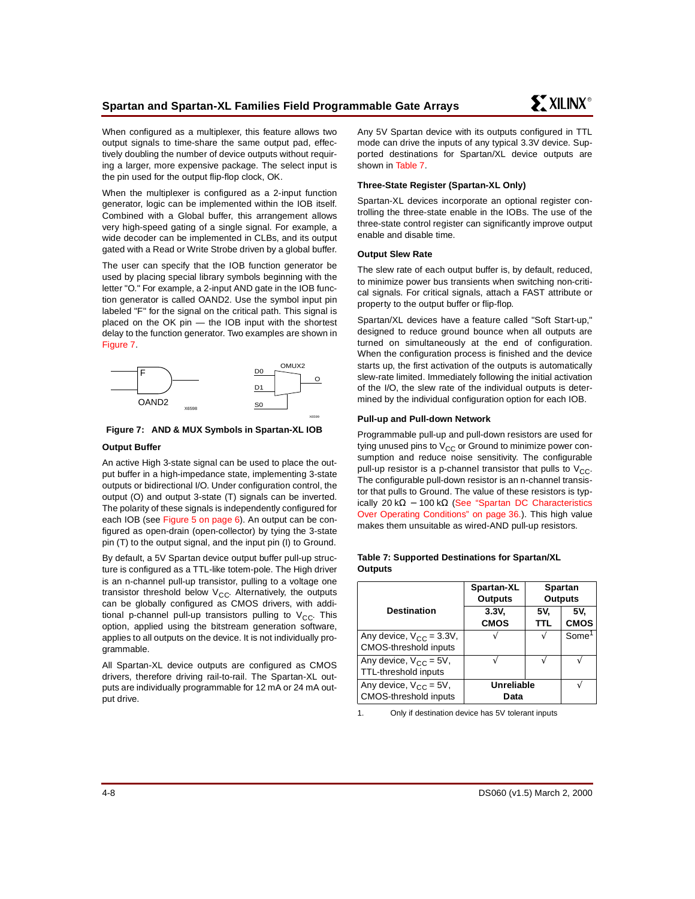When configured as a multiplexer, this feature allows two output signals to time-share the same output pad, effectively doubling the number of device outputs without requiring a larger, more expensive package. The select input is the pin used for the output flip-flop clock, OK.

When the multiplexer is configured as a 2-input function generator, logic can be implemented within the IOB itself. Combined with a Global buffer, this arrangement allows very high-speed gating of a single signal. For example, a wide decoder can be implemented in CLBs, and its output gated with a Read or Write Strobe driven by a global buffer.

The user can specify that the IOB function generator be used by placing special library symbols beginning with the letter "O." For example, a 2-input AND gate in the IOB function generator is called OAND2. Use the symbol input pin labeled "F" for the signal on the critical path. This signal is placed on the OK pin — the IOB input with the shortest delay to the function generator. Two examples are shown in [Figure 7](#page-7-0).



#### <span id="page-7-0"></span>**Figure 7: AND & MUX Symbols in Spartan-XL IOB**

#### **Output Buffer**

An active High 3-state signal can be used to place the output buffer in a high-impedance state, implementing 3-state outputs or bidirectional I/O. Under configuration control, the output (O) and output 3-state (T) signals can be inverted. The polarity of these signals is independently configured for each IOB (see [Figure 5 on page 6](#page-5-0)). An output can be configured as open-drain (open-collector) by tying the 3-state pin (T) to the output signal, and the input pin (I) to Ground.

By default, a 5V Spartan device output buffer pull-up structure is configured as a TTL-like totem-pole. The High driver is an n-channel pull-up transistor, pulling to a voltage one transistor threshold below  $V_{CC}$ . Alternatively, the outputs can be globally configured as CMOS drivers, with additional p-channel pull-up transistors pulling to  $V_{CC}$ . This option, applied using the bitstream generation software, applies to all outputs on the device. It is not individually programmable.

All Spartan-XL device outputs are configured as CMOS drivers, therefore driving rail-to-rail. The Spartan-XL outputs are individually programmable for 12 mA or 24 mA output drive.

Any 5V Spartan device with its outputs configured in TTL mode can drive the inputs of any typical 3.3V device. Supported destinations for Spartan/XL device outputs are shown in [Table 7](#page-7-1).

## **Three-State Register (Spartan-XL Only)**

Spartan-XL devices incorporate an optional register controlling the three-state enable in the IOBs. The use of the three-state control register can significantly improve output enable and disable time.

## **Output Slew Rate**

The slew rate of each output buffer is, by default, reduced, to minimize power bus transients when switching non-critical signals. For critical signals, attach a FAST attribute or property to the output buffer or flip-flop.

Spartan/XL devices have a feature called "Soft Start-up," designed to reduce ground bounce when all outputs are turned on simultaneously at the end of configuration. When the configuration process is finished and the device starts up, the first activation of the outputs is automatically slew-rate limited. Immediately following the initial activation of the I/O, the slew rate of the individual outputs is determined by the individual configuration option for each IOB.

#### **Pull-up and Pull-down Network**

Programmable pull-up and pull-down resistors are used for tying unused pins to  $V_{CC}$  or Ground to minimize power consumption and reduce noise sensitivity. The configurable pull-up resistor is a p-channel transistor that pulls to  $V_{CC}$ . The configurable pull-down resistor is an n-channel transistor that pulls to Ground. The value of these resistors is typ-ically 20 kΩ – 100 kΩ [\(See "Spartan DC Characteristics](#page-35-0) [Over Operating Conditions" on page 36.](#page-35-0)). This high value makes them unsuitable as wired-AND pull-up resistors.

#### <span id="page-7-1"></span>**Table 7: Supported Destinations for Spartan/XL Outputs**

|                                                        | Spartan-XL<br><b>Outputs</b>     |            | <b>Spartan</b><br><b>Outputs</b> |
|--------------------------------------------------------|----------------------------------|------------|----------------------------------|
| <b>Destination</b>                                     | 3.3V <sub>1</sub><br><b>CMOS</b> | 5V.<br>TTL | 5V.<br><b>CMOS</b>               |
| Any device, $V_{CC} = 3.3V$ ,<br>CMOS-threshold inputs |                                  |            | Some <sup>1</sup>                |
| Any device, $V_{CC} = 5V$ ,<br>TTL-threshold inputs    |                                  |            |                                  |
| Any device, $V_{CC} = 5V$ ,<br>CMOS-threshold inputs   | Unreliable<br>Data               |            |                                  |

1. Only if destination device has 5V tolerant inputs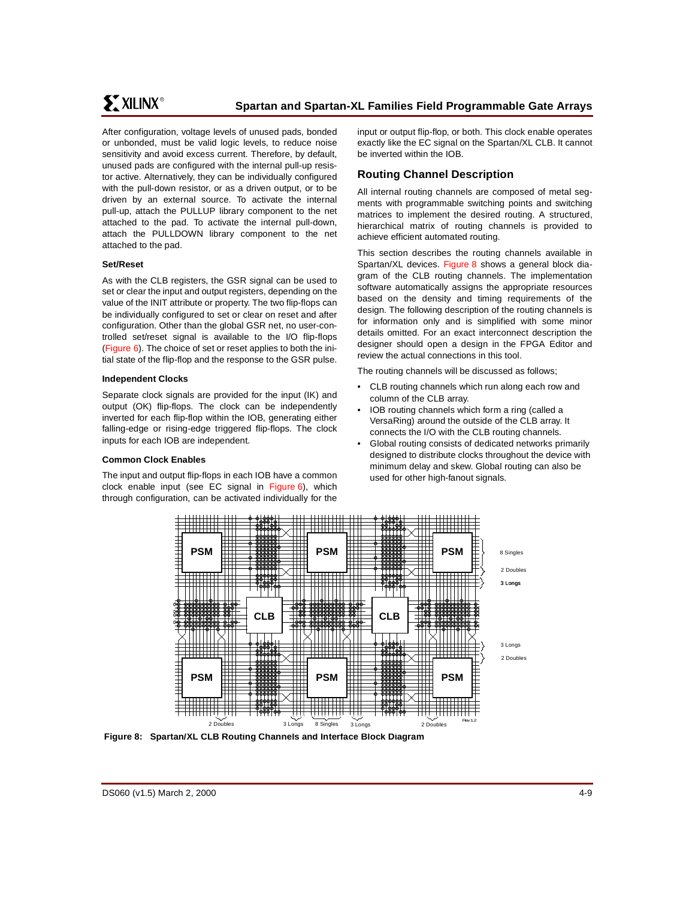After configuration, voltage levels of unused pads, bonded or unbonded, must be valid logic levels, to reduce noise sensitivity and avoid excess current. Therefore, by default, unused pads are configured with the internal pull-up resistor active. Alternatively, they can be individually configured with the pull-down resistor, or as a driven output, or to be driven by an external source. To activate the internal pull-up, attach the PULLUP library component to the net attached to the pad. To activate the internal pull-down, attach the PULLDOWN library component to the net attached to the pad.

#### **Set/Reset**

As with the CLB registers, the GSR signal can be used to set or clear the input and output registers, depending on the value of the INIT attribute or property. The two flip-flops can be individually configured to set or clear on reset and after configuration. Other than the global GSR net, no user-controlled set/reset signal is available to the I/O flip-flops ([Figure 6](#page-4-2)). The choice of set or reset applies to both the initial state of the flip-flop and the response to the GSR pulse.

#### **Independent Clocks**

Separate clock signals are provided for the input (IK) and output (OK) flip-flops. The clock can be independently inverted for each flip-flop within the IOB, generating either falling-edge or rising-edge triggered flip-flops. The clock inputs for each IOB are independent.

## **Common Clock Enables**

The input and output flip-flops in each IOB have a common clock enable input (see EC signal in [Figure 6\)](#page-4-2), which through configuration, can be activated individually for the

input or output flip-flop, or both. This clock enable operates exactly like the EC signal on the Spartan/XL CLB. It cannot be inverted within the IOB.

# **Routing Channel Description**

All internal routing channels are composed of metal segments with programmable switching points and switching matrices to implement the desired routing. A structured, hierarchical matrix of routing channels is provided to achieve efficient automated routing.

This section describes the routing channels available in Spartan/XL devices. [Figure 8](#page-8-0) shows a general block diagram of the CLB routing channels. The implementation software automatically assigns the appropriate resources based on the density and timing requirements of the design. The following description of the routing channels is for information only and is simplified with some minor details omitted. For an exact interconnect description the designer should open a design in the FPGA Editor and review the actual connections in this tool.

The routing channels will be discussed as follows;

- CLB routing channels which run along each row and column of the CLB array.
- IOB routing channels which form a ring (called a VersaRing) around the outside of the CLB array. It connects the I/O with the CLB routing channels.
- Global routing consists of dedicated networks primarily designed to distribute clocks throughout the device with minimum delay and skew. Global routing can also be used for other high-fanout signals.



<span id="page-8-0"></span>**Figure 8: Spartan/XL CLB Routing Channels and Interface Block Diagram**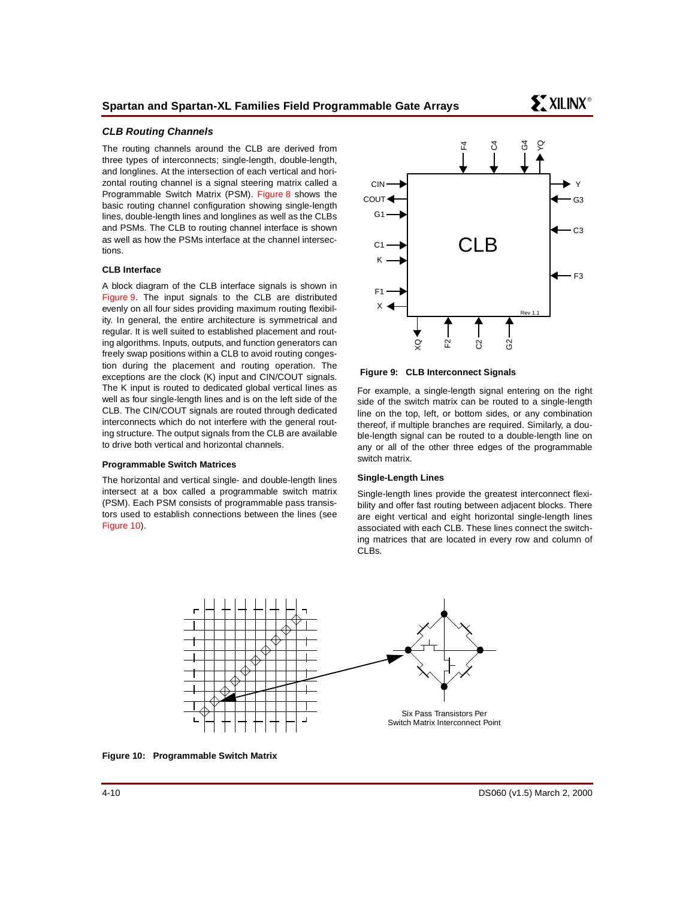## **CLB Routing Channels**

The routing channels around the CLB are derived from three types of interconnects; single-length, double-length, and longlines. At the intersection of each vertical and horizontal routing channel is a signal steering matrix called a Programmable Switch Matrix (PSM). [Figure 8](#page-8-0) shows the basic routing channel configuration showing single-length lines, double-length lines and longlines as well as the CLBs and PSMs. The CLB to routing channel interface is shown as well as how the PSMs interface at the channel intersections.

#### **CLB Interface**

A block diagram of the CLB interface signals is shown in [Figure 9](#page-9-0). The input signals to the CLB are distributed evenly on all four sides providing maximum routing flexibility. In general, the entire architecture is symmetrical and regular. It is well suited to established placement and routing algorithms. Inputs, outputs, and function generators can freely swap positions within a CLB to avoid routing congestion during the placement and routing operation. The exceptions are the clock (K) input and CIN/COUT signals. The K input is routed to dedicated global vertical lines as well as four single-length lines and is on the left side of the CLB. The CIN/COUT signals are routed through dedicated interconnects which do not interfere with the general routing structure. The output signals from the CLB are available to drive both vertical and horizontal channels.

#### **Programmable Switch Matrices**

The horizontal and vertical single- and double-length lines intersect at a box called a programmable switch matrix (PSM). Each PSM consists of programmable pass transistors used to establish connections between the lines (see [Figure 10\)](#page-9-1).



<span id="page-9-0"></span>**Figure 9: CLB Interconnect Signals**

For example, a single-length signal entering on the right side of the switch matrix can be routed to a single-length line on the top, left, or bottom sides, or any combination thereof, if multiple branches are required. Similarly, a double-length signal can be routed to a double-length line on any or all of the other three edges of the programmable switch matrix.

#### **Single-Length Lines**

Single-length lines provide the greatest interconnect flexibility and offer fast routing between adjacent blocks. There are eight vertical and eight horizontal single-length lines associated with each CLB. These lines connect the switching matrices that are located in every row and column of CLBs.



<span id="page-9-1"></span>**Figure 10: Programmable Switch Matrix**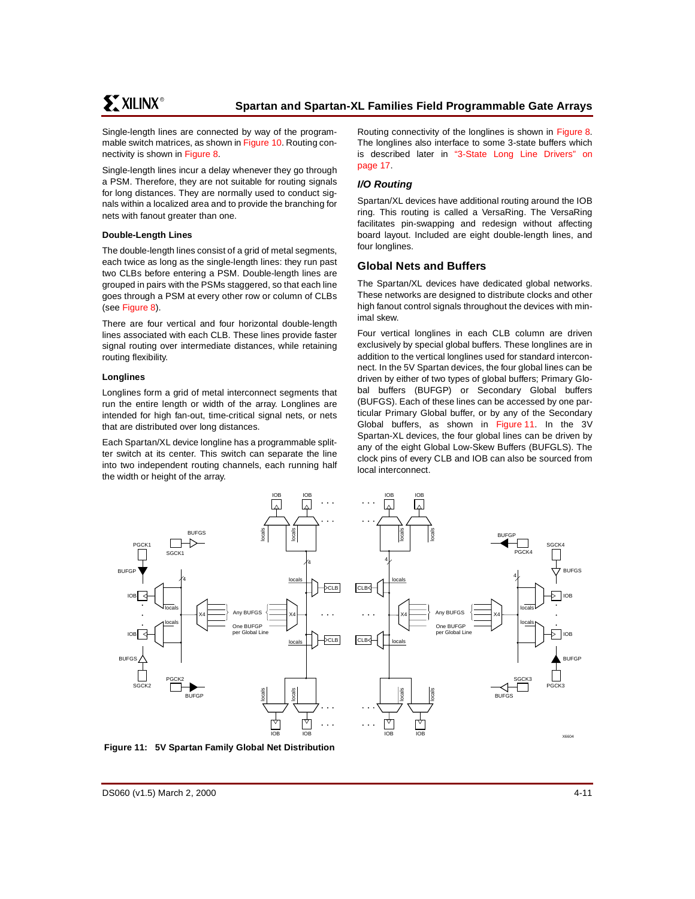Single-length lines are connected by way of the programmable switch matrices, as shown in [Figure 10](#page-9-1). Routing connectivity is shown in [Figure 8](#page-8-0).

Single-length lines incur a delay whenever they go through a PSM. Therefore, they are not suitable for routing signals for long distances. They are normally used to conduct signals within a localized area and to provide the branching for nets with fanout greater than one.

#### **Double-Length Lines**

The double-length lines consist of a grid of metal segments, each twice as long as the single-length lines: they run past two CLBs before entering a PSM. Double-length lines are grouped in pairs with the PSMs staggered, so that each line goes through a PSM at every other row or column of CLBs (see [Figure 8](#page-8-0)).

There are four vertical and four horizontal double-length lines associated with each CLB. These lines provide faster signal routing over intermediate distances, while retaining routing flexibility.

#### **Longlines**

Longlines form a grid of metal interconnect segments that run the entire length or width of the array. Longlines are intended for high fan-out, time-critical signal nets, or nets that are distributed over long distances.

Each Spartan/XL device longline has a programmable splitter switch at its center. This switch can separate the line into two independent routing channels, each running half the width or height of the array.

Routing connectivity of the longlines is shown in [Figure 8.](#page-8-0) The longlines also interface to some 3-state buffers which is described later in ["3-State Long Line Drivers" on](#page-16-0) [page 17](#page-16-0).

## **I/O Routing**

Spartan/XL devices have additional routing around the IOB ring. This routing is called a VersaRing. The VersaRing facilitates pin-swapping and redesign without affecting board layout. Included are eight double-length lines, and four longlines.

## <span id="page-10-0"></span>**Global Nets and Buffers**

The Spartan/XL devices have dedicated global networks. These networks are designed to distribute clocks and other high fanout control signals throughout the devices with minimal skew.

Four vertical longlines in each CLB column are driven exclusively by special global buffers. These longlines are in addition to the vertical longlines used for standard interconnect. In the 5V Spartan devices, the four global lines can be driven by either of two types of global buffers; Primary Global buffers (BUFGP) or Secondary Global buffers (BUFGS). Each of these lines can be accessed by one particular Primary Global buffer, or by any of the Secondary Global buffers, as shown in [Figure 11](#page-10-1). In the 3V Spartan-XL devices, the four global lines can be driven by any of the eight Global Low-Skew Buffers (BUFGLS). The clock pins of every CLB and IOB can also be sourced from local interconnect.



<span id="page-10-1"></span>**Figure 11: 5V Spartan Family Global Net Distribution**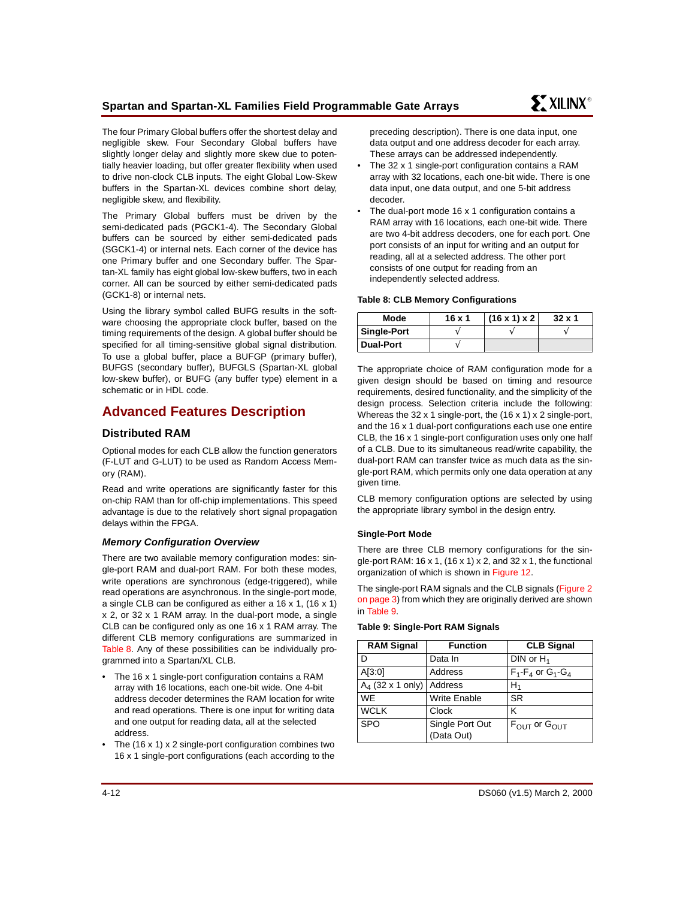The four Primary Global buffers offer the shortest delay and negligible skew. Four Secondary Global buffers have slightly longer delay and slightly more skew due to potentially heavier loading, but offer greater flexibility when used to drive non-clock CLB inputs. The eight Global Low-Skew buffers in the Spartan-XL devices combine short delay, negligible skew, and flexibility.

The Primary Global buffers must be driven by the semi-dedicated pads (PGCK1-4). The Secondary Global buffers can be sourced by either semi-dedicated pads (SGCK1-4) or internal nets. Each corner of the device has one Primary buffer and one Secondary buffer. The Spartan-XL family has eight global low-skew buffers, two in each corner. All can be sourced by either semi-dedicated pads (GCK1-8) or internal nets.

Using the library symbol called BUFG results in the software choosing the appropriate clock buffer, based on the timing requirements of the design. A global buffer should be specified for all timing-sensitive global signal distribution. To use a global buffer, place a BUFGP (primary buffer), BUFGS (secondary buffer), BUFGLS (Spartan-XL global low-skew buffer), or BUFG (any buffer type) element in a schematic or in HDL code.

# <span id="page-11-0"></span>**Advanced Features Description**

# **Distributed RAM**

Optional modes for each CLB allow the function generators (F-LUT and G-LUT) to be used as Random Access Memory (RAM).

Read and write operations are significantly faster for this on-chip RAM than for off-chip implementations. This speed advantage is due to the relatively short signal propagation delays within the FPGA.

## **Memory Configuration Overview**

There are two available memory configuration modes: single-port RAM and dual-port RAM. For both these modes, write operations are synchronous (edge-triggered), while read operations are asynchronous. In the single-port mode, a single CLB can be configured as either a 16 x 1, (16 x 1) x 2, or 32 x 1 RAM array. In the dual-port mode, a single CLB can be configured only as one 16 x 1 RAM array. The different CLB memory configurations are summarized in [Table 8.](#page-11-1) Any of these possibilities can be individually programmed into a Spartan/XL CLB.

- The 16 x 1 single-port configuration contains a RAM array with 16 locations, each one-bit wide. One 4-bit address decoder determines the RAM location for write and read operations. There is one input for writing data and one output for reading data, all at the selected address.
- The  $(16 \times 1) \times 2$  single-port configuration combines two 16 x 1 single-port configurations (each according to the

preceding description). There is one data input, one data output and one address decoder for each array. These arrays can be addressed independently.

- The 32 x 1 single-port configuration contains a RAM array with 32 locations, each one-bit wide. There is one data input, one data output, and one 5-bit address decoder.
- The dual-port mode 16 x 1 configuration contains a RAM array with 16 locations, each one-bit wide. There are two 4-bit address decoders, one for each port. One port consists of an input for writing and an output for reading, all at a selected address. The other port consists of one output for reading from an independently selected address.

### <span id="page-11-1"></span>**Table 8: CLB Memory Configurations**

| Mode               | $16 \times 1$ | $(16 \times 1) \times 2$ | $32 \times 1$ |
|--------------------|---------------|--------------------------|---------------|
| <b>Single-Port</b> |               |                          |               |
| <b>Dual-Port</b>   |               |                          |               |

The appropriate choice of RAM configuration mode for a given design should be based on timing and resource requirements, desired functionality, and the simplicity of the design process. Selection criteria include the following: Whereas the 32 x 1 single-port, the (16 x 1) x 2 single-port, and the 16 x 1 dual-port configurations each use one entire CLB, the 16 x 1 single-port configuration uses only one half of a CLB. Due to its simultaneous read/write capability, the dual-port RAM can transfer twice as much data as the single-port RAM, which permits only one data operation at any given time.

CLB memory configuration options are selected by using the appropriate library symbol in the design entry.

## **Single-Port Mode**

There are three CLB memory configurations for the single-port RAM: 16 x 1, (16 x 1) x 2, and 32 x 1, the functional organization of which is shown in [Figure 12.](#page-12-0)

The single-port RAM signals and the CLB signals ([Figure 2](#page-2-0) [on page 3\)](#page-2-0) from which they are originally derived are shown in [Table 9](#page-11-2).

#### <span id="page-11-2"></span>**Table 9: Single-Port RAM Signals**

| <b>RAM Signal</b>   | <b>Function</b>               | <b>CLB Signal</b>                    |
|---------------------|-------------------------------|--------------------------------------|
| D                   | Data In                       | DIN or $H_1$                         |
| A[3:0]              | Address                       | $F_1 - F_4$ or $G_1 - G_4$           |
| $A_4$ (32 x 1 only) | Address                       | $H_1$                                |
| <b>WE</b>           | <b>Write Enable</b>           | <b>SR</b>                            |
| <b>WCLK</b>         | Clock                         | κ                                    |
| <b>SPO</b>          | Single Port Out<br>(Data Out) | $F_{\text{OUT}}$ or $G_{\text{OUT}}$ |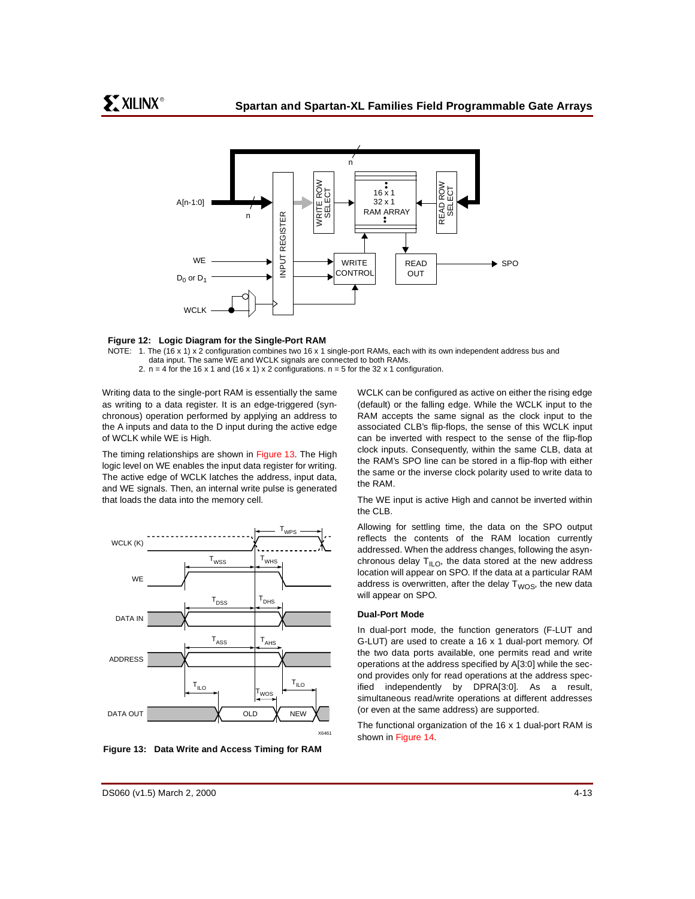

#### <span id="page-12-0"></span>**Figure 12: Logic Diagram for the Single-Port RAM**

- NOTE: 1. The (16 x 1) x 2 configuration combines two 16 x 1 single-port RAMs, each with its own independent address bus and data input. The same WE and WCLK signals are connected to both RAMs.
	- 2.  $n = 4$  for the 16 x 1 and (16 x 1) x 2 configurations.  $n = 5$  for the 32 x 1 configuration.

Writing data to the single-port RAM is essentially the same as writing to a data register. It is an edge-triggered (synchronous) operation performed by applying an address to the A inputs and data to the D input during the active edge of WCLK while WE is High.

The timing relationships are shown in [Figure 13.](#page-12-1) The High logic level on WE enables the input data register for writing. The active edge of WCLK latches the address, input data, and WE signals. Then, an internal write pulse is generated that loads the data into the memory cell.



<span id="page-12-1"></span>**Figure 13: Data Write and Access Timing for RAM**

WCLK can be configured as active on either the rising edge (default) or the falling edge. While the WCLK input to the RAM accepts the same signal as the clock input to the associated CLB's flip-flops, the sense of this WCLK input can be inverted with respect to the sense of the flip-flop clock inputs. Consequently, within the same CLB, data at the RAM's SPO line can be stored in a flip-flop with either the same or the inverse clock polarity used to write data to the RAM.

The WE input is active High and cannot be inverted within the CLB.

Allowing for settling time, the data on the SPO output reflects the contents of the RAM location currently addressed. When the address changes, following the asynchronous delay  $T<sub>ILO</sub>$ , the data stored at the new address location will appear on SPO. If the data at a particular RAM address is overwritten, after the delay  $T_{WOS}$ , the new data will appear on SPO.

#### **Dual-Port Mode**

In dual-port mode, the function generators (F-LUT and G-LUT) are used to create a 16 x 1 dual-port memory. Of the two data ports available, one permits read and write operations at the address specified by A[3:0] while the second provides only for read operations at the address specified independently by DPRA[3:0]. As a result, simultaneous read/write operations at different addresses (or even at the same address) are supported.

The functional organization of the 16 x 1 dual-port RAM is shown in [Figure 14](#page-13-0).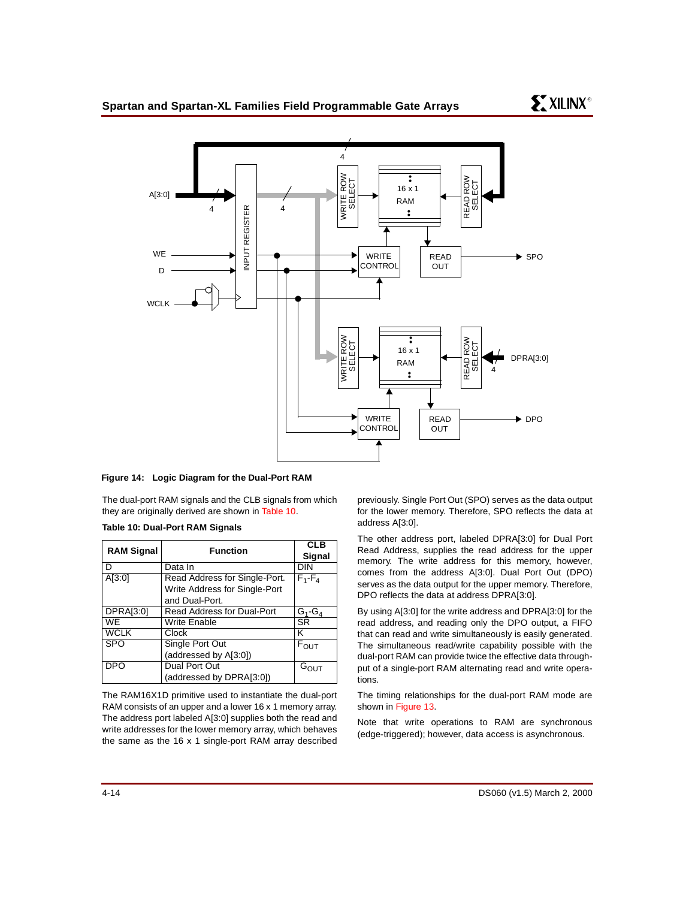

#### <span id="page-13-0"></span>**Figure 14: Logic Diagram for the Dual-Port RAM**

The dual-port RAM signals and the CLB signals from which they are originally derived are shown in [Table 10.](#page-13-1)

#### <span id="page-13-1"></span>**Table 10: Dual-Port RAM Signals**

| <b>RAM Signal</b> | <b>Function</b>               | <b>CLB</b><br>Signal |
|-------------------|-------------------------------|----------------------|
|                   | Data In                       | DIN                  |
| A[3:0]            | Read Address for Single-Port. | $F_1 - F_4$          |
|                   | Write Address for Single-Port |                      |
|                   | and Dual-Port.                |                      |
| DPRA[3:0]         | Read Address for Dual-Port    | $G_1$ - $G_4$        |
| <b>WE</b>         | <b>Write Enable</b>           | <b>SR</b>            |
| <b>WCLK</b>       | Clock                         | κ                    |
| <b>SPO</b>        | Single Port Out               | $F_{OUT}$            |
|                   | (addressed by A[3:0])         |                      |
| <b>DPO</b>        | Dual Port Out                 | G <sub>OUT</sub>     |
|                   | (addressed by DPRA[3:0])      |                      |

The RAM16X1D primitive used to instantiate the dual-port RAM consists of an upper and a lower 16 x 1 memory array. The address port labeled A[3:0] supplies both the read and write addresses for the lower memory array, which behaves the same as the 16 x 1 single-port RAM array described

previously. Single Port Out (SPO) serves as the data output for the lower memory. Therefore, SPO reflects the data at address A[3:0].

The other address port, labeled DPRA[3:0] for Dual Port Read Address, supplies the read address for the upper memory. The write address for this memory, however, comes from the address A[3:0]. Dual Port Out (DPO) serves as the data output for the upper memory. Therefore, DPO reflects the data at address DPRA[3:0].

By using A[3:0] for the write address and DPRA[3:0] for the read address, and reading only the DPO output, a FIFO that can read and write simultaneously is easily generated. The simultaneous read/write capability possible with the dual-port RAM can provide twice the effective data throughput of a single-port RAM alternating read and write operations.

The timing relationships for the dual-port RAM mode are shown in [Figure 13](#page-12-1).

Note that write operations to RAM are synchronous (edge-triggered); however, data access is asynchronous.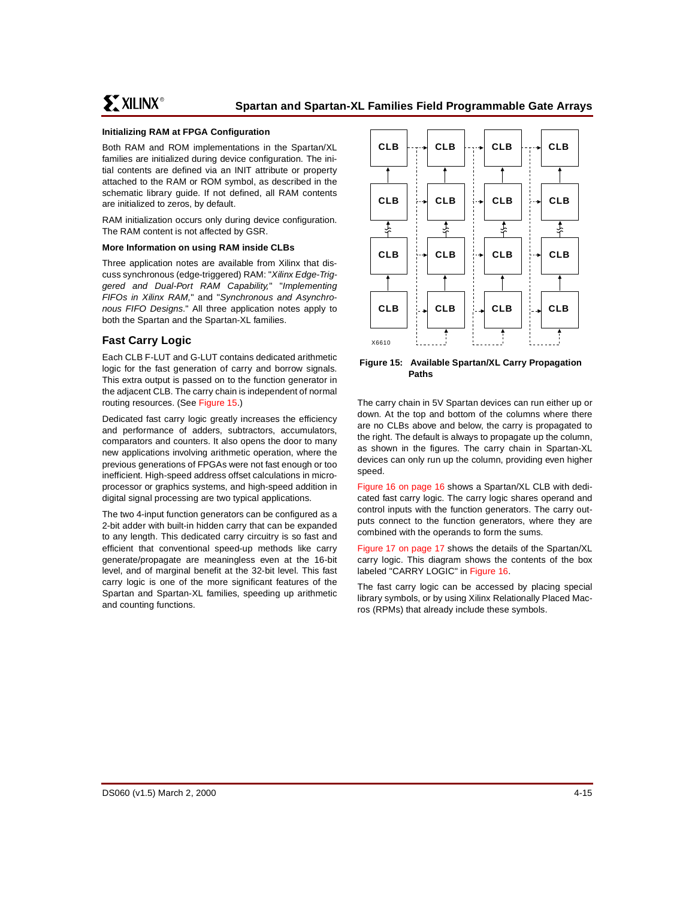## **Initializing RAM at FPGA Configuration**

Both RAM and ROM implementations in the Spartan/XL families are initialized during device configuration. The initial contents are defined via an INIT attribute or property attached to the RAM or ROM symbol, as described in the schematic library guide. If not defined, all RAM contents are initialized to zeros, by default.

RAM initialization occurs only during device configuration. The RAM content is not affected by GSR.

#### **More Information on using RAM inside CLBs**

Three application notes are available from Xilinx that discuss synchronous (edge-triggered) RAM: "Xilinx Edge-Triggered and Dual-Port RAM Capability," "Implementing FIFOs in Xilinx RAM," and "Synchronous and Asynchronous FIFO Designs." All three application notes apply to both the Spartan and the Spartan-XL families.

## **Fast Carry Logic**

Each CLB F-LUT and G-LUT contains dedicated arithmetic logic for the fast generation of carry and borrow signals. This extra output is passed on to the function generator in the adjacent CLB. The carry chain is independent of normal routing resources. (See [Figure 15](#page-14-0).)

Dedicated fast carry logic greatly increases the efficiency and performance of adders, subtractors, accumulators, comparators and counters. It also opens the door to many new applications involving arithmetic operation, where the previous generations of FPGAs were not fast enough or too inefficient. High-speed address offset calculations in microprocessor or graphics systems, and high-speed addition in digital signal processing are two typical applications.

The two 4-input function generators can be configured as a 2-bit adder with built-in hidden carry that can be expanded to any length. This dedicated carry circuitry is so fast and efficient that conventional speed-up methods like carry generate/propagate are meaningless even at the 16-bit level, and of marginal benefit at the 32-bit level. This fast carry logic is one of the more significant features of the Spartan and Spartan-XL families, speeding up arithmetic and counting functions.



<span id="page-14-0"></span>**Figure 15: Available Spartan/XL Carry Propagation Paths**

The carry chain in 5V Spartan devices can run either up or down. At the top and bottom of the columns where there are no CLBs above and below, the carry is propagated to the right. The default is always to propagate up the column, as shown in the figures. The carry chain in Spartan-XL devices can only run up the column, providing even higher speed.

[Figure 16 on page 16](#page-15-0) shows a Spartan/XL CLB with dedicated fast carry logic. The carry logic shares operand and control inputs with the function generators. The carry outputs connect to the function generators, where they are combined with the operands to form the sums.

[Figure 17 on page 17](#page-16-1) shows the details of the Spartan/XL carry logic. This diagram shows the contents of the box labeled "CARRY LOGIC" in [Figure 16.](#page-15-0)

The fast carry logic can be accessed by placing special library symbols, or by using Xilinx Relationally Placed Macros (RPMs) that already include these symbols.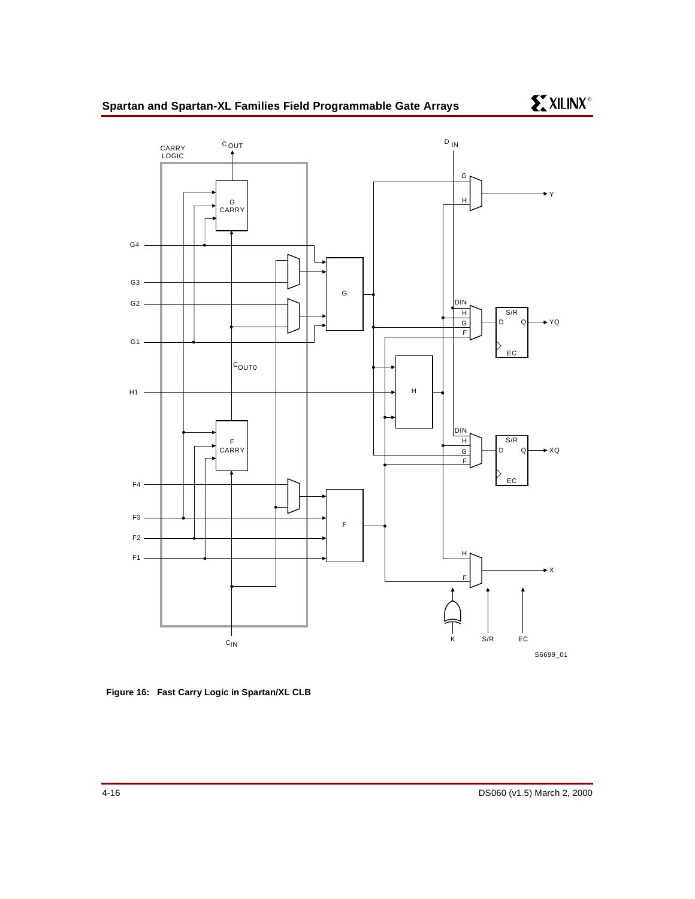

<span id="page-15-0"></span>**Figure 16: Fast Carry Logic in Spartan/XL CLB**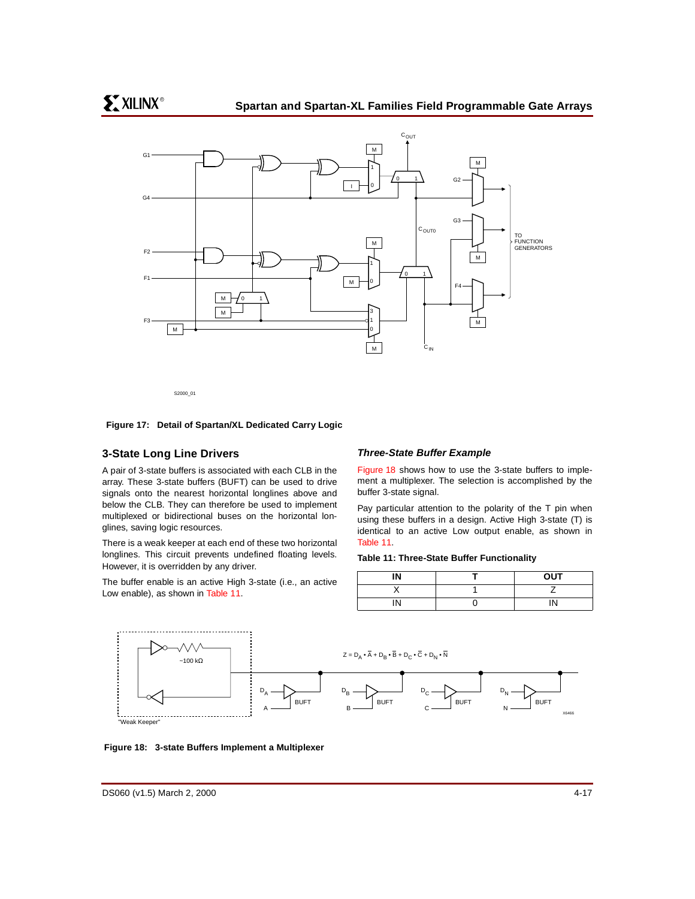

#### <span id="page-16-1"></span>**Figure 17: Detail of Spartan/XL Dedicated Carry Logic**

## <span id="page-16-0"></span>**3-State Long Line Drivers**

A pair of 3-state buffers is associated with each CLB in the array. These 3-state buffers (BUFT) can be used to drive signals onto the nearest horizontal longlines above and below the CLB. They can therefore be used to implement multiplexed or bidirectional buses on the horizontal longlines, saving logic resources.

There is a weak keeper at each end of these two horizontal longlines. This circuit prevents undefined floating levels. However, it is overridden by any driver.

The buffer enable is an active High 3-state (i.e., an active Low enable), as shown in [Table 11](#page-16-2).

#### **Three-State Buffer Example**

[Figure 18](#page-16-3) shows how to use the 3-state buffers to implement a multiplexer. The selection is accomplished by the buffer 3-state signal.

Pay particular attention to the polarity of the T pin when using these buffers in a design. Active High 3-state (T) is identical to an active Low output enable, as shown in [Table 11.](#page-16-2)

#### <span id="page-16-2"></span>**Table 11: Three-State Buffer Functionality**

| IN      | <b>OUT</b> |
|---------|------------|
|         |            |
| IN<br>. | IN         |



<span id="page-16-3"></span>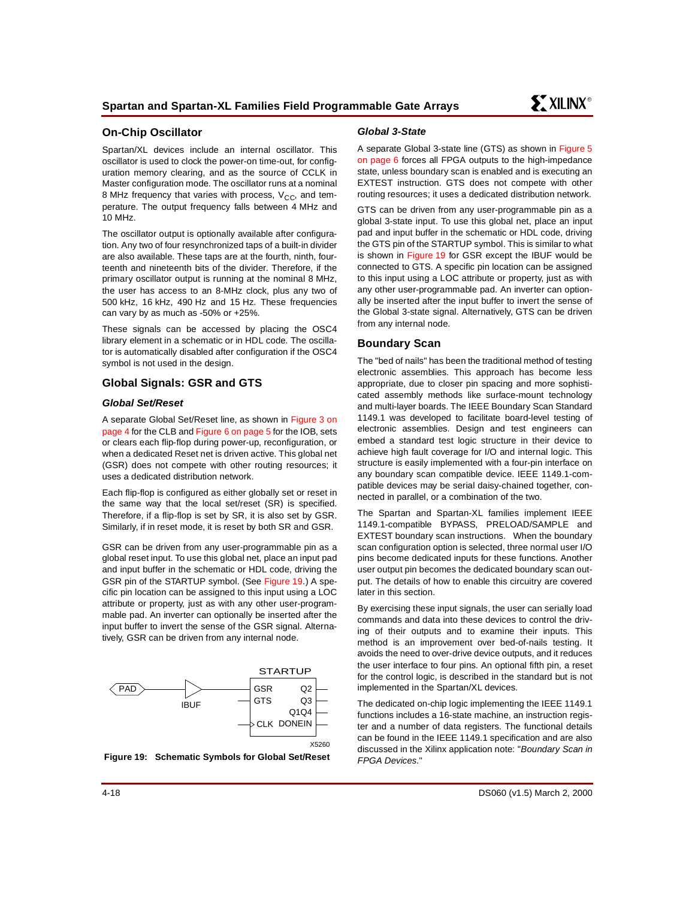# **On-Chip Oscillator**

Spartan/XL devices include an internal oscillator. This oscillator is used to clock the power-on time-out, for configuration memory clearing, and as the source of CCLK in Master configuration mode. The oscillator runs at a nominal 8 MHz frequency that varies with process,  $V_{CC}$  and temperature. The output frequency falls between 4 MHz and 10 MHz.

The oscillator output is optionally available after configuration. Any two of four resynchronized taps of a built-in divider are also available. These taps are at the fourth, ninth, fourteenth and nineteenth bits of the divider. Therefore, if the primary oscillator output is running at the nominal 8 MHz, the user has access to an 8-MHz clock, plus any two of 500 kHz, 16 kHz, 490 Hz and 15 Hz. These frequencies can vary by as much as -50% or +25%.

These signals can be accessed by placing the OSC4 library element in a schematic or in HDL code. The oscillator is automatically disabled after configuration if the OSC4 symbol is not used in the design.

## <span id="page-17-0"></span>**Global Signals: GSR and GTS**

## **Global Set/Reset**

A separate Global Set/Reset line, as shown in [Figure 3 on](#page-3-1) [page 4](#page-3-1) for the CLB and [Figure 6 on page 5](#page-4-2) for the IOB, sets or clears each flip-flop during power-up, reconfiguration, or when a dedicated Reset net is driven active. This global net (GSR) does not compete with other routing resources; it uses a dedicated distribution network.

Each flip-flop is configured as either globally set or reset in the same way that the local set/reset (SR) is specified. Therefore, if a flip-flop is set by SR, it is also set by GSR. Similarly, if in reset mode, it is reset by both SR and GSR.

GSR can be driven from any user-programmable pin as a global reset input. To use this global net, place an input pad and input buffer in the schematic or HDL code, driving the GSR pin of the STARTUP symbol. (See [Figure 19.](#page-17-1)) A specific pin location can be assigned to this input using a LOC attribute or property, just as with any other user-programmable pad. An inverter can optionally be inserted after the input buffer to invert the sense of the GSR signal. Alternatively, GSR can be driven from any internal node.



<span id="page-17-1"></span>**Figure 19: Schematic Symbols for Global Set/Reset**

#### **Global 3-State**

A separate Global 3-state line (GTS) as shown in [Figure 5](#page-5-0) [on page 6](#page-5-0) forces all FPGA outputs to the high-impedance state, unless boundary scan is enabled and is executing an EXTEST instruction. GTS does not compete with other routing resources; it uses a dedicated distribution network.

GTS can be driven from any user-programmable pin as a global 3-state input. To use this global net, place an input pad and input buffer in the schematic or HDL code, driving the GTS pin of the STARTUP symbol. This is similar to what is shown in [Figure 19](#page-17-1) for GSR except the IBUF would be connected to GTS. A specific pin location can be assigned to this input using a LOC attribute or property, just as with any other user-programmable pad. An inverter can optionally be inserted after the input buffer to invert the sense of the Global 3-state signal. Alternatively, GTS can be driven from any internal node.

## **Boundary Scan**

The "bed of nails" has been the traditional method of testing electronic assemblies. This approach has become less appropriate, due to closer pin spacing and more sophisticated assembly methods like surface-mount technology and multi-layer boards. The IEEE Boundary Scan Standard 1149.1 was developed to facilitate board-level testing of electronic assemblies. Design and test engineers can embed a standard test logic structure in their device to achieve high fault coverage for I/O and internal logic. This structure is easily implemented with a four-pin interface on any boundary scan compatible device. IEEE 1149.1-compatible devices may be serial daisy-chained together, connected in parallel, or a combination of the two.

The Spartan and Spartan-XL families implement IEEE 1149.1-compatible BYPASS, PRELOAD/SAMPLE and EXTEST boundary scan instructions. When the boundary scan configuration option is selected, three normal user I/O pins become dedicated inputs for these functions. Another user output pin becomes the dedicated boundary scan output. The details of how to enable this circuitry are covered later in this section.

By exercising these input signals, the user can serially load commands and data into these devices to control the driving of their outputs and to examine their inputs. This method is an improvement over bed-of-nails testing. It avoids the need to over-drive device outputs, and it reduces the user interface to four pins. An optional fifth pin, a reset for the control logic, is described in the standard but is not implemented in the Spartan/XL devices.

The dedicated on-chip logic implementing the IEEE 1149.1 functions includes a 16-state machine, an instruction register and a number of data registers. The functional details can be found in the IEEE 1149.1 specification and are also discussed in the Xilinx application note: "Boundary Scan in FPGA Devices."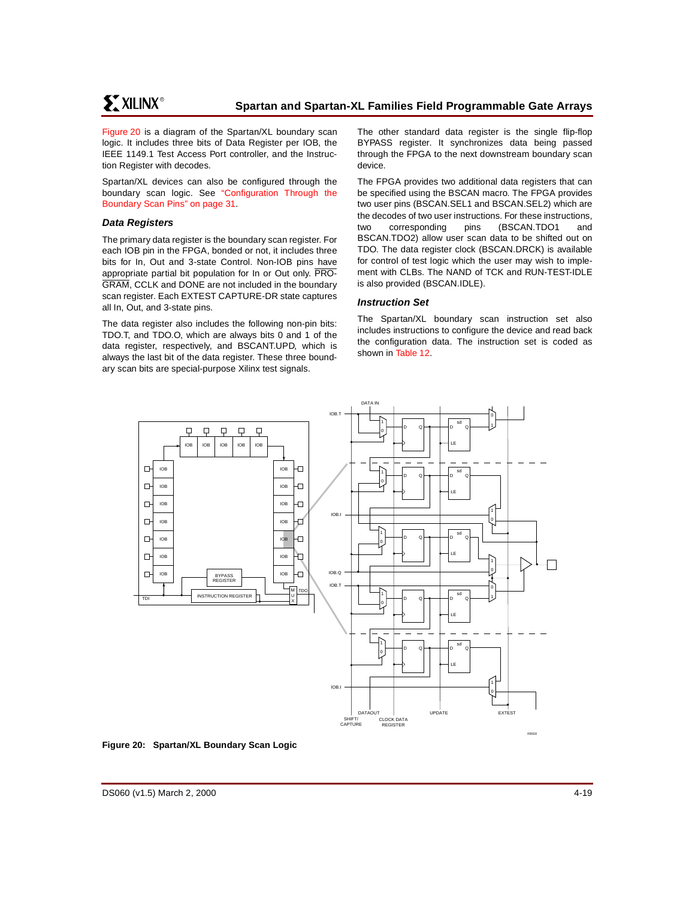[Figure 20](#page-18-0) is a diagram of the Spartan/XL boundary scan logic. It includes three bits of Data Register per IOB, the IEEE 1149.1 Test Access Port controller, and the Instruction Register with decodes.

Spartan/XL devices can also be configured through the boundary scan logic. See ["Configuration Through the](#page-30-0) [Boundary Scan Pins" on page 31.](#page-30-0)

## **Data Registers**

The primary data register is the boundary scan register. For each IOB pin in the FPGA, bonded or not, it includes three bits for In, Out and 3-state Control. Non-IOB pins have appropriate partial bit population for In or Out only. PRO-GRAM, CCLK and DONE are not included in the boundary scan register. Each EXTEST CAPTURE-DR state captures all In, Out, and 3-state pins.

The data register also includes the following non-pin bits: TDO.T, and TDO.O, which are always bits 0 and 1 of the data register, respectively, and BSCANT.UPD, which is always the last bit of the data register. These three boundary scan bits are special-purpose Xilinx test signals.

The other standard data register is the single flip-flop BYPASS register. It synchronizes data being passed through the FPGA to the next downstream boundary scan device.

The FPGA provides two additional data registers that can be specified using the BSCAN macro. The FPGA provides two user pins (BSCAN.SEL1 and BSCAN.SEL2) which are the decodes of two user instructions. For these instructions, two corresponding pins (BSCAN.TDO1 and BSCAN.TDO2) allow user scan data to be shifted out on TDO. The data register clock (BSCAN.DRCK) is available for control of test logic which the user may wish to implement with CLBs. The NAND of TCK and RUN-TEST-IDLE is also provided (BSCAN.IDLE).

### **Instruction Set**

The Spartan/XL boundary scan instruction set also includes instructions to configure the device and read back the configuration data. The instruction set is coded as shown in [Table 12.](#page-19-0)



<span id="page-18-0"></span>**Figure 20: Spartan/XL Boundary Scan Logic**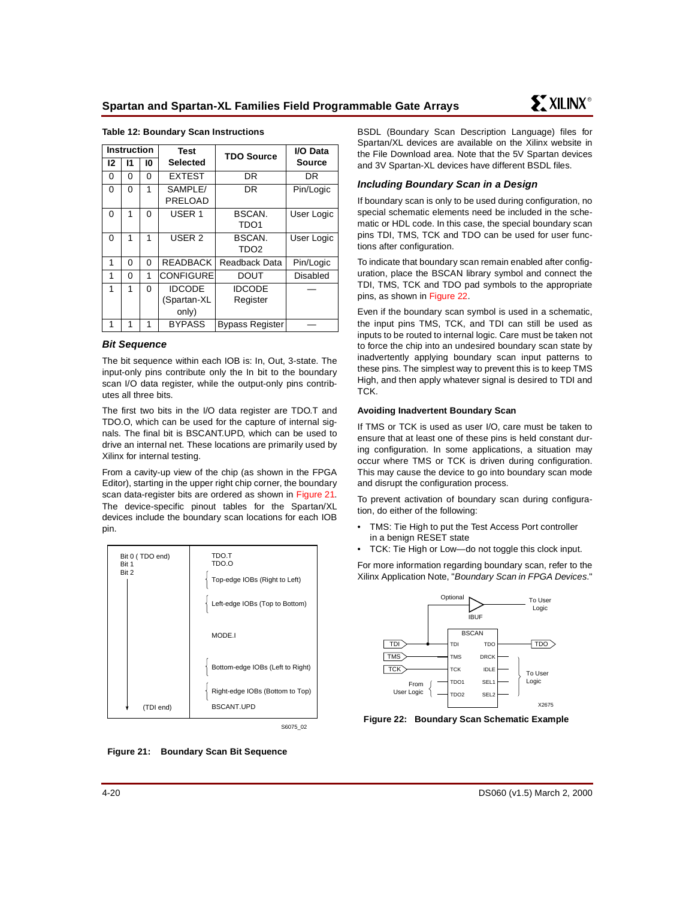|          | <b>Instruction</b> |          | Test              | <b>TDO Source</b>      | I/O Data        |  |
|----------|--------------------|----------|-------------------|------------------------|-----------------|--|
| 12       | 11                 | 10       | <b>Selected</b>   |                        | Source          |  |
| 0        | 0                  | 0        | <b>EXTEST</b>     | DR                     | DR              |  |
| 0        | $\Omega$           | 1        | SAMPLE/           | DR                     | Pin/Logic       |  |
|          |                    |          | PRELOAD           |                        |                 |  |
| $\Omega$ | 1                  | $\Omega$ | USER <sub>1</sub> | BSCAN.                 | User Logic      |  |
|          |                    |          |                   | TDO <sub>1</sub>       |                 |  |
| $\Omega$ | 1                  | 1        | USER <sub>2</sub> | BSCAN.                 | User Logic      |  |
|          |                    |          |                   | TDO <sub>2</sub>       |                 |  |
| 1        | 0                  | 0        | <b>READBACK</b>   | Readback Data          | Pin/Logic       |  |
| 1        | 0                  | 1        | <b>CONFIGURE</b>  | <b>DOUT</b>            | <b>Disabled</b> |  |
| 1        | 1                  | $\Omega$ | <b>IDCODE</b>     | <b>IDCODE</b>          |                 |  |
|          |                    |          | (Spartan-XL       | Register               |                 |  |
|          |                    |          | only)             |                        |                 |  |
| 1        | 1                  | 1        | <b>BYPASS</b>     | <b>Bypass Register</b> |                 |  |

#### <span id="page-19-0"></span>**Table 12: Boundary Scan Instructions**

#### **Bit Sequence**

The bit sequence within each IOB is: In, Out, 3-state. The input-only pins contribute only the In bit to the boundary scan I/O data register, while the output-only pins contributes all three bits.

The first two bits in the I/O data register are TDO.T and TDO.O, which can be used for the capture of internal signals. The final bit is BSCANT.UPD, which can be used to drive an internal net. These locations are primarily used by Xilinx for internal testing.

From a cavity-up view of the chip (as shown in the FPGA Editor), starting in the upper right chip corner, the boundary scan data-register bits are ordered as shown in [Figure 21.](#page-19-1) The device-specific pinout tables for the Spartan/XL devices include the boundary scan locations for each IOB pin.

| Bit 0 (TDO end)<br>Bit 1<br>Bit 2 | TDO.T<br>TDO.O<br>Top-edge IOBs (Right to Left)<br>Left-edge IOBs (Top to Bottom) |
|-----------------------------------|-----------------------------------------------------------------------------------|
|                                   | MODE.I                                                                            |
|                                   | Bottom-edge IOBs (Left to Right)                                                  |
| (TDI end)                         | Right-edge IOBs (Bottom to Top)<br><b>BSCANT.UPD</b>                              |

S6075\_02

<span id="page-19-1"></span>**Figure 21: Boundary Scan Bit Sequence**

BSDL (Boundary Scan Description Language) files for Spartan/XL devices are available on the Xilinx website in [the File Download area. Note that the 5V Spartan devices](http://www.xilinx.com/support/sw_bsdl.htm) and 3V Spartan-XL devices have different BSDL files.

#### **Including Boundary Scan in a Design**

If boundary scan is only to be used during configuration, no special schematic elements need be included in the schematic or HDL code. In this case, the special boundary scan pins TDI, TMS, TCK and TDO can be used for user functions after configuration.

To indicate that boundary scan remain enabled after configuration, place the BSCAN library symbol and connect the TDI, TMS, TCK and TDO pad symbols to the appropriate pins, as shown in [Figure 22](#page-19-2).

Even if the boundary scan symbol is used in a schematic, the input pins TMS, TCK, and TDI can still be used as inputs to be routed to internal logic. Care must be taken not to force the chip into an undesired boundary scan state by inadvertently applying boundary scan input patterns to these pins. The simplest way to prevent this is to keep TMS High, and then apply whatever signal is desired to TDI and TCK.

#### **Avoiding Inadvertent Boundary Scan**

If TMS or TCK is used as user I/O, care must be taken to ensure that at least one of these pins is held constant during configuration. In some applications, a situation may occur where TMS or TCK is driven during configuration. This may cause the device to go into boundary scan mode and disrupt the configuration process.

To prevent activation of boundary scan during configuration, do either of the following:

- TMS: Tie High to put the Test Access Port controller in a benign RESET state
- TCK: Tie High or Low—do not toggle this clock input.

For more information regarding boundary scan, refer to the Xilinx Application Note, "Boundary Scan in FPGA Devices."



<span id="page-19-2"></span>**Figure 22: Boundary Scan Schematic Example**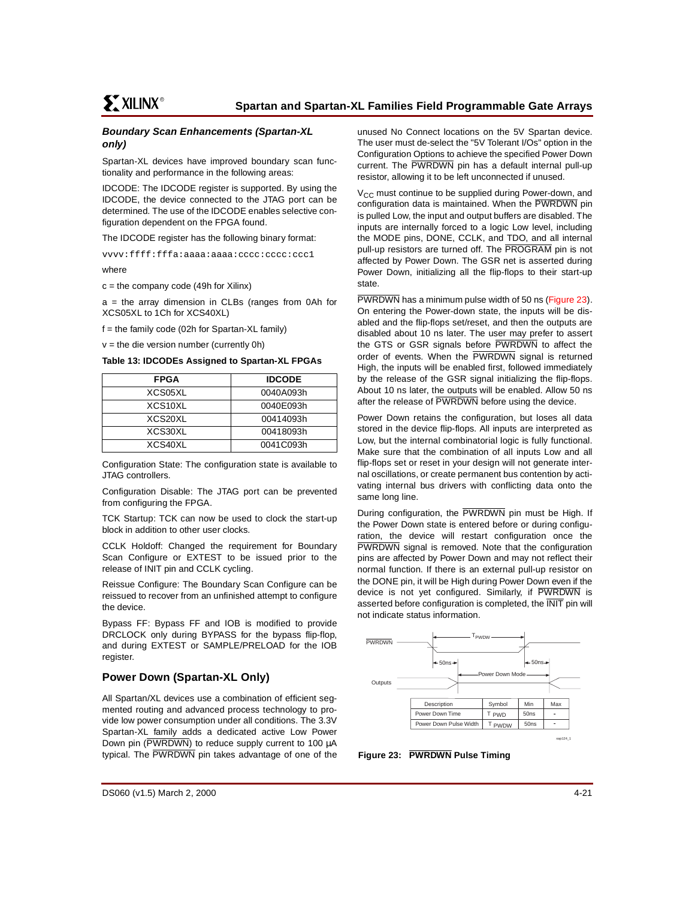## **Boundary Scan Enhancements (Spartan-XL only)**

Spartan-XL devices have improved boundary scan functionality and performance in the following areas:

IDCODE: The IDCODE register is supported. By using the IDCODE, the device connected to the JTAG port can be determined. The use of the IDCODE enables selective configuration dependent on the FPGA found.

The IDCODE register has the following binary format:

vvvv:ffff:fffa:aaaa:aaaa:cccc:cccc:ccc1

where

 $c =$  the company code (49h for Xilinx)

a = the array dimension in CLBs (ranges from 0Ah for XCS05XL to 1Ch for XCS40XL)

 $f =$  the family code (02h for Spartan-XL family)

 $v =$  the die version number (currently 0h)

**Table 13: IDCODEs Assigned to Spartan-XL FPGAs**

| FPGA                 | <b>IDCODE</b> |
|----------------------|---------------|
| XCS05XL              | 0040A093h     |
| XCS <sub>10</sub> XL | 0040E093h     |
| XCS20XL              | 00414093h     |
| XCS30XL              | 00418093h     |
| XCS40XL              | 0041C093h     |

Configuration State: The configuration state is available to JTAG controllers.

Configuration Disable: The JTAG port can be prevented from configuring the FPGA.

TCK Startup: TCK can now be used to clock the start-up block in addition to other user clocks.

CCLK Holdoff: Changed the requirement for Boundary Scan Configure or EXTEST to be issued prior to the release of INIT pin and CCLK cycling.

Reissue Configure: The Boundary Scan Configure can be reissued to recover from an unfinished attempt to configure the device.

Bypass FF: Bypass FF and IOB is modified to provide DRCLOCK only during BYPASS for the bypass flip-flop, and during EXTEST or SAMPLE/PRELOAD for the IOB register.

## **Power Down (Spartan-XL Only)**

All Spartan/XL devices use a combination of efficient segmented routing and advanced process technology to provide low power consumption under all conditions. The 3.3V Spartan-XL family adds a dedicated active Low Power Down pin (PWRDWN) to reduce supply current to 100 µA typical. The PWRDWN pin takes advantage of one of the

unused No Connect locations on the 5V Spartan device. The user must de-select the "5V Tolerant I/Os" option in the Configuration Options to achieve the specified Power Down current. The PWRDWN pin has a default internal pull-up resistor, allowing it to be left unconnected if unused.

 $V_{CC}$  must continue to be supplied during Power-down, and configuration data is maintained. When the PWRDWN pin is pulled Low, the input and output buffers are disabled. The inputs are internally forced to a logic Low level, including the MODE pins, DONE, CCLK, and TDO, and all internal pull-up resistors are turned off. The PROGRAM pin is not affected by Power Down. The GSR net is asserted during Power Down, initializing all the flip-flops to their start-up state.

PWRDWN has a minimum pulse width of 50 ns [\(Figure 23](#page-20-0)). On entering the Power-down state, the inputs will be disabled and the flip-flops set/reset, and then the outputs are disabled about 10 ns later. The user may prefer to assert the GTS or GSR signals before PWRDWN to affect the order of events. When the PWRDWN signal is returned High, the inputs will be enabled first, followed immediately by the release of the GSR signal initializing the flip-flops. About 10 ns later, the outputs will be enabled. Allow 50 ns after the release of PWRDWN before using the device.

Power Down retains the configuration, but loses all data stored in the device flip-flops. All inputs are interpreted as Low, but the internal combinatorial logic is fully functional. Make sure that the combination of all inputs Low and all flip-flops set or reset in your design will not generate internal oscillations, or create permanent bus contention by activating internal bus drivers with conflicting data onto the same long line.

During configuration, the PWRDWN pin must be High. If the Power Down state is entered before or during configuration, the device will restart configuration once the PWRDWN signal is removed. Note that the configuration pins are affected by Power Down and may not reflect their normal function. If there is an external pull-up resistor on the DONE pin, it will be High during Power Down even if the device is not yet configured. Similarly, if PWRDWN is asserted before configuration is completed, the INIT pin will not indicate status information.



<span id="page-20-0"></span>**Figure 23: PWRDWN Pulse Timing**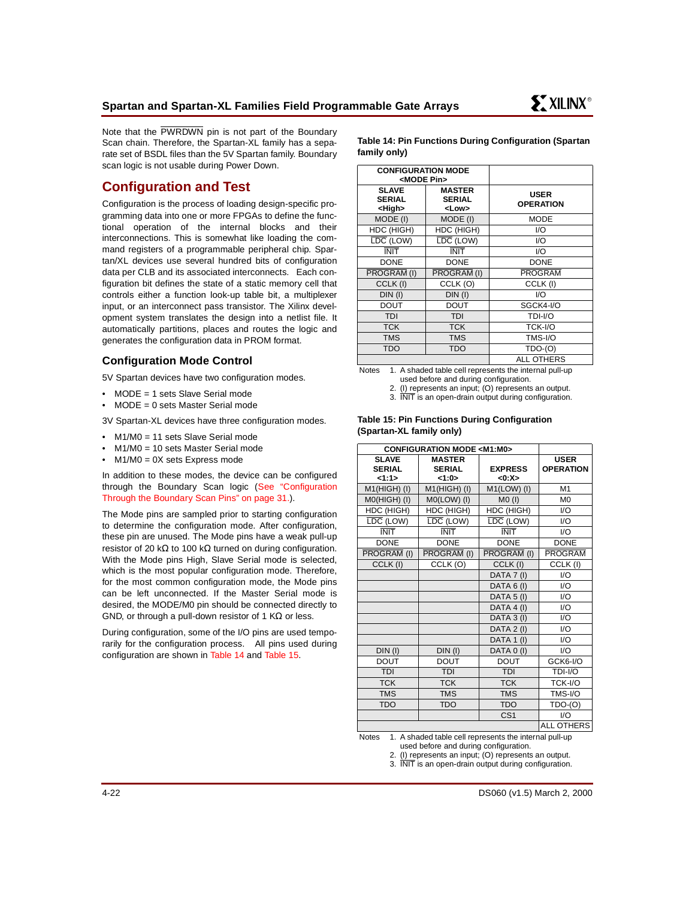Note that the PWRDWN pin is not part of the Boundary Scan chain. Therefore, the Spartan-XL family has a separate set of BSDL files than the 5V Spartan family. Boundary scan logic is not usable during Power Down.

# **Configuration and Test**

Configuration is the process of loading design-specific programming data into one or more FPGAs to define the functional operation of the internal blocks and their interconnections. This is somewhat like loading the command registers of a programmable peripheral chip. Spartan/XL devices use several hundred bits of configuration data per CLB and its associated interconnects. Each configuration bit defines the state of a static memory cell that controls either a function look-up table bit, a multiplexer input, or an interconnect pass transistor. The Xilinx development system translates the design into a netlist file. It automatically partitions, places and routes the logic and generates the configuration data in PROM format.

# **Configuration Mode Control**

5V Spartan devices have two configuration modes.

- MODE = 1 sets Slave Serial mode
- MODE =  $0$  sets Master Serial mode

3V Spartan-XL devices have three configuration modes.

- $M1/M0 = 11$  sets Slave Serial mode
- $M1/M0 = 10$  sets Master Serial mode
- $M1/M0 = 0X$  sets Express mode

In addition to these modes, the device can be configured through the Boundary Scan logic [\(See "Configuration](#page-30-0) [Through the Boundary Scan Pins" on page 31.](#page-30-0)).

The Mode pins are sampled prior to starting configuration to determine the configuration mode. After configuration, these pin are unused. The Mode pins have a weak pull-up resistor of 20 kΩ to 100 kΩ turned on during configuration. With the Mode pins High, Slave Serial mode is selected, which is the most popular configuration mode. Therefore, for the most common configuration mode, the Mode pins can be left unconnected. If the Master Serial mode is desired, the MODE/M0 pin should be connected directly to GND, or through a pull-down resistor of 1 K $\Omega$  or less.

During configuration, some of the I/O pins are used temporarily for the configuration process. All pins used during configuration are shown in [Table 14](#page-21-0) and [Table 15](#page-21-1).

<span id="page-21-0"></span>**Table 14: Pin Functions During Configuration (Spartan family only)**

| <b>CONFIGURATION MODE</b><br><mode pin=""></mode> |                                               |                                 |
|---------------------------------------------------|-----------------------------------------------|---------------------------------|
| <b>SLAVE</b><br><b>SERIAL</b><br><high></high>    | <b>MASTER</b><br><b>SERIAL</b><br><low></low> | <b>USER</b><br><b>OPERATION</b> |
| MODE (I)                                          | MODE (I)                                      | <b>MODE</b>                     |
| HDC (HIGH)                                        | HDC (HIGH)                                    | 1/O                             |
| LDC (LOW)                                         | LDC (LOW)                                     | 1/O                             |
| <b>INIT</b>                                       | <b>INIT</b>                                   | I/O                             |
| <b>DONE</b>                                       | <b>DONE</b>                                   | <b>DONE</b>                     |
| PROGRAM (I)                                       | PROGRAM (I)                                   | <b>PROGRAM</b>                  |
| CCLK (I)                                          | CCLK (O)                                      | CCLK (I)                        |
| $DIN$ (I)                                         | $DIN$ (I)                                     | 1/O                             |
| <b>DOUT</b>                                       | DOUT                                          | SGCK4-I/O                       |
| <b>TDI</b>                                        | <b>TDI</b>                                    | TDI-I/O                         |
| <b>TCK</b>                                        | <b>TCK</b>                                    | TCK-I/O                         |
| <b>TMS</b>                                        | <b>TMS</b>                                    | TMS-I/O                         |
| <b>TDO</b>                                        | TDO                                           | $TDO-(O)$                       |
|                                                   |                                               | ALL OTHERS                      |

Notes 1. A shaded table cell represents the internal pull-up used before and during configuration.

2. (I) represents an input; (O) represents an output.

3. INIT is an open-drain output during configuration.

#### <span id="page-21-1"></span>**Table 15: Pin Functions During Configuration (Spartan-XL family only)**

| <b>CONFIGURATION MODE <m1:m0></m1:m0></b> |                                         |                               |                                 |
|-------------------------------------------|-----------------------------------------|-------------------------------|---------------------------------|
| <b>SLAVE</b><br><b>SERIAL</b><br>1:1>     | <b>MASTER</b><br><b>SERIAL</b><br><1:0> | <b>EXPRESS</b><br>< 0: X >    | <b>USER</b><br><b>OPERATION</b> |
| M1(HIGH) (I)                              | M1(HIGH) (I)                            | $M1(LOW)$ (I)                 | M1                              |
| M0(HIGH) (I)                              | $MO(LOW)$ (I)                           | $MO$ (l)                      | M <sub>0</sub>                  |
| HDC (HIGH)                                | HDC (HIGH)                              | HDC (HIGH)                    | 1/O                             |
| $\overline{\text{LDC}}$ (LOW)             | $\overline{\text{LDC}}$ (LOW)           | $\overline{\text{LDC}}$ (LOW) | 1/O                             |
| <b>INIT</b>                               | <b>INIT</b>                             | <b>INIT</b>                   | 1/O                             |
| <b>DONE</b>                               | <b>DONE</b>                             | <b>DONE</b>                   | <b>DONE</b>                     |
| PROGRAM (I)                               | PROGRAM (I)                             | PROGRAM (I)                   | <b>PROGRAM</b>                  |
| CCLK (I)                                  | CCLK (O)                                | CCLK (I)                      | CCLK (I)                        |
|                                           |                                         | DATA 7 (I)                    | 1/O                             |
|                                           |                                         | DATA 6 (I)                    | 1/O                             |
|                                           |                                         | DATA 5 (I)                    | 1/O                             |
|                                           |                                         | DATA 4 (I)                    | 1/O                             |
|                                           |                                         | DATA 3 (I)                    | 1/O                             |
|                                           |                                         | DATA 2 (I)                    | 1/O                             |
|                                           |                                         | DATA 1 (I)                    | 1/O                             |
| $DIN$ (I)                                 | $DIN$ (I)                               | DATA 0 (I)                    | 1/O                             |
| <b>DOUT</b>                               | <b>DOUT</b>                             | <b>DOUT</b>                   | GCK6-I/O                        |
| <b>TDI</b>                                | <b>TDI</b>                              | <b>TDI</b>                    | TDI-I/O                         |
| <b>TCK</b>                                | <b>TCK</b>                              | <b>TCK</b>                    | TCK-I/O                         |
| <b>TMS</b>                                | <b>TMS</b>                              | <b>TMS</b>                    | TMS-I/O                         |
| <b>TDO</b>                                | <b>TDO</b>                              | <b>TDO</b>                    | $TDO-(O)$                       |
|                                           |                                         | CS <sub>1</sub>               | 1/O                             |
|                                           |                                         |                               | ALL OTHERS                      |

Notes 1. A shaded table cell represents the internal pull-up used before and during configuration.

2. (I) represents an input; (O) represents an output.

3. INIT is an open-drain output during configuration.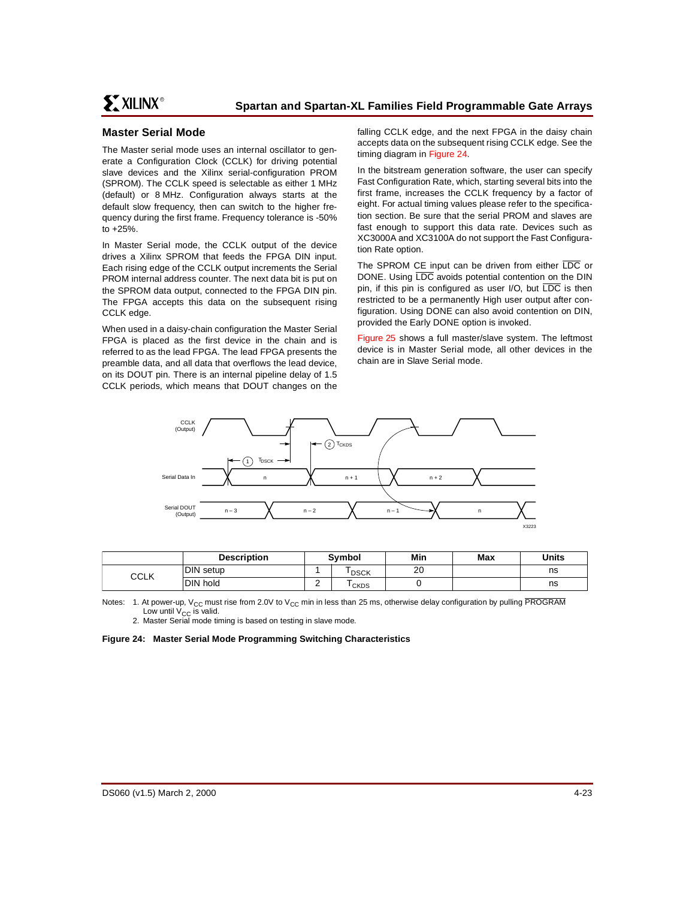# **Master Serial Mode**

The Master serial mode uses an internal oscillator to generate a Configuration Clock (CCLK) for driving potential slave devices and the Xilinx serial-configuration PROM (SPROM). The CCLK speed is selectable as either 1 MHz (default) or 8 MHz. Configuration always starts at the default slow frequency, then can switch to the higher frequency during the first frame. Frequency tolerance is -50% to +25%.

In Master Serial mode, the CCLK output of the device drives a Xilinx SPROM that feeds the FPGA DIN input. Each rising edge of the CCLK output increments the Serial PROM internal address counter. The next data bit is put on the SPROM data output, connected to the FPGA DIN pin. The FPGA accepts this data on the subsequent rising CCLK edge.

When used in a daisy-chain configuration the Master Serial FPGA is placed as the first device in the chain and is referred to as the lead FPGA. The lead FPGA presents the preamble data, and all data that overflows the lead device, on its DOUT pin. There is an internal pipeline delay of 1.5 CCLK periods, which means that DOUT changes on the falling CCLK edge, and the next FPGA in the daisy chain accepts data on the subsequent rising CCLK edge. See the timing diagram in [Figure 24.](#page-22-0)

In the bitstream generation software, the user can specify Fast Configuration Rate, which, starting several bits into the first frame, increases the CCLK frequency by a factor of eight. For actual timing values please refer to the specification section. Be sure that the serial PROM and slaves are fast enough to support this data rate. Devices such as XC3000A and XC3100A do not support the Fast Configuration Rate option.

The SPROM CE input can be driven from either LDC or DONE. Using LDC avoids potential contention on the DIN pin, if this pin is configured as user I/O, but LDC is then restricted to be a permanently High user output after configuration. Using DONE can also avoid contention on DIN, provided the Early DONE option is invoked.

[Figure 25](#page-23-0) shows a full master/slave system. The leftmost device is in Master Serial mode, all other devices in the chain are in Slave Serial mode.



|      | <b>Description</b> | <b>Symbol</b> |             | Min | Max | <b>Units</b> |
|------|--------------------|---------------|-------------|-----|-----|--------------|
| CCLK | DIN setup          |               | <b>DSCK</b> | 20  |     | ns           |
|      | DIN hold           | -             | <b>CKDS</b> |     |     | ns           |

Notes: 1. At power-up, V<sub>CC</sub> must rise from 2.0V to V<sub>CC</sub> min in less than 25 ms, otherwise delay configuration by pulling PROGRAM Low until  $V_{CC}$  is valid.

2. Master Serial mode timing is based on testing in slave mode.

<span id="page-22-0"></span>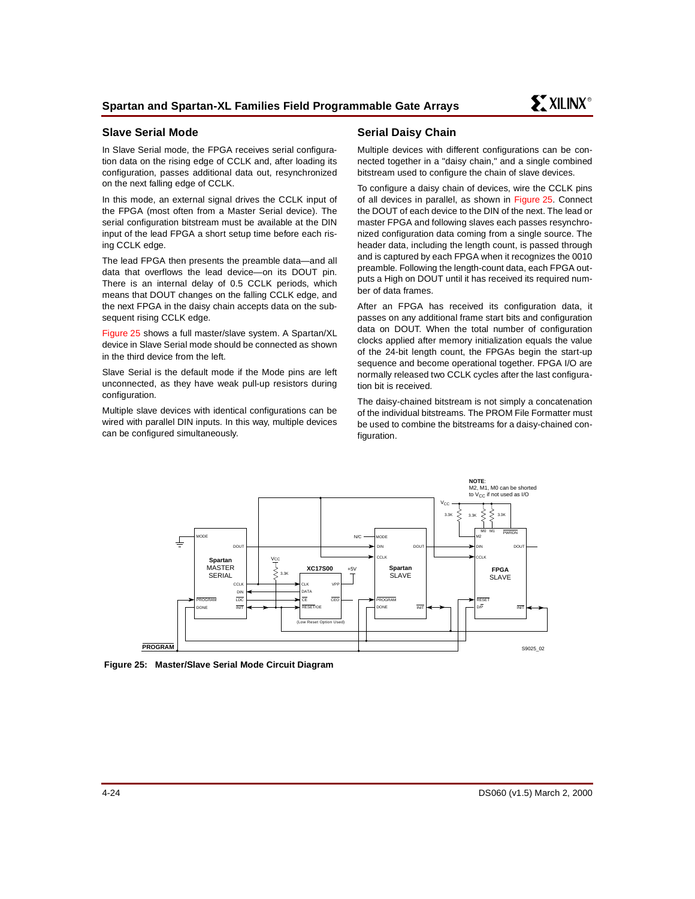# **Slave Serial Mode**

In Slave Serial mode, the FPGA receives serial configuration data on the rising edge of CCLK and, after loading its configuration, passes additional data out, resynchronized on the next falling edge of CCLK.

In this mode, an external signal drives the CCLK input of the FPGA (most often from a Master Serial device). The serial configuration bitstream must be available at the DIN input of the lead FPGA a short setup time before each rising CCLK edge.

The lead FPGA then presents the preamble data—and all data that overflows the lead device—on its DOUT pin. There is an internal delay of 0.5 CCLK periods, which means that DOUT changes on the falling CCLK edge, and the next FPGA in the daisy chain accepts data on the subsequent rising CCLK edge.

[Figure 25](#page-23-0) shows a full master/slave system. A Spartan/XL device in Slave Serial mode should be connected as shown in the third device from the left.

Slave Serial is the default mode if the Mode pins are left unconnected, as they have weak pull-up resistors during configuration.

Multiple slave devices with identical configurations can be wired with parallel DIN inputs. In this way, multiple devices can be configured simultaneously.

# **Serial Daisy Chain**

Multiple devices with different configurations can be connected together in a "daisy chain," and a single combined bitstream used to configure the chain of slave devices.

To configure a daisy chain of devices, wire the CCLK pins of all devices in parallel, as shown in [Figure 25](#page-23-0). Connect the DOUT of each device to the DIN of the next. The lead or master FPGA and following slaves each passes resynchronized configuration data coming from a single source. The header data, including the length count, is passed through and is captured by each FPGA when it recognizes the 0010 preamble. Following the length-count data, each FPGA outputs a High on DOUT until it has received its required number of data frames.

After an FPGA has received its configuration data, it passes on any additional frame start bits and configuration data on DOUT. When the total number of configuration clocks applied after memory initialization equals the value of the 24-bit length count, the FPGAs begin the start-up sequence and become operational together. FPGA I/O are normally released two CCLK cycles after the last configuration bit is received.

The daisy-chained bitstream is not simply a concatenation of the individual bitstreams. The PROM File Formatter must be used to combine the bitstreams for a daisy-chained configuration.



<span id="page-23-0"></span>**Figure 25: Master/Slave Serial Mode Circuit Diagram**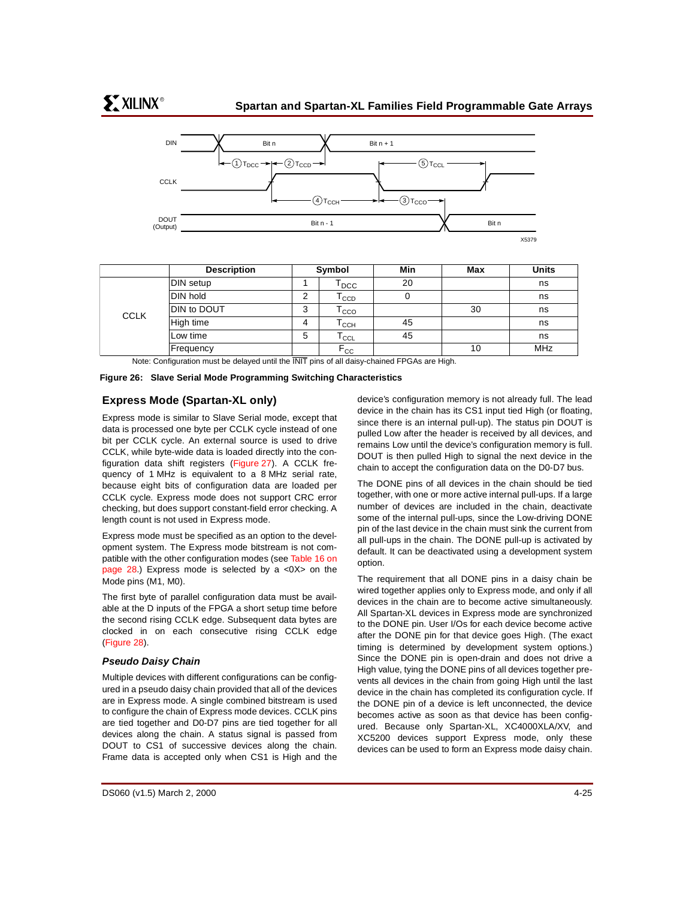

|             | <b>Description</b> |   | Symbol                                        | Min | Max | Units      |
|-------------|--------------------|---|-----------------------------------------------|-----|-----|------------|
|             | DIN setup          |   | $\mathsf{T}_{\mathsf{DCC}}$                   | 20  |     | ns         |
|             | <b>DIN hold</b>    | 2 | $\mathsf{T}_{\texttt{CCD}}$                   | 0   |     | ns         |
| <b>CCLK</b> | DIN to DOUT        | 3 | $\mathsf{T}_{\texttt{CCO}}$                   |     | 30  | ns         |
|             | High time          | 4 | $\mathsf{r}_{\mathsf{c}\mathsf{c}\mathsf{H}}$ | 45  |     | ns         |
|             | Low time           | 5 | $\mathsf{T}_{\mathsf{CCL}}$                   | 45  |     | ns         |
|             | Frequency          |   | $F_{CC}$                                      |     | 10  | <b>MHz</b> |

Note: Configuration must be delayed until the INIT pins of all daisy-chained FPGAs are High.

**Figure 26: Slave Serial Mode Programming Switching Characteristics**

# **Express Mode (Spartan-XL only)**

Express mode is similar to Slave Serial mode, except that data is processed one byte per CCLK cycle instead of one bit per CCLK cycle. An external source is used to drive CCLK, while byte-wide data is loaded directly into the configuration data shift registers ([Figure 27](#page-25-0)). A CCLK frequency of 1 MHz is equivalent to a 8 MHz serial rate, because eight bits of configuration data are loaded per CCLK cycle. Express mode does not support CRC error checking, but does support constant-field error checking. A length count is not used in Express mode.

Express mode must be specified as an option to the development system. The Express mode bitstream is not com-patible with the other configuration modes (see [Table 16 on](#page-27-0) page  $28$ .) Express mode is selected by a  $\langle 0 \rangle$  on the Mode pins (M1, M0).

The first byte of parallel configuration data must be available at the D inputs of the FPGA a short setup time before the second rising CCLK edge. Subsequent data bytes are clocked in on each consecutive rising CCLK edge ([Figure 28\)](#page-26-0).

## **Pseudo Daisy Chain**

Multiple devices with different configurations can be configured in a pseudo daisy chain provided that all of the devices are in Express mode. A single combined bitstream is used to configure the chain of Express mode devices. CCLK pins are tied together and D0-D7 pins are tied together for all devices along the chain. A status signal is passed from DOUT to CS1 of successive devices along the chain. Frame data is accepted only when CS1 is High and the

device's configuration memory is not already full. The lead device in the chain has its CS1 input tied High (or floating, since there is an internal pull-up). The status pin DOUT is pulled Low after the header is received by all devices, and remains Low until the device's configuration memory is full. DOUT is then pulled High to signal the next device in the chain to accept the configuration data on the D0-D7 bus.

The DONE pins of all devices in the chain should be tied together, with one or more active internal pull-ups. If a large number of devices are included in the chain, deactivate some of the internal pull-ups, since the Low-driving DONE pin of the last device in the chain must sink the current from all pull-ups in the chain. The DONE pull-up is activated by default. It can be deactivated using a development system option.

The requirement that all DONE pins in a daisy chain be wired together applies only to Express mode, and only if all devices in the chain are to become active simultaneously. All Spartan-XL devices in Express mode are synchronized to the DONE pin. User I/Os for each device become active after the DONE pin for that device goes High. (The exact timing is determined by development system options.) Since the DONE pin is open-drain and does not drive a High value, tying the DONE pins of all devices together prevents all devices in the chain from going High until the last device in the chain has completed its configuration cycle. If the DONE pin of a device is left unconnected, the device becomes active as soon as that device has been configured. Because only Spartan-XL, XC4000XLA/XV, and XC5200 devices support Express mode, only these devices can be used to form an Express mode daisy chain.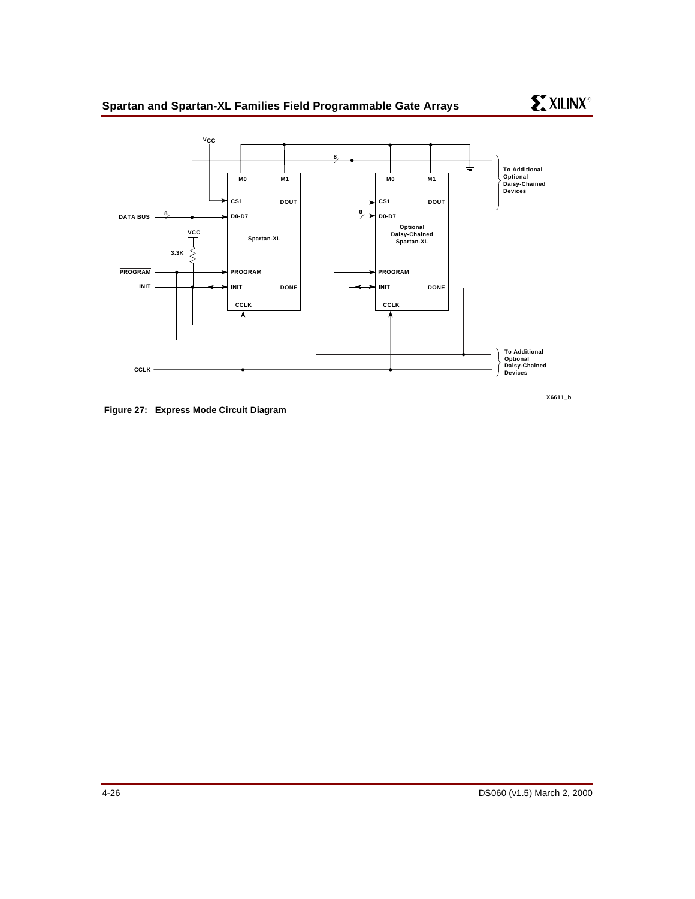

<span id="page-25-0"></span>**Figure 27: Express Mode Circuit Diagram**

**X6611\_b**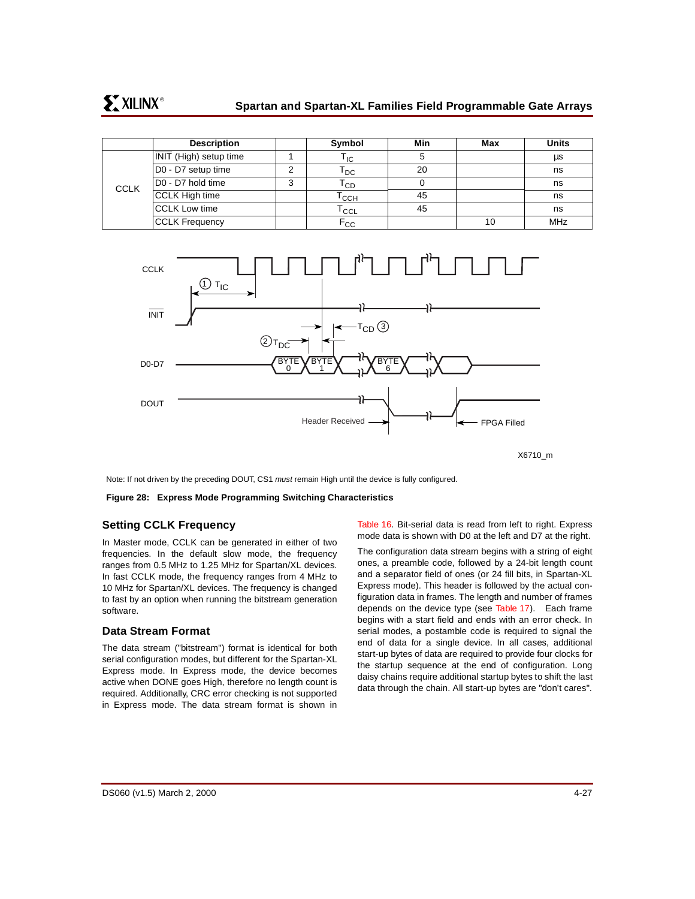|             | <b>Description</b>            |   | Symbol                     | Min | Max | <b>Units</b> |
|-------------|-------------------------------|---|----------------------------|-----|-----|--------------|
| <b>CCLK</b> | <b>INIT</b> (High) setup time |   | ' IC                       | 5   |     | μs           |
|             | D0 - D7 setup time            | ົ | l DC                       | 20  |     | ns           |
|             | D0 - D7 hold time             | 3 | l cd                       |     |     | ns           |
|             | CCLK High time                |   | Тссн                       | 45  |     | ns           |
|             | <b>CCLK Low time</b>          |   | $\intercal_{\textsf{CCL}}$ | 45  |     | ns           |
|             | <b>CCLK Frequency</b>         |   | $\mathsf{F_{CC}}$          |     | 10  | <b>MHz</b>   |



X6710\_m

Note: If not driven by the preceding DOUT, CS1 must remain High until the device is fully configured.

<span id="page-26-0"></span>**Figure 28: Express Mode Programming Switching Characteristics**

## **Setting CCLK Frequency**

In Master mode, CCLK can be generated in either of two frequencies. In the default slow mode, the frequency ranges from 0.5 MHz to 1.25 MHz for Spartan/XL devices. In fast CCLK mode, the frequency ranges from 4 MHz to 10 MHz for Spartan/XL devices. The frequency is changed to fast by an option when running the bitstream generation software.

## **Data Stream Format**

The data stream ("bitstream") format is identical for both serial configuration modes, but different for the Spartan-XL Express mode. In Express mode, the device becomes active when DONE goes High, therefore no length count is required. Additionally, CRC error checking is not supported in Express mode. The data stream format is shown in [Table 16.](#page-27-0) Bit-serial data is read from left to right. Express mode data is shown with D0 at the left and D7 at the right.

The configuration data stream begins with a string of eight ones, a preamble code, followed by a 24-bit length count and a separator field of ones (or 24 fill bits, in Spartan-XL Express mode). This header is followed by the actual configuration data in frames. The length and number of frames depends on the device type (see [Table 17\)](#page-28-0). Each frame begins with a start field and ends with an error check. In serial modes, a postamble code is required to signal the end of data for a single device. In all cases, additional start-up bytes of data are required to provide four clocks for the startup sequence at the end of configuration. Long daisy chains require additional startup bytes to shift the last data through the chain. All start-up bytes are "don't cares".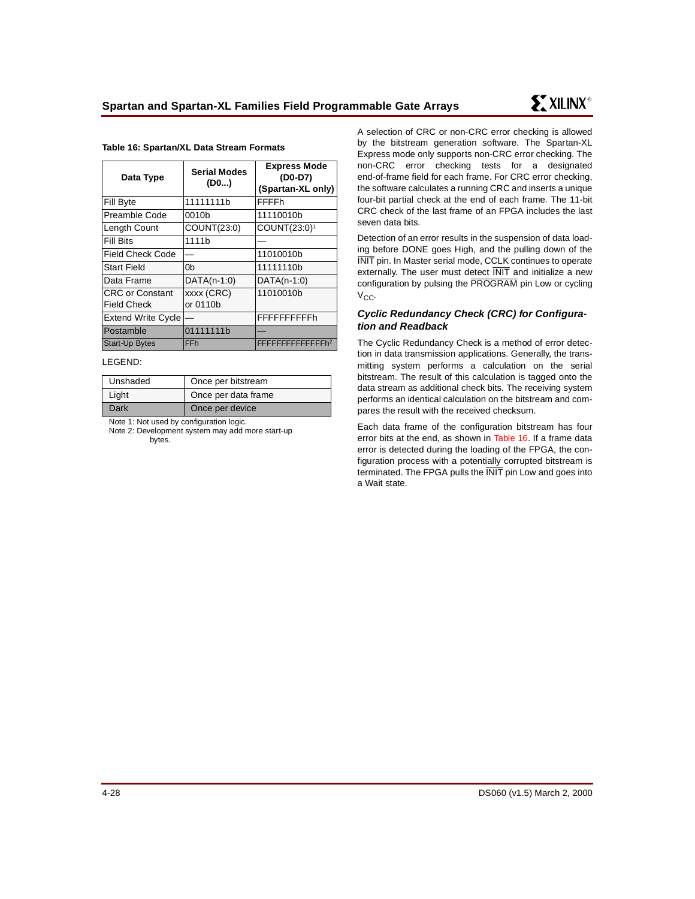| Data Type                 | <b>Serial Modes</b><br>(DO) | <b>Express Mode</b><br>(D0-D7)<br>(Spartan-XL only) |
|---------------------------|-----------------------------|-----------------------------------------------------|
| Fill Byte                 | 11111111b                   | <b>FFFFh</b>                                        |
| Preamble Code             | 0010b                       | 11110010b                                           |
| Length Count              | COUNT(23:0)                 | COUNT(23:0) <sup>1</sup>                            |
| Fill Bits                 | 1111b                       |                                                     |
| Field Check Code          |                             | 11010010b                                           |
| Start Field               | 0b                          | 11111110b                                           |
| Data Frame                | $DATA(n-1:0)$               | $DATA(n-1:0)$                                       |
| <b>CRC or Constant</b>    | xxxx (CRC)                  | 11010010b                                           |
| Field Check               | or 0110b                    |                                                     |
| <b>Extend Write Cycle</b> |                             | FFFFFFFFFFh                                         |
| Postamble                 | 01111111b                   |                                                     |
| <b>Start-Up Bytes</b>     | <b>FFh</b>                  | FFFFFFFFFFFFFFh <sup>2</sup>                        |

#### <span id="page-27-0"></span>**Table 16: Spartan/XL Data Stream Formats**

#### LEGEND:

| Unshaded | Once per bitstream  |
|----------|---------------------|
| Light    | Once per data frame |
| Dark     | Once per device     |

Note 1: Not used by configuration logic.

Note 2: Development system may add more start-up bytes.

A selection of CRC or non-CRC error checking is allowed by the bitstream generation software. The Spartan-XL Express mode only supports non-CRC error checking. The non-CRC error checking tests for a designated end-of-frame field for each frame. For CRC error checking, the software calculates a running CRC and inserts a unique four-bit partial check at the end of each frame. The 11-bit CRC check of the last frame of an FPGA includes the last seven data bits.

Detection of an error results in the suspension of data loading before DONE goes High, and the pulling down of the INIT pin. In Master serial mode, CCLK continues to operate externally. The user must detect **INIT** and initialize a new configuration by pulsing the PROGRAM pin Low or cycling  $V_{CC}$ 

### **Cyclic Redundancy Check (CRC) for Configuration and Readback**

The Cyclic Redundancy Check is a method of error detection in data transmission applications. Generally, the transmitting system performs a calculation on the serial bitstream. The result of this calculation is tagged onto the data stream as additional check bits. The receiving system performs an identical calculation on the bitstream and compares the result with the received checksum.

Each data frame of the configuration bitstream has four error bits at the end, as shown in [Table 16](#page-27-0). If a frame data error is detected during the loading of the FPGA, the configuration process with a potentially corrupted bitstream is terminated. The FPGA pulls the INIT pin Low and goes into a Wait state.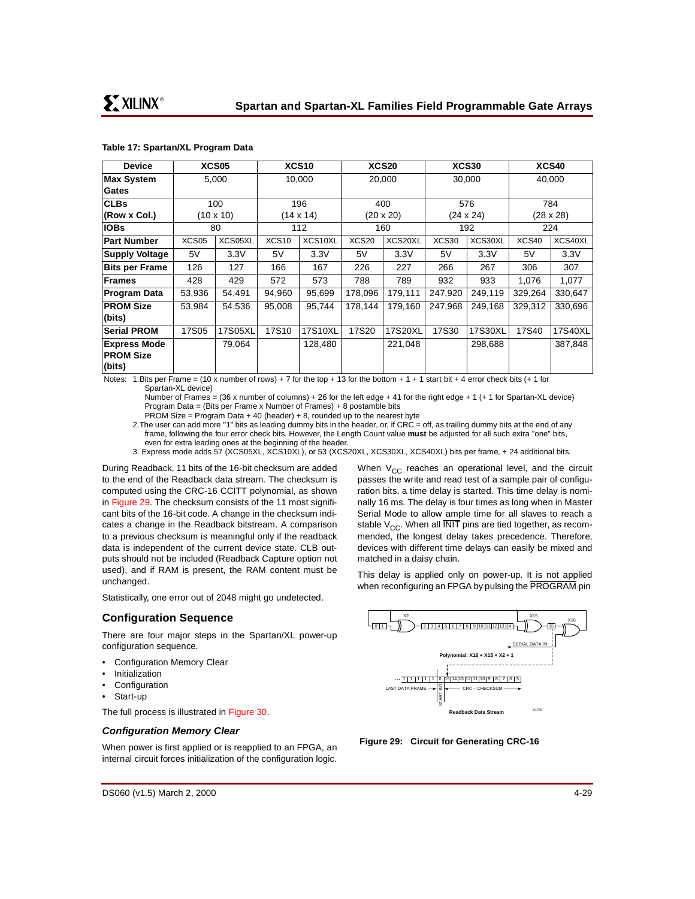<span id="page-28-0"></span>

| Table 17: Spartan/XL Program Data |  |
|-----------------------------------|--|
|-----------------------------------|--|

| <b>Device</b>                 | XCS05             |           |                   | XCS10            |                   | XCS20<br>XCS30 |                  |         | XCS40            |         |
|-------------------------------|-------------------|-----------|-------------------|------------------|-------------------|----------------|------------------|---------|------------------|---------|
| Max System                    | 5,000             |           | 10,000            |                  | 20,000            |                | 30,000           |         | 40,000           |         |
| Gates                         |                   |           |                   |                  |                   |                |                  |         |                  |         |
| <b>CLBs</b>                   |                   | 100       | 196               |                  |                   | 400            |                  | 576     | 784              |         |
| (Row x Col.)                  |                   | (10 x 10) |                   | $(14 \times 14)$ |                   | (20 x 20)      | $(24 \times 24)$ |         | $(28 \times 28)$ |         |
| <b>IOBs</b>                   |                   | 80        |                   | 112              |                   | 160            |                  | 192     |                  | 224     |
| <b>Part Number</b>            | XCS <sub>05</sub> | XCS05XL   | XCS <sub>10</sub> | XCS10XL          | XCS <sub>20</sub> | XCS20XL        | XCS30            | XCS30XL | XCS40            | XCS40XL |
| <b>Supply Voltage</b>         | 5V                | 3.3V      | 5V                | 3.3V             | 5V                | 3.3V           | 5V               | 3.3V    | 5V               | 3.3V    |
| <b>Bits per Frame</b>         | 126               | 127       | 166               | 167              | 226               | 227            | 266              | 267     | 306              | 307     |
| <b>Frames</b>                 | 428               | 429       | 572               | 573              | 788               | 789            | 932              | 933     | 1,076            | 1,077   |
| <b>Program Data</b>           | 53,936            | 54,491    | 94,960            | 95,699           | 178,096           | 179,111        | 247,920          | 249,119 | 329,264          | 330,647 |
| <b>PROM Size</b>              | 53,984            | 54,536    | 95,008            | 95,744           | 178,144           | 179,160        | 247,968          | 249.168 | 329,312          | 330,696 |
| (bits)                        |                   |           |                   |                  |                   |                |                  |         |                  |         |
| <b>Serial PROM</b>            | 17S05             | 17S05XL   | 17S10             | 17S10XL          | 17S20             | 17S20XL        | <b>17S30</b>     | 17S30XL | 17S40            | 17S40XL |
| <b>Express Mode</b><br>79.064 |                   |           | 128,480           |                  | 221,048           |                | 298,688          |         | 387,848          |         |
| <b>PROM Size</b>              |                   |           |                   |                  |                   |                |                  |         |                  |         |
| $ _{\text{(bits)}}$           |                   |           |                   |                  |                   |                |                  |         |                  |         |

Notes: 1. Bits per Frame = (10 x number of rows) + 7 for the top + 13 for the bottom + 1 + 1 start bit + 4 error check bits (+ 1 for Spartan-XL device)

Number of Frames = (36 x number of columns) + 26 for the left edge + 41 for the right edge + 1 (+ 1 for Spartan-XL device) Program Data = (Bits per Frame x Number of Frames) + 8 postamble bits

PROM Size = Program Data  $+$  40 (header)  $+$  8, rounded up to the nearest byte

2.The user can add more "1" bits as leading dummy bits in the header, or, if CRC = off, as trailing dummy bits at the end of any frame, following the four error check bits. However, the Length Count value **must** be adjusted for all such extra "one" bits, even for extra leading ones at the beginning of the header.

3. Express mode adds 57 (XCS05XL, XCS10XL), or 53 (XCS20XL, XCS30XL, XCS40XL) bits per frame, + 24 additional bits.

During Readback, 11 bits of the 16-bit checksum are added to the end of the Readback data stream. The checksum is computed using the CRC-16 CCITT polynomial, as shown in [Figure 29](#page-28-1). The checksum consists of the 11 most significant bits of the 16-bit code. A change in the checksum indicates a change in the Readback bitstream. A comparison to a previous checksum is meaningful only if the readback data is independent of the current device state. CLB outputs should not be included (Readback Capture option not used), and if RAM is present, the RAM content must be unchanged.

Statistically, one error out of 2048 might go undetected.

## **Configuration Sequence**

There are four major steps in the Spartan/XL power-up configuration sequence.

- Configuration Memory Clear
- **Initialization**
- **Configuration**
- Start-up

The full process is illustrated in [Figure 30](#page-29-0).

## **Configuration Memory Clear**

When power is first applied or is reapplied to an FPGA, an internal circuit forces initialization of the configuration logic.

When  $V_{CC}$  reaches an operational level, and the circuit passes the write and read test of a sample pair of configuration bits, a time delay is started. This time delay is nominally 16 ms. The delay is four times as long when in Master Serial Mode to allow ample time for all slaves to reach a stable  $V_{CC}$ . When all INIT pins are tied together, as recommended, the longest delay takes precedence. Therefore, devices with different time delays can easily be mixed and matched in a daisy chain.

This delay is applied only on power-up. It is not applied when reconfiguring an FPGA by pulsing the PROGRAM pin



<span id="page-28-1"></span>**Figure 29: Circuit for Generating CRC-16**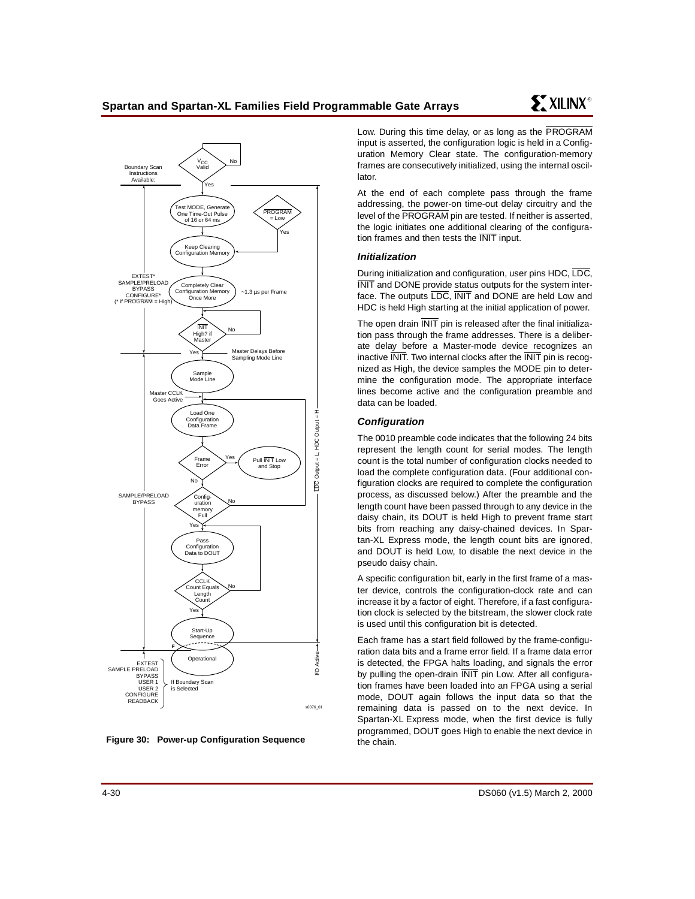

<span id="page-29-0"></span>

Low. During this time delay, or as long as the PROGRAM input is asserted, the configuration logic is held in a Configuration Memory Clear state. The configuration-memory frames are consecutively initialized, using the internal oscillator.

At the end of each complete pass through the frame addressing, the power-on time-out delay circuitry and the level of the PROGRAM pin are tested. If neither is asserted, the logic initiates one additional clearing of the configuration frames and then tests the INIT input.

### **Initialization**

During initialization and configuration, user pins HDC, LDC, INIT and DONE provide status outputs for the system interface. The outputs LDC, INIT and DONE are held Low and HDC is held High starting at the initial application of power.

The open drain **INIT** pin is released after the final initialization pass through the frame addresses. There is a deliberate delay before a Master-mode device recognizes an inactive INIT. Two internal clocks after the INIT pin is recognized as High, the device samples the MODE pin to determine the configuration mode. The appropriate interface lines become active and the configuration preamble and data can be loaded.

## **Configuration**

The 0010 preamble code indicates that the following 24 bits represent the length count for serial modes. The length count is the total number of configuration clocks needed to load the complete configuration data. (Four additional configuration clocks are required to complete the configuration process, as discussed below.) After the preamble and the length count have been passed through to any device in the daisy chain, its DOUT is held High to prevent frame start bits from reaching any daisy-chained devices. In Spartan-XL Express mode, the length count bits are ignored, and DOUT is held Low, to disable the next device in the pseudo daisy chain.

A specific configuration bit, early in the first frame of a master device, controls the configuration-clock rate and can increase it by a factor of eight. Therefore, if a fast configuration clock is selected by the bitstream, the slower clock rate is used until this configuration bit is detected.

Each frame has a start field followed by the frame-configuration data bits and a frame error field. If a frame data error is detected, the FPGA halts loading, and signals the error by pulling the open-drain **INIT** pin Low. After all configuration frames have been loaded into an FPGA using a serial mode, DOUT again follows the input data so that the remaining data is passed on to the next device. In Spartan-XL Express mode, when the first device is fully programmed, DOUT goes High to enable the next device in the chain.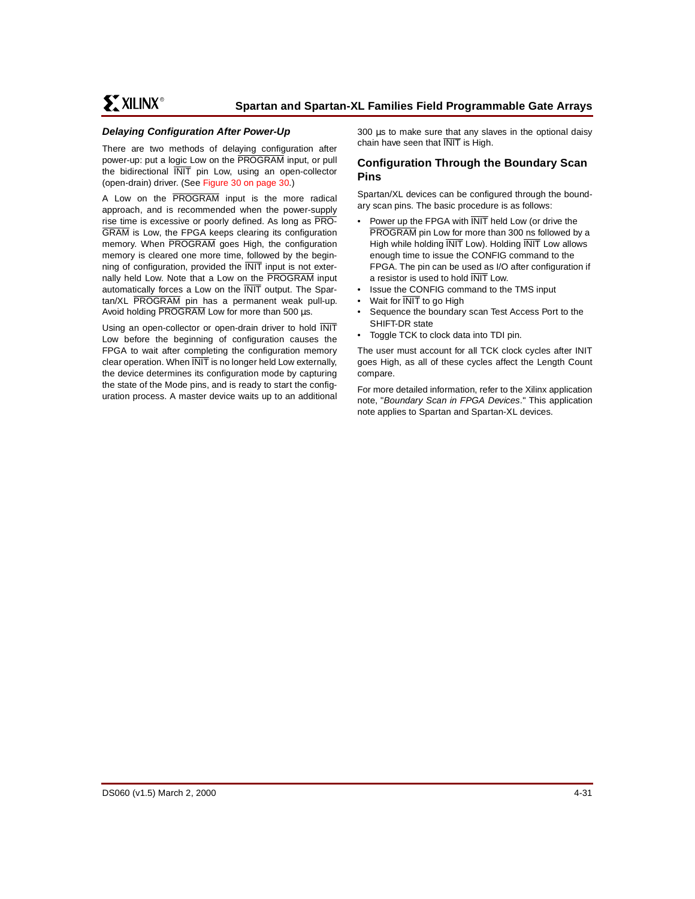## **Delaying Configuration After Power-Up**

There are two methods of delaying configuration after power-up: put a logic Low on the PROGRAM input, or pull the bidirectional INIT pin Low, using an open-collector (open-drain) driver. (See [Figure 30 on page 30.](#page-29-0))

A Low on the PROGRAM input is the more radical approach, and is recommended when the power-supply rise time is excessive or poorly defined. As long as PRO-GRAM is Low, the FPGA keeps clearing its configuration memory. When PROGRAM goes High, the configuration memory is cleared one more time, followed by the beginning of configuration, provided the INIT input is not externally held Low. Note that a Low on the PROGRAM input automatically forces a Low on the INIT output. The Spartan/XL PROGRAM pin has a permanent weak pull-up. Avoid holding PROGRAM Low for more than 500 µs.

Using an open-collector or open-drain driver to hold INIT Low before the beginning of configuration causes the FPGA to wait after completing the configuration memory clear operation. When INIT is no longer held Low externally, the device determines its configuration mode by capturing the state of the Mode pins, and is ready to start the configuration process. A master device waits up to an additional 300 µs to make sure that any slaves in the optional daisy chain have seen that INIT is High.

## <span id="page-30-0"></span>**Configuration Through the Boundary Scan Pins**

Spartan/XL devices can be configured through the boundary scan pins. The basic procedure is as follows:

- Power up the FPGA with  $\overline{\text{INIT}}$  held Low (or drive the PROGRAM pin Low for more than 300 ns followed by a High while holding **INIT** Low). Holding **INIT** Low allows enough time to issue the CONFIG command to the FPGA. The pin can be used as I/O after configuration if a resistor is used to hold INIT Low.
- Issue the CONFIG command to the TMS input
- Wait for **INIT** to go High
- Sequence the boundary scan Test Access Port to the SHIFT-DR state
- Toggle TCK to clock data into TDI pin.

The user must account for all TCK clock cycles after INIT goes High, as all of these cycles affect the Length Count compare.

For more detailed information, refer to the Xilinx application note, "Boundary Scan in FPGA Devices." This application note applies to Spartan and Spartan-XL devices.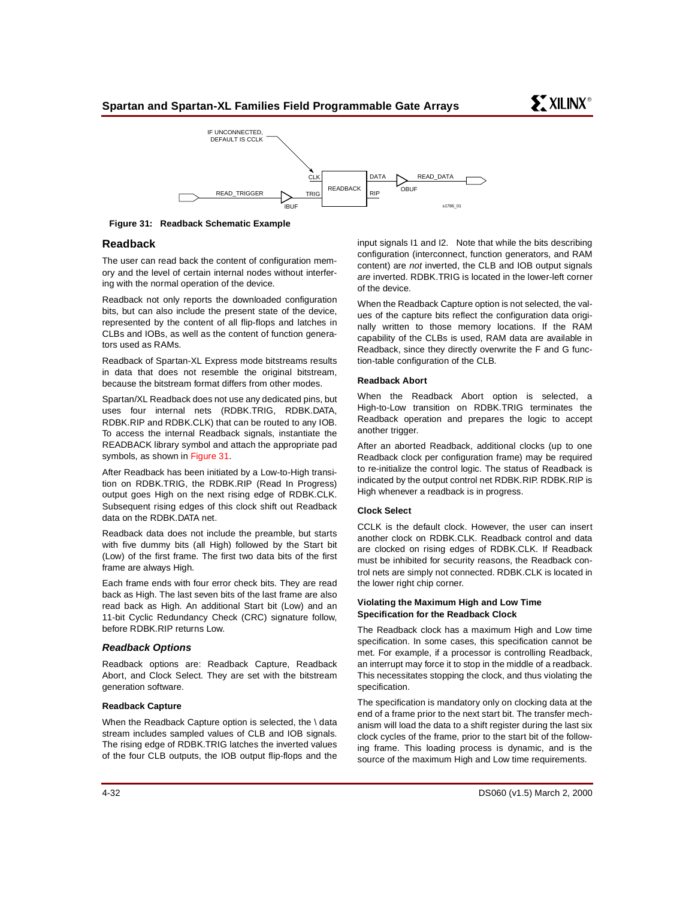

<span id="page-31-0"></span>**Figure 31: Readback Schematic Example** 

## **Readback**

The user can read back the content of configuration memory and the level of certain internal nodes without interfering with the normal operation of the device.

Readback not only reports the downloaded configuration bits, but can also include the present state of the device, represented by the content of all flip-flops and latches in CLBs and IOBs, as well as the content of function generators used as RAMs.

Readback of Spartan-XL Express mode bitstreams results in data that does not resemble the original bitstream, because the bitstream format differs from other modes.

Spartan/XL Readback does not use any dedicated pins, but uses four internal nets (RDBK.TRIG, RDBK.DATA, RDBK.RIP and RDBK.CLK) that can be routed to any IOB. To access the internal Readback signals, instantiate the READBACK library symbol and attach the appropriate pad symbols, as shown in [Figure 31.](#page-31-0)

After Readback has been initiated by a Low-to-High transition on RDBK.TRIG, the RDBK.RIP (Read In Progress) output goes High on the next rising edge of RDBK.CLK. Subsequent rising edges of this clock shift out Readback data on the RDBK.DATA net.

Readback data does not include the preamble, but starts with five dummy bits (all High) followed by the Start bit (Low) of the first frame. The first two data bits of the first frame are always High.

Each frame ends with four error check bits. They are read back as High. The last seven bits of the last frame are also read back as High. An additional Start bit (Low) and an 11-bit Cyclic Redundancy Check (CRC) signature follow, before RDBK.RIP returns Low.

## **Readback Options**

Readback options are: Readback Capture, Readback Abort, and Clock Select. They are set with the bitstream generation software.

#### **Readback Capture**

When the Readback Capture option is selected, the \ data stream includes sampled values of CLB and IOB signals. The rising edge of RDBK.TRIG latches the inverted values of the four CLB outputs, the IOB output flip-flops and the input signals I1 and I2. Note that while the bits describing configuration (interconnect, function generators, and RAM content) are not inverted, the CLB and IOB output signals are inverted. RDBK.TRIG is located in the lower-left corner of the device.

When the Readback Capture option is not selected, the values of the capture bits reflect the configuration data originally written to those memory locations. If the RAM capability of the CLBs is used, RAM data are available in Readback, since they directly overwrite the F and G function-table configuration of the CLB.

#### **Readback Abort**

When the Readback Abort option is selected, a High-to-Low transition on RDBK.TRIG terminates the Readback operation and prepares the logic to accept another trigger.

After an aborted Readback, additional clocks (up to one Readback clock per configuration frame) may be required to re-initialize the control logic. The status of Readback is indicated by the output control net RDBK.RIP. RDBK.RIP is High whenever a readback is in progress.

#### **Clock Select**

CCLK is the default clock. However, the user can insert another clock on RDBK.CLK. Readback control and data are clocked on rising edges of RDBK.CLK. If Readback must be inhibited for security reasons, the Readback control nets are simply not connected. RDBK.CLK is located in the lower right chip corner.

#### **Violating the Maximum High and Low Time Specification for the Readback Clock**

The Readback clock has a maximum High and Low time specification. In some cases, this specification cannot be met. For example, if a processor is controlling Readback, an interrupt may force it to stop in the middle of a readback. This necessitates stopping the clock, and thus violating the specification.

The specification is mandatory only on clocking data at the end of a frame prior to the next start bit. The transfer mechanism will load the data to a shift register during the last six clock cycles of the frame, prior to the start bit of the following frame. This loading process is dynamic, and is the source of the maximum High and Low time requirements.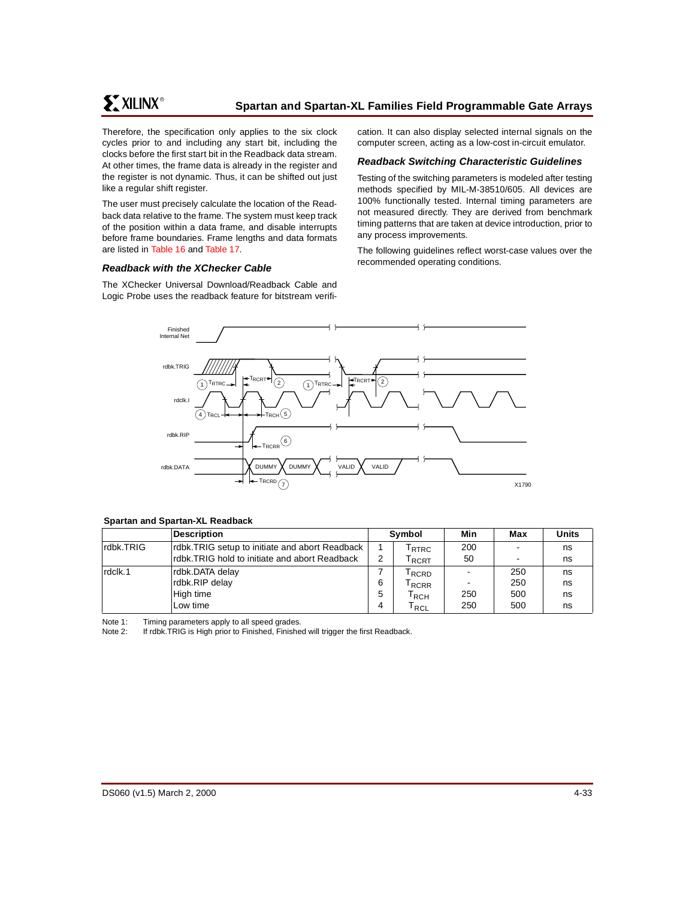**ST XILINX<sup>®</sup>** 

Therefore, the specification only applies to the six clock cycles prior to and including any start bit, including the clocks before the first start bit in the Readback data stream. At other times, the frame data is already in the register and the register is not dynamic. Thus, it can be shifted out just like a regular shift register.

The user must precisely calculate the location of the Readback data relative to the frame. The system must keep track of the position within a data frame, and disable interrupts before frame boundaries. Frame lengths and data formats are listed in [Table 16](#page-27-0) and [Table 17](#page-28-0).

### **Readback with the XChecker Cable**

The XChecker Universal Download/Readback Cable and Logic Probe uses the readback feature for bitstream verification. It can also display selected internal signals on the computer screen, acting as a low-cost in-circuit emulator.

### **Readback Switching Characteristic Guidelines**

Testing of the switching parameters is modeled after testing methods specified by MIL-M-38510/605. All devices are 100% functionally tested. Internal timing parameters are not measured directly. They are derived from benchmark timing patterns that are taken at device introduction, prior to any process improvements.

The following guidelines reflect worst-case values over the recommended operating conditions.



#### **Spartan and Spartan-XL Readback**

|           | <b>Description</b>                             |   | Symbol                      | Min | Max | <b>Units</b> |
|-----------|------------------------------------------------|---|-----------------------------|-----|-----|--------------|
| rdbk.TRIG | rdbk.TRIG setup to initiate and abort Readback |   | <sup>I</sup> RTRC           | 200 |     | ns           |
|           | rdbk.TRIG hold to initiate and abort Readback  | 2 | <sup>I</sup> RCRT           | 50  |     | ns           |
| rdclk.1   | rdbk.DATA delay                                |   | <sup>I</sup> RCRD           |     | 250 | ns           |
|           | rdbk.RIP delay                                 | 6 | RCRR <sup>I</sup>           |     | 250 | ns           |
|           | High time                                      | 5 | RCH                         | 250 | 500 | ns           |
|           | Low time                                       | 4 | $\mathsf{T}_{\mathsf{RCL}}$ | 250 | 500 | ns           |

Note 1: Timing parameters apply to all speed grades.

Note 2: If rdbk.TRIG is High prior to Finished, Finished will trigger the first Readback.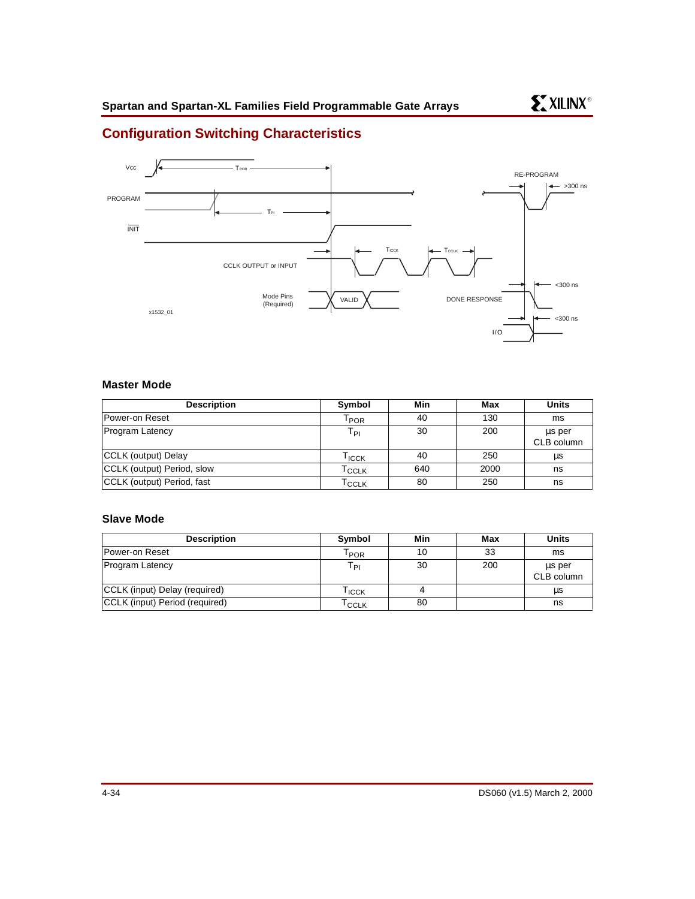# **Configuration Switching Characteristics**



## **Master Mode**

| <b>Description</b>         | Symbol                      | Min | Max  | <b>Units</b>         |
|----------------------------|-----------------------------|-----|------|----------------------|
| Power-on Reset             | $\mathsf{I}_{\mathsf{POR}}$ | 40  | 130  | ms                   |
| <b>Program Latency</b>     | T <sub>PI</sub>             | 30  | 200  | us per<br>CLB column |
| CCLK (output) Delay        | Тісск                       | 40  | 250  | μs                   |
| CCLK (output) Period, slow | l cclk                      | 640 | 2000 | ns                   |
| CCLK (output) Period, fast | l CCLK                      | 80  | 250  | ns                   |

## **Slave Mode**

| <b>Description</b>             | Symbol            | Min | Max | <b>Units</b>         |
|--------------------------------|-------------------|-----|-----|----------------------|
| Power-on Reset                 | $I_{\text{POR}}$  | 10  | 33  | ms                   |
| <b>Program Latency</b>         | Т <sub>PI</sub>   | 30  | 200 | us per<br>CLB column |
| CCLK (input) Delay (required)  | <sup>I</sup> ICCK |     |     | μs                   |
| CCLK (input) Period (required) | <sup>I</sup> CCLK | 80  |     | ns                   |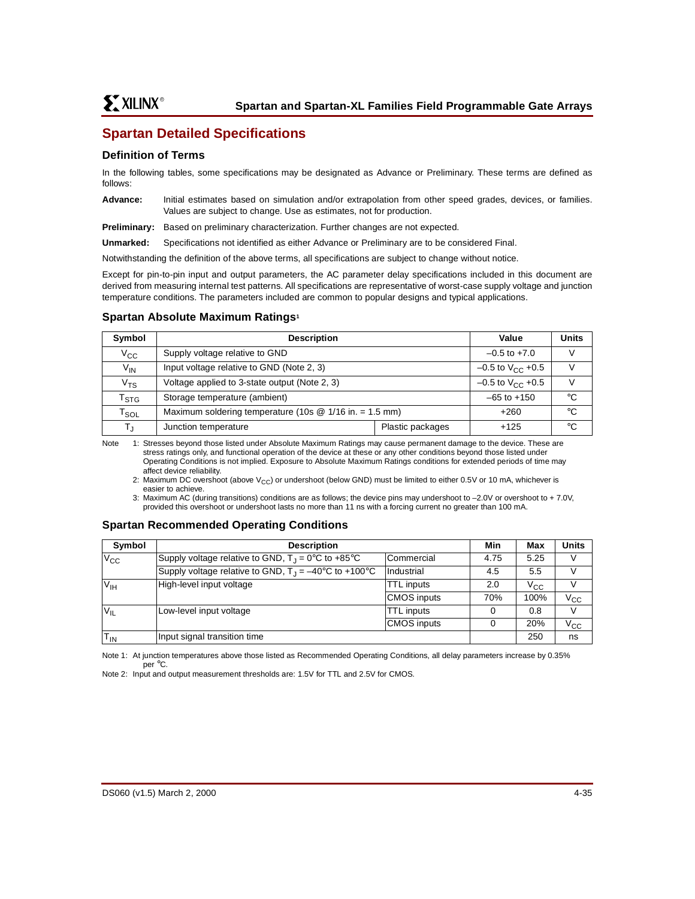# **Spartan Detailed Specifications**

## **Definition of Terms**

In the following tables, some specifications may be designated as Advance or Preliminary. These terms are defined as follows:

**Advance:** Initial estimates based on simulation and/or extrapolation from other speed grades, devices, or families. Values are subject to change. Use as estimates, not for production.

**Preliminary:** Based on preliminary characterization. Further changes are not expected.

**Unmarked:** Specifications not identified as either Advance or Preliminary are to be considered Final.

Notwithstanding the definition of the above terms, all specifications are subject to change without notice.

Except for pin-to-pin input and output parameters, the AC parameter delay specifications included in this document are derived from measuring internal test patterns. All specifications are representative of worst-case supply voltage and junction temperature conditions. The parameters included are common to popular designs and typical applications.

## **Spartan Absolute Maximum Ratings1**

| Symbol                      | <b>Description</b>                                        | Value                          | <b>Units</b>    |    |  |
|-----------------------------|-----------------------------------------------------------|--------------------------------|-----------------|----|--|
| $V_{\rm CC}$                | Supply voltage relative to GND                            |                                |                 |    |  |
| $V_{IN}$                    | Input voltage relative to GND (Note 2, 3)                 | $-0.5$ to $V_{\text{CC}}$ +0.5 | V               |    |  |
| $\rm v_{\rm \tau s}$        | Voltage applied to 3-state output (Note 2, 3)             | $-0.5$ to $V_{CC}$ +0.5        |                 |    |  |
| $\mathsf{r}_{\texttt{STG}}$ | Storage temperature (ambient)                             |                                | $-65$ to $+150$ | °C |  |
| $\mathsf{T}_{\mathsf{SOL}}$ | Maximum soldering temperature (10s $@$ 1/16 in. = 1.5 mm) | $+260$                         | °C              |    |  |
| T,                          | Junction temperature                                      | Plastic packages               | $+125$          | °C |  |

Note 1: Stresses beyond those listed under Absolute Maximum Ratings may cause permanent damage to the device. These are stress ratings only, and functional operation of the device at these or any other conditions beyond those listed under Operating Conditions is not implied. Exposure to Absolute Maximum Ratings conditions for extended periods of time may affect device reliability.

2: Maximum DC overshoot (above  $V_{CC}$ ) or undershoot (below GND) must be limited to either 0.5V or 10 mA, whichever is easier to achieve.

3: Maximum AC (during transitions) conditions are as follows; the device pins may undershoot to –2.0V or overshoot to + 7.0V, provided this overshoot or undershoot lasts no more than 11 ns with a forcing current no greater than 100 mA.

# **Spartan Recommended Operating Conditions**

| Symbol              | <b>Description</b>                                                                | Min                | Max  | <b>Units</b> |              |
|---------------------|-----------------------------------------------------------------------------------|--------------------|------|--------------|--------------|
| $\overline{V_{CC}}$ | Supply voltage relative to GND, $T_1 = 0^\circ \text{C}$ to +85 $^\circ \text{C}$ | Commercial         | 4.75 | 5.25         | V            |
|                     | Supply voltage relative to GND, $T_{\perp} = -40^{\circ}$ C to +100°C             | Industrial         | 4.5  | 5.5          |              |
| $V_{IH}$            | High-level input voltage                                                          | <b>TTL</b> inputs  | 2.0  | $V_{\rm CC}$ |              |
|                     |                                                                                   | <b>CMOS</b> inputs | 70%  | 100%         | $V_{\rm CC}$ |
| $V_{IL}$            | Low-level input voltage                                                           | <b>TTL</b> inputs  |      | 0.8          | V            |
|                     |                                                                                   | <b>CMOS</b> inputs |      | 20%          | $V_{\rm CC}$ |
| $T_{IN}$            | Input signal transition time                                                      |                    |      | 250          | ns           |

Note 1: At junction temperatures above those listed as Recommended Operating Conditions, all delay parameters increase by 0.35% per °C.

Note 2: Input and output measurement thresholds are: 1.5V for TTL and 2.5V for CMOS.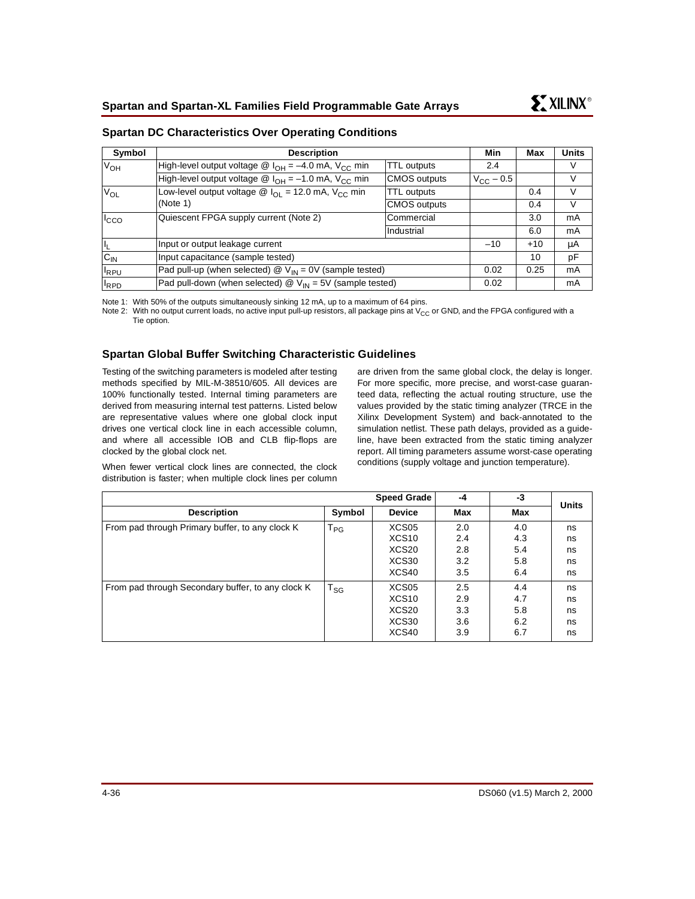| Symbol                | <b>Description</b>                                                                   |                     | Min                | Max   | <b>Units</b> |
|-----------------------|--------------------------------------------------------------------------------------|---------------------|--------------------|-------|--------------|
| <b>V<sub>OH</sub></b> | High-level output voltage $\circledR$ I <sub>OH</sub> = -4.0 mA, V <sub>CC</sub> min | <b>TTL</b> outputs  | 2.4                |       | V            |
|                       | High-level output voltage $\circledR$ I <sub>OH</sub> = -1.0 mA, V <sub>CC</sub> min | <b>CMOS</b> outputs | $V_{\rm CC}$ – 0.5 |       | V            |
| $V_{OL}$              | Low-level output voltage $\circledR$ $I_{\Omega}$ = 12.0 mA, V <sub>CC</sub> min     | <b>TTL</b> outputs  |                    | 0.4   | V            |
|                       | (Note 1)                                                                             | <b>CMOS outputs</b> |                    | 0.4   | V            |
| $I_{CCO}$             | Quiescent FPGA supply current (Note 2)                                               | <b>Commercial</b>   |                    | 3.0   | mA           |
|                       |                                                                                      | Industrial          |                    | 6.0   | mA           |
|                       | Input or output leakage current                                                      |                     | $-10$              | $+10$ | μA           |
| $\frac{I_L}{C_{IN}}$  | Input capacitance (sample tested)                                                    |                     |                    | 10    | pF           |
| $I_{RPU}$             | Pad pull-up (when selected) $\omega$ V <sub>IN</sub> = 0V (sample tested)            |                     |                    | 0.25  | mA           |
| $I_{RPD}$             | Pad pull-down (when selected) $\circledR$ V <sub>IN</sub> = 5V (sample tested)       |                     | 0.02               |       | mA           |

## <span id="page-35-0"></span>**Spartan DC Characteristics Over Operating Conditions**

Note 1: With 50% of the outputs simultaneously sinking 12 mA, up to a maximum of 64 pins.

Note 2: With no output current loads, no active input pull-up resistors, all package pins at  $V_{CC}$  or GND, and the FPGA configured with a Tie option.

## **Spartan Global Buffer Switching Characteristic Guidelines**

Testing of the switching parameters is modeled after testing methods specified by MIL-M-38510/605. All devices are 100% functionally tested. Internal timing parameters are derived from measuring internal test patterns. Listed below are representative values where one global clock input drives one vertical clock line in each accessible column, and where all accessible IOB and CLB flip-flops are clocked by the global clock net.

When fewer vertical clock lines are connected, the clock distribution is faster; when multiple clock lines per column are driven from the same global clock, the delay is longer. For more specific, more precise, and worst-case guaranteed data, reflecting the actual routing structure, use the values provided by the static timing analyzer (TRCE in the Xilinx Development System) and back-annotated to the simulation netlist. These path delays, provided as a guideline, have been extracted from the static timing analyzer report. All timing parameters assume worst-case operating conditions (supply voltage and junction temperature).

|                                                   |          | <b>Speed Grade</b> | -4  | -3  | <b>Units</b> |
|---------------------------------------------------|----------|--------------------|-----|-----|--------------|
| <b>Description</b>                                | Symbol   | <b>Device</b>      | Max | Max |              |
| From pad through Primary buffer, to any clock K   | $T_{PG}$ | XCS05              | 2.0 | 4.0 | ns           |
|                                                   |          | XCS <sub>10</sub>  | 2.4 | 4.3 | ns           |
|                                                   |          | XCS <sub>20</sub>  | 2.8 | 5.4 | ns           |
|                                                   |          | XCS30              | 3.2 | 5.8 | ns           |
|                                                   |          | XCS40              | 3.5 | 6.4 | ns           |
| From pad through Secondary buffer, to any clock K | $T_{SG}$ | XCS05              | 2.5 | 4.4 | ns           |
|                                                   |          | XCS <sub>10</sub>  | 2.9 | 4.7 | ns           |
|                                                   |          | XCS <sub>20</sub>  | 3.3 | 5.8 | ns           |
|                                                   |          | XCS30              | 3.6 | 6.2 | ns           |
|                                                   |          | XCS40              | 3.9 | 6.7 | ns           |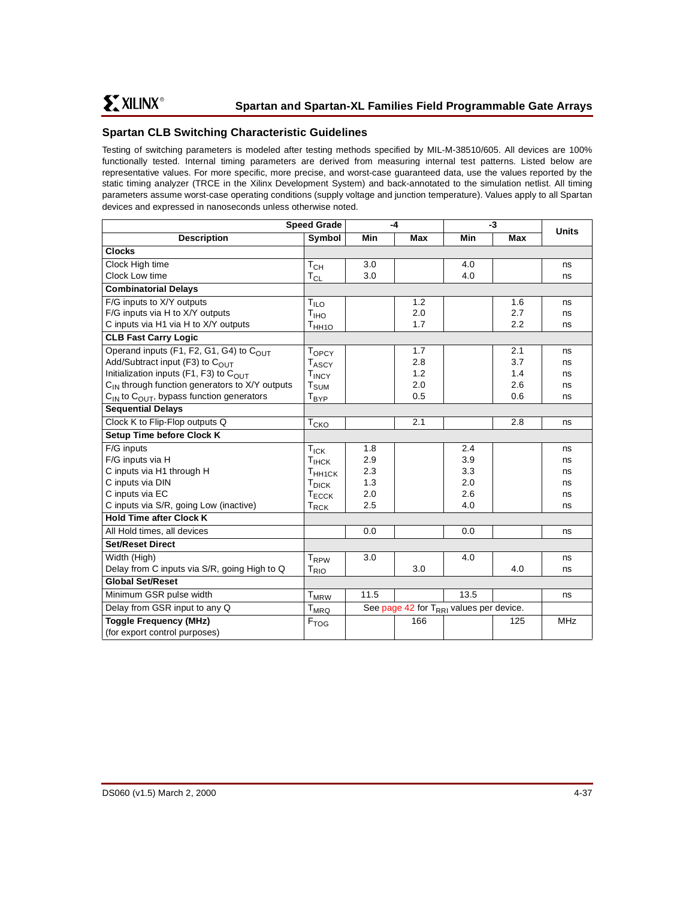# **Spartan CLB Switching Characteristic Guidelines**

Testing of switching parameters is modeled after testing methods specified by MIL-M-38510/605. All devices are 100% functionally tested. Internal timing parameters are derived from measuring internal test patterns. Listed below are representative values. For more specific, more precise, and worst-case guaranteed data, use the values reported by the static timing analyzer (TRCE in the Xilinx Development System) and back-annotated to the simulation netlist. All timing parameters assume worst-case operating conditions (supply voltage and junction temperature). Values apply to all Spartan devices and expressed in nanoseconds unless otherwise noted.

| <b>Speed Grade</b>                                               |                              |      | $-4$                                             |      | $-3$ | <b>Units</b> |
|------------------------------------------------------------------|------------------------------|------|--------------------------------------------------|------|------|--------------|
| <b>Description</b>                                               | Symbol                       | Min  | Max                                              | Min  | Max  |              |
| <b>Clocks</b>                                                    |                              |      |                                                  |      |      |              |
| Clock High time                                                  | $T_{CH}$                     | 3.0  |                                                  | 4.0  |      | ns           |
| Clock Low time                                                   | $\mathsf{T}_{\mathsf{CL}}$   | 3.0  |                                                  | 4.0  |      | ns           |
| <b>Combinatorial Delays</b>                                      |                              |      |                                                  |      |      |              |
| F/G inputs to X/Y outputs                                        | $T_{\mathsf{ILO}}$           |      | 1.2                                              |      | 1.6  | ns           |
| F/G inputs via H to X/Y outputs                                  | T <sub>IHO</sub>             |      | 2.0                                              |      | 2.7  | ns           |
| C inputs via H1 via H to X/Y outputs                             | $\mathsf{T}_{\mathsf{HH1O}}$ |      | 1.7                                              |      | 2.2  | ns           |
| <b>CLB Fast Carry Logic</b>                                      |                              |      |                                                  |      |      |              |
| Operand inputs (F1, F2, G1, G4) to COUT                          | <b>TOPCY</b>                 |      | 1.7                                              |      | 2.1  | ns           |
| Add/Subtract input (F3) to C <sub>OUT</sub>                      | <b>TASCY</b>                 |      | 2.8                                              |      | 3.7  | ns           |
| Initialization inputs (F1, F3) to $C_{\text{OUT}}$               | <b>TINCY</b>                 |      | 1.2                                              |      | 1.4  | ns           |
| C <sub>IN</sub> through function generators to X/Y outputs       | $\mathsf{T}_{\mathsf{SUM}}$  |      | 2.0                                              |      | 2.6  | ns           |
| C <sub>IN</sub> to C <sub>OUT</sub> , bypass function generators | Т <sub>ВҮР</sub>             |      | 0.5                                              |      | 0.6  | ns           |
| <b>Sequential Delays</b>                                         |                              |      |                                                  |      |      |              |
| Clock K to Flip-Flop outputs Q                                   | $T_{CKQ}$                    |      | 2.1                                              |      | 2.8  | ns           |
| Setup Time before Clock K                                        |                              |      |                                                  |      |      |              |
| F/G inputs                                                       | $T_{\text{ICK}}$             | 1.8  |                                                  | 2.4  |      | ns           |
| F/G inputs via H                                                 | Т <sub>ІНСК</sub>            | 2.9  |                                                  | 3.9  |      | ns           |
| C inputs via H1 through H                                        | T <sub>HH1CK</sub>           | 2.3  |                                                  | 3.3  |      | ns           |
| C inputs via DIN                                                 | $T_{\sf DICK}$               | 1.3  |                                                  | 2.0  |      | ns           |
| C inputs via EC                                                  | $\mathsf{T}_{\mathsf{ECCK}}$ | 2.0  |                                                  | 2.6  |      | ns           |
| C inputs via S/R, going Low (inactive)                           | $T_{RCK}$                    | 2.5  |                                                  | 4.0  |      | ns           |
| <b>Hold Time after Clock K</b>                                   |                              |      |                                                  |      |      |              |
| All Hold times, all devices                                      |                              | 0.0  |                                                  | 0.0  |      | ns           |
| <b>Set/Reset Direct</b>                                          |                              |      |                                                  |      |      |              |
| Width (High)                                                     | $\mathsf{T}_{\mathsf{RPW}}$  | 3.0  |                                                  | 4.0  |      | ns           |
| Delay from C inputs via S/R, going High to Q                     | T <sub>RIO</sub>             |      | 3.0                                              |      | 4.0  | ns           |
| <b>Global Set/Reset</b>                                          |                              |      |                                                  |      |      |              |
| Minimum GSR pulse width                                          | <b>T</b> <sub>MRW</sub>      | 11.5 |                                                  | 13.5 |      | ns           |
| Delay from GSR input to any Q                                    | $T_{MRQ}$                    |      | See page 42 for $T_{\rm RRI}$ values per device. |      |      |              |
| <b>Toggle Frequency (MHz)</b>                                    | F <sub>TOG</sub>             |      | 166                                              |      | 125  | <b>MHz</b>   |
| (for export control purposes)                                    |                              |      |                                                  |      |      |              |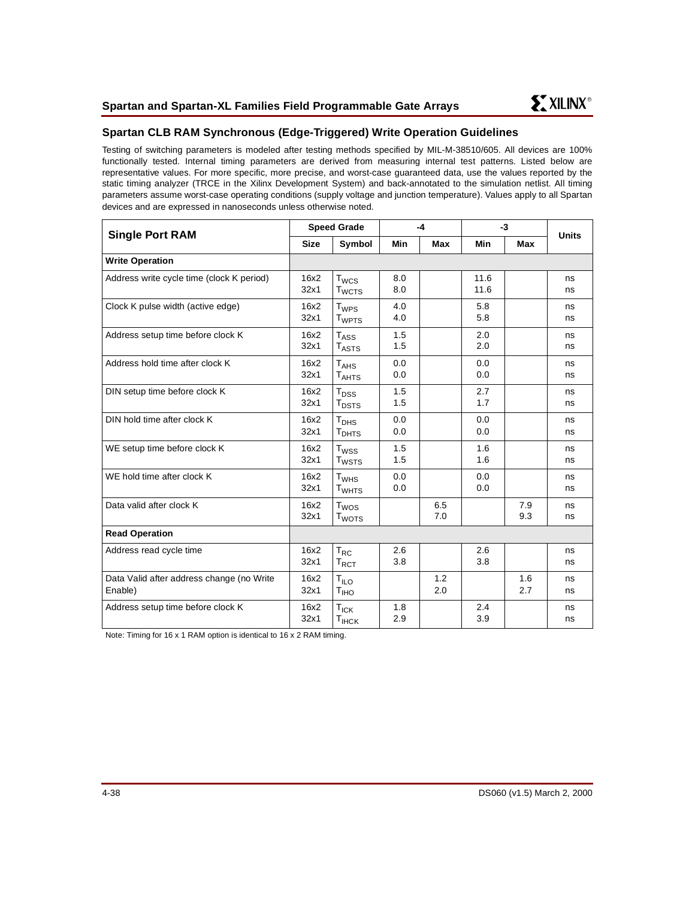

# **Spartan CLB RAM Synchronous (Edge-Triggered) Write Operation Guidelines**

Testing of switching parameters is modeled after testing methods specified by MIL-M-38510/605. All devices are 100% functionally tested. Internal timing parameters are derived from measuring internal test patterns. Listed below are representative values. For more specific, more precise, and worst-case guaranteed data, use the values reported by the static timing analyzer (TRCE in the Xilinx Development System) and back-annotated to the simulation netlist. All timing parameters assume worst-case operating conditions (supply voltage and junction temperature). Values apply to all Spartan devices and are expressed in nanoseconds unless otherwise noted.

| <b>Single Port RAM</b>                               |              | <b>Speed Grade</b>                    | $-4$       |            | $-3$         |            | <b>Units</b> |
|------------------------------------------------------|--------------|---------------------------------------|------------|------------|--------------|------------|--------------|
|                                                      | <b>Size</b>  | Symbol                                | <b>Min</b> | Max        | Min          | <b>Max</b> |              |
| <b>Write Operation</b>                               |              |                                       |            |            |              |            |              |
| Address write cycle time (clock K period)            | 16x2<br>32x1 | $T_{WCS}$<br><b>T</b> <sub>WCTS</sub> | 8.0<br>8.0 |            | 11.6<br>11.6 |            | ns<br>ns     |
| Clock K pulse width (active edge)                    | 16x2<br>32x1 | $T_{WPS}$<br><b>T</b> <sub>WPTS</sub> | 4.0<br>4.0 |            | 5.8<br>5.8   |            | ns<br>ns     |
| Address setup time before clock K                    | 16x2<br>32x1 | $T_{\rm ASS}$<br>$T_{\text{ASTS}}$    | 1.5<br>1.5 |            | 2.0<br>2.0   |            | ns<br>ns     |
| Address hold time after clock K                      | 16x2<br>32x1 | $T_{AHS}$<br>$T_{AHTS}$               | 0.0<br>0.0 |            | 0.0<br>0.0   |            | ns<br>ns     |
| DIN setup time before clock K                        | 16x2<br>32x1 | $T_{DSS}$<br><b>T</b> <sub>DSTS</sub> | 1.5<br>1.5 |            | 2.7<br>1.7   |            | ns<br>ns     |
| DIN hold time after clock K                          | 16x2<br>32x1 | T <sub>DHS</sub><br>T <sub>DHTS</sub> | 0.0<br>0.0 |            | 0.0<br>0.0   |            | ns<br>ns     |
| WE setup time before clock K                         | 16x2<br>32x1 | $T_{WSS}$<br>T <sub>WSTS</sub>        | 1.5<br>1.5 |            | 1.6<br>1.6   |            | ns<br>ns     |
| WE hold time after clock K                           | 16x2<br>32x1 | $T_{WHS}$<br><b>T</b> <sub>WHTS</sub> | 0.0<br>0.0 |            | 0.0<br>0.0   |            | ns<br>ns     |
| Data valid after clock K                             | 16x2<br>32x1 | T <sub>wos</sub><br>T <sub>WOTS</sub> |            | 6.5<br>7.0 |              | 7.9<br>9.3 | ns<br>ns     |
| <b>Read Operation</b>                                |              |                                       |            |            |              |            |              |
| Address read cycle time                              | 16x2<br>32x1 | $T_{RC}$<br>$T_{\text{RCT}}$          | 2.6<br>3.8 |            | 2.6<br>3.8   |            | ns<br>ns     |
| Data Valid after address change (no Write<br>Enable) | 16x2<br>32x1 | $T_{ILO}$<br>T <sub>IHO</sub>         |            | 1.2<br>2.0 |              | 1.6<br>2.7 | ns<br>ns     |
| Address setup time before clock K                    | 16x2<br>32x1 | $T_{ICK}$<br>$T_{IHCK}$               | 1.8<br>2.9 |            | 2.4<br>3.9   |            | ns<br>ns     |

Note: Timing for 16 x 1 RAM option is identical to 16 x 2 RAM timing.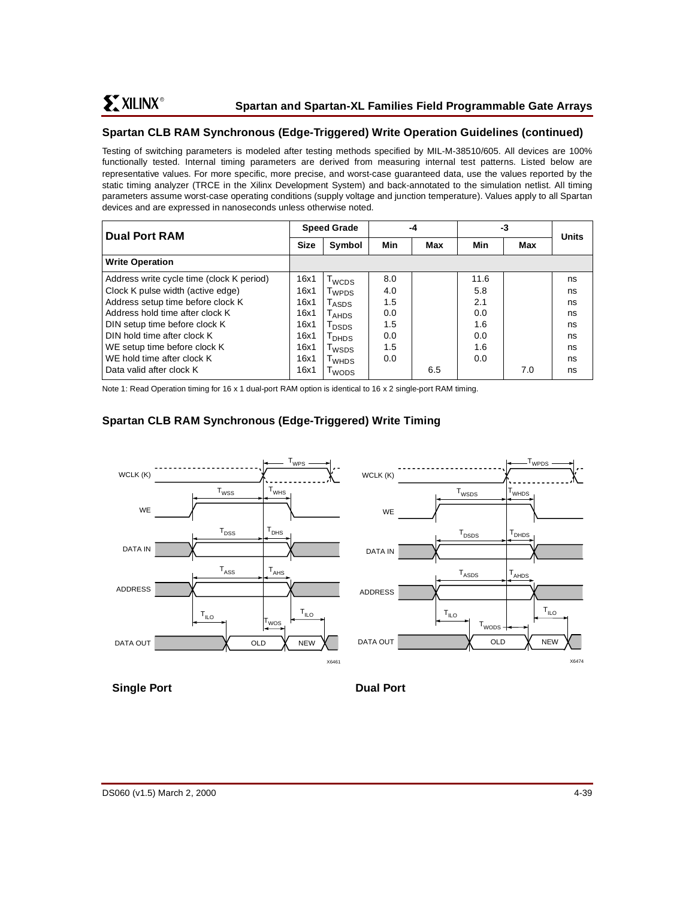# **Spartan CLB RAM Synchronous (Edge-Triggered) Write Operation Guidelines (continued)**

Testing of switching parameters is modeled after testing methods specified by MIL-M-38510/605. All devices are 100% functionally tested. Internal timing parameters are derived from measuring internal test patterns. Listed below are representative values. For more specific, more precise, and worst-case guaranteed data, use the values reported by the static timing analyzer (TRCE in the Xilinx Development System) and back-annotated to the simulation netlist. All timing parameters assume worst-case operating conditions (supply voltage and junction temperature). Values apply to all Spartan devices and are expressed in nanoseconds unless otherwise noted.

| <b>Dual Port RAM</b>                      |      | <b>Speed Grade</b>                |     | -4  |      | -3  |              |
|-------------------------------------------|------|-----------------------------------|-----|-----|------|-----|--------------|
|                                           |      | Symbol                            | Min | Max | Min  | Max | <b>Units</b> |
| <b>Write Operation</b>                    |      |                                   |     |     |      |     |              |
| Address write cycle time (clock K period) | 16x1 | $T_{\scriptsize{\textsf{WCDS}}}$  | 8.0 |     | 11.6 |     | ns           |
| Clock K pulse width (active edge)         | 16x1 | T <sub>WPDS</sub>                 | 4.0 |     | 5.8  |     | ns           |
| Address setup time before clock K         | 16x1 | $\mathsf{T}_{\mathsf{ASDS}}$      | 1.5 |     | 2.1  |     | ns           |
| Address hold time after clock K           | 16x1 | $\mathsf{\Gamma}_{\mathsf{AHDS}}$ | 0.0 |     | 0.0  |     | ns           |
| DIN setup time before clock K             | 16x1 | $\mathsf{T}_\mathsf{DSDS}$        | 1.5 |     | 1.6  |     | ns           |
| DIN hold time after clock K               | 16x1 | I <sub>DHDS</sub>                 | 0.0 |     | 0.0  |     | ns           |
| WE setup time before clock K              | 16x1 | <b>T</b> wsps                     | 1.5 |     | 1.6  |     | ns           |
| WE hold time after clock K                | 16x1 | T <sub>WHDS</sub>                 | 0.0 |     | 0.0  |     | ns           |
| Data valid after clock K                  | 16x1 | wops                              |     | 6.5 |      | 7.0 | ns           |

Note 1: Read Operation timing for 16 x 1 dual-port RAM option is identical to 16 x 2 single-port RAM timing.

# **Spartan CLB RAM Synchronous (Edge-Triggered) Write Timing**



# **Single Port** Dual Port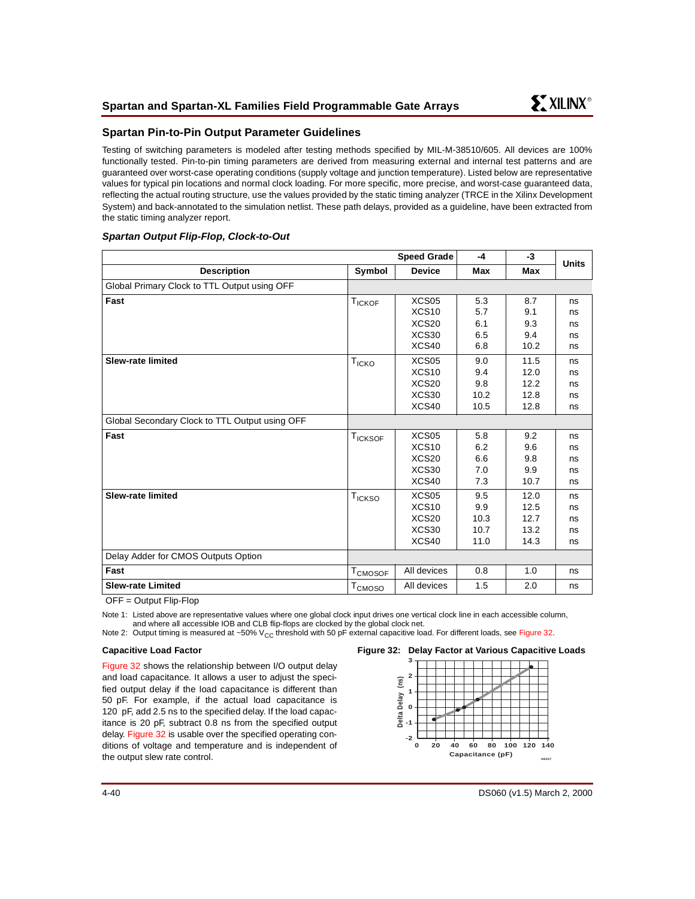## **Spartan Pin-to-Pin Output Parameter Guidelines**

Testing of switching parameters is modeled after testing methods specified by MIL-M-38510/605. All devices are 100% functionally tested. Pin-to-pin timing parameters are derived from measuring external and internal test patterns and are guaranteed over worst-case operating conditions (supply voltage and junction temperature). Listed below are representative values for typical pin locations and normal clock loading. For more specific, more precise, and worst-case guaranteed data, reflecting the actual routing structure, use the values provided by the static timing analyzer (TRCE in the Xilinx Development System) and back-annotated to the simulation netlist. These path delays, provided as a guideline, have been extracted from the static timing analyzer report.

## **Spartan Output Flip-Flop, Clock-to-Out**

|                                                |                                | <b>Speed Grade</b>                     | $-4$       | $-3$       | <b>Units</b> |
|------------------------------------------------|--------------------------------|----------------------------------------|------------|------------|--------------|
| <b>Description</b>                             | Symbol                         | <b>Device</b>                          | Max        | <b>Max</b> |              |
| Global Primary Clock to TTL Output using OFF   |                                |                                        |            |            |              |
| Fast                                           | <b>TICKOF</b>                  | XCS <sub>05</sub><br>XCS <sub>10</sub> | 5.3<br>5.7 | 8.7<br>9.1 | ns<br>ns     |
|                                                |                                | XCS <sub>20</sub>                      | 6.1        | 9.3        | ns           |
|                                                |                                | XCS30                                  | 6.5        | 9.4        | ns           |
|                                                |                                | XCS40                                  | 6.8        | 10.2       | ns           |
| <b>Slew-rate limited</b>                       | <b>T<sub>ICKO</sub></b>        | XCS05                                  | 9.0        | 11.5       | ns           |
|                                                |                                | XCS <sub>10</sub>                      | 9.4        | 12.0       | ns           |
|                                                |                                | XCS <sub>20</sub>                      | 9.8        | 12.2       | ns           |
|                                                |                                | XCS30                                  | 10.2       | 12.8       | ns           |
|                                                |                                | XCS40                                  | 10.5       | 12.8       | ns           |
| Global Secondary Clock to TTL Output using OFF |                                |                                        |            |            |              |
| Fast                                           | $\mathsf{T}_{\mathsf{ICKSOF}}$ | XCS05                                  | 5.8        | 9.2        | ns           |
|                                                |                                | XCS <sub>10</sub>                      | 6.2        | 9.6        | ns           |
|                                                |                                | XCS <sub>20</sub>                      | 6.6        | 9.8        | ns           |
|                                                |                                | XCS30                                  | 7.0        | 9.9        | ns           |
|                                                |                                | XCS40                                  | 7.3        | 10.7       | ns           |
| <b>Slew-rate limited</b>                       | T <sub>ICKSO</sub>             | XCS <sub>05</sub>                      | 9.5        | 12.0       | ns           |
|                                                |                                | XCS <sub>10</sub>                      | 9.9        | 12.5       | ns           |
|                                                |                                | XCS <sub>20</sub>                      | 10.3       | 12.7       | ns           |
|                                                |                                | XCS30                                  | 10.7       | 13.2       | ns           |
|                                                |                                | XCS40                                  | 11.0       | 14.3       | ns           |
| Delay Adder for CMOS Outputs Option            |                                |                                        |            |            |              |
| Fast                                           | T <sub>CMOSOF</sub>            | All devices                            | 0.8        | 1.0        | ns           |
| <b>Slew-rate Limited</b>                       | T <sub>CMOSO</sub>             | All devices                            | 1.5        | 2.0        | ns           |

OFF = Output Flip-Flop

Note 1: Listed above are representative values where one global clock input drives one vertical clock line in each accessible column, and where all accessible IOB and CLB flip-flops are clocked by the global clock net.

Note 2: Output timing is measured at ~50% V<sub>CC</sub> threshold with 50 pF external capacitive load. For different loads, see [Figure 32](#page-39-0).

#### **Capacitive Load Factor**

[Figure 32](#page-39-0) shows the relationship between I/O output delay and load capacitance. It allows a user to adjust the specified output delay if the load capacitance is different than 50 pF. For example, if the actual load capacitance is 120 pF, add 2.5 ns to the specified delay. If the load capacitance is 20 pF, subtract 0.8 ns from the specified output delay. [Figure 32](#page-39-0) is usable over the specified operating conditions of voltage and temperature and is independent of the output slew rate control.

#### <span id="page-39-0"></span>**Figure 32: Delay Factor at Various Capacitive Loads**

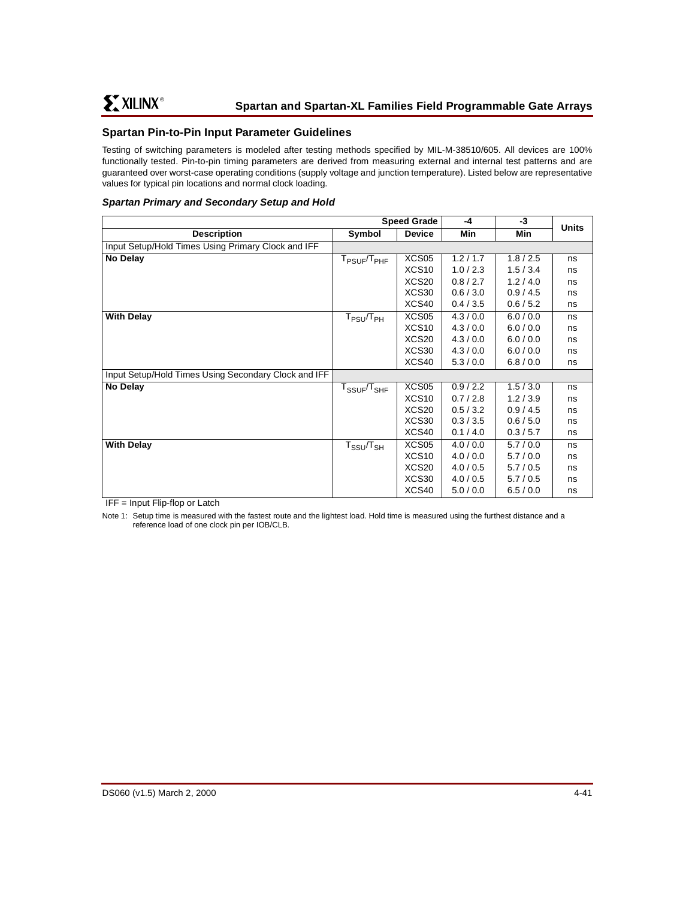# <span id="page-40-0"></span>**Spartan Pin-to-Pin Input Parameter Guidelines**

Testing of switching parameters is modeled after testing methods specified by MIL-M-38510/605. All devices are 100% functionally tested. Pin-to-pin timing parameters are derived from measuring external and internal test patterns and are guaranteed over worst-case operating conditions (supply voltage and junction temperature). Listed below are representative values for typical pin locations and normal clock loading.

### **Spartan Primary and Secondary Setup and Hold**

|                                                      | <b>Speed Grade</b>                                       |                   | -4        | -3        | <b>Units</b> |
|------------------------------------------------------|----------------------------------------------------------|-------------------|-----------|-----------|--------------|
| <b>Description</b>                                   | Symbol                                                   | <b>Device</b>     | Min       | Min       |              |
| Input Setup/Hold Times Using Primary Clock and IFF   |                                                          |                   |           |           |              |
| No Delay                                             | T <sub>PSUF</sub> /T <sub>PHF</sub>                      | XCS05             | 1.2 / 1.7 | 1.8 / 2.5 | ns           |
|                                                      |                                                          | XCS <sub>10</sub> | 1.0 / 2.3 | 1.5/3.4   | ns           |
|                                                      |                                                          | XCS <sub>20</sub> | 0.8 / 2.7 | 1.2/4.0   | ns           |
|                                                      |                                                          | XCS30             | 0.6 / 3.0 | 0.9/4.5   | ns           |
|                                                      |                                                          | XCS40             | 0.4 / 3.5 | 0.6 / 5.2 | ns           |
| <b>With Delay</b>                                    | $\mathsf{T}_{\mathsf{PSU}}\!/\!\mathsf{T}_{\mathsf{PH}}$ | XCS <sub>05</sub> | 4.3/0.0   | 6.0 / 0.0 | ns           |
|                                                      |                                                          | XCS <sub>10</sub> | 4.3/0.0   | 6.0 / 0.0 | ns           |
|                                                      |                                                          | XCS <sub>20</sub> | 4.3/0.0   | 6.0 / 0.0 | ns           |
|                                                      |                                                          | XCS30             | 4.3 / 0.0 | 6.0 / 0.0 | ns           |
|                                                      |                                                          | XCS40             | 5.3/0.0   | 6.8 / 0.0 | ns           |
| Input Setup/Hold Times Using Secondary Clock and IFF |                                                          |                   |           |           |              |
| No Delay                                             | ${\rm T}_{\rm SSUF}/{\rm T}_{\rm SHF}$                   | XCS05             | 0.9 / 2.2 | 1.5/3.0   | ns           |
|                                                      |                                                          | XCS <sub>10</sub> | 0.7/2.8   | 1.2 / 3.9 | ns           |
|                                                      |                                                          | XCS <sub>20</sub> | 0.5 / 3.2 | 0.9/4.5   | ns           |
|                                                      |                                                          | XCS30             | 0.3 / 3.5 | 0.6 / 5.0 | ns           |
|                                                      |                                                          | XCS40             | 0.1 / 4.0 | 0.3 / 5.7 | ns           |
| <b>With Delay</b>                                    | ${\sf T}_{\sf SSU}/{\sf T}_{\sf SH}$                     | XCS <sub>05</sub> | 4.0 / 0.0 | 5.7/0.0   | ns           |
|                                                      |                                                          | XCS <sub>10</sub> | 4.0 / 0.0 | 5.7/0.0   | ns           |
|                                                      |                                                          | XCS <sub>20</sub> | 4.0 / 0.5 | 5.7/0.5   | ns           |
|                                                      |                                                          | XCS30             | 4.0 / 0.5 | 5.7/0.5   | ns           |
|                                                      |                                                          | XCS40             | 5.0 / 0.0 | 6.5/0.0   | ns           |

IFF = Input Flip-flop or Latch

Note 1: Setup time is measured with the fastest route and the lightest load. Hold time is measured using the furthest distance and a reference load of one clock pin per IOB/CLB.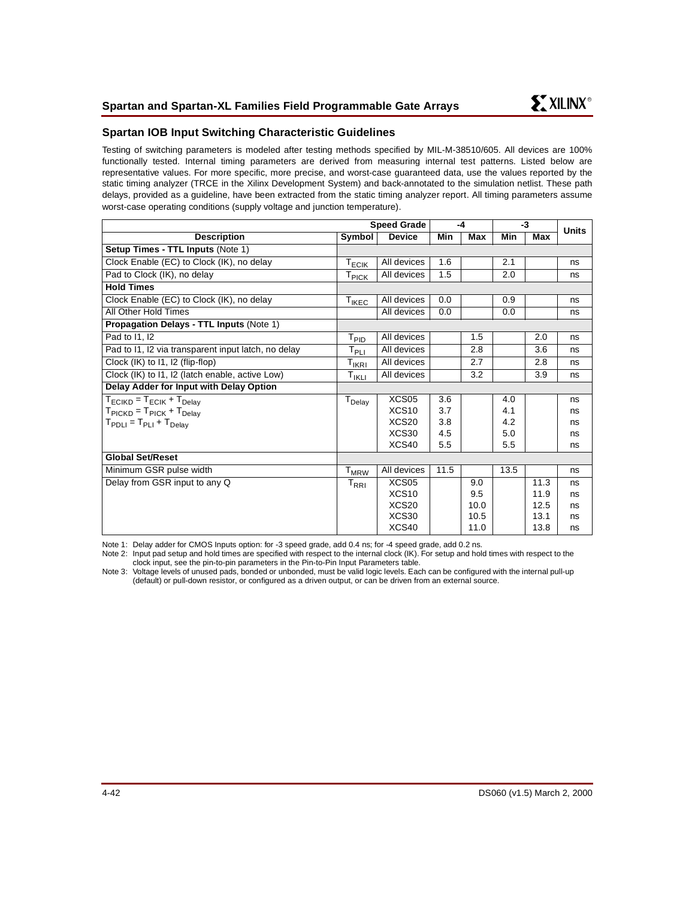## **Spartan IOB Input Switching Characteristic Guidelines**

Testing of switching parameters is modeled after testing methods specified by MIL-M-38510/605. All devices are 100% functionally tested. Internal timing parameters are derived from measuring internal test patterns. Listed below are representative values. For more specific, more precise, and worst-case guaranteed data, use the values reported by the static timing analyzer (TRCE in the Xilinx Development System) and back-annotated to the simulation netlist. These path delays, provided as a guideline, have been extracted from the static timing analyzer report. All timing parameters assume worst-case operating conditions (supply voltage and junction temperature).

|                                                         |                                               | <b>Speed Grade</b> | $-4$ |      | $-3$ |      | <b>Units</b> |
|---------------------------------------------------------|-----------------------------------------------|--------------------|------|------|------|------|--------------|
| <b>Description</b>                                      | Symbol                                        | <b>Device</b>      | Min  | Max  | Min  | Max  |              |
| Setup Times - TTL Inputs (Note 1)                       |                                               |                    |      |      |      |      |              |
| Clock Enable (EC) to Clock (IK), no delay               | $\mathsf{T}_{\mathsf{ECIK}}$                  | All devices        | 1.6  |      | 2.1  |      | ns           |
| Pad to Clock (IK), no delay                             | $\mathsf{T}_{\mathsf{PICK}}$                  | All devices        | 1.5  |      | 2.0  |      | ns           |
| <b>Hold Times</b>                                       |                                               |                    |      |      |      |      |              |
| Clock Enable (EC) to Clock (IK), no delay               | $T_{IKEC}$                                    | All devices        | 0.0  |      | 0.9  |      | ns           |
| All Other Hold Times                                    |                                               | All devices        | 0.0  |      | 0.0  |      | ns           |
| <b>Propagation Delays - TTL Inputs (Note 1)</b>         |                                               |                    |      |      |      |      |              |
| Pad to 11, 12                                           | T <sub>PID</sub>                              | All devices        |      | 1.5  |      | 2.0  | ns           |
| Pad to I1, I2 via transparent input latch, no delay     | $\mathsf{T}_{\mathsf{PLI}}$                   | All devices        |      | 2.8  |      | 3.6  | ns           |
| Clock (IK) to 11, 12 (flip-flop)                        | $T_{IKRI}$                                    | All devices        |      | 2.7  |      | 2.8  | ns           |
| Clock (IK) to I1, I2 (latch enable, active Low)         | T <sub>IKLI</sub>                             | All devices        |      | 3.2  |      | 3.9  | ns           |
| Delay Adder for Input with Delay Option                 |                                               |                    |      |      |      |      |              |
| $T_{\text{ECIKD}} = T_{\text{ECIK}} + T_{\text{Delay}}$ | $T_{Delay}$                                   | XCS05              | 3.6  |      | 4.0  |      | ns           |
| $T_{\text{PICKD}} = T_{\text{PICK}} + T_{\text{Delay}}$ |                                               | XCS <sub>10</sub>  | 3.7  |      | 4.1  |      | ns           |
| $T_{\text{PDLI}} = T_{\text{PLI}} + T_{\text{Delay}}$   |                                               | XCS <sub>20</sub>  | 3.8  |      | 4.2  |      | ns           |
|                                                         |                                               | XCS30              | 4.5  |      | 5.0  |      | ns           |
|                                                         |                                               | XCS40              | 5.5  |      | 5.5  |      | ns           |
| <b>Global Set/Reset</b>                                 |                                               |                    |      |      |      |      |              |
| Minimum GSR pulse width                                 | $T_{MRW}$                                     | All devices        | 11.5 |      | 13.5 |      | ns           |
| Delay from GSR input to any Q                           | $\mathsf{T}_{\mathsf{R}\mathsf{R}\mathsf{I}}$ | XCS <sub>05</sub>  |      | 9.0  |      | 11.3 | ns           |
|                                                         |                                               | XCS <sub>10</sub>  |      | 9.5  |      | 11.9 | ns           |
|                                                         |                                               | XCS <sub>20</sub>  |      | 10.0 |      | 12.5 | ns           |
|                                                         |                                               | XCS30              |      | 10.5 |      | 13.1 | ns           |
|                                                         |                                               | XCS40              |      | 11.0 |      | 13.8 | ns           |

<span id="page-41-0"></span>Note 1: Delay adder for CMOS Inputs option: for -3 speed grade, add 0.4 ns; for -4 speed grade, add 0.2 ns.

Note 2: Input pad setup and hold times are specified with respect to the internal clock (IK). For setup and hold times with respect to the clock inpu[t, see the pin-to-pin parameters in the Pin-to-Pin Input Parameters table.](#page-40-0)

Note 3: Voltage levels of unused pads, bonded or unbonded, must be valid logic levels. Each can be configured with the internal pull-up (default) or pull-down resistor, or configured as a driven output, or can be driven from an external source.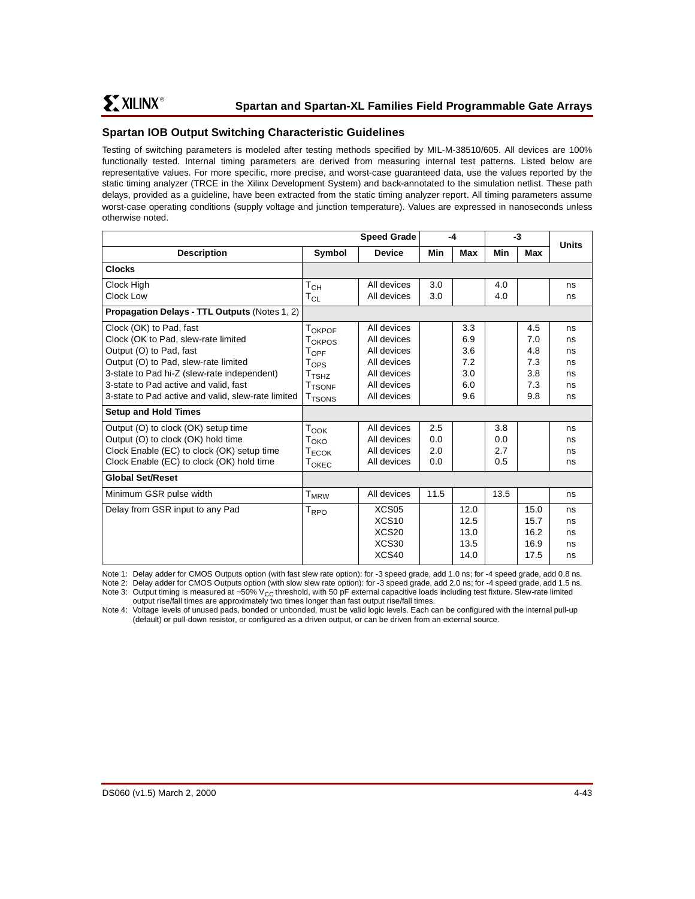# **Spartan IOB Output Switching Characteristic Guidelines**

Testing of switching parameters is modeled after testing methods specified by MIL-M-38510/605. All devices are 100% functionally tested. Internal timing parameters are derived from measuring internal test patterns. Listed below are representative values. For more specific, more precise, and worst-case guaranteed data, use the values reported by the static timing analyzer (TRCE in the Xilinx Development System) and back-annotated to the simulation netlist. These path delays, provided as a guideline, have been extracted from the static timing analyzer report. All timing parameters assume worst-case operating conditions (supply voltage and junction temperature). Values are expressed in nanoseconds unless otherwise noted.

|                                                      |                              | <b>Speed Grade</b> | -4   |      | $-3$ |      | <b>Units</b> |
|------------------------------------------------------|------------------------------|--------------------|------|------|------|------|--------------|
| <b>Description</b>                                   | Symbol                       | <b>Device</b>      | Min  | Max  | Min  | Max  |              |
| <b>Clocks</b>                                        |                              |                    |      |      |      |      |              |
| Clock High                                           | $\mathsf{T}_{\mathsf{CH}}$   | All devices        | 3.0  |      | 4.0  |      | ns           |
| Clock Low                                            | $\mathsf{T}_{\mathsf{CL}}$   | All devices        | 3.0  |      | 4.0  |      | ns           |
| <b>Propagation Delays - TTL Outputs (Notes 1, 2)</b> |                              |                    |      |      |      |      |              |
| Clock (OK) to Pad, fast                              | TOKPOF                       | All devices        |      | 3.3  |      | 4.5  | ns           |
| Clock (OK to Pad, slew-rate limited                  | T <sub>OKPOS</sub>           | All devices        |      | 6.9  |      | 7.0  | ns           |
| Output (O) to Pad, fast                              | $T_{\rm OPF}$                | All devices        |      | 3.6  |      | 4.8  | ns           |
| Output (O) to Pad, slew-rate limited                 | $\mathsf{T_{OPS}}$           | All devices        |      | 7.2  |      | 7.3  | ns           |
| 3-state to Pad hi-Z (slew-rate independent)          | $\mathsf{T}_{\mathsf{TSHZ}}$ | All devices        |      | 3.0  |      | 3.8  | ns           |
| 3-state to Pad active and valid, fast                | <b>T</b> TSONF               | All devices        |      | 6.0  |      | 7.3  | ns           |
| 3-state to Pad active and valid, slew-rate limited   | <b>T<sub>TSONS</sub></b>     | All devices        |      | 9.6  |      | 9.8  | ns           |
| <b>Setup and Hold Times</b>                          |                              |                    |      |      |      |      |              |
| Output (O) to clock (OK) setup time                  | $T_{\mathsf{OOK}}$           | All devices        | 2.5  |      | 3.8  |      | ns           |
| Output (O) to clock (OK) hold time                   | T <sub>OKO</sub>             | All devices        | 0.0  |      | 0.0  |      | ns           |
| Clock Enable (EC) to clock (OK) setup time           | T <sub>ECOK</sub>            | All devices        | 2.0  |      | 2.7  |      | ns           |
| Clock Enable (EC) to clock (OK) hold time            | $T_{OKEC}$                   | All devices        | 0.0  |      | 0.5  |      | ns           |
| <b>Global Set/Reset</b>                              |                              |                    |      |      |      |      |              |
| Minimum GSR pulse width                              | $T_{MRW}$                    | All devices        | 11.5 |      | 13.5 |      | ns           |
| Delay from GSR input to any Pad                      | $T_{\text{RPO}}$             | XCS <sub>05</sub>  |      | 12.0 |      | 15.0 | ns           |
|                                                      |                              | XCS <sub>10</sub>  |      | 12.5 |      | 15.7 | ns           |
|                                                      |                              | XCS <sub>20</sub>  |      | 13.0 |      | 16.2 | ns           |
|                                                      |                              | XCS30              |      | 13.5 |      | 16.9 | ns           |
|                                                      |                              | XCS40              |      | 14.0 |      | 17.5 | ns           |

Note 1: Delay adder for CMOS Outputs option (with fast slew rate option): for -3 speed grade, add 1.0 ns; for -4 speed grade, add 0.8 ns.

Note 2: Delay adder for CMOS Outputs option (with slow slew rate option): for -3 speed grade, add 2.0 ns; for -4 speed grade, add 1.5 ns. Note 3: Output timing is measured at ~50%  $V_{CC}$  threshold, with 50 pF external capacitive loads including test fixture. Slew-rate limited output rise/fall times are approximately two times longer than fast output rise/fall times.

Note 4: Voltage levels of unused pads, bonded or unbonded, must be valid logic levels. Each can be configured with the internal pull-up (default) or pull-down resistor, or configured as a driven output, or can be driven from an external source.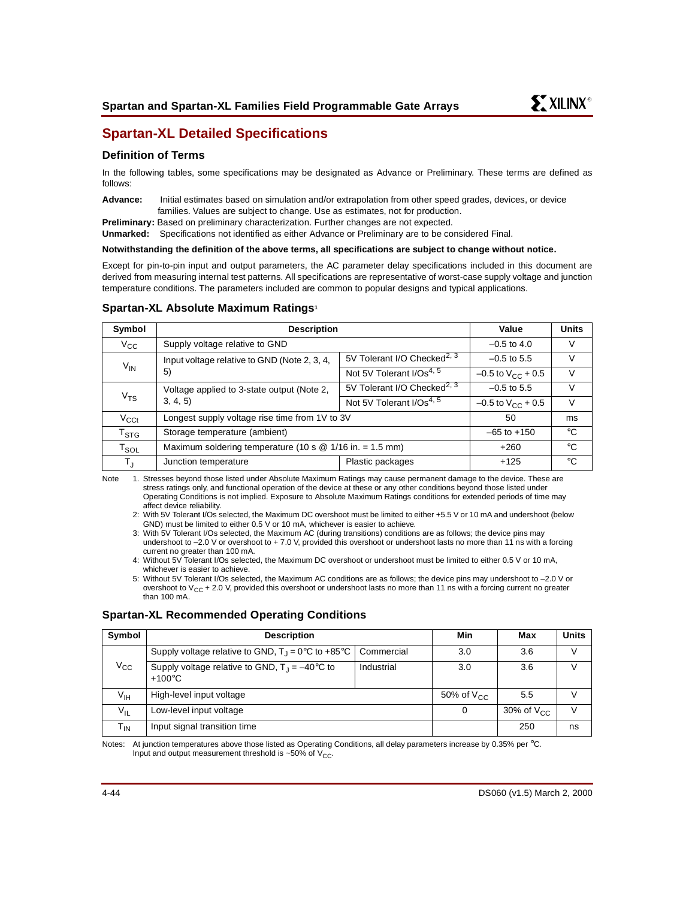

# **Spartan-XL Detailed Specifications**

## **Definition of Terms**

In the following tables, some specifications may be designated as Advance or Preliminary. These terms are defined as follows:

**Advance:** Initial estimates based on simulation and/or extrapolation from other speed grades, devices, or device families. Values are subject to change. Use as estimates, not for production.

**Preliminary:** Based on preliminary characterization. Further changes are not expected.

**Unmarked:** Specifications not identified as either Advance or Preliminary are to be considered Final.

**Notwithstanding the definition of the above terms, all specifications are subject to change without notice.**

Except for pin-to-pin input and output parameters, the AC parameter delay specifications included in this document are derived from measuring internal test patterns. All specifications are representative of worst-case supply voltage and junction temperature conditions. The parameters included are common to popular designs and typical applications.

## **Spartan-XL Absolute Maximum Ratings1**

| Symbol                    | <b>Description</b>                                         | Value                                   | <b>Units</b>             |              |
|---------------------------|------------------------------------------------------------|-----------------------------------------|--------------------------|--------------|
| $V_{CC}$                  | Supply voltage relative to GND                             |                                         | $-0.5$ to 4.0            | V            |
|                           | Input voltage relative to GND (Note 2, 3, 4,               | 5V Tolerant I/O Checked <sup>2, 3</sup> | $-0.5$ to 5.5            | v            |
| $V_{IN}$<br>5)            | Not 5V Tolerant I/Os <sup>4, 5</sup>                       | $-0.5$ to $V_{CC}$ + 0.5                | V                        |              |
|                           | Voltage applied to 3-state output (Note 2,                 | 5V Tolerant I/O Checked <sup>2, 3</sup> | $-0.5$ to 5.5            | V            |
| V <sub>TS</sub>           | 3, 4, 5                                                    | Not 5V Tolerant I/Os <sup>4, 5</sup>    | $-0.5$ to $V_{CC}$ + 0.5 | V            |
| $V_{\text{C}Ct}$          | Longest supply voltage rise time from 1V to 3V             |                                         | 50                       | ms           |
| $\mathsf{T}_{\text{STG}}$ | Storage temperature (ambient)                              |                                         | $-65$ to $+150$          | $^{\circ}$ C |
| $T_{SOL}$                 | Maximum soldering temperature (10 s $@$ 1/16 in. = 1.5 mm) |                                         | $+260$                   | $^{\circ}$ C |
| T,                        | Junction temperature                                       | Plastic packages                        | $+125$                   | $^{\circ}$ C |

Note 1. Stresses beyond those listed under Absolute Maximum Ratings may cause permanent damage to the device. These are stress ratings only, and functional operation of the device at these or any other conditions beyond those listed under Operating Conditions is not implied. Exposure to Absolute Maximum Ratings conditions for extended periods of time may affect device reliability.

2: With 5V Tolerant I/Os selected, the Maximum DC overshoot must be limited to either +5.5 V or 10 mA and undershoot (below GND) must be limited to either 0.5 V or 10 mA, whichever is easier to achieve.

3: With 5V Tolerant I/Os selected, the Maximum AC (during transitions) conditions are as follows; the device pins may undershoot to –2.0 V or overshoot to + 7.0 V, provided this overshoot or undershoot lasts no more than 11 ns with a forcing current no greater than 100 mA.

4: Without 5V Tolerant I/Os selected, the Maximum DC overshoot or undershoot must be limited to either 0.5 V or 10 mA, whichever is easier to achieve.

5: Without 5V Tolerant I/Os selected, the Maximum AC conditions are as follows; the device pins may undershoot to –2.0 V or overshoot to  $V_{CC}$  + 2.0 V, provided this overshoot or undershoot lasts no more than 11 ns with a forcing current no greater than 100 mA.

## **Spartan-XL Recommended Operating Conditions**

| Symbol          | <b>Description</b>                                                          |            | Min                   | Max             | <b>Units</b> |
|-----------------|-----------------------------------------------------------------------------|------------|-----------------------|-----------------|--------------|
|                 | Supply voltage relative to GND, $T_1 = 0^\circ \text{C}$ to +85°C           | Commercial | 3.0                   | 3.6             | V            |
| $V_{\rm CC}$    | Supply voltage relative to GND, $T_1 = -40^{\circ}C$ to<br>$+100^{\circ}$ C | Industrial | 3.0                   | 3.6             |              |
| $V_{\text{IH}}$ | High-level input voltage                                                    |            | 50% of $V_{\text{C}}$ | 5.5             | v            |
| $V_{IL}$        | Low-level input voltage                                                     |            | 0                     | 30% of $V_{CC}$ | $\vee$       |
| $T_{IN}$        | Input signal transition time                                                |            |                       | 250             | ns           |

Notes: At junction temperatures above those listed as Operating Conditions, all delay parameters increase by 0.35% per °C. Input and output measurement threshold is  $~50\%$  of  $V_{CC}$ .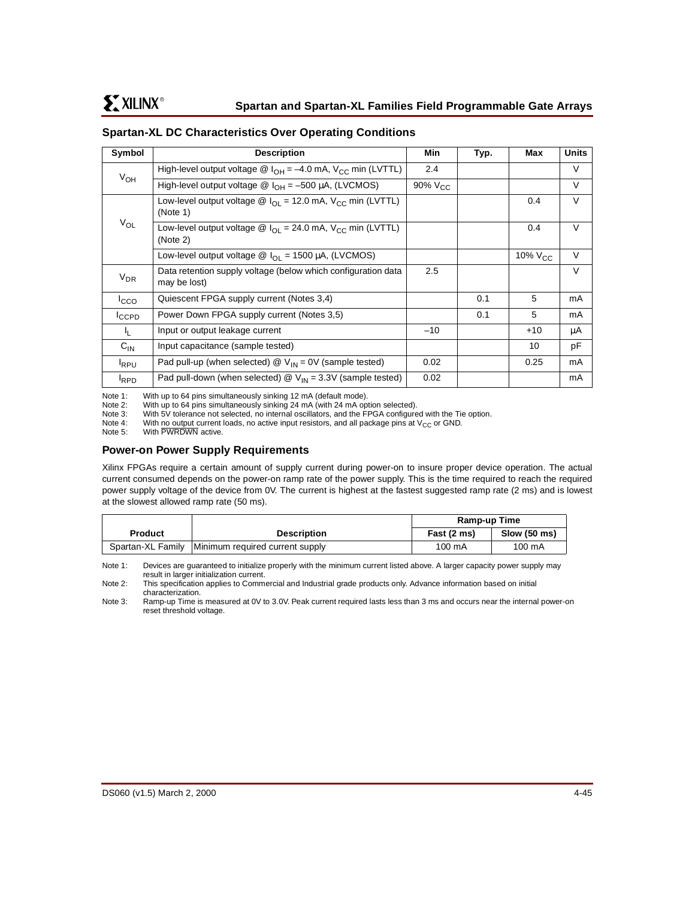| Symbol           | <b>Description</b>                                                                                      | Min                 | Typ. | Max          | <b>Units</b> |
|------------------|---------------------------------------------------------------------------------------------------------|---------------------|------|--------------|--------------|
| $V_{OH}$         | High-level output voltage $\circledR$ I <sub>OH</sub> = -4.0 mA, V <sub>CC</sub> min (LVTTL)            | 2.4                 |      |              | V            |
|                  | High-level output voltage $\circledR$ I <sub>OH</sub> = -500 µA, (LVCMOS)                               | 90% V <sub>CC</sub> |      |              | V            |
|                  | Low-level output voltage $\circledR$ I <sub>OI</sub> = 12.0 mA, V <sub>CC</sub> min (LVTTL)<br>(Note 1) |                     |      | 0.4          | V            |
| $V_{OL}$         | Low-level output voltage $\omega I_{\Omega} = 24.0$ mA, $V_{\text{CC}}$ min (LVTTL)<br>(Note 2)         |                     |      | 0.4          | $\vee$       |
|                  | Low-level output voltage $\textcircled{a}$ I <sub>OI</sub> = 1500 µA, (LVCMOS)                          |                     |      | 10% $V_{CC}$ | V            |
| $V_{DR}$         | Data retention supply voltage (below which configuration data<br>may be lost)                           | 2.5                 |      |              | V            |
| <sup>I</sup> cco | Quiescent FPGA supply current (Notes 3,4)                                                               |                     | 0.1  | 5            | mA           |
| ICCPD            | Power Down FPGA supply current (Notes 3,5)                                                              |                     | 0.1  | 5            | mA           |
| I <sub>L</sub> . | Input or output leakage current                                                                         | $-10$               |      | $+10$        | μA           |
| $C_{IN}$         | Input capacitance (sample tested)                                                                       |                     |      | 10           | рF           |
| <b>I</b> RPU     | Pad pull-up (when selected) $\mathcal{Q}$ V <sub>IN</sub> = 0V (sample tested)                          | 0.02                |      | 0.25         | mA           |
| <b>I</b> RPD     | Pad pull-down (when selected) $\mathcal{Q}$ V <sub>IN</sub> = 3.3V (sample tested)                      | 0.02                |      |              | mA           |

## **Spartan-XL DC Characteristics Over Operating Conditions**

Note 1: With up to 64 pins simultaneously sinking 12 mA (default mode).<br>Note 2: With up to 64 pins simultaneously sinking 24 mA (with 24 mA op

Note 2: With up to 64 pins simultaneously sinking 24 mA (with 24 mA option selected).<br>Note 3: With 5V tolerance not selected, no internal oscillators, and the FPGA configure

With 5V tolerance not selected, no internal oscillators, and the FPGA configured with the Tie option.

Note 4: With no output current loads, no active input resistors, and all package pins at  $V_{CC}$  or GND.<br>Note 5: With PWRDWN active.

With PWRDWN active.

## **Power-on Power Supply Requirements**

Xilinx FPGAs require a certain amount of supply current during power-on to insure proper device operation. The actual current consumed depends on the power-on ramp rate of the power supply. This is the time required to reach the required power supply voltage of the device from 0V. The current is highest at the fastest suggested ramp rate (2 ms) and is lowest at the slowest allowed ramp rate (50 ms).

|                   |                                 | Ramp-up Time |              |
|-------------------|---------------------------------|--------------|--------------|
| <b>Product</b>    | <b>Description</b>              | Fast (2 ms)  | Slow (50 ms) |
| Spartan-XL Family | Minimum required current supply | 100 mA       | 100 mA       |

Note 1: Devices are guaranteed to initialize properly with the minimum current listed above. A larger capacity power supply may result in larger initialization current.

Note 2: This specification applies to Commercial and Industrial grade products only. Advance information based on initial characterization.

Note 3: Ramp-up Time is measured at 0V to 3.0V. Peak current required lasts less than 3 ms and occurs near the internal power-on reset threshold voltage.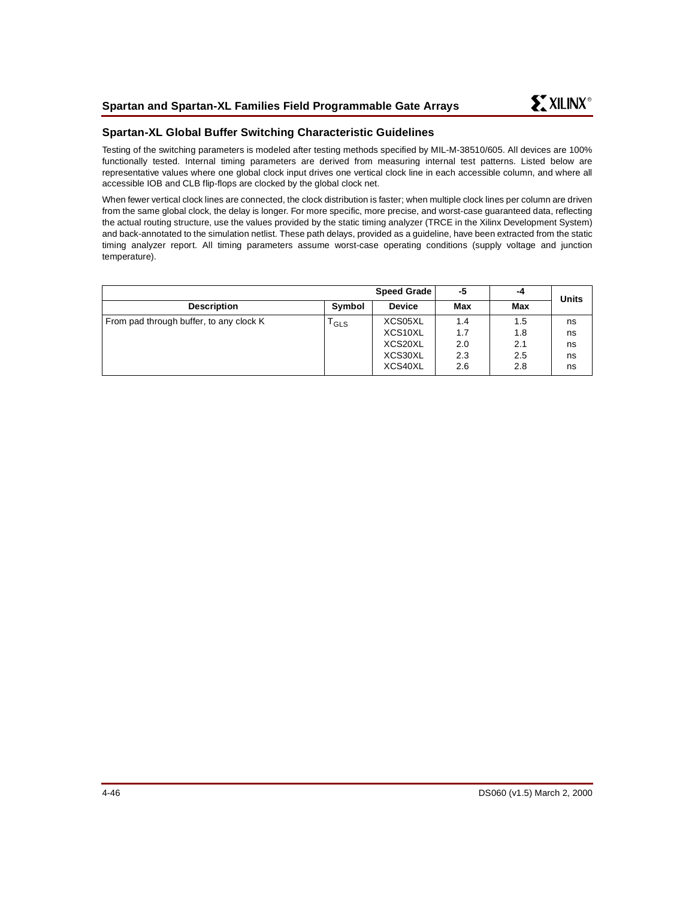## **Spartan-XL Global Buffer Switching Characteristic Guidelines**

Testing of the switching parameters is modeled after testing methods specified by MIL-M-38510/605. All devices are 100% functionally tested. Internal timing parameters are derived from measuring internal test patterns. Listed below are representative values where one global clock input drives one vertical clock line in each accessible column, and where all accessible IOB and CLB flip-flops are clocked by the global clock net.

When fewer vertical clock lines are connected, the clock distribution is faster; when multiple clock lines per column are driven from the same global clock, the delay is longer. For more specific, more precise, and worst-case guaranteed data, reflecting the actual routing structure, use the values provided by the static timing analyzer (TRCE in the Xilinx Development System) and back-annotated to the simulation netlist. These path delays, provided as a guideline, have been extracted from the static timing analyzer report. All timing parameters assume worst-case operating conditions (supply voltage and junction temperature).

|                                         |                  | <b>Speed Grade</b>                                  | -5                              | -4                              | <b>Units</b>               |
|-----------------------------------------|------------------|-----------------------------------------------------|---------------------------------|---------------------------------|----------------------------|
| <b>Description</b>                      | Symbol           | <b>Device</b>                                       | <b>Max</b>                      | Max                             |                            |
| From pad through buffer, to any clock K | <sup>I</sup> GLS | XCS05XL<br>XCS10XL<br>XCS20XL<br>XCS30XL<br>XCS40XL | 1.4<br>1.7<br>2.0<br>2.3<br>2.6 | 1.5<br>1.8<br>2.1<br>2.5<br>2.8 | ns<br>ns<br>ns<br>ns<br>ns |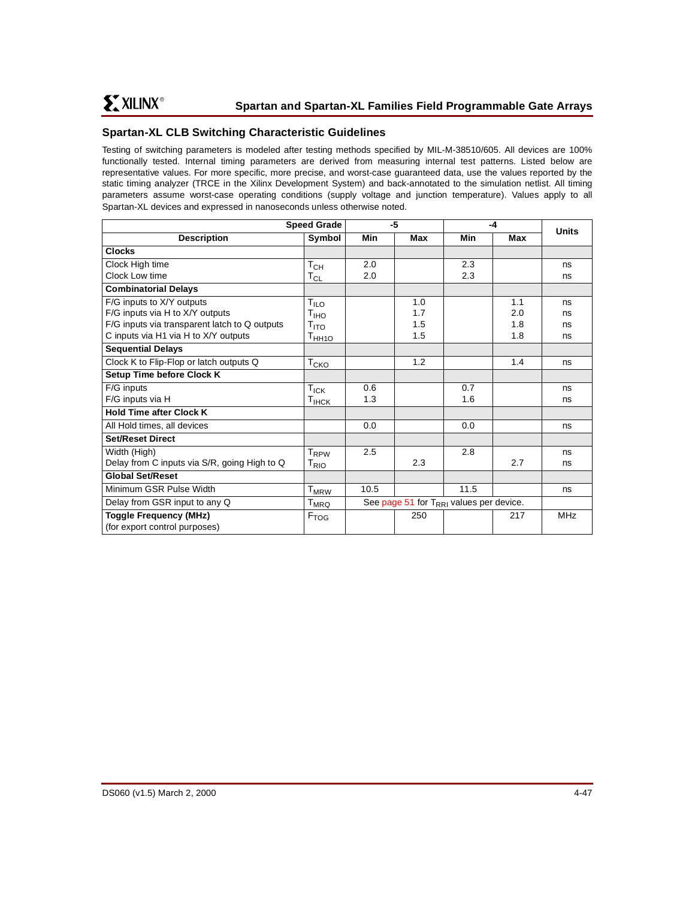# **Spartan-XL CLB Switching Characteristic Guidelines**

Testing of switching parameters is modeled after testing methods specified by MIL-M-38510/605. All devices are 100% functionally tested. Internal timing parameters are derived from measuring internal test patterns. Listed below are representative values. For more specific, more precise, and worst-case guaranteed data, use the values reported by the static timing analyzer (TRCE in the Xilinx Development System) and back-annotated to the simulation netlist. All timing parameters assume worst-case operating conditions (supply voltage and junction temperature). Values apply to all Spartan-XL devices and expressed in nanoseconds unless otherwise noted.

|                                               | <b>Speed Grade</b>          |      | -5                                               |      | $-4$ |              |
|-----------------------------------------------|-----------------------------|------|--------------------------------------------------|------|------|--------------|
| <b>Description</b>                            | Symbol                      | Min  | Max                                              | Min  | Max  | <b>Units</b> |
| <b>Clocks</b>                                 |                             |      |                                                  |      |      |              |
| Clock High time                               | Т $_{\rm CH}$               | 2.0  |                                                  | 2.3  |      | ns           |
| Clock Low time                                | $\mathsf{T}_{\mathsf{CL}}$  | 2.0  |                                                  | 2.3  |      | ns           |
| <b>Combinatorial Delays</b>                   |                             |      |                                                  |      |      |              |
| F/G inputs to X/Y outputs                     | $T_{ILO}$                   |      | 1.0                                              |      | 1.1  | ns           |
| F/G inputs via H to X/Y outputs               | T <sub>IHO</sub>            |      | 1.7                                              |      | 2.0  | ns           |
| F/G inputs via transparent latch to Q outputs | $T_{\text{ITO}}$            |      | 1.5                                              |      | 1.8  | ns           |
| C inputs via H1 via H to X/Y outputs          | T <sub>HH10</sub>           |      | 1.5                                              |      | 1.8  | ns           |
| <b>Sequential Delays</b>                      |                             |      |                                                  |      |      |              |
| Clock K to Flip-Flop or latch outputs Q       | $\mathsf{T}_{\mathsf{CKO}}$ |      | 1.2                                              |      | 1.4  | ns           |
| <b>Setup Time before Clock K</b>              |                             |      |                                                  |      |      |              |
| F/G inputs                                    | $T_{\sf ICK}$               | 0.6  |                                                  | 0.7  |      | ns           |
| F/G inputs via H                              | $T_{IHCK}$                  | 1.3  |                                                  | 1.6  |      | ns           |
| <b>Hold Time after Clock K</b>                |                             |      |                                                  |      |      |              |
| All Hold times, all devices                   |                             | 0.0  |                                                  | 0.0  |      | ns           |
| <b>Set/Reset Direct</b>                       |                             |      |                                                  |      |      |              |
| Width (High)                                  | <b>T</b> <sub>RPW</sub>     | 2.5  |                                                  | 2.8  |      | ns           |
| Delay from C inputs via S/R, going High to Q  | T <sub>RIO</sub>            |      | 2.3                                              |      | 2.7  | ns           |
| <b>Global Set/Reset</b>                       |                             |      |                                                  |      |      |              |
| Minimum GSR Pulse Width                       | $T_{M\underline{RW}}$       | 10.5 |                                                  | 11.5 |      | ns           |
| Delay from GSR input to any Q                 | $T_{MRQ}$                   |      | See page 51 for $T_{\rm RRI}$ values per device. |      |      |              |
| <b>Toggle Frequency (MHz)</b>                 | $F_{TOG}$                   |      | 250                                              |      | 217  | <b>MHz</b>   |
| (for export control purposes)                 |                             |      |                                                  |      |      |              |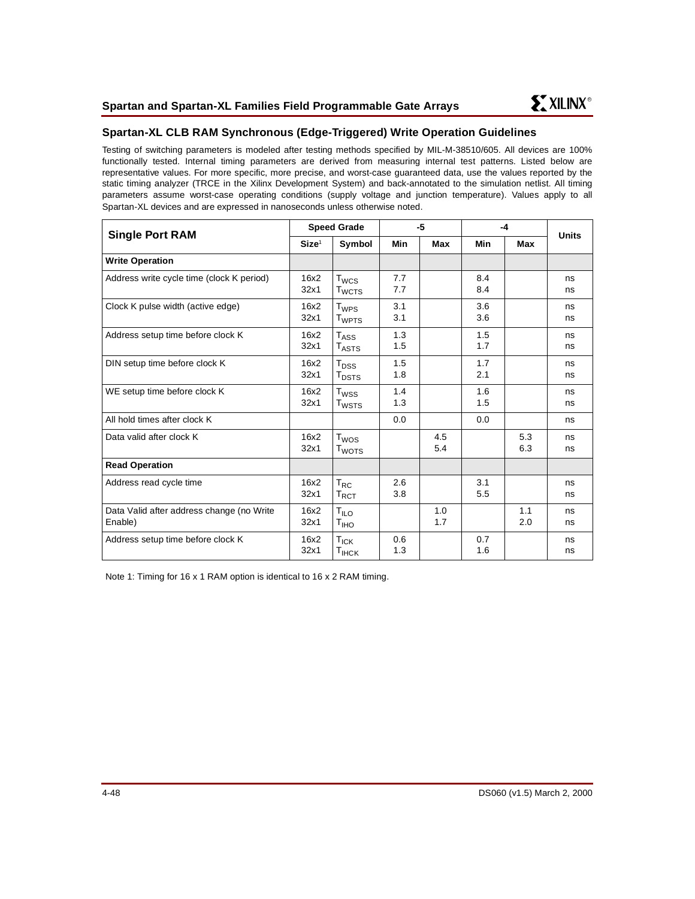

# **Spartan-XL CLB RAM Synchronous (Edge-Triggered) Write Operation Guidelines**

Testing of switching parameters is modeled after testing methods specified by MIL-M-38510/605. All devices are 100% functionally tested. Internal timing parameters are derived from measuring internal test patterns. Listed below are representative values. For more specific, more precise, and worst-case guaranteed data, use the values reported by the static timing analyzer (TRCE in the Xilinx Development System) and back-annotated to the simulation netlist. All timing parameters assume worst-case operating conditions (supply voltage and junction temperature). Values apply to all Spartan-XL devices and are expressed in nanoseconds unless otherwise noted.

| <b>Single Port RAM</b>                               |                   | <b>Speed Grade</b>                           | -5         |            | $-4$       |            | <b>Units</b> |
|------------------------------------------------------|-------------------|----------------------------------------------|------------|------------|------------|------------|--------------|
|                                                      | Size <sup>1</sup> | Symbol                                       | Min        | Max        | Min        | Max        |              |
| <b>Write Operation</b>                               |                   |                                              |            |            |            |            |              |
| Address write cycle time (clock K period)            | 16x2<br>32x1      | $T_{WCS}$<br><b>T</b> <sub>WCTS</sub>        | 7.7<br>7.7 |            | 8.4<br>8.4 |            | ns<br>ns     |
| Clock K pulse width (active edge)                    | 16x2<br>32x1      | $T_{WPS}$<br><b>T</b> <sub>WPTS</sub>        | 3.1<br>3.1 |            | 3.6<br>3.6 |            | ns<br>ns     |
| Address setup time before clock K                    | 16x2<br>32x1      | $T_{\rm ASS}$<br>$T_{\rm ASTS}$              | 1.3<br>1.5 |            | 1.5<br>1.7 |            | ns<br>ns     |
| DIN setup time before clock K                        | 16x2<br>32x1      | $T_{DSS}$<br>$\mathsf{T}_{\mathsf{DSTS}}$    | 1.5<br>1.8 |            | 1.7<br>2.1 |            | ns<br>ns     |
| WE setup time before clock K                         | 16x2<br>32x1      | T <sub>wss</sub><br><b>T</b> <sub>WSTS</sub> | 1.4<br>1.3 |            | 1.6<br>1.5 |            | ns<br>ns     |
| All hold times after clock K                         |                   |                                              | 0.0        |            | 0.0        |            | ns           |
| Data valid after clock K                             | 16x2<br>32x1      | $T_{WOS}$<br>T <sub>WOTS</sub>               |            | 4.5<br>5.4 |            | 5.3<br>6.3 | ns<br>ns     |
| <b>Read Operation</b>                                |                   |                                              |            |            |            |            |              |
| Address read cycle time                              | 16x2<br>32x1      | $T_{RC}$<br>$\mathsf{T}_{\mathsf{RCT}}$      | 2.6<br>3.8 |            | 3.1<br>5.5 |            | ns<br>ns     |
| Data Valid after address change (no Write<br>Enable) | 16x2<br>32x1      | $T_{ILO}$<br>T <sub>IHO</sub>                |            | 1.0<br>1.7 |            | 1.1<br>2.0 | ns<br>ns     |
| Address setup time before clock K                    | 16x2<br>32x1      | $T_{ICK}$<br>$T_{\text{IHCK}}$               | 0.6<br>1.3 |            | 0.7<br>1.6 |            | ns<br>ns     |

Note 1: Timing for 16 x 1 RAM option is identical to 16 x 2 RAM timing.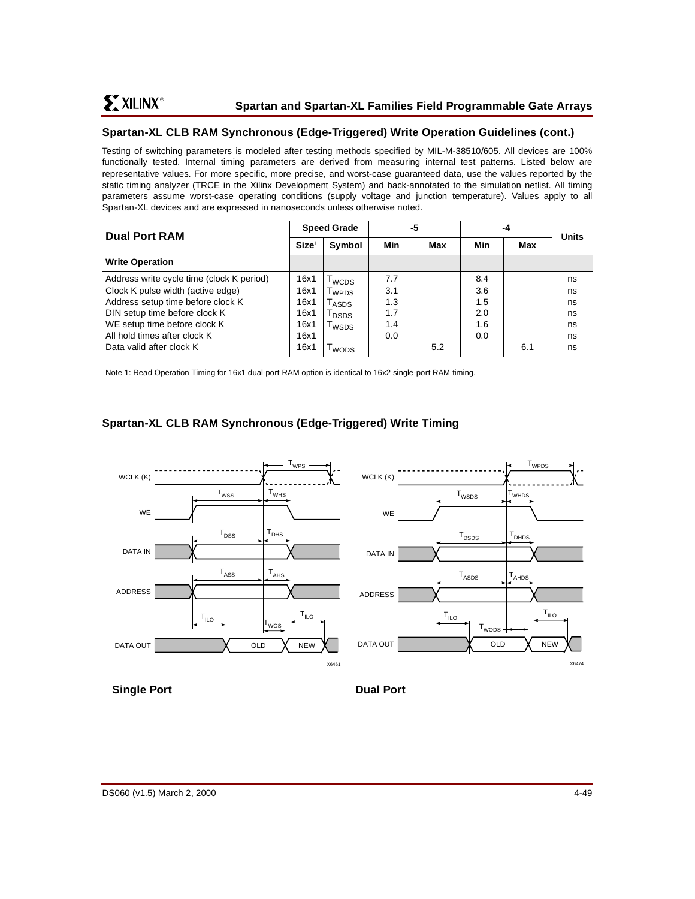# **Spartan-XL CLB RAM Synchronous (Edge-Triggered) Write Operation Guidelines (cont.)**

Testing of switching parameters is modeled after testing methods specified by MIL-M-38510/605. All devices are 100% functionally tested. Internal timing parameters are derived from measuring internal test patterns. Listed below are representative values. For more specific, more precise, and worst-case guaranteed data, use the values reported by the static timing analyzer (TRCE in the Xilinx Development System) and back-annotated to the simulation netlist. All timing parameters assume worst-case operating conditions (supply voltage and junction temperature). Values apply to all Spartan-XL devices and are expressed in nanoseconds unless otherwise noted.

| Dual Port RAM                             | <b>Speed Grade</b> |                                   | -5  |     | -4  |     | <b>Units</b> |
|-------------------------------------------|--------------------|-----------------------------------|-----|-----|-----|-----|--------------|
|                                           | Size <sup>1</sup>  | Symbol                            | Min | Max | Min | Max |              |
| <b>Write Operation</b>                    |                    |                                   |     |     |     |     |              |
| Address write cycle time (clock K period) | 16x1               | wcps                              | 7.7 |     | 8.4 |     | ns           |
| Clock K pulse width (active edge)         | 16x1               | l <sub>WPDS</sub>                 | 3.1 |     | 3.6 |     | ns           |
| Address setup time before clock K         | 16x1               | $\mathsf{\Gamma}_{\mathsf{ASDS}}$ | 1.3 |     | 1.5 |     | ns           |
| DIN setup time before clock K             | 16x1               | l <sub>DSDS</sub>                 | 1.7 |     | 2.0 |     | ns           |
| WE setup time before clock K              | 16x1               | l <sub>WSDS</sub>                 | 1.4 |     | 1.6 |     | ns           |
| All hold times after clock K              | 16x1               |                                   | 0.0 |     | 0.0 |     | ns           |
| l Data valid after clock K                | 16x1               | wops <sup>1</sup>                 |     | 5.2 |     | 6.1 | ns           |

Note 1: Read Operation Timing for 16x1 dual-port RAM option is identical to 16x2 single-port RAM timing.

# **Spartan-XL CLB RAM Synchronous (Edge-Triggered) Write Timing**



# **Single Port Dual Port Dual Port**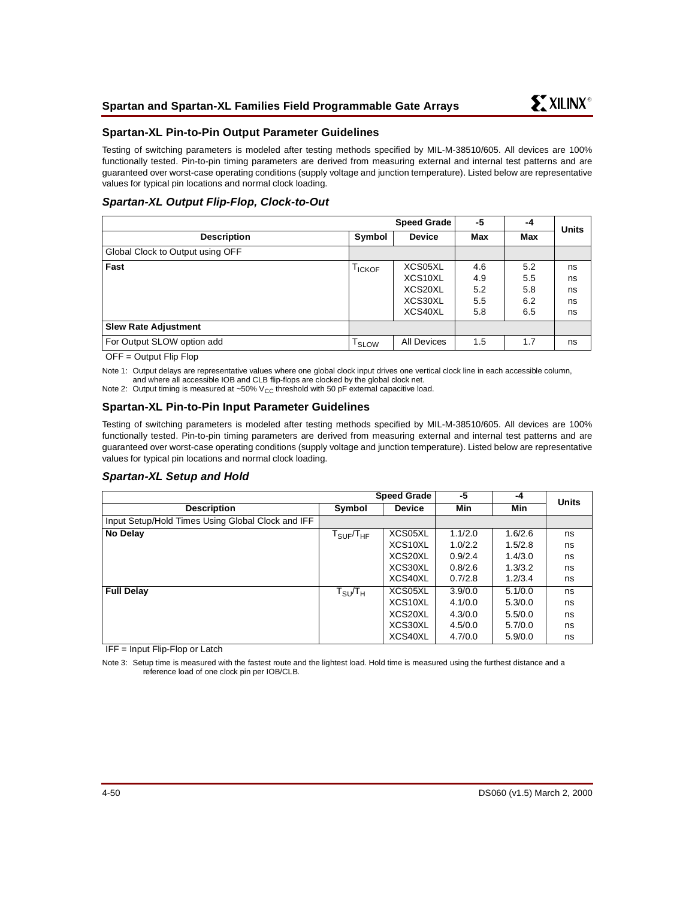

## <span id="page-49-0"></span>**Spartan-XL Pin-to-Pin Output Parameter Guidelines**

Testing of switching parameters is modeled after testing methods specified by MIL-M-38510/605. All devices are 100% functionally tested. Pin-to-pin timing parameters are derived from measuring external and internal test patterns and are guaranteed over worst-case operating conditions (supply voltage and junction temperature). Listed below are representative values for typical pin locations and normal clock loading.

## **Spartan-XL Output Flip-Flop, Clock-to-Out**

|                                  |                              | Speed Grade        | -5  | -4  | <b>Units</b> |
|----------------------------------|------------------------------|--------------------|-----|-----|--------------|
| <b>Description</b>               | Symbol                       | <b>Device</b>      | Max | Max |              |
| Global Clock to Output using OFF |                              |                    |     |     |              |
| Fast                             | <b>TICKOF</b>                | XCS05XL            | 4.6 | 5.2 | ns           |
|                                  |                              | XCS10XL            | 4.9 | 5.5 | ns           |
|                                  |                              | XCS20XL            | 5.2 | 5.8 | ns           |
|                                  |                              | XCS30XL            | 5.5 | 6.2 | ns           |
|                                  |                              | XCS40XL            | 5.8 | 6.5 | ns           |
| <b>Slew Rate Adjustment</b>      |                              |                    |     |     |              |
| For Output SLOW option add       | $\mathsf{T}_{\textsf{SLOW}}$ | <b>All Devices</b> | 1.5 | 1.7 | ns           |

OFF = Output Flip Flop

Note 1: Output delays are representative values where one global clock input drives one vertical clock line in each accessible column, and where all accessible IOB and CLB flip-flops are clocked by the global clock net.

Note 2: Output timing is measured at ~50%  $V_{CC}$  threshold with 50 pF external capacitive load.

## **Spartan-XL Pin-to-Pin Input Parameter Guidelines**

Testing of switching parameters is modeled after testing methods specified by MIL-M-38510/605. All devices are 100% functionally tested. Pin-to-pin timing parameters are derived from measuring external and internal test patterns and are guaranteed over worst-case operating conditions (supply voltage and junction temperature). Listed below are representative values for typical pin locations and normal clock loading.

## **Spartan-XL Setup and Hold**

|                                                   | <b>Speed Grade</b>                   |                      | $-5$    | -4      | <b>Units</b> |
|---------------------------------------------------|--------------------------------------|----------------------|---------|---------|--------------|
| <b>Description</b>                                | Symbol                               | <b>Device</b>        | Min     | Min     |              |
| Input Setup/Hold Times Using Global Clock and IFF |                                      |                      |         |         |              |
| No Delay                                          | ${\sf T}_{\sf SUF}/{\sf T}_{\sf HF}$ | XCS05XL              | 1.1/2.0 | 1.6/2.6 | ns           |
|                                                   |                                      | XCS <sub>10</sub> XL | 1.0/2.2 | 1.5/2.8 | ns           |
|                                                   |                                      | XCS20XL              | 0.9/2.4 | 1.4/3.0 | ns           |
|                                                   |                                      | XCS30XL              | 0.8/2.6 | 1.3/3.2 | ns           |
|                                                   |                                      | XCS40XL              | 0.7/2.8 | 1.2/3.4 | ns           |
| <b>Full Delay</b>                                 | ${\tt T}_{\tt SU}/{\tt T}_{\sf H}$   | XCS05XL              | 3.9/0.0 | 5.1/0.0 | ns           |
|                                                   |                                      | XCS10XL              | 4.1/0.0 | 5.3/0.0 | ns           |
|                                                   |                                      | XCS20XL              | 4.3/0.0 | 5.5/0.0 | ns           |
|                                                   |                                      | XCS30XL              | 4.5/0.0 | 5.7/0.0 | ns           |
|                                                   |                                      | XCS40XL              | 4.7/0.0 | 5.9/0.0 | ns           |

IFF = Input Flip-Flop or Latch

Note 3: Setup time is measured with the fastest route and the lightest load. Hold time is measured using the furthest distance and a reference load of one clock pin per IOB/CLB.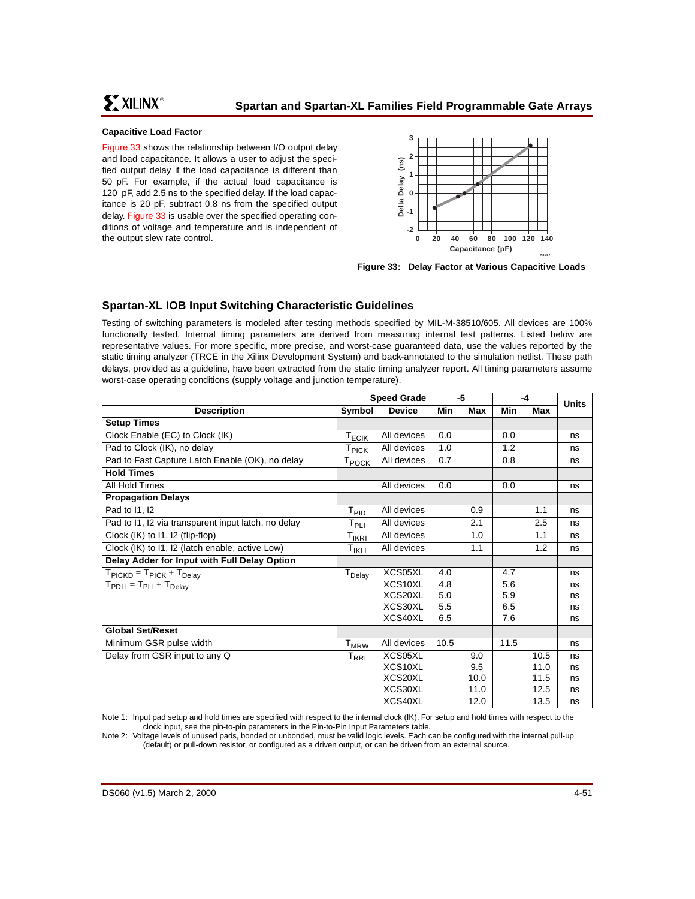### **Capacitive Load Factor**

[Figure 33](#page-50-1) shows the relationship between I/O output delay and load capacitance. It allows a user to adjust the specified output delay if the load capacitance is different than 50 pF. For example, if the actual load capacitance is 120 pF, add 2.5 ns to the specified delay. If the load capacitance is 20 pF, subtract 0.8 ns from the specified output delay. [Figure 33](#page-50-1) is usable over the specified operating conditions of voltage and temperature and is independent of the output slew rate control.



<span id="page-50-1"></span>**Figure 33: Delay Factor at Various Capacitive Loads**

# **Spartan-XL IOB Input Switching Characteristic Guidelines**

Testing of switching parameters is modeled after testing methods specified by MIL-M-38510/605. All devices are 100% functionally tested. Internal timing parameters are derived from measuring internal test patterns. Listed below are representative values. For more specific, more precise, and worst-case guaranteed data, use the values reported by the static timing analyzer (TRCE in the Xilinx Development System) and back-annotated to the simulation netlist. These path delays, provided as a guideline, have been extracted from the static timing analyzer report. All timing parameters assume worst-case operating conditions (supply voltage and junction temperature).

|                                                         |                                               | <b>Speed Grade</b> | -5   |      | -4   |      | <b>Units</b> |
|---------------------------------------------------------|-----------------------------------------------|--------------------|------|------|------|------|--------------|
| <b>Description</b>                                      | Symbol                                        | <b>Device</b>      | Min  | Max  | Min  | Max  |              |
| <b>Setup Times</b>                                      |                                               |                    |      |      |      |      |              |
| Clock Enable (EC) to Clock (IK)                         | T <sub>ECIK</sub>                             | All devices        | 0.0  |      | 0.0  |      | ns           |
| Pad to Clock (IK), no delay                             | T <sub>PICK</sub>                             | All devices        | 1.0  |      | 1.2  |      | ns           |
| Pad to Fast Capture Latch Enable (OK), no delay         | T <sub>POCK</sub>                             | All devices        | 0.7  |      | 0.8  |      | ns           |
| <b>Hold Times</b>                                       |                                               |                    |      |      |      |      |              |
| All Hold Times                                          |                                               | All devices        | 0.0  |      | 0.0  |      | ns           |
| <b>Propagation Delays</b>                               |                                               |                    |      |      |      |      |              |
| Pad to 11, 12                                           | T <sub>PID</sub>                              | All devices        |      | 0.9  |      | 1.1  | ns           |
| Pad to I1, I2 via transparent input latch, no delay     | $\mathsf{T}_{\mathsf{PLI}}$                   | All devices        |      | 2.1  |      | 2.5  | ns           |
| Clock (IK) to 11, 12 (flip-flop)                        | T <sub>IKRI</sub>                             | All devices        |      | 1.0  |      | 1.1  | ns           |
| Clock (IK) to I1, I2 (latch enable, active Low)         | $\mathsf{T}_{\mathsf{IKLI}}$                  | All devices        |      | 1.1  |      | 1.2  | ns           |
| Delay Adder for Input with Full Delay Option            |                                               |                    |      |      |      |      |              |
| $T_{\text{PICKD}} = T_{\text{PICK}} + T_{\text{Delay}}$ | T <sub>Delay</sub>                            | XCS05XL            | 4.0  |      | 4.7  |      | ns           |
| $T_{\text{PDLI}} = T_{\text{PLI}} + T_{\text{Delay}}$   |                                               | XCS10XL            | 4.8  |      | 5.6  |      | ns           |
|                                                         |                                               | XCS20XL            | 5.0  |      | 5.9  |      | ns           |
|                                                         |                                               | XCS30XL            | 5.5  |      | 6.5  |      | ns           |
|                                                         |                                               | XCS40XL            | 6.5  |      | 7.6  |      | ns           |
| <b>Global Set/Reset</b>                                 |                                               |                    |      |      |      |      |              |
| Minimum GSR pulse width                                 | T <sub>MRW</sub>                              | All devices        | 10.5 |      | 11.5 |      | ns           |
| Delay from GSR input to any Q                           | $\mathsf{T}_{\mathsf{R}\mathsf{R}\mathsf{I}}$ | XCS05XL            |      | 9.0  |      | 10.5 | ns           |
|                                                         |                                               | XCS10XL            |      | 9.5  |      | 11.0 | ns           |
|                                                         |                                               | XCS20XL            |      | 10.0 |      | 11.5 | ns           |
|                                                         |                                               | XCS30XL            |      | 11.0 |      | 12.5 | ns           |
|                                                         |                                               | XCS40XL            |      | 12.0 |      | 13.5 | ns           |

<span id="page-50-0"></span>Note 1: Input pad setup and hold times are specified with respect to the internal clock (IK). For setup and hold times with respect to the clock inpu[t, see the pin-to-pin parameters in the Pin-to-Pin Input Parameters table.](#page-49-0)

Note 2: Voltage levels of unused pads, bonded or unbonded, must be valid logic levels. Each can be configured with the internal pull-up (default) or pull-down resistor, or configured as a driven output, or can be driven from an external source.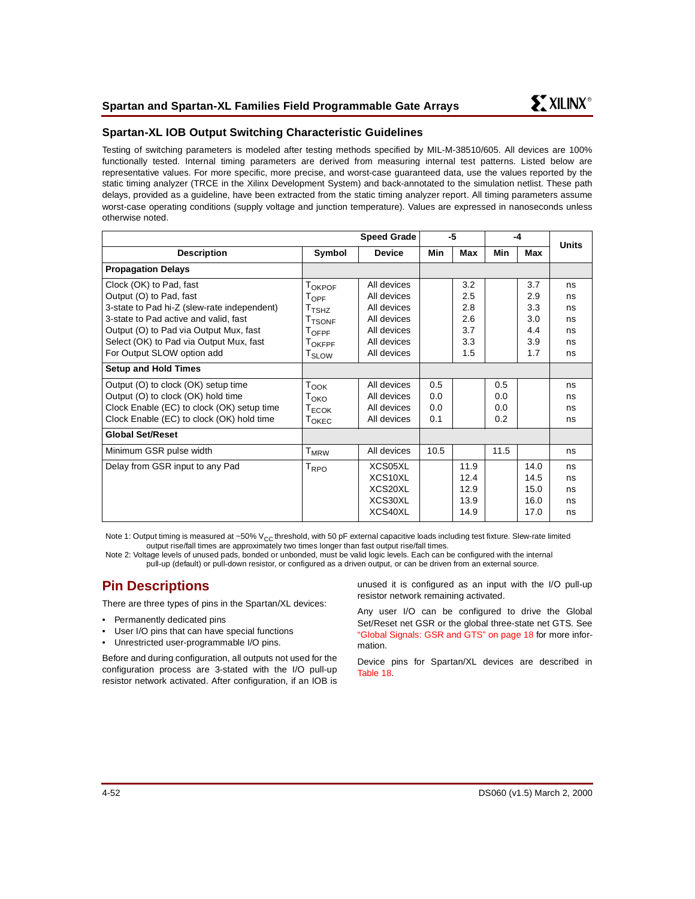

# **Spartan-XL IOB Output Switching Characteristic Guidelines**

Testing of switching parameters is modeled after testing methods specified by MIL-M-38510/605. All devices are 100% functionally tested. Internal timing parameters are derived from measuring internal test patterns. Listed below are representative values. For more specific, more precise, and worst-case guaranteed data, use the values reported by the static timing analyzer (TRCE in the Xilinx Development System) and back-annotated to the simulation netlist. These path delays, provided as a guideline, have been extracted from the static timing analyzer report. All timing parameters assume worst-case operating conditions (supply voltage and junction temperature). Values are expressed in nanoseconds unless otherwise noted.

|                                                                                                                                                                                                                                                               |                                                                                                                                                                              | <b>Speed Grade</b>                                                                                    | -5                       |                                               | -4                       |                                              | <b>Units</b>                           |
|---------------------------------------------------------------------------------------------------------------------------------------------------------------------------------------------------------------------------------------------------------------|------------------------------------------------------------------------------------------------------------------------------------------------------------------------------|-------------------------------------------------------------------------------------------------------|--------------------------|-----------------------------------------------|--------------------------|----------------------------------------------|----------------------------------------|
| <b>Description</b>                                                                                                                                                                                                                                            | Symbol                                                                                                                                                                       | <b>Device</b>                                                                                         | Min                      | Max                                           | Min                      | Max                                          |                                        |
| <b>Propagation Delays</b>                                                                                                                                                                                                                                     |                                                                                                                                                                              |                                                                                                       |                          |                                               |                          |                                              |                                        |
| Clock (OK) to Pad, fast<br>Output (O) to Pad, fast<br>3-state to Pad hi-Z (slew-rate independent)<br>3-state to Pad active and valid, fast<br>Output (O) to Pad via Output Mux, fast<br>Select (OK) to Pad via Output Mux, fast<br>For Output SLOW option add | T <sub>OKPOF</sub><br>$T_{\text{OFF}}$<br>$\mathsf{T}_{\mathsf{TSHZ}}$<br>T <sub>TSONF</sub><br>$\mathsf{T}_{\mathsf{OFF}}$<br><b>TOKFPF</b><br>$\mathsf{T}_{\mathsf{SLOW}}$ | All devices<br>All devices<br>All devices<br>All devices<br>All devices<br>All devices<br>All devices |                          | 3.2<br>2.5<br>2.8<br>2.6<br>3.7<br>3.3<br>1.5 |                          | 3.7<br>2.9<br>3.3<br>3.0<br>44<br>3.9<br>1.7 | ns<br>ns<br>ns<br>ns<br>ns<br>ns<br>ns |
| <b>Setup and Hold Times</b>                                                                                                                                                                                                                                   |                                                                                                                                                                              |                                                                                                       |                          |                                               |                          |                                              |                                        |
| Output (O) to clock (OK) setup time<br>Output (O) to clock (OK) hold time<br>Clock Enable (EC) to clock (OK) setup time<br>Clock Enable (EC) to clock (OK) hold time                                                                                          | $T_{\text{OOK}}$<br>Токо<br>$T_{ECOK}$<br>T <sub>OKEC</sub>                                                                                                                  | All devices<br>All devices<br>All devices<br>All devices                                              | 0.5<br>0.0<br>0.0<br>0.1 |                                               | 0.5<br>0.0<br>0.0<br>0.2 |                                              | ns<br>ns<br>ns<br>ns                   |
| <b>Global Set/Reset</b>                                                                                                                                                                                                                                       |                                                                                                                                                                              |                                                                                                       |                          |                                               |                          |                                              |                                        |
| Minimum GSR pulse width                                                                                                                                                                                                                                       | $T_{MRW}$                                                                                                                                                                    | All devices                                                                                           | 10.5                     |                                               | 11.5                     |                                              | ns                                     |
| Delay from GSR input to any Pad                                                                                                                                                                                                                               | $T_{\text{RPO}}$                                                                                                                                                             | XCS05XL<br>XCS <sub>10</sub> XL<br>XCS20XL<br>XCS30XL<br>XCS40XL                                      |                          | 11.9<br>12.4<br>12.9<br>13.9<br>14.9          |                          | 14.0<br>14.5<br>15.0<br>16.0<br>17.0         | ns<br>ns<br>ns<br>ns<br>ns             |

Note 1: Output timing is measured at ~50% V<sub>CC</sub> threshold, with 50 pF external capacitive loads including test fixture. Slew-rate limited output rise/fall times are approximately two times longer than fast output rise/fall times.

Note 2: Voltage levels of unused pads, bonded or unbonded, must be valid logic levels. Each can be configured with the internal pull-up (default) or pull-down resistor, or configured as a driven output, or can be driven from an external source.

# **Pin Descriptions**

There are three types of pins in the Spartan/XL devices:

- Permanently dedicated pins
- User I/O pins that can have special functions
- Unrestricted user-programmable I/O pins.

Before and during configuration, all outputs not used for the configuration process are 3-stated with the I/O pull-up resistor network activated. After configuration, if an IOB is unused it is configured as an input with the I/O pull-up resistor network remaining activated.

Any user I/O can be configured to drive the Global Set/Reset net GSR or the global three-state net GTS. See ["Global Signals: GSR and GTS" on page 18](#page-17-0) for more information.

Device pins for Spartan/XL devices are described in [Table 18.](#page-52-0)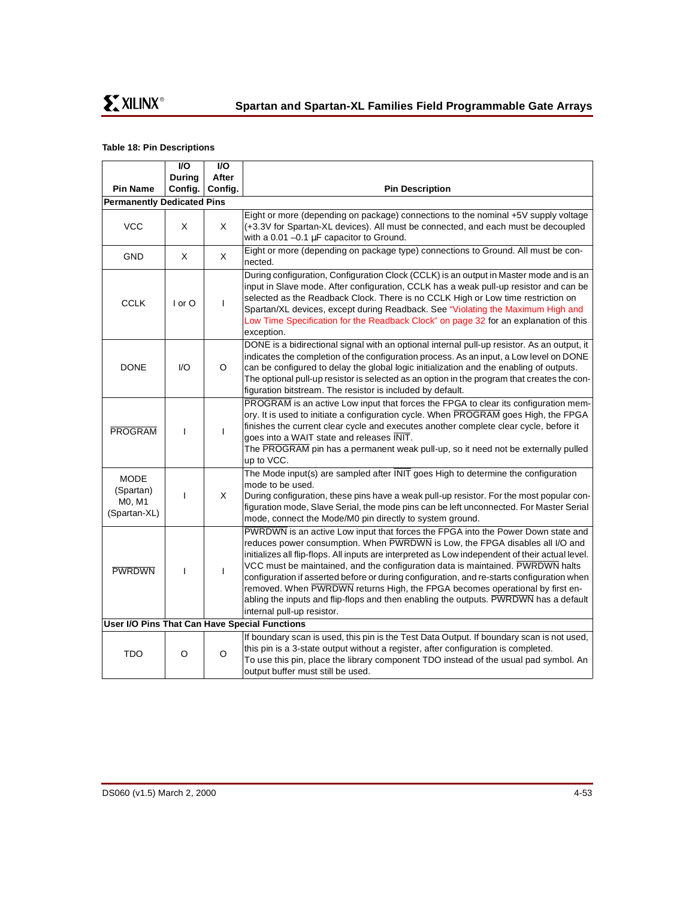## <span id="page-52-0"></span>**Table 18: Pin Descriptions**

|                                                    | I/O           | I/O          |                                                                                                                                                                                                                                                                                                                                                                                                                                                                                                                                                                                                                                                            |
|----------------------------------------------------|---------------|--------------|------------------------------------------------------------------------------------------------------------------------------------------------------------------------------------------------------------------------------------------------------------------------------------------------------------------------------------------------------------------------------------------------------------------------------------------------------------------------------------------------------------------------------------------------------------------------------------------------------------------------------------------------------------|
|                                                    | <b>During</b> | After        |                                                                                                                                                                                                                                                                                                                                                                                                                                                                                                                                                                                                                                                            |
| <b>Pin Name</b>                                    | Config.       | Config.      | <b>Pin Description</b>                                                                                                                                                                                                                                                                                                                                                                                                                                                                                                                                                                                                                                     |
| <b>Permanently Dedicated Pins</b>                  |               |              |                                                                                                                                                                                                                                                                                                                                                                                                                                                                                                                                                                                                                                                            |
| <b>VCC</b>                                         | X             | X            | Eight or more (depending on package) connections to the nominal +5V supply voltage<br>(+3.3V for Spartan-XL devices). All must be connected, and each must be decoupled<br>with a 0.01 $-0.1 \mu$ F capacitor to Ground.                                                                                                                                                                                                                                                                                                                                                                                                                                   |
| <b>GND</b>                                         | X             | X            | Eight or more (depending on package type) connections to Ground. All must be con-<br>nected.                                                                                                                                                                                                                                                                                                                                                                                                                                                                                                                                                               |
| <b>CCLK</b>                                        | $I$ or $O$    | $\mathbf{I}$ | During configuration, Configuration Clock (CCLK) is an output in Master mode and is an<br>input in Slave mode. After configuration, CCLK has a weak pull-up resistor and can be<br>selected as the Readback Clock. There is no CCLK High or Low time restriction on<br>Spartan/XL devices, except during Readback. See "Violating the Maximum High and<br>Low Time Specification for the Readback Clock" on page 32 for an explanation of this<br>exception.                                                                                                                                                                                               |
| <b>DONE</b>                                        | 1/O           | O            | DONE is a bidirectional signal with an optional internal pull-up resistor. As an output, it<br>indicates the completion of the configuration process. As an input, a Low level on DONE<br>can be configured to delay the global logic initialization and the enabling of outputs.<br>The optional pull-up resistor is selected as an option in the program that creates the con-<br>figuration bitstream. The resistor is included by default.                                                                                                                                                                                                             |
| <b>PROGRAM</b>                                     | $\mathbf{I}$  | $\mathbf{I}$ | PROGRAM is an active Low input that forces the FPGA to clear its configuration mem-<br>ory. It is used to initiate a configuration cycle. When PROGRAM goes High, the FPGA<br>finishes the current clear cycle and executes another complete clear cycle, before it<br>goes into a WAIT state and releases INIT.<br>The PROGRAM pin has a permanent weak pull-up, so it need not be externally pulled<br>up to VCC.                                                                                                                                                                                                                                        |
| <b>MODE</b><br>(Spartan)<br>M0, M1<br>(Spartan-XL) | T             | X            | The Mode input(s) are sampled after INIT goes High to determine the configuration<br>mode to be used.<br>During configuration, these pins have a weak pull-up resistor. For the most popular con-<br>figuration mode, Slave Serial, the mode pins can be left unconnected. For Master Serial<br>mode, connect the Mode/M0 pin directly to system ground.                                                                                                                                                                                                                                                                                                   |
| <b>PWRDWN</b>                                      | $\mathbf{I}$  | $\mathbf{I}$ | PWRDWN is an active Low input that forces the FPGA into the Power Down state and<br>reduces power consumption. When PWRDWN is Low, the FPGA disables all I/O and<br>initializes all flip-flops. All inputs are interpreted as Low independent of their actual level.<br>VCC must be maintained, and the configuration data is maintained. PWRDWN halts<br>configuration if asserted before or during configuration, and re-starts configuration when<br>removed. When PWRDWN returns High, the FPGA becomes operational by first en-<br>abling the inputs and flip-flops and then enabling the outputs. PWRDWN has a default<br>internal pull-up resistor. |
|                                                    |               |              | User I/O Pins That Can Have Special Functions                                                                                                                                                                                                                                                                                                                                                                                                                                                                                                                                                                                                              |
| <b>TDO</b>                                         | O             | O            | If boundary scan is used, this pin is the Test Data Output. If boundary scan is not used,<br>this pin is a 3-state output without a register, after configuration is completed.<br>To use this pin, place the library component TDO instead of the usual pad symbol. An<br>output buffer must still be used.                                                                                                                                                                                                                                                                                                                                               |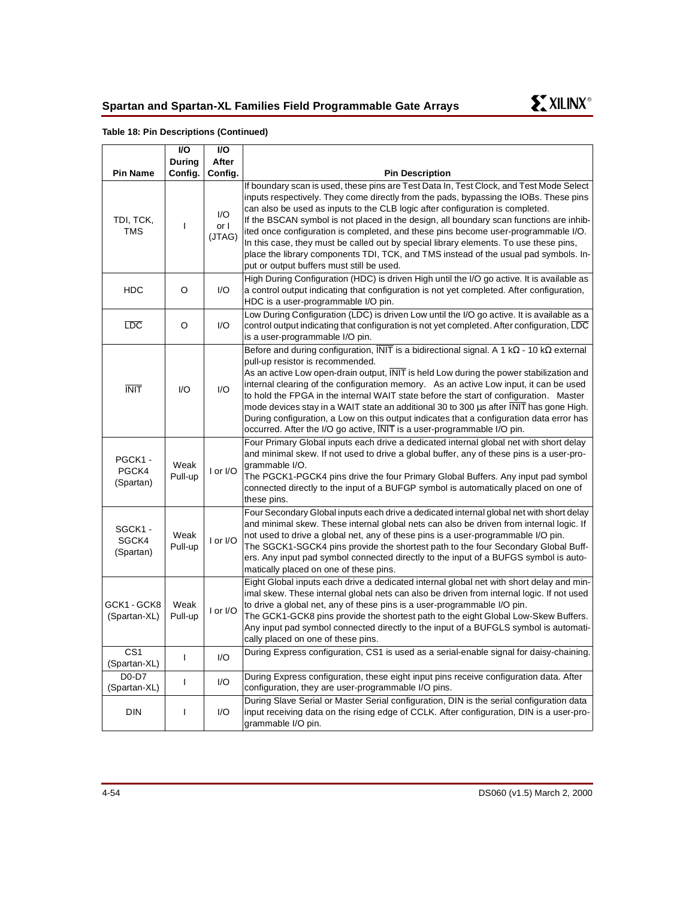

## **Table 18: Pin Descriptions (Continued)**

|                                 | <b>VO</b>         | I/O                   |                                                                                                                                                                                                                                                                                                                                                                                                                                                                                                                                                                                                                                                                                            |
|---------------------------------|-------------------|-----------------------|--------------------------------------------------------------------------------------------------------------------------------------------------------------------------------------------------------------------------------------------------------------------------------------------------------------------------------------------------------------------------------------------------------------------------------------------------------------------------------------------------------------------------------------------------------------------------------------------------------------------------------------------------------------------------------------------|
| <b>Pin Name</b>                 | During<br>Config. | After<br>Config.      | <b>Pin Description</b>                                                                                                                                                                                                                                                                                                                                                                                                                                                                                                                                                                                                                                                                     |
| TDI, TCK,<br><b>TMS</b>         | T                 | I/O<br>or I<br>(JTAG) | If boundary scan is used, these pins are Test Data In, Test Clock, and Test Mode Select<br>inputs respectively. They come directly from the pads, bypassing the IOBs. These pins<br>can also be used as inputs to the CLB logic after configuration is completed.<br>If the BSCAN symbol is not placed in the design, all boundary scan functions are inhib-<br>ited once configuration is completed, and these pins become user-programmable I/O.<br>In this case, they must be called out by special library elements. To use these pins,<br>place the library components TDI, TCK, and TMS instead of the usual pad symbols. In-<br>put or output buffers must still be used.           |
| <b>HDC</b>                      | O                 | I/O                   | High During Configuration (HDC) is driven High until the I/O go active. It is available as<br>a control output indicating that configuration is not yet completed. After configuration,<br>HDC is a user-programmable I/O pin.                                                                                                                                                                                                                                                                                                                                                                                                                                                             |
| $_{\text{LDC}}$                 | O                 | I/O                   | Low During Configuration (LDC) is driven Low until the I/O go active. It is available as a<br>control output indicating that configuration is not yet completed. After configuration, LDC<br>is a user-programmable I/O pin.                                                                                                                                                                                                                                                                                                                                                                                                                                                               |
| <b>INIT</b>                     | 1/O               | I/O                   | Before and during configuration, INIT is a bidirectional signal. A 1 k $\Omega$ - 10 k $\Omega$ external<br>pull-up resistor is recommended.<br>As an active Low open-drain output, INIT is held Low during the power stabilization and<br>internal clearing of the configuration memory. As an active Low input, it can be used<br>to hold the FPGA in the internal WAIT state before the start of configuration. Master<br>mode devices stay in a WAIT state an additional 30 to 300 us after INIT has gone High.<br>During configuration, a Low on this output indicates that a configuration data error has<br>occurred. After the I/O go active, INIT is a user-programmable I/O pin. |
| PGCK1-<br>PGCK4<br>(Spartan)    | Weak<br>Pull-up   | I or I/O              | Four Primary Global inputs each drive a dedicated internal global net with short delay<br>and minimal skew. If not used to drive a global buffer, any of these pins is a user-pro-<br>grammable I/O.<br>The PGCK1-PGCK4 pins drive the four Primary Global Buffers. Any input pad symbol<br>connected directly to the input of a BUFGP symbol is automatically placed on one of<br>these pins.                                                                                                                                                                                                                                                                                             |
| SGCK1 -<br>SGCK4<br>(Spartan)   | Weak<br>Pull-up   | I or I/O              | Four Secondary Global inputs each drive a dedicated internal global net with short delay<br>and minimal skew. These internal global nets can also be driven from internal logic. If<br>not used to drive a global net, any of these pins is a user-programmable I/O pin.<br>The SGCK1-SGCK4 pins provide the shortest path to the four Secondary Global Buff-<br>ers. Any input pad symbol connected directly to the input of a BUFGS symbol is auto-<br>matically placed on one of these pins.                                                                                                                                                                                            |
| GCK1-GCK8<br>(Spartan-XL)       | Weak<br>Pull-up   | I or I/O              | Eight Global inputs each drive a dedicated internal global net with short delay and min-<br>imal skew. These internal global nets can also be driven from internal logic. If not used<br>to drive a global net, any of these pins is a user-programmable I/O pin.<br>The GCK1-GCK8 pins provide the shortest path to the eight Global Low-Skew Buffers.<br>Any input pad symbol connected directly to the input of a BUFGLS symbol is automati-<br>cally placed on one of these pins.                                                                                                                                                                                                      |
| CS <sub>1</sub><br>(Spartan-XL) | $\mathbf{I}$      | I/O                   | During Express configuration, CS1 is used as a serial-enable signal for daisy-chaining.                                                                                                                                                                                                                                                                                                                                                                                                                                                                                                                                                                                                    |
| D0-D7<br>(Spartan-XL)           | $\mathbf{I}$      | I/O                   | During Express configuration, these eight input pins receive configuration data. After<br>configuration, they are user-programmable I/O pins.                                                                                                                                                                                                                                                                                                                                                                                                                                                                                                                                              |
| <b>DIN</b>                      | $\mathbf{I}$      | I/O                   | During Slave Serial or Master Serial configuration, DIN is the serial configuration data<br>input receiving data on the rising edge of CCLK. After configuration, DIN is a user-pro-<br>grammable I/O pin.                                                                                                                                                                                                                                                                                                                                                                                                                                                                                 |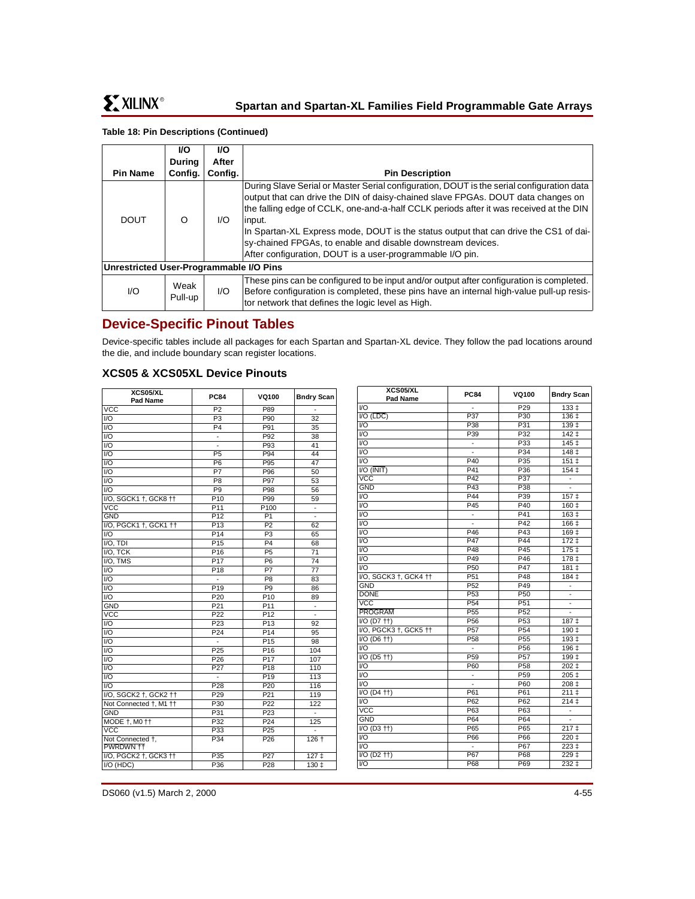## **Table 18: Pin Descriptions (Continued)**

|                                         | VO.             | <b>I/O</b> |                                                                                                                                                                                                                                                                                                                                                                                                                                                                                                       |
|-----------------------------------------|-----------------|------------|-------------------------------------------------------------------------------------------------------------------------------------------------------------------------------------------------------------------------------------------------------------------------------------------------------------------------------------------------------------------------------------------------------------------------------------------------------------------------------------------------------|
|                                         | <b>Durina</b>   | After      |                                                                                                                                                                                                                                                                                                                                                                                                                                                                                                       |
| <b>Pin Name</b>                         | Config.         | Config.    | <b>Pin Description</b>                                                                                                                                                                                                                                                                                                                                                                                                                                                                                |
| <b>DOUT</b>                             | Ω               | I/O        | During Slave Serial or Master Serial configuration, DOUT is the serial configuration data<br>output that can drive the DIN of daisy-chained slave FPGAs. DOUT data changes on<br>the falling edge of CCLK, one-and-a-half CCLK periods after it was received at the DIN<br>input.<br>In Spartan-XL Express mode, DOUT is the status output that can drive the CS1 of dai-<br>sy-chained FPGAs, to enable and disable downstream devices.<br>After configuration, DOUT is a user-programmable I/O pin. |
| Unrestricted User-Programmable I/O Pins |                 |            |                                                                                                                                                                                                                                                                                                                                                                                                                                                                                                       |
| 1/O                                     | Weak<br>Pull-up | I/O        | These pins can be configured to be input and/or output after configuration is completed.<br>Before configuration is completed, these pins have an internal high-value pull-up resis-<br>tor network that defines the logic level as High.                                                                                                                                                                                                                                                             |

# **Device-Specific Pinout Tables**

Device-specific tables include all packages for each Spartan and Spartan-XL device. They follow the pad locations around the die, and include boundary scan register locations.

# **XCS05 & XCS05XL Device Pinouts**

| XCS05/XL<br><b>Pad Name</b>   | <b>PC84</b>              | <b>VQ100</b>     | <b>Bndry Scan</b>        |                                   |
|-------------------------------|--------------------------|------------------|--------------------------|-----------------------------------|
| <b>VCC</b>                    | P <sub>2</sub>           | P89              |                          | V <sub>O</sub>                    |
| $\overline{1/O}$              | P3                       | P90              | 32                       | $VO$ ( $\overline{LI}$            |
| $\overline{1/O}$              | P <sub>4</sub>           | P91              | 35                       | $\overline{VQ}$                   |
| $\overline{VQ}$               | $\overline{\phantom{a}}$ | P92              | 38                       | $\overline{1/O}$                  |
| $\overline{1/O}$              |                          | P93              | 41                       | VO                                |
| $\overline{1/O}$              | <b>P5</b>                | P94              | 44                       | V <sub>O</sub>                    |
| $\overline{1/O}$              | P6                       | P95              | 47                       | VO                                |
| $\overline{1/O}$              | P7                       | P96              | 50                       | $\overline{1/O}$ ( $\overline{1}$ |
| $\overline{1/O}$              | P <sub>8</sub>           | P97              | 53                       | <b>VCC</b>                        |
| $\overline{1/O}$              | P <sub>9</sub>           | P98              | 56                       | <b>GND</b>                        |
| I/O, SGCK1 +, GCK8 ++         | P <sub>10</sub>          | P99              | 59                       | $\overline{VQ}$                   |
| <b>VCC</b>                    | P <sub>11</sub>          | P <sub>100</sub> | ۰                        | $\overline{VQ}$                   |
| <b>GND</b>                    | P <sub>12</sub>          | P <sub>1</sub>   |                          | $\overline{VQ}$                   |
| I/O, PGCK1 +, GCK1 ++         | P13                      | P <sub>2</sub>   | 62                       | VO                                |
| $\overline{1/O}$              | P14                      | P <sub>3</sub>   | 65                       | VO                                |
| $\overline{IO}$ , TDI         | P15                      | P4               | 68                       | $\overline{VQ}$                   |
| I/O, TCK                      | $\overline{P16}$         | P5               | 71                       | $\overline{VQ}$                   |
| I/O, TMS                      | P <sub>17</sub>          | P <sub>6</sub>   | 74                       | VO                                |
| I/O                           | P <sub>18</sub>          | P7               | 77                       | $\overline{VQ}$                   |
| $\overline{1/O}$              | $\overline{a}$           | $\overline{PB}$  | 83                       | $\overline{VO}$ , SI              |
| $\overline{1/O}$              | P19                      | P9               | 86                       | <b>GND</b>                        |
| $\overline{1/O}$              | P20                      | P <sub>10</sub>  | 89                       | <b>DONE</b>                       |
| <b>GND</b>                    | P21                      | P11              | $\overline{\phantom{a}}$ | $\overline{VCC}$                  |
| $\overline{VCC}$              | P <sub>22</sub>          | P <sub>12</sub>  | L.                       | PROG                              |
| $\overline{1/O}$              | P <sub>23</sub>          | P <sub>13</sub>  | 92                       | $\overline{VO}$ (D                |
| $\overline{1/O}$              | P24                      | P14              | 95                       | VO, P                             |
| $\overline{1/O}$              | -                        | P <sub>15</sub>  | 98                       | I/O (D                            |
| $\overline{1/O}$              | P <sub>25</sub>          | P <sub>16</sub>  | 104                      | VQ                                |
| $\overline{1/O}$              | P <sub>26</sub>          | P <sub>17</sub>  | 107                      | $VO$ ( $D$                        |
| $\overline{1/O}$              | P27                      | P <sub>18</sub>  | 110                      | $\overline{VQ}$                   |
| $\overline{1/O}$              | ÷                        | P <sub>19</sub>  | 113                      | V <sub>O</sub>                    |
| $\overline{1/O}$              | P28                      | P20              | 116                      | V <sub>O</sub>                    |
| I/O, SGCK2 +, GCK2 ++         | P29                      | P21              | 119                      | $VO$ (D                           |
| Not Connected †, M1 ††        | P30                      | P22              | $\overline{122}$         | $\overline{VQ}$                   |
| <b>GND</b>                    | P <sub>31</sub>          | P <sub>23</sub>  |                          | <b>VCC</b>                        |
| MODE +, M0 ++                 | P32                      | P <sub>24</sub>  | 125                      | <b>GND</b>                        |
| $\overline{VCC}$              | P33                      | P <sub>25</sub>  |                          | I/O (D                            |
| Not Connected +,<br>PWRDWN ++ | P34                      | P <sub>26</sub>  | $126 +$                  | VO<br>$\overline{VQ}$             |
| I/O, PGCK2 +, GCK3 ++         | $\overline{P35}$         | P <sub>27</sub>  | $127 +$                  | $\overline{VO}$ (D                |
| I/O (HDC)                     | P36                      | P <sub>28</sub>  | 130±                     | V <sub>O</sub>                    |
|                               |                          |                  |                          |                                   |

| XCS05/XL<br>Pad Name                          | <b>PC84</b>              | VQ100           | <b>Bndry Scan</b>               |
|-----------------------------------------------|--------------------------|-----------------|---------------------------------|
| VO                                            | Ξ                        | P29             | 133 ‡                           |
| $IO$ ( $\overline{LDC}$ )                     | P37                      | P30             | $136+$                          |
| $UO$                                          | P38                      | P31             | $139+$                          |
| V <sub>O</sub>                                | P39                      | P32             | $142 +$                         |
| V <sub>O</sub>                                | $\overline{\phantom{a}}$ | P33             | $145+$                          |
| V <sub>O</sub>                                |                          | P34             | 148 <sub>‡</sub>                |
| $UO$                                          | P40                      | P35             | $151 \pm$                       |
| $VO$ ( $\overline{NIT}$ )                     | P41                      | P36             | 154 <sub>1</sub>                |
| <b>VCC</b>                                    | P42                      | P37             | -                               |
| <b>GND</b>                                    | P43                      | P38             |                                 |
| V <sub>O</sub>                                | P44                      | P39             | 157 ‡                           |
| V <sub>O</sub>                                | P45                      | P40             | 160 <sub>1</sub>                |
| V <sub>O</sub>                                | ÷,                       | P41             | $163 +$                         |
| V <sub>O</sub>                                | $\overline{a}$           | P42             | 166 ±                           |
| V <sub>O</sub>                                | P46                      | P43             | 169 ‡                           |
| V <sub>O</sub>                                | P47                      | P44             | $172 +$                         |
| V <sub>O</sub>                                | P48                      | P45             | $175+$                          |
| VO                                            | P49                      | P46             | 178 ‡                           |
| VO                                            | P <sub>50</sub>          | P47             | $181 \pm$                       |
| I/O, SGCK3 †, GCK4 ††                         | P <sub>51</sub>          | P48             | $184 +$                         |
| <b>GND</b>                                    | P <sub>52</sub>          | P49             | $\overline{\phantom{a}}$        |
| <b>DONE</b>                                   | P <sub>53</sub>          | P <sub>50</sub> | $\overline{\phantom{a}}$        |
| <b>VCC</b>                                    | P <sub>54</sub>          | P <sub>51</sub> | -                               |
| PROGRAM                                       | P <sub>55</sub>          | P <sub>52</sub> |                                 |
| $IVO (D7 ††)$                                 | P <sub>56</sub>          | P <sub>53</sub> | 187 ‡                           |
| I/O, PGCK3 +, GCK5 ++                         | P <sub>57</sub>          | P <sub>54</sub> | 190 ‡                           |
| $\overline{1}$ /O (D6 ††)                     | P <sub>58</sub>          | P <sub>55</sub> | $193 +$                         |
| V <sub>O</sub>                                | $\overline{a}$           | P <sub>56</sub> | 196 ‡                           |
| $\overline{VO}$ (D5 $\overline{++}$ )         | P <sub>59</sub>          | P <sub>57</sub> | $199+$                          |
| V <sub>O</sub>                                | P60                      | P <sub>58</sub> | $202 +$                         |
| V <sub>O</sub>                                |                          | P <sub>59</sub> | $205+$                          |
| $UO$                                          | $\overline{\phantom{a}}$ | P60             | $208+$                          |
| $I/O$ (D <sub>4</sub> $\uparrow$ $\uparrow$ ) | P61                      | P61             | $211 \pm$                       |
| V <sub>O</sub>                                | P62                      | P62             | $\overline{2}14 \pm$            |
| $\overline{VCC}$                              | P63                      | P63             |                                 |
| <b>GND</b>                                    | P64                      | P64             | $\centering \label{eq:reduced}$ |
| $I/O$ (D <sub>3</sub> $\uparrow$ †)           | P65                      | P65             | 217 <sub>‡</sub>                |
| VQ                                            | P66                      | P66             | 220 ‡                           |
| V <sub>O</sub>                                | $\overline{\phantom{a}}$ | P67             | $223 +$                         |
| $VO (D2 †)$                                   | P67                      | P68             | 229 ‡                           |
| V <sub>O</sub>                                | P68                      | P69             | 232 ‡                           |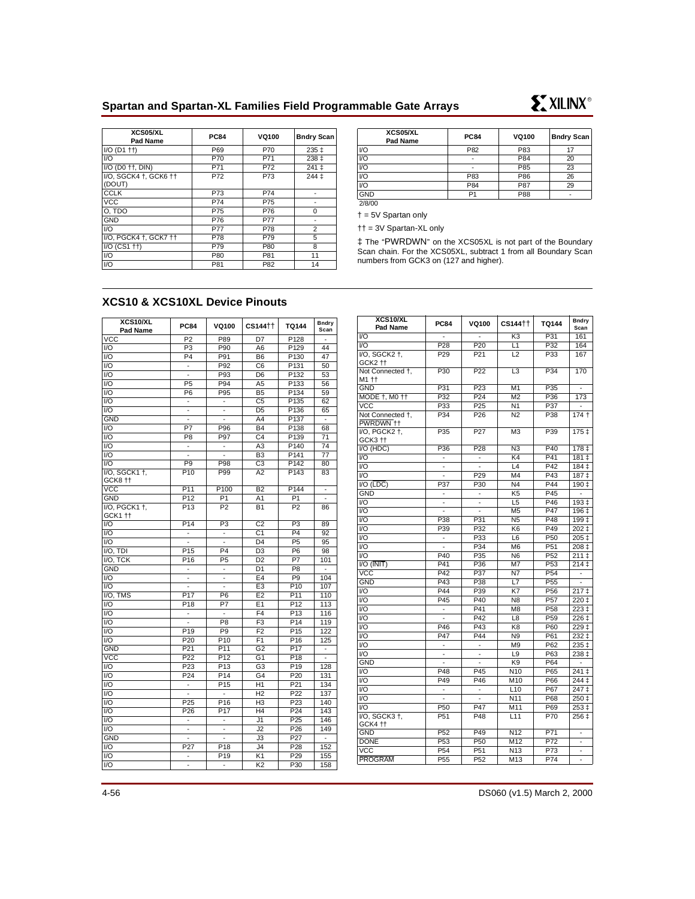# **Spartan and Spartan-XL Families Field Programmable Gate Arrays**



| <b>XCS05/XL</b><br>Pad Name | <b>PC84</b>    | <b>VQ100</b> | <b>Bndry Scan</b> |
|-----------------------------|----------------|--------------|-------------------|
| V <sub>O</sub>              | P82            | P83          | 17                |
| V <sub>O</sub>              | -              | P84          | 20                |
| V <sub>O</sub>              | -              | P85          | 23                |
| V <sub>O</sub>              | P83            | P86          | 26                |
| V <sub>O</sub>              | P84            | P87          | 29                |
| <b>GND</b>                  | P <sub>1</sub> | P88          | -                 |
| 2/8/00                      |                |              |                   |

**EXILINX®** 

† = 5V Spartan only

†† = 3V Spartan-XL only

‡ The "PWRDWN" on the XCS05XL is not part of the Boundary Scan chain. For the XCS05XL, subtract 1 from all Boundary Scan numbers from GCK3 on (127 and higher).

# **XCS10 & XCS10XL Device Pinouts**

| XCS10/XL<br>Pad Name | <b>PC84</b>                     | VQ100                    | CS144††         | <b>TQ144</b>      | <b>Bndry</b><br>Scan     |
|----------------------|---------------------------------|--------------------------|-----------------|-------------------|--------------------------|
| <b>VCC</b>           | P <sub>2</sub>                  | P89                      | D7              | P <sub>128</sub>  | $\overline{a}$           |
| 1/O                  | $\overline{P3}$                 | P90                      | A6              | P <sub>129</sub>  | 44                       |
| I/O                  | P <sub>4</sub>                  | P91                      | B <sub>6</sub>  | P130              | 47                       |
| 1/O                  | $\centering \label{eq:reduced}$ | P92                      | C <sub>6</sub>  | P <sub>131</sub>  | 50                       |
| I/O                  | L,                              | P93                      | D <sub>6</sub>  | P132              | 53                       |
| $\overline{1/O}$     | P <sub>5</sub>                  | P94                      | A <sub>5</sub>  | P <sub>133</sub>  | 56                       |
| I/O                  | P <sub>6</sub>                  | P <sub>95</sub>          | B <sub>5</sub>  | P134              | 59                       |
| 1/O                  | $\overline{\phantom{a}}$        | $\blacksquare$           | C <sub>5</sub>  | P <sub>135</sub>  | 62                       |
| $\overline{U}$       | $\frac{1}{2}$                   | $\overline{\phantom{0}}$ | D <sub>5</sub>  | $\overline{P1}36$ | 65                       |
| <b>GND</b>           |                                 |                          | A <sub>4</sub>  | P <sub>137</sub>  |                          |
| 1/O                  | $\overline{P7}$                 | P96                      | B <sub>4</sub>  | P138              | 68                       |
| I/O                  | P <sub>8</sub>                  | P97                      | C <sub>4</sub>  | P139              | 71                       |
| I/O                  | ä,                              | ÷,                       | A3              | P <sub>140</sub>  | 74                       |
| 1/O                  | $\overline{a}$                  |                          | B <sub>3</sub>  | P <sub>141</sub>  | 77                       |
| $\overline{1/O}$     | P <sub>9</sub>                  | P98                      | $\overline{c}3$ | P142              | 80                       |
| I/O, SGCK1 t,        | P <sub>10</sub>                 | P99                      | A <sub>2</sub>  | P143              | 83                       |
| GCK8 tt              |                                 |                          |                 |                   |                          |
| VCC                  | P <sub>11</sub>                 | $\overline{P100}$        | B2              | P <sub>144</sub>  | $\overline{\phantom{0}}$ |
| <b>GND</b>           | P <sub>12</sub>                 | P <sub>1</sub>           | A <sub>1</sub>  | P <sub>1</sub>    |                          |
| I/O, PGCK1 +,        | P <sub>13</sub>                 | P <sub>2</sub>           | <b>B1</b>       | P <sub>2</sub>    | 86                       |
| GCK1 11              |                                 |                          |                 |                   |                          |
| I/O                  | P <sub>14</sub>                 | P <sub>3</sub>           | C <sub>2</sub>  | P <sub>3</sub>    | 89                       |
| I/O                  | $\overline{a}$                  | ÷,                       | C <sub>1</sub>  | P <sub>4</sub>    | 92                       |
| I/O                  | $\overline{a}$                  | $\overline{a}$           | D <sub>4</sub>  | P <sub>5</sub>    | 95                       |
| $IO$ , TDI           | P <sub>15</sub>                 | P <sub>4</sub>           | D <sub>3</sub>  | P <sub>6</sub>    | 98                       |
| I/O, TCK             | P <sub>16</sub>                 | P <sub>5</sub>           | D <sub>2</sub>  | $\overline{P7}$   | 101                      |
| <b>GND</b>           | ä,                              | $\blacksquare$           | D <sub>1</sub>  | P <sub>8</sub>    | $\overline{a}$           |
| 1/O                  | ٠                               | $\frac{1}{2}$            | E <sub>4</sub>  | P <sub>9</sub>    | 104                      |
| $\overline{1/O}$     | $\overline{a}$                  | L.                       | E <sub>3</sub>  | P <sub>10</sub>   | 107                      |
| I/O, TMS             | P <sub>17</sub>                 | P <sub>6</sub>           | $\overline{E2}$ | P <sub>11</sub>   | 110                      |
| I/O                  | P <sub>18</sub>                 | P7                       | E <sub>1</sub>  | P <sub>12</sub>   | 113                      |
| I/O                  | $\overline{\phantom{0}}$        | $\overline{\phantom{0}}$ | F <sub>4</sub>  | P <sub>13</sub>   | 116                      |
| I/O                  |                                 | P <sub>8</sub>           | F <sub>3</sub>  | P <sub>14</sub>   | 119                      |
| I/O                  | P <sub>19</sub>                 | P <sub>9</sub>           | F <sub>2</sub>  | P <sub>15</sub>   | 122                      |
| 1/O                  | P <sub>20</sub>                 | P <sub>10</sub>          | F <sub>1</sub>  | P <sub>16</sub>   | 125                      |
| <b>GND</b>           | P21                             | P <sub>11</sub>          | G <sub>2</sub>  | P <sub>17</sub>   | L,                       |
| <b>VCC</b>           | P22                             | P <sub>12</sub>          | G <sub>1</sub>  | P <sub>18</sub>   | Ξ                        |
| 1/O                  | P <sub>23</sub>                 | P <sub>13</sub>          | G <sub>3</sub>  | P <sub>19</sub>   | 128                      |
| 1/O                  | P <sub>24</sub>                 | P14                      | $\overline{G4}$ | P <sub>20</sub>   | 131                      |
| $\overline{1/O}$     | Ţ                               | $\overline{P15}$         | H1              | P <sub>21</sub>   | 134                      |
| I/O                  | $\overline{a}$                  | $\overline{a}$           | H <sub>2</sub>  | P <sub>22</sub>   | 137                      |
| 1/O                  | P <sub>25</sub>                 | P <sub>16</sub>          | H <sub>3</sub>  | P <sub>23</sub>   | 140                      |
| I/O                  | P <sub>26</sub>                 | P <sub>17</sub>          | H4              | P <sub>24</sub>   | 143                      |
| $\overline{1/O}$     | $\frac{1}{2}$                   | $\blacksquare$           | J1              | P25               | 146                      |
| I/O                  | ÷,                              | ä,                       | J2              | P <sub>26</sub>   | 149                      |
| <b>GND</b>           | $\overline{a}$                  |                          | J3              | P <sub>27</sub>   | $\blacksquare$           |
| $\overline{U}$       | P27                             | $\overline{P18}$         | J4              | P <sub>28</sub>   | 152                      |
| I/O                  | -                               | P <sub>19</sub>          | K1              | P <sub>29</sub>   | 155                      |
| I/O                  | $\overline{\phantom{m}}$        | -                        | K <sub>2</sub>  | P30               | 158                      |

| K <sub>3</sub><br>P31<br>VO<br>161<br>$\overline{VQ}$<br>P28<br>P <sub>20</sub><br>P32<br>L1<br>164<br>VO, SGCK2 +,<br>P <sub>29</sub><br>P21<br>L2<br>P33<br>167<br>GCK2 tt<br>P30<br>P <sub>22</sub><br>P34<br>Not Connected +,<br>L <sub>3</sub><br>170<br>M1 ††<br>P31<br>$\overline{P23}$<br>M <sub>1</sub><br>P35<br><b>GND</b><br>P32<br>P <sub>24</sub><br>MODE †, MO ††<br>M <sub>2</sub><br>P36<br>173<br><b>VCC</b><br>P33<br>P <sub>25</sub><br>N <sub>1</sub><br>P37<br>÷<br>Not Connected +.<br>P34<br>P <sub>26</sub><br>N <sub>2</sub><br>P38<br>$174 +$<br>PWRDWN ++<br>VO, PGCK2 +,<br>P35<br>P27<br>M <sub>3</sub><br>P39<br>175 ‡<br>GCK3 tt<br>P36<br><b>VO (HDC)</b><br>P <sub>28</sub><br>N <sub>3</sub><br>P40<br>178 <sub>‡</sub><br>V <sub>O</sub><br>K <sub>4</sub><br>P41<br>$181 +$<br>$\centerdot$<br>V <sub>O</sub><br>L4<br>P42<br>184 ‡<br>$\overline{a}$<br>$\overline{a}$<br>VO<br>P29<br>P43<br>M <sub>4</sub><br>187 <sub>‡</sub><br>$\overline{a}$<br>$VO$ ( $\overline{LDC}$ )<br>P37<br>P30<br>P44<br>N <sub>4</sub><br>$190+$<br>GND<br>K <sub>5</sub><br>P <sub>45</sub><br>$\overline{a}$<br>$\centering \label{eq:reduced}$<br>I/O<br>L <sub>5</sub><br>P46<br>193 ‡<br>$\overline{a}$<br>$\overline{\phantom{a}}$<br>VO<br>M <sub>5</sub><br>P47<br>196 ‡<br>$\overline{a}$<br>$\overline{a}$<br>V <sub>O</sub><br>P38<br>P31<br>N <sub>5</sub><br>P48<br>199 ‡<br>VO<br>P39<br>P49<br>P32<br>K <sub>6</sub><br>202±<br>VO<br>P33<br>P <sub>50</sub><br>L <sub>6</sub><br>205 <sub>‡</sub><br>$\overline{\phantom{0}}$<br>VO<br>P34<br>M <sub>6</sub><br>P <sub>51</sub><br>208 ‡<br>÷,<br>V <sub>O</sub><br>P40<br>P35<br>N <sub>6</sub><br>P <sub>52</sub><br>$211 \;$ ‡<br>$\overline{VO}$ ( $\overline{INIT}$ )<br>P36<br>P <sub>53</sub><br>P41<br>M7<br>214 <sub>‡</sub><br>$\overline{VCC}$<br>P42<br>P37<br>$\overline{\text{N7}}$<br>P <sub>54</sub><br>٠<br>GND<br>$\overline{P38}$<br>$\overline{L7}$<br>P43<br>P <sub>55</sub><br>÷<br>VO<br>P44<br>P39<br>K7<br>P <sub>56</sub><br>217 <sub>‡</sub><br>V <sub>O</sub><br>$\overline{P45}$<br>P40<br>N <sub>8</sub><br>P <sub>57</sub><br>$220 +$<br>$\overline{VQ}$<br>P41<br>M <sub>8</sub><br>P <sub>58</sub><br>$\frac{1}{223}$ ‡<br>V <sub>O</sub><br>P42<br>L8<br>P <sub>59</sub><br>226 ‡<br>VO<br>P46<br>P43<br>K <sub>8</sub><br>P60<br>$\frac{1}{229}$ ‡<br>V <sub>O</sub><br>P47<br>P44<br>N9<br>P61<br>$232 +$<br>V <sub>O</sub><br>M <sub>9</sub><br>P62<br>235 ‡<br>÷<br>V <sub>O</sub><br>L <sub>9</sub><br>P63<br>238 ‡<br>÷<br>$\overline{\phantom{a}}$<br>K <sub>9</sub><br>P64<br><b>GND</b><br>V <sub>O</sub><br>N <sub>10</sub><br>P65<br>$\overline{2}$ 41 ‡<br>P48<br>P45<br>$\overline{U}$<br>M10<br>P66<br>P49<br>P46<br>244 <sub>1</sub><br>$\overline{V}$<br>L10<br>P67<br>247±<br>$\frac{1}{2}$<br>$\overline{\phantom{a}}$<br>VO<br>N11<br>P68<br>250 ‡<br>V <sub>O</sub><br>P47<br>M11<br>P69<br>$253+$<br>P <sub>50</sub><br>VO, SGCK3 +,<br>P <sub>51</sub><br>P48<br>L <sub>11</sub><br>P70<br>256 ‡<br>GCK4 tt<br>P <sub>52</sub><br><b>GND</b><br>P49<br>N12<br>P71<br>÷,<br><b>DONE</b><br>P <sub>53</sub><br>P <sub>50</sub><br>M12<br>P72<br>٠<br><b>VCC</b><br>P <sub>54</sub><br>P <sub>51</sub><br>N13<br>P73<br>$\overline{\phantom{a}}$<br><b>PROGRAM</b><br>P <sub>55</sub><br>P <sub>52</sub><br>M <sub>13</sub><br>P74<br>$\frac{1}{2}$ | XCS10/XL<br>Pad Name | <b>PC84</b> | VQ100 | CS144†† | TQ144 | <b>Bndry</b><br>Scan |
|------------------------------------------------------------------------------------------------------------------------------------------------------------------------------------------------------------------------------------------------------------------------------------------------------------------------------------------------------------------------------------------------------------------------------------------------------------------------------------------------------------------------------------------------------------------------------------------------------------------------------------------------------------------------------------------------------------------------------------------------------------------------------------------------------------------------------------------------------------------------------------------------------------------------------------------------------------------------------------------------------------------------------------------------------------------------------------------------------------------------------------------------------------------------------------------------------------------------------------------------------------------------------------------------------------------------------------------------------------------------------------------------------------------------------------------------------------------------------------------------------------------------------------------------------------------------------------------------------------------------------------------------------------------------------------------------------------------------------------------------------------------------------------------------------------------------------------------------------------------------------------------------------------------------------------------------------------------------------------------------------------------------------------------------------------------------------------------------------------------------------------------------------------------------------------------------------------------------------------------------------------------------------------------------------------------------------------------------------------------------------------------------------------------------------------------------------------------------------------------------------------------------------------------------------------------------------------------------------------------------------------------------------------------------------------------------------------------------------------------------------------------------------------------------------------------------------------------------------------------------------------------------------------------------------------------------------------------------------------------------------------------------------------------------------------------------------------------------------------------------------------------------------------------------------------------------------------------------------------------------------------------------------------------------------------------------------------------------------------------------------------------------|----------------------|-------------|-------|---------|-------|----------------------|
|                                                                                                                                                                                                                                                                                                                                                                                                                                                                                                                                                                                                                                                                                                                                                                                                                                                                                                                                                                                                                                                                                                                                                                                                                                                                                                                                                                                                                                                                                                                                                                                                                                                                                                                                                                                                                                                                                                                                                                                                                                                                                                                                                                                                                                                                                                                                                                                                                                                                                                                                                                                                                                                                                                                                                                                                                                                                                                                                                                                                                                                                                                                                                                                                                                                                                                                                                                                                |                      |             |       |         |       |                      |
|                                                                                                                                                                                                                                                                                                                                                                                                                                                                                                                                                                                                                                                                                                                                                                                                                                                                                                                                                                                                                                                                                                                                                                                                                                                                                                                                                                                                                                                                                                                                                                                                                                                                                                                                                                                                                                                                                                                                                                                                                                                                                                                                                                                                                                                                                                                                                                                                                                                                                                                                                                                                                                                                                                                                                                                                                                                                                                                                                                                                                                                                                                                                                                                                                                                                                                                                                                                                |                      |             |       |         |       |                      |
|                                                                                                                                                                                                                                                                                                                                                                                                                                                                                                                                                                                                                                                                                                                                                                                                                                                                                                                                                                                                                                                                                                                                                                                                                                                                                                                                                                                                                                                                                                                                                                                                                                                                                                                                                                                                                                                                                                                                                                                                                                                                                                                                                                                                                                                                                                                                                                                                                                                                                                                                                                                                                                                                                                                                                                                                                                                                                                                                                                                                                                                                                                                                                                                                                                                                                                                                                                                                |                      |             |       |         |       |                      |
|                                                                                                                                                                                                                                                                                                                                                                                                                                                                                                                                                                                                                                                                                                                                                                                                                                                                                                                                                                                                                                                                                                                                                                                                                                                                                                                                                                                                                                                                                                                                                                                                                                                                                                                                                                                                                                                                                                                                                                                                                                                                                                                                                                                                                                                                                                                                                                                                                                                                                                                                                                                                                                                                                                                                                                                                                                                                                                                                                                                                                                                                                                                                                                                                                                                                                                                                                                                                |                      |             |       |         |       |                      |
|                                                                                                                                                                                                                                                                                                                                                                                                                                                                                                                                                                                                                                                                                                                                                                                                                                                                                                                                                                                                                                                                                                                                                                                                                                                                                                                                                                                                                                                                                                                                                                                                                                                                                                                                                                                                                                                                                                                                                                                                                                                                                                                                                                                                                                                                                                                                                                                                                                                                                                                                                                                                                                                                                                                                                                                                                                                                                                                                                                                                                                                                                                                                                                                                                                                                                                                                                                                                |                      |             |       |         |       |                      |
|                                                                                                                                                                                                                                                                                                                                                                                                                                                                                                                                                                                                                                                                                                                                                                                                                                                                                                                                                                                                                                                                                                                                                                                                                                                                                                                                                                                                                                                                                                                                                                                                                                                                                                                                                                                                                                                                                                                                                                                                                                                                                                                                                                                                                                                                                                                                                                                                                                                                                                                                                                                                                                                                                                                                                                                                                                                                                                                                                                                                                                                                                                                                                                                                                                                                                                                                                                                                |                      |             |       |         |       |                      |
|                                                                                                                                                                                                                                                                                                                                                                                                                                                                                                                                                                                                                                                                                                                                                                                                                                                                                                                                                                                                                                                                                                                                                                                                                                                                                                                                                                                                                                                                                                                                                                                                                                                                                                                                                                                                                                                                                                                                                                                                                                                                                                                                                                                                                                                                                                                                                                                                                                                                                                                                                                                                                                                                                                                                                                                                                                                                                                                                                                                                                                                                                                                                                                                                                                                                                                                                                                                                |                      |             |       |         |       |                      |
|                                                                                                                                                                                                                                                                                                                                                                                                                                                                                                                                                                                                                                                                                                                                                                                                                                                                                                                                                                                                                                                                                                                                                                                                                                                                                                                                                                                                                                                                                                                                                                                                                                                                                                                                                                                                                                                                                                                                                                                                                                                                                                                                                                                                                                                                                                                                                                                                                                                                                                                                                                                                                                                                                                                                                                                                                                                                                                                                                                                                                                                                                                                                                                                                                                                                                                                                                                                                |                      |             |       |         |       |                      |
|                                                                                                                                                                                                                                                                                                                                                                                                                                                                                                                                                                                                                                                                                                                                                                                                                                                                                                                                                                                                                                                                                                                                                                                                                                                                                                                                                                                                                                                                                                                                                                                                                                                                                                                                                                                                                                                                                                                                                                                                                                                                                                                                                                                                                                                                                                                                                                                                                                                                                                                                                                                                                                                                                                                                                                                                                                                                                                                                                                                                                                                                                                                                                                                                                                                                                                                                                                                                |                      |             |       |         |       |                      |
|                                                                                                                                                                                                                                                                                                                                                                                                                                                                                                                                                                                                                                                                                                                                                                                                                                                                                                                                                                                                                                                                                                                                                                                                                                                                                                                                                                                                                                                                                                                                                                                                                                                                                                                                                                                                                                                                                                                                                                                                                                                                                                                                                                                                                                                                                                                                                                                                                                                                                                                                                                                                                                                                                                                                                                                                                                                                                                                                                                                                                                                                                                                                                                                                                                                                                                                                                                                                |                      |             |       |         |       |                      |
|                                                                                                                                                                                                                                                                                                                                                                                                                                                                                                                                                                                                                                                                                                                                                                                                                                                                                                                                                                                                                                                                                                                                                                                                                                                                                                                                                                                                                                                                                                                                                                                                                                                                                                                                                                                                                                                                                                                                                                                                                                                                                                                                                                                                                                                                                                                                                                                                                                                                                                                                                                                                                                                                                                                                                                                                                                                                                                                                                                                                                                                                                                                                                                                                                                                                                                                                                                                                |                      |             |       |         |       |                      |
|                                                                                                                                                                                                                                                                                                                                                                                                                                                                                                                                                                                                                                                                                                                                                                                                                                                                                                                                                                                                                                                                                                                                                                                                                                                                                                                                                                                                                                                                                                                                                                                                                                                                                                                                                                                                                                                                                                                                                                                                                                                                                                                                                                                                                                                                                                                                                                                                                                                                                                                                                                                                                                                                                                                                                                                                                                                                                                                                                                                                                                                                                                                                                                                                                                                                                                                                                                                                |                      |             |       |         |       |                      |
|                                                                                                                                                                                                                                                                                                                                                                                                                                                                                                                                                                                                                                                                                                                                                                                                                                                                                                                                                                                                                                                                                                                                                                                                                                                                                                                                                                                                                                                                                                                                                                                                                                                                                                                                                                                                                                                                                                                                                                                                                                                                                                                                                                                                                                                                                                                                                                                                                                                                                                                                                                                                                                                                                                                                                                                                                                                                                                                                                                                                                                                                                                                                                                                                                                                                                                                                                                                                |                      |             |       |         |       |                      |
|                                                                                                                                                                                                                                                                                                                                                                                                                                                                                                                                                                                                                                                                                                                                                                                                                                                                                                                                                                                                                                                                                                                                                                                                                                                                                                                                                                                                                                                                                                                                                                                                                                                                                                                                                                                                                                                                                                                                                                                                                                                                                                                                                                                                                                                                                                                                                                                                                                                                                                                                                                                                                                                                                                                                                                                                                                                                                                                                                                                                                                                                                                                                                                                                                                                                                                                                                                                                |                      |             |       |         |       |                      |
|                                                                                                                                                                                                                                                                                                                                                                                                                                                                                                                                                                                                                                                                                                                                                                                                                                                                                                                                                                                                                                                                                                                                                                                                                                                                                                                                                                                                                                                                                                                                                                                                                                                                                                                                                                                                                                                                                                                                                                                                                                                                                                                                                                                                                                                                                                                                                                                                                                                                                                                                                                                                                                                                                                                                                                                                                                                                                                                                                                                                                                                                                                                                                                                                                                                                                                                                                                                                |                      |             |       |         |       |                      |
|                                                                                                                                                                                                                                                                                                                                                                                                                                                                                                                                                                                                                                                                                                                                                                                                                                                                                                                                                                                                                                                                                                                                                                                                                                                                                                                                                                                                                                                                                                                                                                                                                                                                                                                                                                                                                                                                                                                                                                                                                                                                                                                                                                                                                                                                                                                                                                                                                                                                                                                                                                                                                                                                                                                                                                                                                                                                                                                                                                                                                                                                                                                                                                                                                                                                                                                                                                                                |                      |             |       |         |       |                      |
|                                                                                                                                                                                                                                                                                                                                                                                                                                                                                                                                                                                                                                                                                                                                                                                                                                                                                                                                                                                                                                                                                                                                                                                                                                                                                                                                                                                                                                                                                                                                                                                                                                                                                                                                                                                                                                                                                                                                                                                                                                                                                                                                                                                                                                                                                                                                                                                                                                                                                                                                                                                                                                                                                                                                                                                                                                                                                                                                                                                                                                                                                                                                                                                                                                                                                                                                                                                                |                      |             |       |         |       |                      |
|                                                                                                                                                                                                                                                                                                                                                                                                                                                                                                                                                                                                                                                                                                                                                                                                                                                                                                                                                                                                                                                                                                                                                                                                                                                                                                                                                                                                                                                                                                                                                                                                                                                                                                                                                                                                                                                                                                                                                                                                                                                                                                                                                                                                                                                                                                                                                                                                                                                                                                                                                                                                                                                                                                                                                                                                                                                                                                                                                                                                                                                                                                                                                                                                                                                                                                                                                                                                |                      |             |       |         |       |                      |
|                                                                                                                                                                                                                                                                                                                                                                                                                                                                                                                                                                                                                                                                                                                                                                                                                                                                                                                                                                                                                                                                                                                                                                                                                                                                                                                                                                                                                                                                                                                                                                                                                                                                                                                                                                                                                                                                                                                                                                                                                                                                                                                                                                                                                                                                                                                                                                                                                                                                                                                                                                                                                                                                                                                                                                                                                                                                                                                                                                                                                                                                                                                                                                                                                                                                                                                                                                                                |                      |             |       |         |       |                      |
|                                                                                                                                                                                                                                                                                                                                                                                                                                                                                                                                                                                                                                                                                                                                                                                                                                                                                                                                                                                                                                                                                                                                                                                                                                                                                                                                                                                                                                                                                                                                                                                                                                                                                                                                                                                                                                                                                                                                                                                                                                                                                                                                                                                                                                                                                                                                                                                                                                                                                                                                                                                                                                                                                                                                                                                                                                                                                                                                                                                                                                                                                                                                                                                                                                                                                                                                                                                                |                      |             |       |         |       |                      |
|                                                                                                                                                                                                                                                                                                                                                                                                                                                                                                                                                                                                                                                                                                                                                                                                                                                                                                                                                                                                                                                                                                                                                                                                                                                                                                                                                                                                                                                                                                                                                                                                                                                                                                                                                                                                                                                                                                                                                                                                                                                                                                                                                                                                                                                                                                                                                                                                                                                                                                                                                                                                                                                                                                                                                                                                                                                                                                                                                                                                                                                                                                                                                                                                                                                                                                                                                                                                |                      |             |       |         |       |                      |
|                                                                                                                                                                                                                                                                                                                                                                                                                                                                                                                                                                                                                                                                                                                                                                                                                                                                                                                                                                                                                                                                                                                                                                                                                                                                                                                                                                                                                                                                                                                                                                                                                                                                                                                                                                                                                                                                                                                                                                                                                                                                                                                                                                                                                                                                                                                                                                                                                                                                                                                                                                                                                                                                                                                                                                                                                                                                                                                                                                                                                                                                                                                                                                                                                                                                                                                                                                                                |                      |             |       |         |       |                      |
|                                                                                                                                                                                                                                                                                                                                                                                                                                                                                                                                                                                                                                                                                                                                                                                                                                                                                                                                                                                                                                                                                                                                                                                                                                                                                                                                                                                                                                                                                                                                                                                                                                                                                                                                                                                                                                                                                                                                                                                                                                                                                                                                                                                                                                                                                                                                                                                                                                                                                                                                                                                                                                                                                                                                                                                                                                                                                                                                                                                                                                                                                                                                                                                                                                                                                                                                                                                                |                      |             |       |         |       |                      |
|                                                                                                                                                                                                                                                                                                                                                                                                                                                                                                                                                                                                                                                                                                                                                                                                                                                                                                                                                                                                                                                                                                                                                                                                                                                                                                                                                                                                                                                                                                                                                                                                                                                                                                                                                                                                                                                                                                                                                                                                                                                                                                                                                                                                                                                                                                                                                                                                                                                                                                                                                                                                                                                                                                                                                                                                                                                                                                                                                                                                                                                                                                                                                                                                                                                                                                                                                                                                |                      |             |       |         |       |                      |
|                                                                                                                                                                                                                                                                                                                                                                                                                                                                                                                                                                                                                                                                                                                                                                                                                                                                                                                                                                                                                                                                                                                                                                                                                                                                                                                                                                                                                                                                                                                                                                                                                                                                                                                                                                                                                                                                                                                                                                                                                                                                                                                                                                                                                                                                                                                                                                                                                                                                                                                                                                                                                                                                                                                                                                                                                                                                                                                                                                                                                                                                                                                                                                                                                                                                                                                                                                                                |                      |             |       |         |       |                      |
|                                                                                                                                                                                                                                                                                                                                                                                                                                                                                                                                                                                                                                                                                                                                                                                                                                                                                                                                                                                                                                                                                                                                                                                                                                                                                                                                                                                                                                                                                                                                                                                                                                                                                                                                                                                                                                                                                                                                                                                                                                                                                                                                                                                                                                                                                                                                                                                                                                                                                                                                                                                                                                                                                                                                                                                                                                                                                                                                                                                                                                                                                                                                                                                                                                                                                                                                                                                                |                      |             |       |         |       |                      |
|                                                                                                                                                                                                                                                                                                                                                                                                                                                                                                                                                                                                                                                                                                                                                                                                                                                                                                                                                                                                                                                                                                                                                                                                                                                                                                                                                                                                                                                                                                                                                                                                                                                                                                                                                                                                                                                                                                                                                                                                                                                                                                                                                                                                                                                                                                                                                                                                                                                                                                                                                                                                                                                                                                                                                                                                                                                                                                                                                                                                                                                                                                                                                                                                                                                                                                                                                                                                |                      |             |       |         |       |                      |
|                                                                                                                                                                                                                                                                                                                                                                                                                                                                                                                                                                                                                                                                                                                                                                                                                                                                                                                                                                                                                                                                                                                                                                                                                                                                                                                                                                                                                                                                                                                                                                                                                                                                                                                                                                                                                                                                                                                                                                                                                                                                                                                                                                                                                                                                                                                                                                                                                                                                                                                                                                                                                                                                                                                                                                                                                                                                                                                                                                                                                                                                                                                                                                                                                                                                                                                                                                                                |                      |             |       |         |       |                      |
|                                                                                                                                                                                                                                                                                                                                                                                                                                                                                                                                                                                                                                                                                                                                                                                                                                                                                                                                                                                                                                                                                                                                                                                                                                                                                                                                                                                                                                                                                                                                                                                                                                                                                                                                                                                                                                                                                                                                                                                                                                                                                                                                                                                                                                                                                                                                                                                                                                                                                                                                                                                                                                                                                                                                                                                                                                                                                                                                                                                                                                                                                                                                                                                                                                                                                                                                                                                                |                      |             |       |         |       |                      |
|                                                                                                                                                                                                                                                                                                                                                                                                                                                                                                                                                                                                                                                                                                                                                                                                                                                                                                                                                                                                                                                                                                                                                                                                                                                                                                                                                                                                                                                                                                                                                                                                                                                                                                                                                                                                                                                                                                                                                                                                                                                                                                                                                                                                                                                                                                                                                                                                                                                                                                                                                                                                                                                                                                                                                                                                                                                                                                                                                                                                                                                                                                                                                                                                                                                                                                                                                                                                |                      |             |       |         |       |                      |
|                                                                                                                                                                                                                                                                                                                                                                                                                                                                                                                                                                                                                                                                                                                                                                                                                                                                                                                                                                                                                                                                                                                                                                                                                                                                                                                                                                                                                                                                                                                                                                                                                                                                                                                                                                                                                                                                                                                                                                                                                                                                                                                                                                                                                                                                                                                                                                                                                                                                                                                                                                                                                                                                                                                                                                                                                                                                                                                                                                                                                                                                                                                                                                                                                                                                                                                                                                                                |                      |             |       |         |       |                      |
|                                                                                                                                                                                                                                                                                                                                                                                                                                                                                                                                                                                                                                                                                                                                                                                                                                                                                                                                                                                                                                                                                                                                                                                                                                                                                                                                                                                                                                                                                                                                                                                                                                                                                                                                                                                                                                                                                                                                                                                                                                                                                                                                                                                                                                                                                                                                                                                                                                                                                                                                                                                                                                                                                                                                                                                                                                                                                                                                                                                                                                                                                                                                                                                                                                                                                                                                                                                                |                      |             |       |         |       |                      |
|                                                                                                                                                                                                                                                                                                                                                                                                                                                                                                                                                                                                                                                                                                                                                                                                                                                                                                                                                                                                                                                                                                                                                                                                                                                                                                                                                                                                                                                                                                                                                                                                                                                                                                                                                                                                                                                                                                                                                                                                                                                                                                                                                                                                                                                                                                                                                                                                                                                                                                                                                                                                                                                                                                                                                                                                                                                                                                                                                                                                                                                                                                                                                                                                                                                                                                                                                                                                |                      |             |       |         |       |                      |
|                                                                                                                                                                                                                                                                                                                                                                                                                                                                                                                                                                                                                                                                                                                                                                                                                                                                                                                                                                                                                                                                                                                                                                                                                                                                                                                                                                                                                                                                                                                                                                                                                                                                                                                                                                                                                                                                                                                                                                                                                                                                                                                                                                                                                                                                                                                                                                                                                                                                                                                                                                                                                                                                                                                                                                                                                                                                                                                                                                                                                                                                                                                                                                                                                                                                                                                                                                                                |                      |             |       |         |       |                      |
|                                                                                                                                                                                                                                                                                                                                                                                                                                                                                                                                                                                                                                                                                                                                                                                                                                                                                                                                                                                                                                                                                                                                                                                                                                                                                                                                                                                                                                                                                                                                                                                                                                                                                                                                                                                                                                                                                                                                                                                                                                                                                                                                                                                                                                                                                                                                                                                                                                                                                                                                                                                                                                                                                                                                                                                                                                                                                                                                                                                                                                                                                                                                                                                                                                                                                                                                                                                                |                      |             |       |         |       |                      |
|                                                                                                                                                                                                                                                                                                                                                                                                                                                                                                                                                                                                                                                                                                                                                                                                                                                                                                                                                                                                                                                                                                                                                                                                                                                                                                                                                                                                                                                                                                                                                                                                                                                                                                                                                                                                                                                                                                                                                                                                                                                                                                                                                                                                                                                                                                                                                                                                                                                                                                                                                                                                                                                                                                                                                                                                                                                                                                                                                                                                                                                                                                                                                                                                                                                                                                                                                                                                |                      |             |       |         |       |                      |
|                                                                                                                                                                                                                                                                                                                                                                                                                                                                                                                                                                                                                                                                                                                                                                                                                                                                                                                                                                                                                                                                                                                                                                                                                                                                                                                                                                                                                                                                                                                                                                                                                                                                                                                                                                                                                                                                                                                                                                                                                                                                                                                                                                                                                                                                                                                                                                                                                                                                                                                                                                                                                                                                                                                                                                                                                                                                                                                                                                                                                                                                                                                                                                                                                                                                                                                                                                                                |                      |             |       |         |       |                      |
|                                                                                                                                                                                                                                                                                                                                                                                                                                                                                                                                                                                                                                                                                                                                                                                                                                                                                                                                                                                                                                                                                                                                                                                                                                                                                                                                                                                                                                                                                                                                                                                                                                                                                                                                                                                                                                                                                                                                                                                                                                                                                                                                                                                                                                                                                                                                                                                                                                                                                                                                                                                                                                                                                                                                                                                                                                                                                                                                                                                                                                                                                                                                                                                                                                                                                                                                                                                                |                      |             |       |         |       |                      |
|                                                                                                                                                                                                                                                                                                                                                                                                                                                                                                                                                                                                                                                                                                                                                                                                                                                                                                                                                                                                                                                                                                                                                                                                                                                                                                                                                                                                                                                                                                                                                                                                                                                                                                                                                                                                                                                                                                                                                                                                                                                                                                                                                                                                                                                                                                                                                                                                                                                                                                                                                                                                                                                                                                                                                                                                                                                                                                                                                                                                                                                                                                                                                                                                                                                                                                                                                                                                |                      |             |       |         |       |                      |
|                                                                                                                                                                                                                                                                                                                                                                                                                                                                                                                                                                                                                                                                                                                                                                                                                                                                                                                                                                                                                                                                                                                                                                                                                                                                                                                                                                                                                                                                                                                                                                                                                                                                                                                                                                                                                                                                                                                                                                                                                                                                                                                                                                                                                                                                                                                                                                                                                                                                                                                                                                                                                                                                                                                                                                                                                                                                                                                                                                                                                                                                                                                                                                                                                                                                                                                                                                                                |                      |             |       |         |       |                      |
|                                                                                                                                                                                                                                                                                                                                                                                                                                                                                                                                                                                                                                                                                                                                                                                                                                                                                                                                                                                                                                                                                                                                                                                                                                                                                                                                                                                                                                                                                                                                                                                                                                                                                                                                                                                                                                                                                                                                                                                                                                                                                                                                                                                                                                                                                                                                                                                                                                                                                                                                                                                                                                                                                                                                                                                                                                                                                                                                                                                                                                                                                                                                                                                                                                                                                                                                                                                                |                      |             |       |         |       |                      |
|                                                                                                                                                                                                                                                                                                                                                                                                                                                                                                                                                                                                                                                                                                                                                                                                                                                                                                                                                                                                                                                                                                                                                                                                                                                                                                                                                                                                                                                                                                                                                                                                                                                                                                                                                                                                                                                                                                                                                                                                                                                                                                                                                                                                                                                                                                                                                                                                                                                                                                                                                                                                                                                                                                                                                                                                                                                                                                                                                                                                                                                                                                                                                                                                                                                                                                                                                                                                |                      |             |       |         |       |                      |
|                                                                                                                                                                                                                                                                                                                                                                                                                                                                                                                                                                                                                                                                                                                                                                                                                                                                                                                                                                                                                                                                                                                                                                                                                                                                                                                                                                                                                                                                                                                                                                                                                                                                                                                                                                                                                                                                                                                                                                                                                                                                                                                                                                                                                                                                                                                                                                                                                                                                                                                                                                                                                                                                                                                                                                                                                                                                                                                                                                                                                                                                                                                                                                                                                                                                                                                                                                                                |                      |             |       |         |       |                      |
|                                                                                                                                                                                                                                                                                                                                                                                                                                                                                                                                                                                                                                                                                                                                                                                                                                                                                                                                                                                                                                                                                                                                                                                                                                                                                                                                                                                                                                                                                                                                                                                                                                                                                                                                                                                                                                                                                                                                                                                                                                                                                                                                                                                                                                                                                                                                                                                                                                                                                                                                                                                                                                                                                                                                                                                                                                                                                                                                                                                                                                                                                                                                                                                                                                                                                                                                                                                                |                      |             |       |         |       |                      |
|                                                                                                                                                                                                                                                                                                                                                                                                                                                                                                                                                                                                                                                                                                                                                                                                                                                                                                                                                                                                                                                                                                                                                                                                                                                                                                                                                                                                                                                                                                                                                                                                                                                                                                                                                                                                                                                                                                                                                                                                                                                                                                                                                                                                                                                                                                                                                                                                                                                                                                                                                                                                                                                                                                                                                                                                                                                                                                                                                                                                                                                                                                                                                                                                                                                                                                                                                                                                |                      |             |       |         |       |                      |
|                                                                                                                                                                                                                                                                                                                                                                                                                                                                                                                                                                                                                                                                                                                                                                                                                                                                                                                                                                                                                                                                                                                                                                                                                                                                                                                                                                                                                                                                                                                                                                                                                                                                                                                                                                                                                                                                                                                                                                                                                                                                                                                                                                                                                                                                                                                                                                                                                                                                                                                                                                                                                                                                                                                                                                                                                                                                                                                                                                                                                                                                                                                                                                                                                                                                                                                                                                                                |                      |             |       |         |       |                      |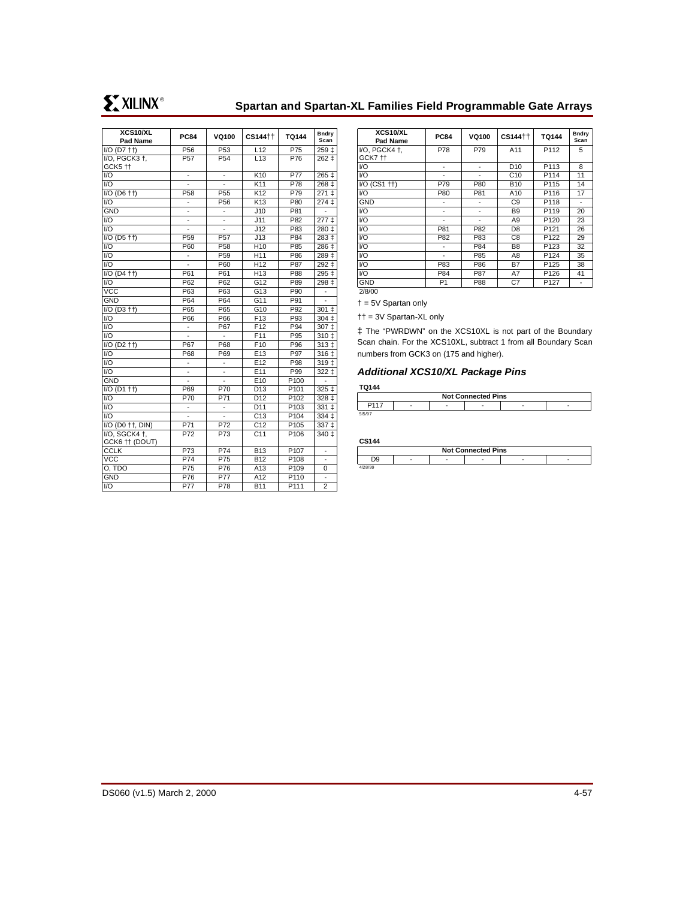# **Spartan and Spartan-XL Families Field Programmable Gate Arrays**

| <b>XCS10/XL</b>                                | <b>PC84</b>                     | <b>VQ100</b>             | CS144 <sup>++</sup> | <b>TQ144</b>     | <b>Bndry</b>     |
|------------------------------------------------|---------------------------------|--------------------------|---------------------|------------------|------------------|
| Pad Name                                       |                                 |                          |                     |                  | Scan             |
| $I/O$ ( $D7$ $+$ )                             | P <sub>56</sub>                 | P <sub>53</sub>          | L12                 | P75              | 259 ‡            |
| I/O, PGCK3 +,                                  | P <sub>57</sub>                 | P <sub>54</sub>          | L13                 | P76              | 262±             |
| GCK5 <sup>++</sup>                             |                                 |                          |                     |                  |                  |
| 1/O                                            | ٠                               | -                        | K <sub>10</sub>     | <b>P77</b>       | $265 \downarrow$ |
| $\overline{1/O}$                               |                                 |                          | K <sub>11</sub>     | P78              | $268+$           |
| $I/O$ (D6 $\uparrow\uparrow$ )                 | P58                             | P <sub>55</sub>          | K12                 | P79              | $271 \pm$        |
| 1/O                                            |                                 | P <sub>56</sub>          | K <sub>13</sub>     | P80              | 274 <sub>‡</sub> |
| <b>GND</b>                                     | $\overline{a}$                  | $\overline{a}$           | J10                 | P81              |                  |
| I/O                                            | $\qquad \qquad \blacksquare$    | $\overline{\phantom{m}}$ | J11                 | P82              | 277 <sub>‡</sub> |
| 1/O                                            |                                 |                          | J12                 | P83              | 280 ‡            |
| $\overline{1}/O$ (D <sub>5</sub> $\uparrow$ †) | P <sub>59</sub>                 | P <sub>57</sub>          | J13                 | P84              | 283 ‡            |
| 1/O                                            | P60                             | P <sub>58</sub>          | H <sub>10</sub>     | P85              | 286 ‡            |
| I/O                                            | -                               | P <sub>59</sub>          | H11                 | P86              | 289 ‡            |
| 1/O                                            |                                 | P60                      | H <sub>12</sub>     | P87              | 292 ‡            |
| $I/O$ (D <sub>4</sub> $+$ )                    | P61                             | P61                      | H <sub>13</sub>     | P88              | 295 ‡            |
| 1/O                                            | P62                             | P62                      | G12                 | P89              | 298 ‡            |
| <b>VCC</b>                                     | P63                             | P63                      | G13                 | P90              |                  |
| <b>GND</b>                                     | P64                             | P64                      | G11                 | P91              |                  |
| $I/O$ (D3 $\uparrow\uparrow$ )                 | P65                             | P65                      | G10                 | P92              | $301 \;{\rm 1}$  |
| 1/O                                            | P66                             | P66                      | F <sub>13</sub>     | P93              | 304 <sub>1</sub> |
| $\overline{1/O}$                               | $\overline{a}$                  | P67                      | F12                 | P94              | $307 +$          |
| $\overline{1/O}$                               | $\centering \label{eq:reduced}$ | $\overline{a}$           | F11                 | P95              | 310±             |
| $I/O$ (D <sub>2</sub> $+$ )                    | P67                             | P68                      | F <sub>10</sub>     | P96              | 313 <sub>‡</sub> |
| $1/O$                                          | P68                             | P69                      | E <sub>13</sub>     | P97              | 316 ‡            |
| $\overline{U}$                                 | $\frac{1}{2}$                   | ٠                        | E <sub>12</sub>     | P98              | $319+$           |
| $\overline{1/O}$                               |                                 |                          | E <sub>11</sub>     | P99              | $322 +$          |
| <b>GND</b>                                     |                                 |                          | E <sub>10</sub>     | P100             |                  |
| $\overline{1}/O$ (D1 $\uparrow\uparrow$ )      | P69                             | P70                      | D13                 | P101             | $325 +$          |
| I/O                                            | P70                             | P71                      | D <sub>12</sub>     | P <sub>102</sub> | 328 ‡            |
| I/O                                            |                                 | -                        | D11                 | P103             | 331 ‡            |
| $\overline{1/O}$                               |                                 |                          | C <sub>13</sub>     | P <sub>104</sub> | $334 \pm$        |
| I/O (D0 ++, DIN)                               | P71                             | P72                      | C <sub>12</sub>     | P <sub>105</sub> | 337 ‡            |
| I/O, SGCK4 +,                                  | P72                             | P73                      | C <sub>11</sub>     | P <sub>106</sub> | 340 ‡            |
| GCK6 †† (DOUT)                                 |                                 |                          |                     |                  |                  |
| <b>CCLK</b>                                    | P73                             | P74                      | <b>B13</b>          | P <sub>107</sub> | -                |
| <b>VCC</b>                                     | P74                             | P75                      | <b>B12</b>          | P108             |                  |
| O, TDO                                         | P75                             | P76                      | A13                 | P109             | 0                |
| <b>GND</b>                                     | P76                             | <b>P77</b>               | A12                 | P110             |                  |
| $1/O$                                          | P77                             | P78                      | <b>B11</b>          | P111             | $\overline{2}$   |

| <b>PC84</b>    | <b>VQ100</b> | CS144 <sup>++</sup> | <b>TQ144</b>     | Bndry<br>Scan |
|----------------|--------------|---------------------|------------------|---------------|
| P78            | P79          | A11                 | P112             | 5             |
|                |              |                     |                  |               |
|                |              | D <sub>10</sub>     | P113             | 8             |
|                |              | C10                 | P114             | 11            |
| P79            | P80          | <b>B10</b>          | P115             | 14            |
| P80            | P81          | A10                 | P116             | 17            |
|                |              | C9                  | P118             |               |
| ٠              | ٠            | <b>B</b> 9          | P119             | 20            |
|                |              | A <sub>9</sub>      | P <sub>120</sub> | 23            |
| P81            | P82          | D <sub>8</sub>      | P121             | 26            |
| P82            | P83          | C8                  | P122             | 29            |
|                | P84          | B <sub>8</sub>      | P123             | 32            |
|                | P85          | A8                  | P124             | 35            |
| P83            | P86          | B7                  | P125             | 38            |
| P84            | P87          | A7                  | P126             | 41            |
| P <sub>1</sub> | P88          | C7                  | P <sub>127</sub> |               |
|                |              |                     |                  |               |

2/8/00

† = 5V Spartan only

†† = 3V Spartan-XL only

‡ The "PWRDWN" on the XCS10XL is not part of the Boundary Scan chain. For the XCS10XL, subtract 1 from all Boundary Scan numbers from GCK3 on (175 and higher).

## **Additional XCS10/XL Package Pins**

#### **TQ144**

| <b>Not Connected Pins</b> |  |   |   |  |  |  |  |  |  |
|---------------------------|--|---|---|--|--|--|--|--|--|
|                           |  | - | - |  |  |  |  |  |  |
|                           |  |   |   |  |  |  |  |  |  |

#### **CS144**

| <b>Not Connected Pins</b> |  |   |   |  |   |  |  |  |  |
|---------------------------|--|---|---|--|---|--|--|--|--|
|                           |  | - | - |  | - |  |  |  |  |
|                           |  |   |   |  |   |  |  |  |  |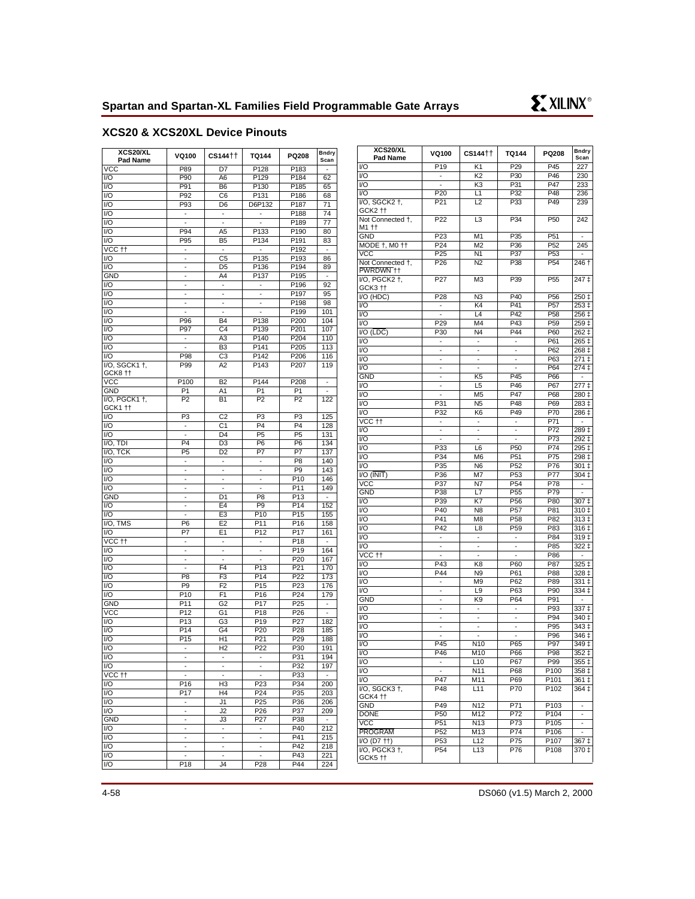**Bndry**<br>Scan

# **XCS20 & XCS20XL Device Pinouts**

| XCS20/XL<br>Pad Name                    | VQ100                                      | CS144 <sup>++</sup>      | TQ144                    | PQ208            | <b>Bndry</b><br>Scan     | XCS20/XL<br>Pad Name                  | VQ100                    | CS144++                  | <b>TQ144</b>             | PQ208            | <b>Bndry</b><br>Scan     |
|-----------------------------------------|--------------------------------------------|--------------------------|--------------------------|------------------|--------------------------|---------------------------------------|--------------------------|--------------------------|--------------------------|------------------|--------------------------|
| <b>VCC</b>                              | P89                                        | D7                       | P128                     | P183             |                          | V <sub>O</sub>                        | P <sub>19</sub>          | K1                       | P <sub>29</sub>          | P45              | 227                      |
| I/O                                     | P90                                        | A <sub>6</sub>           | P129                     | P184             | 62                       | V <sub>O</sub>                        | $\blacksquare$           | K <sub>2</sub>           | P30                      | P46              | 230                      |
| VQ                                      | P91                                        | B <sub>6</sub>           | P <sub>130</sub>         | P <sub>185</sub> | 65                       | VO                                    | $\overline{\phantom{a}}$ | K <sub>3</sub>           | P31                      | P47              | 233                      |
| I/O                                     | P92                                        | C <sub>6</sub>           | P131                     | P186             | 68                       | VO                                    | P20                      | L1                       | P32                      | P48              | 236                      |
| I/O                                     | P93                                        | D <sub>6</sub>           | D6P132                   | P187             | 71                       | I/O, SGCK2 +,                         | P21                      | L2                       | P33                      | P49              | 239                      |
| I/O                                     | $\sim$                                     | $\blacksquare$           | $\blacksquare$           | P188             | 74                       | GCK2 <sup>++</sup>                    |                          |                          |                          |                  |                          |
| I/O                                     | $\overline{\phantom{a}}$                   | $\overline{\phantom{a}}$ | $\blacksquare$           | P189             | 77                       | Not Connected +,                      | P <sub>22</sub>          | L <sub>3</sub>           | P34                      | P <sub>50</sub>  | 242                      |
| I/O                                     | P94                                        | A <sub>5</sub>           | P133                     | P190             | 80                       | M1 ††                                 |                          |                          |                          |                  |                          |
| 1/O                                     | P95                                        | <b>B5</b>                | P134                     | P191             | 83                       | <b>GND</b>                            | P23                      | M <sub>1</sub>           | P35                      | P <sub>51</sub>  | $\overline{\phantom{a}}$ |
| $\overline{v}$ CC $\uparrow$ $\uparrow$ | $\blacksquare$                             | $\overline{\phantom{a}}$ | $\blacksquare$           | P192             | $\overline{\phantom{a}}$ | MODE +, M0 ++                         | P24                      | M <sub>2</sub>           | P36                      | P <sub>52</sub>  | 245                      |
| I/O                                     | $\blacksquare$                             | C <sub>5</sub>           | P135                     | P193             | 86                       | <b>VCC</b>                            | P <sub>25</sub>          | N <sub>1</sub>           | P37                      | P <sub>53</sub>  | $\sim$                   |
| $\overline{1/O}$                        | $\overline{\phantom{a}}$                   | D <sub>5</sub>           | P136                     | P194             | 89                       | Not Connected +,                      | P <sub>26</sub>          | N <sub>2</sub>           | P38                      | P <sub>54</sub>  | $\overline{2}$ 46 †      |
| <b>GND</b>                              | $\overline{\phantom{a}}$                   | A4                       | P137                     | P <sub>195</sub> | $\overline{\phantom{a}}$ | PWRDWN ++                             |                          |                          |                          |                  |                          |
| I/O                                     | $\blacksquare$                             | $\blacksquare$           | $\mathcal{L}$            | P196             | 92                       | I/O, PGCK2 +,                         | P27                      | M <sub>3</sub>           | P39                      | P <sub>55</sub>  | 247 ‡                    |
| 1/O                                     | $\overline{\phantom{a}}$                   | $\overline{\phantom{a}}$ | $\overline{\phantom{a}}$ | P197             | 95                       | GCK3 <sup>++</sup>                    |                          |                          |                          |                  |                          |
| VQ                                      | ÷,                                         | $\overline{\phantom{a}}$ | $\blacksquare$           | P <sub>198</sub> | 98                       | I/O (HDC)                             | P28                      | N <sub>3</sub>           | P40                      | P <sub>56</sub>  | 250 ‡                    |
| $\overline{1/O}$                        | $\overline{\phantom{a}}$                   | $\overline{\phantom{a}}$ | $\overline{\phantom{a}}$ | P <sub>199</sub> | 101                      | I/O                                   | $\sim$                   | K4                       | P41                      | P <sub>57</sub>  | $253+$                   |
| 1/O                                     | P96                                        | <b>B4</b>                | P138                     | P200             | 104                      | I/O                                   | $\blacksquare$           | L4                       | P42                      | P <sub>58</sub>  | 256 ‡                    |
| 1/O                                     | P97                                        | C <sub>4</sub>           | P139                     | P201             | 107                      | VO                                    | P29                      | M4                       | P43                      | P <sub>59</sub>  | $259+$                   |
| 1/O                                     |                                            | A <sub>3</sub>           | P140                     | P204             | 110                      | $VO$ ( $\overline{LDC}$ )             | P30                      | N <sub>4</sub>           | P44                      | P60              | $262 +$                  |
| I/O                                     | $\overline{\phantom{a}}$<br>$\blacksquare$ | B <sub>3</sub>           | P141                     | P205             | 113                      | V <sub>O</sub>                        | $\overline{\phantom{a}}$ | $\blacksquare$           | $\overline{\phantom{a}}$ | P61              | 265 ‡                    |
| 1/O                                     | P98                                        | C <sub>3</sub>           | P <sub>142</sub>         | P206             | 116                      | I/O                                   | $\overline{\phantom{a}}$ | $\overline{a}$           | ÷.                       | P62              | 268 ‡                    |
| I/O, SGCK1 +,                           | P99                                        | A <sub>2</sub>           | P143                     | P207             | 119                      | I/O                                   | $\blacksquare$           | $\overline{\phantom{a}}$ | $\overline{\phantom{a}}$ | P63              | 271 ‡                    |
| GCK8 <sup>++</sup>                      |                                            |                          |                          |                  |                          | V <sub>O</sub>                        | $\overline{\phantom{a}}$ | $\blacksquare$           | $\overline{\phantom{a}}$ | P64              | 274 ‡                    |
| $\overline{VCC}$                        | P <sub>100</sub>                           | B2                       | P <sub>144</sub>         | P <sub>208</sub> | $\overline{\phantom{a}}$ | <b>GND</b>                            | $\blacksquare$           | K <sub>5</sub>           | P45                      | P66              | $\overline{\phantom{a}}$ |
| <b>GND</b>                              | P <sub>1</sub>                             | A1                       | P <sub>1</sub>           | P <sub>1</sub>   | $\mathcal{L}$            | V <sub>O</sub>                        | $\blacksquare$           | L <sub>5</sub>           | P46                      | P67              | $277+$                   |
| I/O, PGCK1 +,                           | P <sub>2</sub>                             | <b>B1</b>                | P <sub>2</sub>           | P <sub>2</sub>   | 122                      | I/O                                   | $\blacksquare$           | M <sub>5</sub>           | P47                      | P68              | 280 ‡                    |
| GCK1 tt                                 |                                            |                          |                          |                  |                          | V <sub>O</sub>                        | P31                      | N <sub>5</sub>           | P48                      | P69              | 283 ‡                    |
| I/O                                     | P <sub>3</sub>                             | C <sub>2</sub>           | P <sub>3</sub>           | P <sub>3</sub>   | 125                      | V <sub>O</sub>                        | P32                      | K <sub>6</sub>           | P49                      | P70              | 286 ‡                    |
| 1/O                                     | $\blacksquare$                             | C <sub>1</sub>           | P <sub>4</sub>           | P <sub>4</sub>   | 128                      | $\overline{V}$ CC $\uparrow \uparrow$ | $\omega$                 | $\omega$                 | $\mathbb{Z}^2$           | P71              | $\sim$                   |
| $1/O$                                   | $\blacksquare$                             | D <sub>4</sub>           | P <sub>5</sub>           | P <sub>5</sub>   | 131                      | VO                                    | $\overline{\phantom{a}}$ | $\blacksquare$           | $\overline{\phantom{a}}$ | P72              | 289 ‡                    |
| $I/O$ , TDI                             | P4                                         | $\overline{D3}$          | P <sub>6</sub>           | P <sub>6</sub>   | 134                      | VO                                    | $\sim$                   | ÷,                       | ÷,                       | P73              | 292 ‡                    |
| I/O, TCK                                | P <sub>5</sub>                             | D <sub>2</sub>           | P7                       | P7               | 137                      | V <sub>O</sub>                        | P33                      | L <sub>6</sub>           | P <sub>50</sub>          | P74              | 295 ‡                    |
| I/O                                     | $\overline{\phantom{a}}$                   | $\overline{\phantom{a}}$ | $\overline{\phantom{a}}$ | P <sub>8</sub>   | 140                      | $\overline{VQ}$                       | P34                      | M <sub>6</sub>           | P <sub>51</sub>          | P75              | $298+$                   |
| I/O                                     | $\overline{\phantom{a}}$                   | $\overline{\phantom{a}}$ | $\overline{\phantom{a}}$ | P <sub>9</sub>   | 143                      | I/O                                   | P35                      | N <sub>6</sub>           | P <sub>52</sub>          | P76              | 301 ‡                    |
| $\overline{1/O}$                        | $\blacksquare$                             | $\overline{\phantom{a}}$ | $\overline{\phantom{a}}$ | $\overline{P10}$ | 146                      | $VO$ ( $\overline{INIT}$ )            | P36                      | M7                       | P <sub>53</sub>          | P77              | $304+$                   |
| 1/O                                     | ÷,                                         | $\overline{\phantom{a}}$ | $\blacksquare$           | P11              | 149                      | <b>VCC</b>                            | P37                      | N7                       | P <sub>54</sub>          | P78              | $\sim$                   |
| <b>GND</b>                              | $\overline{a}$                             | D <sub>1</sub>           | P <sub>8</sub>           | P13              | $\mathbb{Z}$             | <b>GND</b>                            | P38                      | L7                       | P <sub>55</sub>          | P79              | $\sim$                   |
| 1/O                                     | $\overline{\phantom{a}}$                   | E4                       | P <sub>9</sub>           | P14              | 152                      | VO                                    | P39                      | K7                       | P <sub>56</sub>          | P80              | 307 ‡                    |
| $\overline{U}$                          |                                            | E <sub>3</sub>           | P <sub>10</sub>          | P <sub>15</sub>  | 155                      | I/O                                   | P40                      | N <sub>8</sub>           | P <sub>57</sub>          | P81              | 310 ‡                    |
| I/O, TMS                                | P <sub>6</sub>                             | E <sub>2</sub>           | P11                      | P16              | 158                      | I/O                                   | P41                      | M <sub>8</sub>           | P <sub>58</sub>          | P82              | 313 ‡                    |
| I/O                                     | P7                                         | E <sub>1</sub>           | P <sub>12</sub>          | P17              | 161                      | VO                                    | P42                      | L <sub>8</sub>           | P <sub>59</sub>          | P83              | 316 ‡                    |
| VCC <sub>tt</sub>                       | $\overline{\phantom{a}}$                   | $\overline{\phantom{a}}$ | $\overline{\phantom{a}}$ | P18              | $\overline{\phantom{a}}$ | V <sub>O</sub>                        | $\mathcal{L}$            | $\blacksquare$           | $\blacksquare$           | P84              | $319+$                   |
| 1/O                                     | $\blacksquare$                             | $\blacksquare$           | $\blacksquare$           | P <sub>19</sub>  | 164                      | VO                                    | $\overline{\phantom{a}}$ | $\blacksquare$           | $\overline{\phantom{a}}$ | P85              | 322 ‡                    |
| I/O                                     | $\blacksquare$                             | $\overline{\phantom{a}}$ | $\overline{\phantom{a}}$ | P20              | 167                      | $\overline{V}$ CC $\uparrow \uparrow$ | $\overline{\phantom{a}}$ | $\overline{\phantom{a}}$ | $\overline{\phantom{a}}$ | P86              | $\overline{\phantom{a}}$ |
| I/O                                     | $\overline{\phantom{a}}$                   | F <sub>4</sub>           | P <sub>13</sub>          | P21              | 170                      | V <sub>O</sub>                        | P43                      | K <sub>8</sub>           | P60                      | P87              | 325 ‡                    |
| I/O                                     | P <sub>8</sub>                             | F <sub>3</sub>           | P14                      | P22              | 173                      | I/O                                   | P44                      | N <sub>9</sub>           | P61                      | P88              | 328 ‡                    |
| I/O                                     | P <sub>9</sub>                             | F <sub>2</sub>           | P <sub>15</sub>          | P23              | 176                      | VO                                    | $\overline{a}$           | M <sub>9</sub>           | P62                      | P89              | 331 ‡                    |
| I/O                                     | P10                                        | F <sub>1</sub>           | P <sub>16</sub>          | P24              | 179                      | VO                                    | $\blacksquare$           | L9                       | P63                      | P90              | $334+$                   |
| <b>GND</b>                              | P11                                        | G <sub>2</sub>           | P17                      | P25              | $\overline{\phantom{a}}$ | <b>GND</b>                            | $\overline{\phantom{a}}$ | K9                       | P64                      | P91              | $\overline{\phantom{a}}$ |
| <b>VCC</b>                              | P12                                        | G <sub>1</sub>           | P <sub>18</sub>          | P <sub>26</sub>  | $\omega$                 | I/O                                   | $\blacksquare$           | $\blacksquare$           | $\blacksquare$           | P93              | $337 +$                  |
| I/O                                     | P13                                        | G <sub>3</sub>           | P <sub>19</sub>          | P <sub>27</sub>  | 182                      | VO                                    | $\overline{\phantom{a}}$ | $\overline{\phantom{a}}$ | $\overline{\phantom{a}}$ | P94              | 340 ‡                    |
| 1/O                                     | P <sub>14</sub>                            | G4                       | P <sub>20</sub>          | P <sub>28</sub>  | 185                      | I/O                                   | $\blacksquare$           | $\overline{\phantom{a}}$ | $\overline{\phantom{a}}$ | P95              | 343 ‡                    |
| VQ                                      | P <sub>15</sub>                            | H1                       | P <sub>21</sub>          | P29              | 188                      | V <sub>O</sub>                        | $\blacksquare$           | $\overline{a}$           | $\overline{\phantom{a}}$ | P96              | 346 ‡                    |
| I/O                                     | $\mathcal{L}_{\mathcal{A}}$                | H <sub>2</sub>           | P <sub>22</sub>          | P30              | 191                      | VO                                    | P45                      | <b>N10</b>               | P65                      | P97              | 349 ‡                    |
| VO)                                     |                                            |                          |                          | P31              | 194                      | $\overline{VQ}$                       | P46                      | M10                      | P66                      | P98              | 352 ‡                    |
| I/O                                     | $\overline{\phantom{a}}$                   | $\sim$                   | $\overline{\phantom{a}}$ | P32              | 197                      | VO                                    | $\overline{\phantom{a}}$ | L10                      | P67                      | P99              | 355 ‡                    |
| VCC tt                                  | $\blacksquare$                             | $\overline{\phantom{a}}$ | $\overline{\phantom{a}}$ | P33              | $\overline{\phantom{a}}$ | VO                                    | $\blacksquare$           | N11                      | P68                      | P100             | 358 ‡                    |
| I/O                                     | P16                                        | H <sub>3</sub>           | P <sub>23</sub>          | P34              | 200                      | I/O                                   | P47                      | M11                      | P69                      | P101             | 361 ‡                    |
| I/O                                     | P17                                        | H <sub>4</sub>           | P <sub>24</sub>          | P35              | 203                      | I/O, SGCK3 +,                         | P48                      | L11                      | P70                      | P102             | 364‡                     |
| I/O                                     | $\blacksquare$                             | J1                       | P <sub>25</sub>          | P36              | 206                      | GCK4 tt                               |                          |                          |                          |                  |                          |
| I/O                                     | $\blacksquare$                             | J2                       | P <sub>26</sub>          | P37              | 209                      | <b>GND</b>                            | P49                      | N12                      | P71                      | P103             | $\sim$                   |
| GND                                     | $\overline{\phantom{a}}$                   | J3                       | P <sub>27</sub>          | P38              | $\overline{\phantom{a}}$ | <b>DONE</b>                           | P <sub>50</sub>          | M12                      | P72                      | P104             | $\overline{\phantom{a}}$ |
| I/O                                     | $\overline{\phantom{a}}$                   | $\overline{\phantom{a}}$ | $\overline{\phantom{a}}$ | P40              | 212                      | $\overline{VCC}$                      | P51                      | N13                      | P73                      | P <sub>105</sub> | $\sim$                   |
| I/O                                     | $\blacksquare$                             | $\overline{\phantom{a}}$ | $\blacksquare$           | P41              | 215                      | <b>PROGRAM</b>                        | P52                      | M13                      | P74                      | P106             | $\sim$                   |
| I/O                                     | $\overline{\phantom{a}}$                   | $\overline{\phantom{a}}$ | $\overline{\phantom{a}}$ | P42              | 218                      | I/O (D7 ++)                           | P <sub>53</sub>          | L12                      | P75                      | P107             | 367‡                     |
| $\overline{U}$                          | $\blacksquare$                             | $\blacksquare$           | $\blacksquare$           | P43              | 221                      | $VO$ , PGCK3 $\dagger$ ,              | P <sub>54</sub>          | L13                      | P76                      | P108             | 370 ‡                    |
| $\overline{U}$                          | P18                                        | J4                       | P28                      | P44              | 224                      | GCK5 <sup>++</sup>                    |                          |                          |                          |                  |                          |
|                                         |                                            |                          |                          |                  |                          |                                       |                          |                          |                          |                  |                          |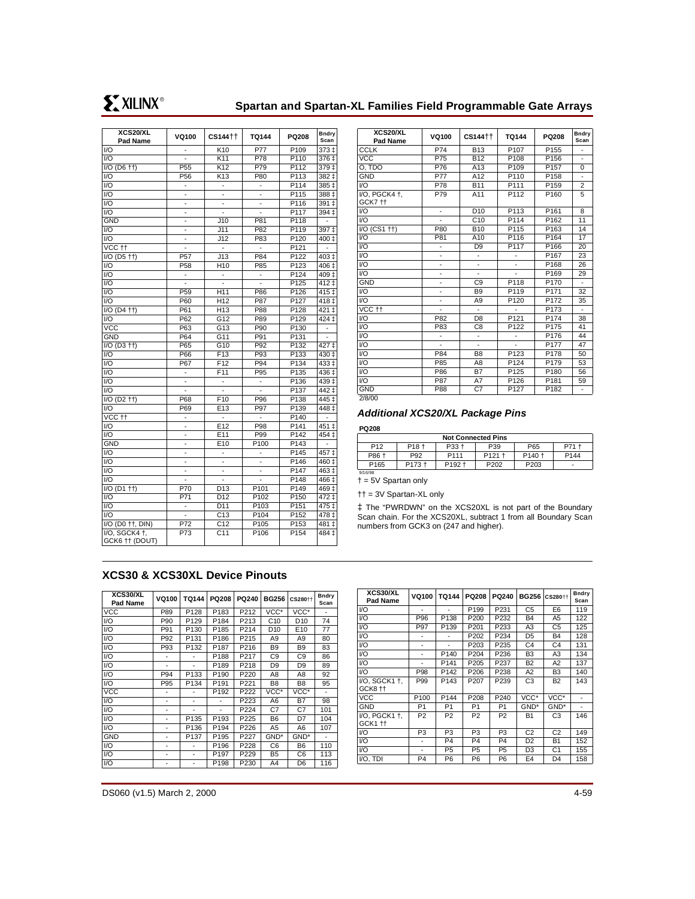**XCS20/XL**

| <b>XCSZUIXL</b><br>Pad Name               | <b>VQ100</b>             | CS144 <sup>++</sup>             | <b>TQ144</b>             | PQ208                    | Bndry<br>Scan                 |
|-------------------------------------------|--------------------------|---------------------------------|--------------------------|--------------------------|-------------------------------|
| I/O                                       | ٠                        | K10                             | P77                      | P109                     | 373 ‡                         |
| 1/O                                       |                          | K11                             | P78                      | P110                     | 376 <sub>‡</sub>              |
| $\overline{1/O}$ (D6 $\uparrow\uparrow$ ) | P <sub>55</sub>          | K <sub>12</sub>                 | P79                      | P112                     | 379 ‡                         |
|                                           |                          | K13                             |                          |                          | $382 +$                       |
| I/O                                       | P <sub>56</sub>          |                                 | P80                      | P113<br>P <sub>114</sub> |                               |
| I/O                                       | $\frac{1}{2}$            | $\centering \label{eq:reduced}$ | $\blacksquare$           |                          | 385 ±                         |
| I/O                                       | $\frac{1}{2}$            |                                 | $\overline{\phantom{0}}$ | P <sub>115</sub>         | $388 +$                       |
| 1/O                                       | $\overline{a}$           |                                 |                          | P116                     | $391 \pm$                     |
| I/O                                       | $\overline{\phantom{a}}$ |                                 |                          | P117                     | 394 <sub>‡</sub>              |
| <b>GND</b>                                | ٠                        | J10                             | P81                      | P118                     |                               |
| $\overline{1/O}$                          | $\overline{\phantom{0}}$ | J11                             | P82                      | P119                     | $397+$                        |
| I/O                                       | -                        | J12                             | P83                      | P120                     | 400 ‡                         |
| VCC <sub>tt</sub>                         |                          | $\overline{a}$                  | $\overline{a}$           | P121                     | $\overline{a}$                |
| $\overline{IO}$ (D5 $\uparrow\uparrow$ )  | P <sub>57</sub>          | J13                             | P84                      | P122                     | 403 ‡                         |
| I/O                                       | P <sub>58</sub>          | H10                             | P85                      | P123                     | 406 <sup>‡</sup>              |
| I/O                                       | $\overline{\phantom{a}}$ | $\overline{\phantom{0}}$        | $\overline{\phantom{a}}$ | $\overline{P124}$        | $\frac{409 \pm 1}{200 \pm 1}$ |
| I/O                                       |                          | ٠                               | $\overline{\phantom{0}}$ | P125                     | 412 ‡                         |
| 1/O                                       | P <sub>59</sub>          | H11                             | P86                      | P126                     | $415+$                        |
| I/O                                       | P60                      | H <sub>12</sub>                 | P87                      | P127                     | 418 ‡                         |
| $I/O$ (D <sub>4</sub> $+$ )               | P61                      | H <sub>13</sub>                 | P88                      | P128                     | $421 \pm$                     |
| I/O                                       | P62                      | G <sub>12</sub>                 | P89                      | P129                     | 424 ‡                         |
| $\overline{VCC}$                          | P63                      | G13                             | P90                      | P130                     | $\centerdot$                  |
| GND                                       | P64                      | G11                             | P91                      | $\overline{P131}$        |                               |
| $\overline{IO(D3+)}$                      | P65                      | G10                             | P92                      | P132                     | 427‡                          |
| 1/O                                       | P66                      | F13                             | P93                      | P <sub>133</sub>         | $430+$                        |
| $\mathsf{I}/\mathsf{O}$                   | P67                      | F <sub>12</sub>                 | P94                      | P134                     | 433 ‡                         |
| I/O                                       | ٠                        | F <sub>11</sub>                 | P95                      | $\overline{P135}$        | 436 ‡                         |
| $\overline{U}$                            | $\blacksquare$           | $\overline{\phantom{a}}$        | ÷,                       | P136                     | $439+$                        |
| I/O                                       |                          |                                 |                          | P137                     | $442 \pm$                     |
| $I/O$ (D <sub>2</sub> $+$ )               | P68                      | F <sub>10</sub>                 | P96                      | P138                     | $445 \;{\rm \ddagger}$        |
| I/O                                       | P69                      | E13                             | P97                      | P139                     | $448 \pm$                     |
| $\overline{vcc}$ tt                       | ٠                        | $\overline{\phantom{a}}$        | $\overline{a}$           | P140                     |                               |
| I/O                                       | $\frac{1}{2}$            | E12                             | P98                      | $\overline{P1}41$        | 451 ‡                         |
| I/O                                       | ä,                       | E11                             | P99                      | P142                     | 454 ‡                         |
| <b>GND</b>                                | $\overline{a}$           | E10                             | P100                     | P143                     |                               |
| I/O                                       | ÷                        |                                 | L,                       | P145                     | 457 ‡                         |
| I/O                                       | ٠                        | -                               | ۰                        | P146                     | 460 ‡                         |
| $\overline{1/O}$                          | $\blacksquare$           |                                 | $\overline{\phantom{0}}$ | P <sub>147</sub>         | $463+$                        |
| I/O                                       | $\frac{1}{2}$            | ٠                               | ÷                        | $\overline{P148}$        | 466 ‡                         |
| $I/O$ (D1 $+1$ )                          | P70                      | D13                             | P101                     | P149                     | 469 ‡                         |
| I/O                                       | P71                      | D12                             | P102                     | P150                     | $472+$                        |
| $\overline{1/O}$                          | $\overline{\phantom{m}}$ | D11                             | P103                     | $\overline{P151}$        | $475+$                        |
| $\overline{1/O}$                          | $\overline{\phantom{a}}$ | C <sub>13</sub>                 | P104                     | P152                     | 478 ‡                         |
| I/O (D0 ++, DIN)                          | P72                      | C12                             | P105                     | P <sub>153</sub>         | 481 ‡                         |
| I/O, SGCK4 +,                             | P73                      | C <sub>11</sub>                 | P <sub>106</sub>         | $\overline{P}$ 154       | 484 ‡                         |
| GCK6 †† (DOUT)                            |                          |                                 |                          |                          |                               |
|                                           |                          |                                 |                          |                          |                               |

| XCS20/XL<br><b>Pad Name</b>                    | <b>VQ100</b> | CS144 <sup>++</sup>          | TQ144            | PQ208            | Bndry<br>Scan                |
|------------------------------------------------|--------------|------------------------------|------------------|------------------|------------------------------|
| <b>CCLK</b>                                    | P74          | <b>B13</b>                   | P107             | P155             |                              |
| <b>VCC</b>                                     | P75          | <b>B12</b>                   | P108             | P156             |                              |
| O. TDO                                         | P76          | A13                          | P109             | P <sub>157</sub> | 0                            |
| <b>GND</b>                                     | <b>P77</b>   | A12                          | P110             | P <sub>158</sub> | $\qquad \qquad \blacksquare$ |
| VO                                             | P78          | <b>B11</b>                   | P111             | P159             | $\overline{2}$               |
| $VO$ , PGCK4 $\dagger$ ,<br>GCK7 <sup>++</sup> | P79          | A11                          | P112             | P160             | 5                            |
| VO                                             |              | D <sub>10</sub>              | P113             | P161             | 8                            |
| V <sub>O</sub>                                 |              | C10                          | P114             | P162             | 11                           |
| I/O (CS1 ††)                                   | P80          | <b>B10</b>                   | P115             | P163             | 14                           |
| V <sub>O</sub>                                 | P81          | A10                          | P116             | P164             | 17                           |
| V <sub>O</sub>                                 |              | D <sub>9</sub>               | P117             | P166             | 20                           |
| V <sub>O</sub>                                 |              |                              |                  | P167             | 23                           |
| V <sub>O</sub>                                 | L,           | $\overline{a}$               |                  | P168             | 26                           |
| VO                                             |              |                              |                  | P <sub>169</sub> | 29                           |
| <b>GND</b>                                     | -            | C <sub>9</sub>               | P118             | P <sub>170</sub> |                              |
| V <sub>O</sub>                                 |              | B <sub>9</sub>               | P119             | P171             | 32                           |
| $\overline{VQ}$                                | ٠            | A <sub>9</sub>               | P <sub>120</sub> | P <sub>172</sub> | 35                           |
| VCC <sub>tt</sub>                              |              | ÷,                           |                  | P173             |                              |
| V <sub>O</sub>                                 | P82          | D <sub>8</sub>               | P121             | P174             | 38                           |
| $\overline{VQ}$                                | P83          | C <sub>8</sub>               | P122             | P175             | 41                           |
| $\overline{VQ}$                                |              | $\frac{1}{2}$                |                  | P176             | 44                           |
| V <sub>O</sub>                                 |              | $\qquad \qquad \blacksquare$ |                  | P177             | 47                           |
| V <sub>O</sub>                                 | P84          | B <sub>8</sub>               | P123             | P178             | 50                           |
| V <sub>O</sub>                                 | P85          | A8                           | P124             | P179             | 53                           |
| VO                                             | P86          | <b>B7</b>                    | P <sub>125</sub> | P180             | 56                           |
| V <sub>O</sub>                                 | P87          | A7                           | P126             | P181             | 59                           |
| <b>GND</b>                                     | P88          | C7                           | P127             | P182             |                              |

#### 2/8/00

#### **Additional XCS20/XL Package Pins**

**PQ208**

| <b>Not Connected Pins</b> |                    |                    |                    |                    |       |  |  |  |  |  |
|---------------------------|--------------------|--------------------|--------------------|--------------------|-------|--|--|--|--|--|
| P <sub>12</sub>           | P <sub>18</sub> +  | P33 +              | P39                | P65                | P71 + |  |  |  |  |  |
| P86 +                     | P92                | P111               | P <sub>121</sub> + | P <sub>140</sub> + | P144  |  |  |  |  |  |
| P <sub>165</sub>          | P <sub>173</sub> + | P <sub>192</sub> + | P <sub>202</sub>   | P <sub>203</sub>   | ٠     |  |  |  |  |  |
| 9/16/98                   |                    |                    |                    |                    |       |  |  |  |  |  |

† = 5V Spartan only

†† = 3V Spartan-XL only

‡ The "PWRDWN" on the XCS20XL is not part of the Boundary Scan chain. For the XCS20XL, subtract 1 from all Boundary Scan numbers from GCK3 on (247 and higher).

# **XCS30 & XCS30XL Device Pinouts**

| XCS30/XL<br>Pad Name | <b>VQ100</b> | TQ144            | PQ208            | PQ240 | <b>BG256</b>     | CS280++         | <b>Bndry</b><br>Scan |
|----------------------|--------------|------------------|------------------|-------|------------------|-----------------|----------------------|
| VCC                  | P89          | P128             | P183             | P212  | VCC*             | VCC*            |                      |
| I/O                  | P90          | P129             | P184             | P213  | C <sub>10</sub>  | D <sub>10</sub> | 74                   |
| I/O                  | P91          | P <sub>130</sub> | P185             | P214  | D <sub>10</sub>  | E <sub>10</sub> | 77                   |
| I/O                  | P92          | P <sub>131</sub> | P186             | P215  | A9               | A9              | 80                   |
| I/O                  | P93          | P132             | P187             | P216  | B <sub>9</sub>   | B <sub>9</sub>  | 83                   |
| I/O                  |              |                  | P188             | P217  | C <sub>9</sub>   | C <sub>9</sub>  | 86                   |
| I/O                  |              |                  | P189             | P218  | D <sub>9</sub>   | D <sub>9</sub>  | 89                   |
| I/O                  | P94          | P133             | P <sub>190</sub> | P220  | A8               | A8              | 92                   |
| I/O                  | P95          | P134             | P <sub>191</sub> | P221  | B8               | B <sub>8</sub>  | 95                   |
| <b>VCC</b>           |              |                  | P <sub>192</sub> | P222  | VCC*             | VCC*            |                      |
| I/O                  | -            |                  |                  | P223  | A6               | B7              | 98                   |
| I/O                  |              |                  |                  | P224  | C7               | C7              | 101                  |
| I/O                  |              | P135             | P <sub>193</sub> | P225  | B6               | D7              | 104                  |
| I/O                  |              | P136             | P194             | P226  | A5               | A6              | 107                  |
| <b>GND</b>           |              | P <sub>137</sub> | P195             | P227  | GND <sup>*</sup> | GND*            |                      |
| I/O                  |              |                  | P196             | P228  | C6               | B <sub>6</sub>  | 110                  |
| I/O                  | ٠            | ۰                | P <sub>197</sub> | P229  | B <sub>5</sub>   | C <sub>6</sub>  | 113                  |
| 1/O                  |              |                  | P198             | P230  | A4               | D <sub>6</sub>  | 116                  |

| XCS30/XL<br>Pad Name                | VQ100          | <b>TQ144</b>     | PQ208          | PQ240          | <b>BG256</b>   | CS280++          | Bndry<br>Scan |
|-------------------------------------|----------------|------------------|----------------|----------------|----------------|------------------|---------------|
| VO                                  |                |                  | P199           | P231           | C <sub>5</sub> | E6               | 119           |
| V <sub>O</sub>                      | P96            | P138             | P200           | P232           | <b>B4</b>      | A5               | 122           |
| V <sub>O</sub>                      | P97            | P <sub>139</sub> | P201           | P233           | A3             | C5               | 125           |
| VO                                  |                |                  | P202           | P234           | D5             | B4               | 128           |
| V <sub>O</sub>                      |                |                  | P203           | P235           | C4             | C4               | 131           |
| V <sub>O</sub>                      |                | P <sub>140</sub> | P204           | P236           | B <sub>3</sub> | A3               | 134           |
| V <sub>O</sub>                      |                | P141             | P205           | P237           | <b>B2</b>      | A2               | 137           |
| V <sub>O</sub>                      | P98            | P142             | P206           | P238           | A2             | B3               | 140           |
| I/O, SGCK1 +,<br>GCK8 <sup>++</sup> | P99            | P <sub>143</sub> | P207           | P239           | C <sub>3</sub> | <b>B2</b>        | 143           |
| <b>VCC</b>                          | P100           | P144             | P208           | P240           | $VCC*$         | $VCC*$           |               |
| <b>GND</b>                          | P <sub>1</sub> | P <sub>1</sub>   | P <sub>1</sub> | P <sub>1</sub> | $GND^*$        | GND <sup>*</sup> |               |
| $VO$ , PGCK1 $\dagger$ ,<br>GCK1 tt | P <sub>2</sub> | P <sub>2</sub>   | P <sub>2</sub> | P <sub>2</sub> | <b>B1</b>      | C <sub>3</sub>   | 146           |
| V <sub>O</sub>                      | P <sub>3</sub> | P <sub>3</sub>   | P <sub>3</sub> | P <sub>3</sub> | C <sub>2</sub> | C <sub>2</sub>   | 149           |
| V <sub>O</sub>                      |                | P <sub>4</sub>   | P <sub>4</sub> | P <sub>4</sub> | D <sub>2</sub> | <b>B1</b>        | 152           |
| VO                                  |                | P <sub>5</sub>   | P <sub>5</sub> | P <sub>5</sub> | D3             | C <sub>1</sub>   | 155           |
| I/O, TDI                            | P <sub>4</sub> | P <sub>6</sub>   | P <sub>6</sub> | P <sub>6</sub> | E <sub>4</sub> | D4               | 158           |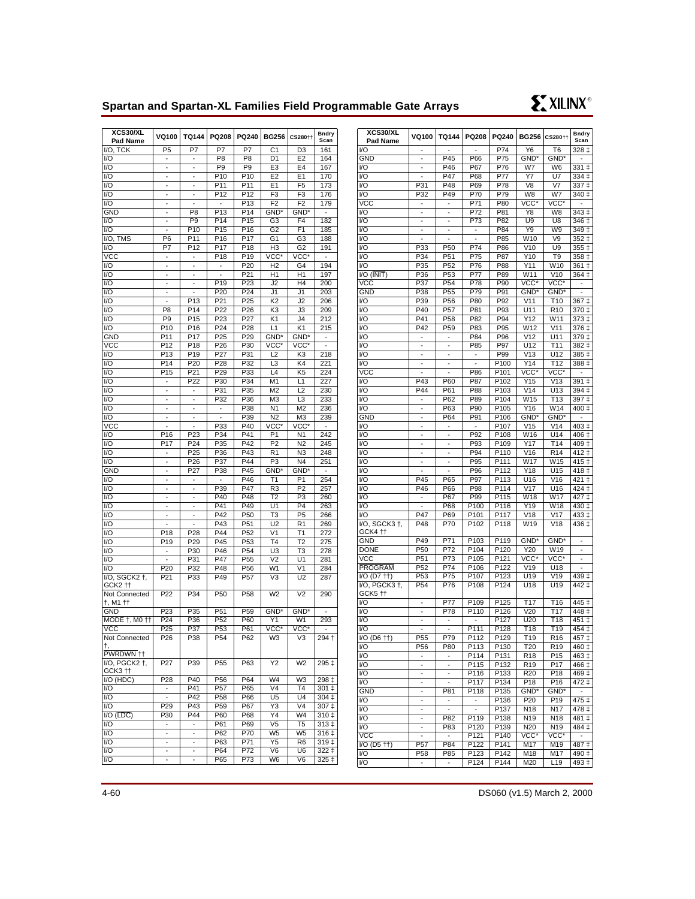# **Spartan and Spartan-XL Families Field Programmable Gate Arrays**



| XCS30/XL<br>Pad Name                | VQ100                    | <b>TQ144</b>             | PQ208                    | PQ240            | <b>BG256</b>   | CS280††          | <b>Bndry</b><br>Scan |
|-------------------------------------|--------------------------|--------------------------|--------------------------|------------------|----------------|------------------|----------------------|
| I/O, TCK                            | P <sub>5</sub>           | P7                       | P7                       | P7               | C <sub>1</sub> | D <sub>3</sub>   | 161                  |
| I/O                                 | $\frac{1}{2}$            | $\overline{\phantom{a}}$ | P <sub>8</sub>           | P <sub>8</sub>   | D <sub>1</sub> | E <sub>2</sub>   | 164                  |
| I/O                                 |                          |                          | P <sub>9</sub>           | P <sub>9</sub>   | E <sub>3</sub> | E <sub>4</sub>   | 167                  |
| I/O                                 | ä,                       | Ξ                        | P <sub>10</sub>          | P <sub>10</sub>  | E <sub>2</sub> | E <sub>1</sub>   | 170                  |
| I/O                                 | -                        | ÷                        | P <sub>11</sub>          | P11              | E1             | F <sub>5</sub>   | 173                  |
| I/O                                 |                          |                          | P <sub>12</sub>          | P12              | F3             | F3               | 176                  |
| I/O                                 | ä,                       | Ξ                        | $\overline{a}$           | P <sub>13</sub>  | F <sub>2</sub> | F <sub>2</sub>   | 179                  |
| <b>GND</b>                          | $\overline{a}$           | P <sub>8</sub>           | P <sub>13</sub>          | P <sub>14</sub>  | GND*           | GND <sup>*</sup> | $\overline{a}$       |
| I/O                                 | ä,                       | P <sub>9</sub>           | P <sub>14</sub>          | $\overline{P15}$ | G <sub>3</sub> | F <sub>4</sub>   | 182                  |
| $\overline{1/O}$                    |                          | P <sub>10</sub>          | P <sub>15</sub>          | P <sub>16</sub>  | G <sub>2</sub> | F1               | 185                  |
| I/O, TMS                            | P <sub>6</sub>           | P11                      | P <sub>16</sub>          | P17              | G <sub>1</sub> | G3               | 188                  |
| I/O                                 | P7                       | P <sub>12</sub>          | P <sub>17</sub>          | P <sub>18</sub>  | H <sub>3</sub> | G2               | 191                  |
| <b>VCC</b>                          | -                        | $\overline{\phantom{m}}$ | P <sub>18</sub>          | P <sub>19</sub>  | VCC*           | VCC*             |                      |
| I/O                                 | $\overline{a}$           | $\frac{1}{2}$            |                          | P20              | H <sub>2</sub> | G4               | 194                  |
| I/O                                 | ä,                       | $\overline{\phantom{0}}$ | $\overline{\phantom{a}}$ | P21              | H1             | H1               | 197                  |
| I/O                                 |                          |                          | $\overline{P}19$         | P <sub>23</sub>  | J <sub>2</sub> | H <sub>4</sub>   | 200                  |
| 1/O                                 | ä,                       |                          | P <sub>20</sub>          | P24              | J1             | J1               | 203                  |
| I/O                                 | $\overline{a}$           | P <sub>13</sub>          | P <sub>21</sub>          | P <sub>25</sub>  | K <sub>2</sub> | J2               | 206                  |
| I/O                                 | P <sub>8</sub>           | P14                      | P <sub>22</sub>          | P <sub>26</sub>  | KЗ             | JЗ               | 209                  |
| I/O                                 | P <sub>9</sub>           | P <sub>15</sub>          | P <sub>23</sub>          | P27              | K1             | J4               | 212                  |
| I/O                                 | P <sub>10</sub>          | P <sub>16</sub>          | P24                      | P28              | L1             | $K$ <sup>1</sup> | 215                  |
| <b>GND</b>                          | P11                      | P <sub>17</sub>          | P <sub>25</sub>          | P29              | GND*           | GND <sup>*</sup> | Ξ                    |
| vcc                                 | P <sub>12</sub>          | P <sub>18</sub>          | P <sub>26</sub>          | P30              | VCC*           | VCC*             |                      |
| I/O                                 | P13                      | P <sub>19</sub>          | P27                      | P31              | L2             | K3               | 218                  |
| I/O                                 | P14                      | P <sub>20</sub>          | P <sub>28</sub>          | P32              | L3             | K4               | 221                  |
| I/O                                 | P <sub>15</sub>          | P21                      | P29                      | P33              | L <sub>4</sub> | K <sub>5</sub>   | 224                  |
|                                     |                          | P <sub>22</sub>          | P30                      |                  |                |                  |                      |
| I/O                                 |                          |                          |                          | P34              | M <sub>1</sub> | L1               | 227                  |
| I/O                                 | ä,                       | ä,                       | P31                      | P35              | M <sub>2</sub> | L2               | 230                  |
| I/O                                 |                          |                          | P32                      | P36              | M <sub>3</sub> | L <sub>3</sub>   | 233                  |
| 1/O                                 | ä,                       | Ξ                        | L,                       | P38              | N <sub>1</sub> | M <sub>2</sub>   | 236                  |
| I/O                                 | -                        | -                        | -                        | P39              | N <sub>2</sub> | M <sub>3</sub>   | 239                  |
| vcc                                 |                          |                          | P33                      | P40              | VCC*           | VCC*             |                      |
| I/O                                 | P16                      | P23                      | P34                      | P41              | P <sub>1</sub> | N <sub>1</sub>   | 242                  |
| I/O                                 | P17                      | P <sub>24</sub>          | P35                      | P42              | P <sub>2</sub> | N <sub>2</sub>   | 245                  |
| I/O                                 |                          | P <sub>25</sub>          | P36                      | P43              | R <sub>1</sub> | N <sub>3</sub>   | 248                  |
| I/O                                 |                          | P26                      | P37                      | P44              | P <sub>3</sub> | N <sub>4</sub>   | 251                  |
| <b>GND</b>                          | ä,                       | P27                      | P38                      | P45              | GND*           | GND <sup>*</sup> | $\blacksquare$       |
| VQ                                  | $\overline{a}$           |                          |                          | P46              | T <sub>1</sub> | P <sub>1</sub>   | 254                  |
| 1/O                                 | ٠                        | $\overline{\phantom{a}}$ | P39                      | P47              | R3             | P <sub>2</sub>   | 257                  |
| I/O                                 | $\overline{a}$           | Ξ                        | P40                      | P48              | T <sub>2</sub> | P <sub>3</sub>   | 260                  |
| I/O                                 | ä,                       | ٠                        | P41                      | P49              | U1             | P <sub>4</sub>   | 263                  |
| I/O                                 |                          |                          | P42                      | P50              | T3             | P <sub>5</sub>   | 266                  |
| VQ                                  |                          |                          | P43                      | P <sub>51</sub>  | U <sub>2</sub> | R <sub>1</sub>   | 269                  |
| I/O                                 | P <sub>18</sub>          | P28                      | P44                      | P <sub>52</sub>  | V <sub>1</sub> | T1               | 272                  |
| I/O                                 | P19                      | P29                      | P45                      | P <sub>53</sub>  | T4             | T <sub>2</sub>   | 275                  |
| I/O                                 | ÷,                       | P30                      | P46                      | P <sub>54</sub>  | U3             | T3               | 278                  |
| I/O                                 | $\blacksquare$           | P31                      | P47                      | P <sub>55</sub>  | V <sub>2</sub> | U1               | 281                  |
| I/O                                 | P <sub>20</sub>          | P32                      | P48                      | P56              | W <sub>1</sub> | V <sub>1</sub>   | 284                  |
| I/O, SGCK2 +,                       | P21                      | P33                      | P49                      | P <sub>57</sub>  | V3             | U <sub>2</sub>   | 287                  |
| GCK2 ††                             |                          |                          |                          |                  |                |                  |                      |
| Not Connected                       | P22                      | P34                      | P <sub>50</sub>          | P58              | W <sub>2</sub> | V <sub>2</sub>   | 290                  |
| †, M1 ††                            |                          |                          |                          |                  |                |                  |                      |
| GND                                 | P <sub>23</sub>          | P35                      | P <sub>51</sub>          | P <sub>59</sub>  | GND*           | GND <sup>*</sup> |                      |
| MODE †, M0 ††                       | P24                      | P36                      | P <sub>52</sub>          | P60              | Y1             | W1               | 293                  |
| VCC.                                | P <sub>25</sub>          | P37                      | P <sub>53</sub>          | P61              | VCC*           | VCC*             |                      |
| Not Connected                       | P <sub>26</sub>          | P38                      | P54                      | P62              | WЗ             | V3               | 294 +                |
|                                     |                          |                          |                          |                  |                |                  |                      |
| PWRDWN <sup>++</sup>                |                          |                          |                          |                  |                |                  |                      |
| $\overline{IO}$ , PGCK2 $\dagger$ , | P27                      | P39                      | P <sub>55</sub>          | P63              | Y2             | W <sub>2</sub>   | 295 ‡                |
| GCK3 <sup>++</sup>                  |                          |                          |                          |                  |                |                  |                      |
| I/O (HDC)                           | P28                      | P40                      | P <sub>56</sub>          | P64              | W <sub>4</sub> | W3               | 298 ‡                |
| I/O                                 |                          | P41                      | P <sub>57</sub>          | P65              | V4             | T4               | 301 ‡                |
| I/O                                 |                          | P42                      | P <sub>58</sub>          | P66              | U5             | U4               | 304 ‡                |
| I/O                                 | P <sub>29</sub>          | P43                      | P <sub>59</sub>          | P67              | Y3             | V <sub>4</sub>   | 307 ‡                |
| $I/O$ ( $\overline{LDC}$ )          | P30                      | P44                      | P60                      | P68              | Y4             | W4               | 310 ‡                |
| I/O                                 | $\overline{\phantom{a}}$ | $\frac{1}{2}$            | P61                      | P69              | V <sub>5</sub> | T <sub>5</sub>   | 313 ‡                |
| I/O                                 |                          |                          | P62                      | P70              | W <sub>5</sub> | W <sub>5</sub>   | 316 ‡                |
| I/O                                 |                          |                          | P63                      | P71              | Y5             | R <sub>6</sub>   | 319‡                 |
| $\overline{1/O}$                    | -                        | -                        | P64                      | P72              | V6             | U6               | 322 ‡                |
| I/O                                 |                          |                          | P65                      | P73              | W6             | V6               | 325 ‡                |
|                                     |                          |                          |                          |                  |                |                  |                      |

| XCS30/XL<br>Pad Name          | VQ100                          | <b>TQ144</b>                                         | PQ208          | PQ240                    | <b>BG256</b>            | CS280††                 | <b>Bndry</b><br>Scan               |
|-------------------------------|--------------------------------|------------------------------------------------------|----------------|--------------------------|-------------------------|-------------------------|------------------------------------|
| V <sub>O</sub>                |                                |                                                      |                | P74                      | Y6                      | T6                      | 328 ‡                              |
| <b>GND</b>                    | $\overline{\phantom{a}}$       | $\overline{P}$ 45                                    | P66            | P75                      | GND*                    | GND <sup>*</sup>        | $\overline{a}$                     |
| VO                            |                                | P46                                                  | P67            | P76                      | W7                      | W <sub>6</sub>          | 331 ‡                              |
| I/O                           | ÷,                             | P47                                                  | P68            | P77                      | Y7                      | U7                      | 334 ‡                              |
| I/O                           | P31                            | P48                                                  | P69            | P78                      | V8                      | V <sub>7</sub>          | 337 ‡                              |
| VO                            | P32                            | P49                                                  | P70            | P79                      | W8                      | W7                      | 340 ‡                              |
| <b>VCC</b><br>V <sub>O</sub>  | $\overline{\phantom{a}}$       | $\overline{\phantom{a}}$                             | P71            | P80                      | VCC*                    | VCC*                    | $\overline{a}$<br>$343 \downarrow$ |
| V <sub>O</sub>                | ÷,<br>$\overline{a}$           | $\overline{\phantom{a}}$<br>$\overline{\phantom{a}}$ | P72<br>P73     | P81<br>P82               | Y8<br>U9                | W8<br>U8                | 346 ‡                              |
| $\overline{V}$                | -                              | -                                                    | -              | P84                      | Y9                      | W9                      | 349 ‡                              |
| I/O                           |                                | $\overline{a}$                                       | $\overline{a}$ | P85                      | W10                     | V9                      | $352 \downarrow$                   |
| V <sub>O</sub>                | P33                            | P <sub>50</sub>                                      | P74            | P86                      | V10                     | U9                      | 355 ‡                              |
| V <sub>O</sub>                | P34                            | P51                                                  | P75            | P87                      | Y10                     | T9                      | 358 ‡                              |
| V <sub>O</sub>                | P35                            | P <sub>52</sub>                                      | P76            | P88                      | Y11                     | W10                     | $361 \pm$                          |
| $VO$ ( $\overline{INIT}$ )    | P36                            | P <sub>53</sub>                                      | P77            | P89                      | W11                     | V10                     | 364 ‡                              |
| VCC                           | P37                            | P <sub>54</sub>                                      | P78            | P90                      | VCC*                    | VCC*                    |                                    |
| <b>GND</b>                    | P38                            | P <sub>55</sub>                                      | P79            | P91                      | GND*                    | GND <sup>*</sup>        | $\overline{a}$                     |
| VO                            | P39                            | P56                                                  | P80            | P92                      | V11                     | T <sub>10</sub>         | 367 ‡                              |
| VO                            | P40                            | P <sub>57</sub>                                      | P81            | P93                      | <u> U1</u> 1            | R <sub>10</sub>         | 370 ‡                              |
| I/O                           | P41                            | P58                                                  | P82            | P94                      | Y12                     | W11                     | 373 ‡                              |
| VO                            | P42                            | P <sub>59</sub>                                      | P83            | P95                      | W12                     | V11                     | 376 ‡                              |
| I/O                           | $\overline{a}$                 | $\overline{\phantom{a}}$                             | P84            | P96                      | V <sub>12</sub>         | U11                     | 379 ‡                              |
| VO                            | $\overline{\phantom{0}}$       | -                                                    | P85            | P97                      | U12                     | T11                     | 382‡                               |
| $\overline{V}$                | $\overline{a}$                 | $\overline{a}$                                       | $\overline{a}$ | P99                      | V13                     | U12                     | 385 ‡                              |
| V <sub>O</sub>                | ÷,                             | $\overline{a}$                                       |                | P <sub>100</sub>         | Y14                     | T12                     | 388 ‡                              |
| $\overline{\text{vcc}}$       |                                |                                                      | P86            | P <sub>101</sub>         | VCC*                    | VCC <sup>®</sup>        |                                    |
| VO                            | P43                            | P60                                                  | P87            | P <sub>102</sub>         | Y15                     | V13                     | $391+$                             |
| VO                            | P44                            | P61                                                  | P88            | P103                     | V14                     | U13                     | 394 ‡                              |
| I/O                           |                                | P62                                                  | P89            | P104                     | W <sub>15</sub>         | T <sub>13</sub>         | 397 ‡                              |
| V <sub>O</sub><br><b>GND</b>  | ÷,                             | P63<br>P64                                           | P90<br>P91     | P <sub>105</sub><br>P106 | Y16<br>GND <sup>*</sup> | W14<br>GND <sup>*</sup> | 400 ‡                              |
| VO                            | -                              |                                                      |                | P107                     | V15                     | V14                     | -<br>403 ‡                         |
| I/O                           |                                | $\overline{\phantom{a}}$                             | P92            | P108                     | W16                     | U14                     | 406 ‡                              |
| I/O                           | $\overline{\phantom{a}}$       | ÷,                                                   | P93            | P109                     | Y17                     | T <sub>14</sub>         | 409 ‡                              |
| I/O                           | $\overline{a}$                 | $\overline{a}$                                       | P94            | P110                     | V16                     | R <sub>14</sub>         | $412 \;$ ‡                         |
| I/O                           | $\overline{\phantom{a}}$       | -                                                    | P95            | P111                     | W17                     | W <sub>15</sub>         | 415 ‡                              |
| VŌ                            | $\overline{a}$                 | $\overline{a}$                                       | P96            | P112                     | Y18                     | U15                     | 418 ‡                              |
| I/O                           | P45                            | P65                                                  | P97            | P113                     | U16                     | V16                     | 421 ‡                              |
| VO                            | P46                            | P66                                                  | P98            | P114                     | V17                     | U16                     | 424 ‡                              |
| VO                            |                                | P67                                                  | P99            | P115                     | W18                     | W17                     | $427 +$                            |
| $\overline{V}$                | ÷,                             | P68                                                  | P100           | P116                     | Y19                     | W18                     | 430 ‡                              |
| VO                            | P47                            | P69                                                  | P101           | P117                     | V18                     | V17                     | 433 ‡                              |
| I/O, SGCK3 +,                 | P48                            | P70                                                  | P102           | P118                     | W19                     | V18                     | 436 ‡                              |
| GCK4 tt                       |                                |                                                      |                |                          |                         |                         |                                    |
| <b>GND</b>                    | P49                            | P71                                                  | P103           | P <sub>119</sub>         | GND*                    | GND*                    | ÷,                                 |
| <b>DONE</b>                   | P50                            | P72                                                  | P104           | P120                     | Y20                     | W19                     | -                                  |
| <b>VCC</b>                    | P <sub>51</sub>                | P73                                                  | P105           | P121                     | VCC*                    | VCC*                    | -                                  |
| <b>PROGRAM</b><br>I/O (D7 ++) | P <sub>52</sub><br>P53         | P74<br>P75                                           | P106<br>P107   | P122<br>P123             | V19<br>U19              | U18<br>V19              | $439 \downarrow$                   |
| I/O, PGCK3 +,                 |                                | P76                                                  |                | P <sub>124</sub>         |                         |                         | $442 \downarrow$                   |
| GCK5 <sup>++</sup>            | P <sub>54</sub>                |                                                      | P108           |                          | U18                     | U19                     |                                    |
| I/O                           |                                | P77                                                  | P109           | P125                     | T <sub>17</sub>         | T <sub>16</sub>         | 445 ‡                              |
| VO                            | $\overline{\phantom{m}}$       | P78                                                  | P110           | P126                     | V20                     | T <sub>17</sub>         | $448 \downarrow$                   |
| I/O                           | $\overline{\phantom{a}}$       |                                                      |                | P127                     | U20                     | T <sub>18</sub>         | 451 ‡                              |
| I/O                           | $\overline{\phantom{a}}$       | ÷,                                                   | P111           | P128                     | T <sub>18</sub>         | $\overline{1}19$        | 454 ‡                              |
| $VO$ (D6 $\dagger$ )          | P <sub>55</sub>                | P79                                                  | P112           | P129                     | T19                     | R <sub>16</sub>         | 457 ‡                              |
| VO                            | P56                            | P80                                                  | P113           | P130                     | T20                     | R <sub>19</sub>         | 460 ‡                              |
| I/O                           | $\overline{\phantom{0}}$       | ÷,                                                   | P114           | P131                     | R <sub>18</sub>         | P15                     | 463 ‡                              |
| VO                            |                                | -                                                    | P115           | P <sub>132</sub>         | R <sub>19</sub>         | P17                     | 466 ‡                              |
| VO                            | $\overline{\phantom{a}}$       | $\overline{\phantom{a}}$                             | P116           | P133                     | R20                     | P18                     | 469 ‡                              |
| VO                            | -                              | ÷,                                                   | P117           | P <sub>134</sub>         | P18                     | P16                     | $\frac{1}{472}$ ‡                  |
| <b>GND</b>                    | $\overline{a}$                 | P81                                                  | P118           | P135                     | GND*                    | GND <sup>*</sup>        |                                    |
| VO                            |                                | $\overline{\phantom{0}}$                             | $\frac{1}{2}$  | P136                     | P20                     | P19                     | 475 ‡                              |
| VO                            | ÷                              | $\overline{a}$                                       | $\overline{a}$ | P137                     | N <sub>18</sub>         | N17                     | 478 ‡                              |
| VO<br>VO                      | L,                             | P82<br>P83                                           | P119<br>P120   | P138                     | N19                     | N <sub>18</sub>         | 481‡<br>484 ‡                      |
| <b>VCC</b>                    | $\overline{\phantom{m}}$<br>÷, | ÷,                                                   | P121           | P139<br>P <sub>140</sub> | N20<br>VCC*             | N19<br>VCC*             | $\sim$                             |
| I/O (D5 ††)                   | P <sub>57</sub>                | P84                                                  | P122           | P <sub>141</sub>         | M17                     | M19                     | 487 ‡                              |
| VO                            | P58                            | P85                                                  | P123           | P142                     | M18                     | M17                     | 490 ‡                              |
| I/O                           | $\overline{\phantom{a}}$       | ÷.                                                   | P124           | P <sub>144</sub>         | M20                     | L <sub>19</sub>         | 493 ‡                              |
|                               |                                |                                                      |                |                          |                         |                         |                                    |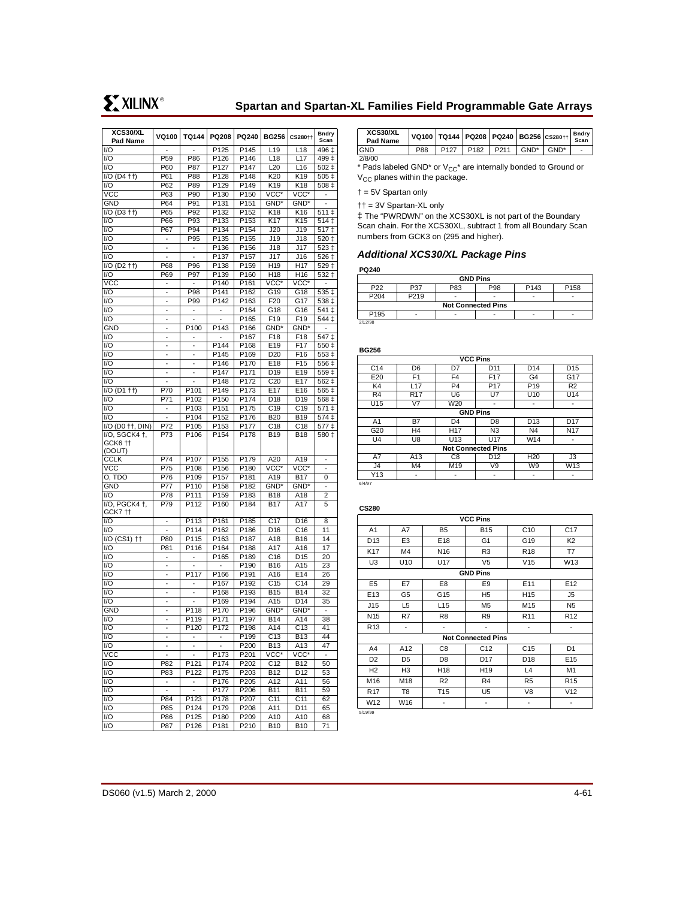| XCS30/XL<br>Pad Name                                 | VQ100                        | TQ144                    | PQ208                        | PQ240            | <b>BG256</b>     | CS280††          | <b>Bndry</b><br>Scan     |
|------------------------------------------------------|------------------------------|--------------------------|------------------------------|------------------|------------------|------------------|--------------------------|
| I/O                                                  | ÷,                           | Ξ                        | P125                         | P145             | L <sub>19</sub>  | L18              | 496 ‡                    |
| I/O                                                  | P <sub>59</sub>              | P86                      | P126                         | P146             | L <sub>18</sub>  | L17              | $499 +$                  |
|                                                      |                              |                          | P <sub>127</sub>             |                  |                  |                  | $502 \;{\rm t}$          |
| I/O                                                  | P60                          | P87                      |                              | P147             | L20              | L <sub>16</sub>  |                          |
| $I/O$ (D <sub>4</sub> $+$ )                          | P61                          | P88                      | P128                         | P148             | K20              | K19              | 505 ‡                    |
| I/O                                                  | P <sub>62</sub>              | P89                      | P129                         | P149             | K <sub>19</sub>  | K18              | 508 ‡                    |
| vcc                                                  | P63                          | P90                      | P <sub>130</sub>             | P150             | VCC*             | VCC*             | ٠                        |
| <b>GND</b>                                           | P64                          | P91                      | P131                         | P151             | GND*             | GND*             | ٠                        |
| $I/O$ (D3 $\uparrow\uparrow$ )                       | P65                          | P92                      | P132                         | P <sub>152</sub> | K <sub>18</sub>  | K16              | $511 \pm$                |
| I/O                                                  | P66                          | P93                      | P133                         | P153             | K17              | K15              | $514+$                   |
| $\overline{1/O}$                                     | P67                          | P94                      | P134                         | P154             | J20              | J19              | $\overline{517}$ ‡       |
| I/O                                                  | $\overline{a}$               | P95                      | P135                         | P155             | J19              | J18              | 520 ‡                    |
| I/O                                                  | $\overline{\phantom{a}}$     | $\overline{a}$           | P136                         | P156             | J18              | J17              | 523 ‡                    |
| I/O                                                  |                              |                          | P137                         | P157             | J17              | J16              | 526 ‡                    |
| $\overline{IO}$ (D <sub>2</sub> $\uparrow\uparrow$ ) | P68                          | P96                      | P138                         | P159             | H <sub>19</sub>  | H <sub>17</sub>  | 529 ‡                    |
| I/O                                                  | P69                          | P97                      | P139                         | P160             | H <sub>18</sub>  | H <sub>16</sub>  | 532 ‡                    |
| <b>VCC</b>                                           |                              |                          | P140                         | P161             | VCC*             | VCC*             |                          |
| I/O                                                  | $\overline{\phantom{a}}$     | P98                      | P141                         | P162             | G19              | G18              | 535 ‡                    |
| I/O                                                  | -                            | P99                      | P142                         | P163             | F20              | G17              | 538 ‡                    |
| I/O                                                  | $\overline{\phantom{a}}$     |                          | $\qquad \qquad \blacksquare$ | P164             | G18              | G16              | 541 ‡                    |
| I/O                                                  | $\overline{a}$               |                          |                              | P165             | F19              | F <sub>19</sub>  | 544 ‡                    |
| <b>GND</b>                                           | $\overline{a}$               | P100                     | P143                         | P166             | GND*             | GND <sup>*</sup> |                          |
| 1/O                                                  | $\overline{a}$               |                          |                              | P <sub>167</sub> | F18              | F <sub>18</sub>  | 547 ‡                    |
| I/O                                                  | -                            | -                        | P <sub>144</sub>             | P168             | E19              | F17              | $550+$                   |
| I/O                                                  | $\overline{a}$               | $\overline{a}$           | P145                         | P169             | D <sub>20</sub>  | F16              | $553+$                   |
| I/O                                                  | $\overline{a}$               | $\overline{\phantom{a}}$ | P <sub>146</sub>             | P170             | E18              | F <sub>15</sub>  | 556 ‡                    |
| I/O                                                  |                              |                          | P <sub>147</sub>             | P171             | D <sub>19</sub>  | E19              | 559 ±                    |
| I/O                                                  | $\overline{a}$               | ÷                        | P148                         | P172             | C <sub>20</sub>  | E17              |                          |
|                                                      |                              |                          |                              | P173             |                  | E <sub>16</sub>  | 562 ‡                    |
| I/O (D1 ++)                                          | P70                          | P101                     | P149                         |                  | E <sub>17</sub>  |                  | 565 ‡                    |
| I/O                                                  | P71                          | P102                     | P150                         | P174             | D <sub>18</sub>  | D <sub>19</sub>  | 568 ‡                    |
| I/O                                                  | $\overline{\phantom{a}}$     | P103                     | P151                         | P175             | C <sub>19</sub>  | C <sub>19</sub>  | 571 ‡                    |
| I/O                                                  | $\overline{a}$               | P104                     | P152                         | P176             | <b>B20</b>       | <b>B19</b>       | $574 \pm$                |
| I/O (D0 ++, DIN)                                     | P72                          | P105                     | P153                         | P177             | C18              | C <sub>18</sub>  | 577 ‡                    |
| I/O, SGCK4 +,<br>GCK6 tt<br>(DOUT)                   | P73                          | P106                     | P154                         | P178             | <b>B19</b>       | <b>B18</b>       | 580 ‡                    |
| <b>CCLK</b>                                          | P74                          | P107                     | P155                         | P179             | A <sub>20</sub>  | A <sub>19</sub>  | $\overline{\phantom{a}}$ |
| VCC                                                  | P75                          | P108                     | P156                         | P180             | VCC*             | VCC*             | $\overline{\phantom{m}}$ |
| O, TDO                                               | P76                          | P109                     | P157                         | P181             | A19              | <b>B17</b>       | 0                        |
| <b>GND</b>                                           | P77                          | P110                     | P158                         | P182             | GND <sup>*</sup> | $GND^*$          | $\overline{a}$           |
| I/O                                                  | P78                          | P111                     | P <sub>159</sub>             | P183             | <b>B18</b>       | A18              | 2                        |
| I/O, PGCK4 +,<br>GCK7 tt                             | P79                          | P112                     | P160                         | P184             | <b>B17</b>       | A17              | 5                        |
| I/O                                                  | $\overline{a}$               | P113                     | P161                         | P185             | C <sub>17</sub>  | D <sub>16</sub>  | 8                        |
| I/O                                                  | $\overline{a}$               | P114                     | P162                         | P186             | D <sub>16</sub>  | C16              | 11                       |
| I/O (CS1) ††                                         | P80                          | P115                     | P163                         | P187             | A18              | <b>B16</b>       | 14                       |
| I/O                                                  | P81                          | $\overline{P116}$        | P164                         | P188             | A17              | A16              | 17                       |
| I/O                                                  | $\qquad \qquad \blacksquare$ | ٠                        | P <sub>165</sub>             | P189             | C16              | D <sub>15</sub>  | 20                       |
| I/O                                                  | $\overline{a}$               | $\overline{a}$           | $\overline{a}$               | P190             | <b>B16</b>       | A15              | 23                       |
| I/O                                                  | -                            | P117                     | P <sub>166</sub>             | P191             | A16              | E14              | 26                       |
| I/O                                                  |                              |                          | P <sub>167</sub>             | P192             | C <sub>15</sub>  | C <sub>14</sub>  | 29                       |
| I/O                                                  | $\overline{a}$               | ÷                        | P168                         | P193             | B <sub>15</sub>  | <b>B14</b>       | 32                       |
| I/O                                                  | -                            | -                        | P169                         | P194             | A15              | D14              | 35                       |
| <b>GND</b>                                           |                              | P118                     | P170                         | P196             | GND*             | GND <sup>*</sup> |                          |
| I/O                                                  | $\overline{a}$               | P119                     | P171                         | P197             | <b>B14</b>       | A14              | 38                       |
| I/O                                                  | ÷                            | P120                     | P172                         | P198             | A14              | C <sub>13</sub>  | 41                       |
| $\overline{1/\overline{O}}$                          |                              |                          |                              | P <sub>199</sub> | C <sub>13</sub>  | <b>B13</b>       | 44                       |
| I/O                                                  | $\overline{\phantom{a}}$     | $\overline{\phantom{m}}$ | $\overline{\phantom{a}}$     | P200             | <b>B13</b>       | A13              | 47                       |
| vcc                                                  |                              |                          | P173                         | P201             | VCC*             | vcc*             | $\frac{1}{2}$            |
| I/O                                                  | P82                          | P121                     | P174                         | P202             | C <sub>12</sub>  | B12              | 50                       |
| I/O                                                  | P83                          | P122                     | P175                         | P203             | <b>B12</b>       | D <sub>12</sub>  | 53                       |
| 1/O                                                  | $\overline{\phantom{a}}$     |                          |                              |                  |                  |                  |                          |
|                                                      |                              | -                        | P176                         | P205             | A12              | A11              | 56                       |
| I/O                                                  | $\overline{\phantom{a}}$     | $\overline{\phantom{a}}$ | P177                         | P206             | <b>B11</b>       | <b>B11</b>       | 59                       |
| I/O                                                  | P84                          | P123                     | P178                         | P207             | C11              | C <sub>11</sub>  | 62                       |
| I/O                                                  | P85                          | P124                     | P179                         | P208             | A11              | D11              | 65                       |
| I/O                                                  | P86                          | P125                     | P <sub>180</sub>             | P209             | A10              | A10              | 68                       |
| I/O                                                  | P87                          | P126                     | P181                         | P210             | <b>B10</b>       | <b>B10</b>       | 71                       |

| XCS30/XL<br>Pad Name |     |                  |                  |                  |         | VQ100   TQ144   PQ208   PQ240   BG256   CS280   + | Bndry<br>Scan |
|----------------------|-----|------------------|------------------|------------------|---------|---------------------------------------------------|---------------|
| <b>GND</b>           | P88 | P <sub>127</sub> | P <sub>182</sub> | P <sub>211</sub> | $GND^*$ | $GND^*$                                           |               |
| 2/8/00               |     |                  |                  |                  |         |                                                   |               |

\* Pads labeled GND\* or  $V_{CC}$ \* are internally bonded to Ground or  $V_{CC}$  planes within the package.

† = 5V Spartan only

†† = 3V Spartan-XL only

‡ The "PWRDWN" on the XCS30XL is not part of the Boundary Scan chain. For the XCS30XL, subtract 1 from all Boundary Scan numbers from GCK3 on (295 and higher).

### **Additional XCS30/XL Package Pins**

#### **PQ240**

| <b>GND Pins</b>                                                              |      |   |  |   |   |  |  |  |
|------------------------------------------------------------------------------|------|---|--|---|---|--|--|--|
| P <sub>22</sub><br>P <sub>143</sub><br>P83<br>P98<br>P <sub>158</sub><br>P37 |      |   |  |   |   |  |  |  |
| P204                                                                         | P219 | ٠ |  | - | - |  |  |  |
| <b>Not Connected Pins</b>                                                    |      |   |  |   |   |  |  |  |
| P <sub>195</sub>                                                             |      | - |  |   |   |  |  |  |
| 2/12/98                                                                      |      |   |  |   |   |  |  |  |

| <b>BG256</b>    |                 |                           |                 |                 |                 |  |  |  |  |
|-----------------|-----------------|---------------------------|-----------------|-----------------|-----------------|--|--|--|--|
| <b>VCC Pins</b> |                 |                           |                 |                 |                 |  |  |  |  |
| C <sub>14</sub> | D <sub>6</sub>  | D7                        | D <sub>11</sub> | D <sub>14</sub> | D <sub>15</sub> |  |  |  |  |
| E20             | F <sub>1</sub>  | F <sub>4</sub>            | F <sub>17</sub> | G4              | G17             |  |  |  |  |
| K4              | L17             | P <sub>4</sub>            | P <sub>17</sub> | P <sub>19</sub> | R2              |  |  |  |  |
| R <sub>4</sub>  | R <sub>17</sub> | U <sub>6</sub>            | U7              | U <sub>10</sub> | U14             |  |  |  |  |
| U15             | V <sub>7</sub>  | W20                       |                 |                 | -               |  |  |  |  |
| <b>GND Pins</b> |                 |                           |                 |                 |                 |  |  |  |  |
| A <sub>1</sub>  | <b>B7</b>       | D <sub>4</sub>            | D <sub>8</sub>  | D <sub>13</sub> | D <sub>17</sub> |  |  |  |  |
| G20             | H <sub>4</sub>  | H <sub>17</sub>           | N <sub>3</sub>  | N <sub>4</sub>  | N <sub>17</sub> |  |  |  |  |
| U <sub>4</sub>  | U8              | U13                       | U17             | W14             | ٠               |  |  |  |  |
|                 |                 | <b>Not Connected Pins</b> |                 |                 |                 |  |  |  |  |
| A7              | A13             | C8                        | D <sub>12</sub> | H <sub>20</sub> | J3              |  |  |  |  |
| J4              | M4              | M19                       | V9              | W <sub>9</sub>  | W <sub>13</sub> |  |  |  |  |
| Y13             | -               | ٠                         | -               | -               | -               |  |  |  |  |
| 6/4/97          |                 |                           |                 |                 |                 |  |  |  |  |

#### **CS280**

| <b>VCC Pins</b> |                 |                 |                           |                 |                 |  |  |  |  |
|-----------------|-----------------|-----------------|---------------------------|-----------------|-----------------|--|--|--|--|
| A1              | A7              | <b>B5</b>       | <b>B15</b>                | C <sub>10</sub> | C17             |  |  |  |  |
| D <sub>13</sub> | E <sub>3</sub>  | E18             | G <sub>1</sub>            | G19             | K <sub>2</sub>  |  |  |  |  |
| K17             | M4              | N <sub>16</sub> | R <sub>3</sub>            | R <sub>18</sub> | T7              |  |  |  |  |
| U3              | U10             | U17             | V <sub>5</sub>            | V15             | W13             |  |  |  |  |
|                 | <b>GND Pins</b> |                 |                           |                 |                 |  |  |  |  |
| E <sub>5</sub>  | E7              | E8              | E9                        | E11             | E12             |  |  |  |  |
| E <sub>13</sub> | G5              | G15             | H <sub>5</sub>            | H <sub>15</sub> | J5              |  |  |  |  |
| J15             | L <sub>5</sub>  | L15             | M <sub>5</sub>            | M15             | N <sub>5</sub>  |  |  |  |  |
| N <sub>15</sub> | R7              | R8              | R <sub>9</sub>            | R <sub>11</sub> | R <sub>12</sub> |  |  |  |  |
| R <sub>13</sub> | -               | -               |                           | -               | -               |  |  |  |  |
|                 |                 |                 | <b>Not Connected Pins</b> |                 |                 |  |  |  |  |
| A4              | A12             | C8              | C <sub>12</sub>           | C <sub>15</sub> | D <sub>1</sub>  |  |  |  |  |
| D <sub>2</sub>  | D <sub>5</sub>  | D <sub>8</sub>  | D <sub>17</sub>           | D <sub>18</sub> | E15             |  |  |  |  |
| H2              | H <sub>3</sub>  | H18             | H <sub>19</sub>           | L4              | M1              |  |  |  |  |
| M16             | M18             | R <sub>2</sub>  | R <sub>4</sub>            | R <sub>5</sub>  | R <sub>15</sub> |  |  |  |  |
| <b>R17</b>      | T8              | T15             | U <sub>5</sub>            | V <sub>8</sub>  | V12             |  |  |  |  |
| W12             | W16             |                 | $\overline{\phantom{a}}$  | ٠               |                 |  |  |  |  |

5/19/99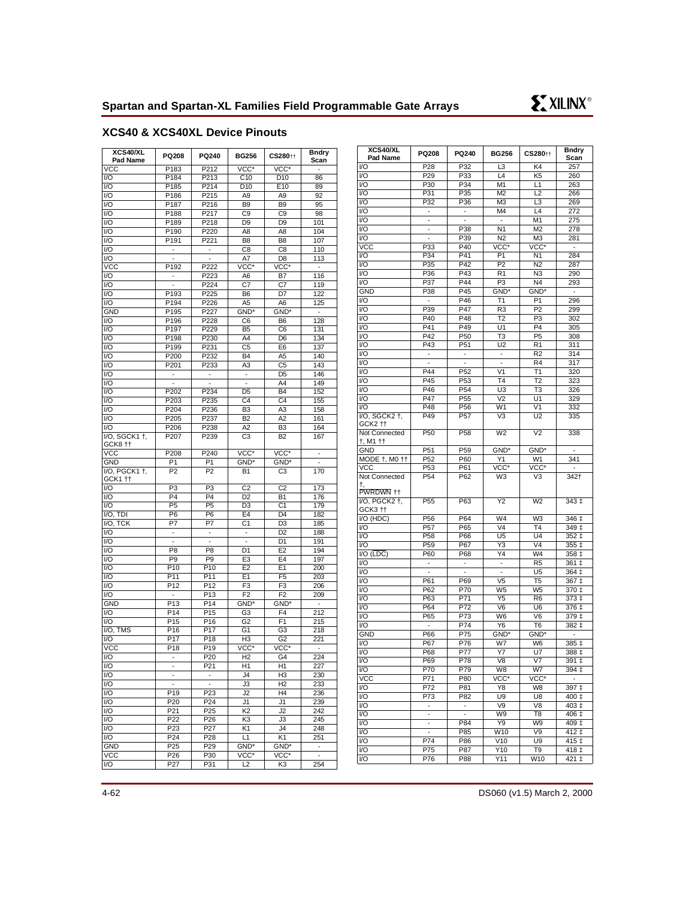

# **XCS40 & XCS40XL Device Pinouts**

| XCS40/XL<br>Pad Name     | PQ208<br>PQ240<br><b>BG256</b> |                                   | CS280 <sup>++</sup>       | <b>Bndry</b><br>Scan |                          |
|--------------------------|--------------------------------|-----------------------------------|---------------------------|----------------------|--------------------------|
| VCC                      | P183                           | P212                              | VCC*                      | VCC*                 | $\blacksquare$           |
| $\overline{U}$           | P <sub>184</sub>               | P213                              | C10                       | D <sub>10</sub>      | 86                       |
| I/O                      | P185                           | P214                              | D10                       | E <sub>10</sub>      | 89                       |
| I/O                      | P186                           | P215                              | A9                        | A9                   | 92                       |
| I/O                      | P187                           | P216                              | B <sub>9</sub>            | B <sub>9</sub>       | 95                       |
| 1/O                      | P <sub>188</sub>               | P217                              | C9                        | C <sub>9</sub>       | 98                       |
| I/O                      | P189                           | P218                              | D <sub>9</sub>            | D <sub>9</sub>       | 101                      |
| I/O                      | P190                           | P220                              | A8                        | A8                   | 104                      |
| I/O                      | $\overline{P}$ 191             | P221                              | B <sub>8</sub>            | B <sub>8</sub>       | 107                      |
| I/O                      |                                |                                   | C8                        | C <sub>8</sub>       | 110                      |
| I/O                      | $\overline{a}$                 | $\overline{a}$                    | A7                        | D <sub>8</sub>       | 113                      |
| <b>VCC</b>               | P192                           | P222                              | VCC*                      | VCC*                 | $\overline{\phantom{a}}$ |
| I/O                      |                                | P223                              | A6                        | B7                   | 116                      |
| I/O                      | Ξ                              | P224                              | C7                        | C <sub>7</sub>       | 119                      |
| $\overline{U}$           | P <sub>193</sub>               | $\overline{P225}$                 | B6                        | D7                   | 122                      |
| I/O                      | P194                           | P226                              | A5                        | A6                   | 125                      |
| <b>GND</b>               | P195                           | P227                              | GND <sup>*</sup>          | GND <sup>*</sup>     | $\overline{\phantom{a}}$ |
| I/O                      | P196                           | P228                              | C <sub>6</sub>            | B <sub>6</sub>       | 128                      |
| I/O                      | P197                           | P229                              | <b>B5</b>                 | C <sub>6</sub>       | 131                      |
| $\overline{1/O}$         | P198                           | P230                              | A4                        | D <sub>6</sub>       | 134                      |
| I/O                      | P199                           | P231                              | C <sub>5</sub>            | E <sub>6</sub>       | 137                      |
| I/O                      | P200                           | P232                              | <b>B4</b>                 |                      | 140                      |
|                          |                                |                                   |                           | A5                   |                          |
| I/O                      | P201                           | P233                              | A3                        | C <sub>5</sub>       | 143                      |
| I/O                      | $\overline{\phantom{a}}$       | $\overline{\phantom{0}}$          | ÷,                        | D <sub>5</sub>       | 146                      |
| I/O                      |                                | $\frac{1}{2}$<br>P <sub>234</sub> | ÷,                        | A4                   | 149                      |
| I/O                      | P202                           |                                   | D <sub>5</sub>            | <b>B4</b>            | 152                      |
| I/O                      | P203                           | P235                              | C4                        | C <sub>4</sub>       | 155                      |
| I/O                      | P204                           | P236                              | B <sub>3</sub>            | A3                   | 158                      |
| I/O                      | P205                           | P237                              | <b>B2</b>                 | A <sub>2</sub>       | 161                      |
| I/O                      | P206                           | P238                              | A2                        | B <sub>3</sub>       | 164                      |
| I/O, SGCK1 +,<br>GCK8 tt | P207                           | P239                              | C <sub>3</sub>            | B2                   | 167                      |
| <b>VCC</b>               | P208                           | P240                              | $\overline{\text{VCC}^*}$ | VCC*                 | ÷                        |
| <b>GND</b>               | P <sub>1</sub>                 | P <sub>1</sub>                    | GND*                      | GND*                 | $\overline{\phantom{a}}$ |
| I/O, PGCK1 +,<br>GCK1 tt | P <sub>2</sub>                 | P <sub>2</sub>                    | <b>B1</b>                 | C <sub>3</sub>       | 170                      |
| I/O                      | $\overline{P3}$                | P3                                | $\overline{c}$            | $\overline{C2}$      | 173                      |
| I/O                      | P <sub>4</sub>                 | P <sub>4</sub>                    | D <sub>2</sub>            | <b>B1</b>            | 176                      |
| I/O                      | P <sub>5</sub>                 | P <sub>5</sub>                    | D <sub>3</sub>            | C1                   | 179                      |
| $\overline{IO}$ , TDI    | P <sub>6</sub>                 | $\overline{P6}$                   | E4                        | D <sub>4</sub>       | 182                      |
| I/O, TCK                 | P7                             | P7                                | C <sub>1</sub>            | D <sub>3</sub>       | 185                      |
| I/O                      | $\overline{\phantom{a}}$       | 4                                 | ÷,                        | D <sub>2</sub>       | 188                      |
| I/O                      | $\overline{a}$                 | $\overline{a}$                    | $\overline{a}$            | D <sub>1</sub>       | 191                      |
| I/O                      | P <sub>8</sub>                 | P <sub>8</sub>                    | D1                        | E <sub>2</sub>       | 194                      |
| I/O                      | P <sub>9</sub>                 | P <sub>9</sub>                    | E <sub>3</sub>            | E <sub>4</sub>       | 197                      |
| I/O                      | P <sub>10</sub>                | P10                               | E <sub>2</sub>            | E1                   | 200                      |
| I/O                      | P11                            | P11                               | E1                        | F <sub>5</sub>       | 203                      |
| I/O                      | P <sub>12</sub>                | P12                               | F <sub>3</sub>            | F <sub>3</sub>       | 206                      |
| I/O                      | ÷,                             | P <sub>13</sub>                   | F <sub>2</sub>            | F <sub>2</sub>       | 209                      |
| <b>GND</b>               | P13                            | P14                               | GND <sup>*</sup>          | GND <sup>*</sup>     | -                        |
| I/O                      | P <sub>14</sub>                | P <sub>15</sub>                   | G <sub>3</sub>            | F <sub>4</sub>       | 212                      |
| I/O                      | P <sub>15</sub>                | P16                               | G <sub>2</sub>            | F <sub>1</sub>       | 215                      |
| I/O, TMS                 | P <sub>16</sub>                | P17                               | G <sub>1</sub>            | G <sub>3</sub>       | 218                      |
| $\overline{1/O}$         | P <sub>17</sub>                | P18                               | H <sub>3</sub>            | G <sub>2</sub>       | 221                      |
| $\overline{VCC}$         | P <sub>18</sub>                | P19                               | VCC*                      | VCC*                 | $\blacksquare$           |
| I/O                      |                                | P <sub>20</sub>                   | H <sub>2</sub>            | G4                   | 224                      |
| I/O                      |                                | P21                               | H1                        | H1                   | 227                      |
| $\overline{1/O}$         | $\overline{\phantom{m}}$       | -                                 | J4                        | H3                   | 230                      |
| I/O                      | ÷.                             | ÷.                                | J3                        | H <sub>2</sub>       | 233                      |
| I/O                      | P19                            | P23                               | J <sub>2</sub>            | H <sub>4</sub>       | 236                      |
| I/O                      | P20                            | P24                               | J1                        | J1                   | 239                      |
| I/O                      | P21                            | P <sub>25</sub>                   | K <sub>2</sub>            | J2                   | 242                      |
| I/O                      | P22                            | P26                               | K <sub>3</sub>            | JЗ                   | 245                      |
| I/O                      | P23                            | P27                               | K1                        | J4                   | 248                      |
| I/O                      | P24                            | P <sub>28</sub>                   | L1                        | K1                   | 251                      |
| <b>GND</b>               | P <sub>25</sub>                | P <sub>29</sub>                   | GND*                      | GND*                 |                          |
| <b>VCC</b>               | P26                            | P30                               | $VCC^*$                   | VCC <sup>*</sup>     | $\blacksquare$           |
| I/O                      | P27                            | P31                               | L2                        | K3                   | 254                      |
|                          |                                |                                   |                           |                      |                          |

| XCS40/XL<br>Pad Name             | PQ208                    | PQ240                    | <b>BG256</b>             | CS280 <sup>++</sup>    | <b>Bndry</b><br>Scan     |
|----------------------------------|--------------------------|--------------------------|--------------------------|------------------------|--------------------------|
| I/O                              | P <sub>28</sub>          | P32                      | L3                       | K4                     | 257                      |
| VO                               | P29                      | P33                      | L4                       | K <sub>5</sub>         | 260                      |
| VO                               | P30                      | P34                      | M1                       | L1                     | 263                      |
| I/O                              | P31                      | $P\overline{35}$         | M <sub>2</sub>           | L2                     | 266                      |
| I/O                              | P32                      | P36                      | M3                       | L3                     | 269                      |
| VO                               | -                        | -                        | M4                       | L4                     | 272                      |
| I/O                              | ÷,                       | $\overline{a}$           | $\blacksquare$           | $\overline{M1}$        | 275                      |
| $\overline{VQ}$                  | $\frac{1}{2}$            | P38                      | N <sub>1</sub>           | M <sub>2</sub>         | 278                      |
| I/O                              |                          | P39                      | N2                       | M <sub>3</sub>         | 281                      |
| VCC                              | P33                      | P <sub>40</sub>          | VCC*                     | VCC*                   | $\blacksquare$           |
| I/O                              | P34                      | P41                      | P <sub>1</sub>           | N <sub>1</sub>         | 284                      |
| $\overline{VQ}$                  | P35                      | P42                      | P2                       | N <sub>2</sub>         | 287                      |
| V <sub>O</sub>                   | P36                      | P43                      | R <sub>1</sub>           | N <sub>3</sub>         | 290                      |
| I/O                              | P37                      | P44                      | P3                       | N4                     | 293                      |
| <b>GND</b>                       | P38                      | P45                      | GND <sup>*</sup>         | GND*                   |                          |
| VO                               | $\overline{\phantom{0}}$ | P46                      | T1                       | P <sub>1</sub>         | 296                      |
| I/O                              | P39                      | P47                      | R <sub>3</sub>           | $\overline{P2}$        | 299                      |
| I/O                              | P40                      | P48                      | T <sub>2</sub>           | P <sub>3</sub>         | 302                      |
| I/O                              | P41                      | P49                      | U1                       | P <sub>4</sub>         | 305                      |
| I/O                              | $\overline{P}42$         | P50                      | T <sub>3</sub>           | P <sub>5</sub>         | 308                      |
| VO                               | P43                      | P51                      | U <sub>2</sub>           | R <sub>1</sub>         | 311                      |
| I/O                              | $\overline{\phantom{0}}$ | $\overline{\phantom{a}}$ | $\overline{\phantom{a}}$ | R <sub>2</sub>         | 314                      |
| I/O                              | $\overline{a}$           | $\overline{a}$           | $\overline{a}$           | R4                     | 317                      |
| I/O                              | P44                      | P <sub>52</sub>          | V <sub>1</sub>           | T1                     | 320                      |
| VO                               | P45                      | P <sub>53</sub>          | T <sub>4</sub>           | $\overline{12}$        | 323                      |
| V <sub>O</sub>                   | P46                      | P <sub>54</sub>          | U <sub>3</sub>           | $\overline{\text{T3}}$ | 326                      |
| I/O                              | P47                      | P <sub>55</sub>          | V <sub>2</sub>           | U1                     | 329                      |
| I/O                              | P48                      | P56                      | W <sub>1</sub>           | V <sub>1</sub>         | 332                      |
| I/O, SGCK2 +,                    | P49                      | P <sub>57</sub>          | V <sub>3</sub>           | U <sub>2</sub>         | 335                      |
| GCK2 <sup>++</sup>               |                          |                          |                          |                        |                          |
| Not Connected<br>†, M1 ††        | P50                      | P58                      | W <sub>2</sub>           | V <sub>2</sub>         | 338                      |
| <b>GND</b>                       | P51                      | P59                      | GND*                     | GND*                   | $\overline{\phantom{a}}$ |
| MODE +, M0 ++                    | P <sub>52</sub>          | P60                      | Y1                       | W1                     | 341                      |
| <b>VCC</b>                       | P <sub>53</sub>          | P61                      | VCC*                     | VCC*                   |                          |
| Not Connected<br>t,<br>PWRDWN ++ | P <sub>54</sub>          | P62                      | W3                       | V3                     | 342†                     |
| VO, PGCK2 +,                     | P <sub>55</sub>          | P63                      | $\overline{Y2}$          | W <sub>2</sub>         | $343+$                   |
| GCK3 <sub>11</sub>               |                          |                          |                          |                        |                          |
| I/O (HDC)                        | P <sub>56</sub>          | P64                      | W <sub>4</sub>           | W <sub>3</sub>         | $346+$                   |
| VO                               | P <sub>57</sub>          | $\overline{P65}$         | V <sub>4</sub>           | T <sub>4</sub>         | 349 ‡                    |
| VO                               | P <sub>58</sub>          | P66                      | U <sub>5</sub>           | U <sub>4</sub>         | 352 ‡                    |
| VO                               | P <sub>59</sub>          | P67                      | Y3                       | V <sub>4</sub>         | 355 ‡                    |
| I/O (LDC)<br>VO                  | P60                      | P68                      | Y4                       | W4<br>R <sub>5</sub>   | 358 ‡                    |
| VO                               | $\overline{\phantom{0}}$ | $\overline{\phantom{a}}$ | $\overline{\phantom{a}}$ |                        | $361 \pm$                |
|                                  | $\overline{\phantom{a}}$ | ÷                        | $\overline{\phantom{0}}$ | U5                     | 364 ‡                    |
| I/O                              | P61                      | P69                      | V <sub>5</sub>           | T <sub>5</sub>         | 367 ‡                    |
| I/O                              | P62                      | P70                      | W <sub>5</sub>           | W <sub>5</sub>         | 370 ‡                    |
| VO                               | P63<br>P64               | P71                      | Y5                       | R <sub>6</sub>         | 373‡                     |
| VO                               |                          | P72                      | V <sub>6</sub>           | U <sub>6</sub>         | $376+$                   |
| I/O                              | P65                      | P73<br>P74               | W6                       | V <sub>6</sub>         | 379 ‡                    |
| I/O                              |                          |                          | Y6                       | T <sub>6</sub>         | 382 ‡                    |
| <b>GND</b>                       | P66                      | P75<br>P76               | GND <sup>*</sup>         | GND*                   | $\overline{\phantom{a}}$ |
| VO                               | P67                      |                          | W7                       | W <sub>6</sub>         | $385+$                   |
| I/O                              | P68                      | P77                      | Y7                       | U7                     | 388 ‡                    |
| I/O                              | P69                      | P78                      | V8                       | V7                     | 391 ‡                    |
| VO                               | P70                      | P79                      | W8                       | W7                     | 394 ‡                    |
| <b>VCC</b>                       | P71                      | P80                      | VCC*                     | VCC*                   |                          |
| VO                               | P72                      | P81                      | Y8                       | W8                     | 397 ‡                    |
| I/O                              | P73                      | P82                      | U9                       | U8                     | 400 ‡                    |
| VO                               |                          | $\overline{\phantom{a}}$ | V9                       | V8                     | 403 ‡                    |
| VO                               |                          |                          | W9                       | T <sub>8</sub>         | 406 ‡                    |
| VO                               | $\blacksquare$           | P84                      | Y9                       | W9                     | 409 ‡                    |
| I/O                              | $\overline{\phantom{a}}$ | P85                      | W10                      | V9                     | 412 ‡                    |
| I/O                              | P74                      | P86                      | V10                      | U <sub>9</sub>         | $415+$                   |
| VO                               | P75                      | P87                      | Y10                      | T9                     | 418 ±                    |
| VO                               | P76                      | P88                      | Y11                      | W10                    | $\overline{421}$ ‡       |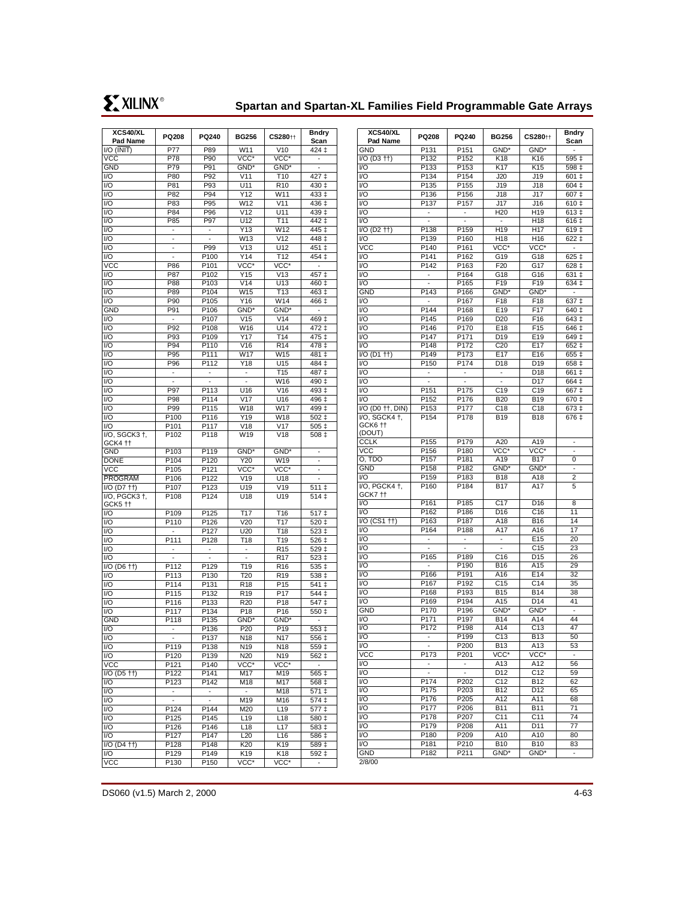# **Spartan and Spartan-XL Families Field Programmable Gate Arrays**

| XCS40/XL<br>Pad Name                                        | PQ208                    | PQ240                    | <b>BG256</b>             | CS280 <sup>++</sup>                | <b>Bndry</b><br>Scan      |
|-------------------------------------------------------------|--------------------------|--------------------------|--------------------------|------------------------------------|---------------------------|
| $\overline{IO}$ ( $\overline{INIT}$ )                       | <b>P77</b>               | P89                      | W11                      | V10                                | 424 ‡                     |
| <b>VCC</b>                                                  | P78                      | P90                      | VCC*                     | VCC*                               |                           |
| <b>GND</b>                                                  | P79                      | P91                      | GND*                     | GND*                               | $\overline{a}$            |
| I/O                                                         | P80                      | P92                      | V11                      | T <sub>10</sub>                    | 427 ‡                     |
| I/O                                                         | P81                      | P93                      | U11                      | R <sub>10</sub>                    | 430 ‡                     |
| I/O                                                         | P82                      | P94                      | Y12                      | W11                                | 433 ‡                     |
| I/O                                                         | P83                      | P95                      | W12                      | V11                                | $436 \pm$                 |
| I/O<br>$\overline{1/O}$                                     | P84<br>P85               | P96<br>P97               | V <sub>12</sub><br>U12   | U11<br><b>T11</b>                  | 439 ‡<br>$442 \downarrow$ |
| I/O                                                         | Ξ                        |                          | Y13                      | W12                                | $445 \downarrow$          |
| I/O                                                         |                          | $\overline{\phantom{a}}$ | W13                      | V12                                | 448 ‡                     |
| I/O                                                         |                          | P99                      | V13                      | U12                                | 451 ‡                     |
| $\overline{1/O}$                                            |                          | P100                     | Y14                      | T <sub>12</sub>                    | 454 ‡                     |
| VCC                                                         | P86                      | P <sub>101</sub>         | VCC*                     | $\overline{\text{VCC}^*}$          |                           |
| I/O                                                         | P87                      | P102                     | Y15                      | V13                                | 457 ‡                     |
| I/O                                                         | P88                      | P103                     | V14                      | U13                                | 460 ‡                     |
| I/O<br>I/O                                                  | P89<br>P90               | P104<br>P105             | W15<br>Y16               | T <sub>13</sub><br>W14             | 463 ‡                     |
| <b>GND</b>                                                  | P91                      | P <sub>106</sub>         | GND*                     | GND*                               | 466 ‡<br>÷                |
| I/O                                                         |                          | P107                     | V15                      | V <sub>14</sub>                    | $469+$                    |
| I/O                                                         | P92                      | P108                     | W16                      | U14                                | 472 ‡                     |
| I/O                                                         | P93                      | P <sub>109</sub>         | Y17                      | T <sub>14</sub>                    | 475 ‡                     |
| I/O                                                         | P94                      | P110                     | V16                      | R <sub>14</sub>                    | 478 ‡                     |
| I/O                                                         | P95                      | P <sub>111</sub>         | W17                      | W15                                | 481 ‡                     |
| I/O                                                         | P96                      | P112                     | Y18                      | U <sub>15</sub>                    | 484 ‡                     |
| $\overline{1/O}$                                            |                          |                          |                          | T <sub>15</sub>                    | 487 ‡                     |
| I/O<br>I/O                                                  | P97                      | P113                     | -                        | W16<br>V16                         | $490+$<br>$493+$          |
| I/O                                                         | P98                      | P114                     | U16<br>V17               | U16                                | 496 ‡                     |
| 1/O                                                         | P99                      | P115                     | W18                      | W17                                | 499 ‡                     |
| I/O                                                         | P100                     | P116                     | Y19                      | W18                                | $502 \;{\rm \ddagger}$    |
| I/O                                                         | P101                     | P117                     | V18                      | V17                                | 505 ‡                     |
| I/O, SGCK3 +,<br>GCK4 ††                                    | P <sub>102</sub>         | P118                     | W <sub>19</sub>          | V18                                | 508 ‡                     |
| <b>GND</b>                                                  | P <sub>103</sub>         | P <sub>119</sub>         | GND <sup>*</sup>         | GND <sup>*</sup>                   |                           |
| <b>DONE</b>                                                 | P <sub>104</sub>         | P120                     | Y20                      | W19                                |                           |
| <b>VCC</b>                                                  | P105                     | P121                     | VCC*                     | VCC*                               | -                         |
| <b>PROGRAM</b><br>$I/O$ (D7 $\uparrow\uparrow$ )            | P106<br>P107             | P122<br>P123             | V19<br>U19               | U18<br>V19                         |                           |
| I/O, PGCK3 +,                                               | P108                     | P124                     | U18                      | U19                                | 511 ‡<br>514 ‡            |
| GCK5 tt                                                     |                          |                          |                          |                                    |                           |
| I/O                                                         | P109                     | P125                     | T17                      | T <sub>16</sub>                    | 517 ‡                     |
| I/O                                                         | P110                     | P126                     | V20                      | T17                                | 520 ‡                     |
| I/O                                                         | ٠                        | P127                     | U20                      | T <sub>18</sub>                    | 523 ‡                     |
| I/O                                                         | P111                     | P128                     | T18                      | T <sub>19</sub>                    | 526 ‡                     |
| I/O                                                         |                          | $\frac{1}{2}$            | ÷                        | R <sub>15</sub>                    | 529 ‡                     |
| I/O<br>$\overline{IO}$ (D6 $\uparrow\uparrow$ )             | P112                     | P129                     | T19                      | R <sub>17</sub><br>R <sub>16</sub> | 523 ‡<br>535 ‡            |
| I/O                                                         | P113                     | P130                     | T <sub>20</sub>          | R <sub>19</sub>                    | 538 ‡                     |
| I/O                                                         | P114                     | P131                     | R <sub>18</sub>          | P <sub>15</sub>                    | $\overline{5}$ 41 ‡       |
| I/O                                                         | P115                     | P132                     | R <sub>19</sub>          | P <sub>17</sub>                    | 544 ‡                     |
| I/O                                                         | P116                     | P133                     | R <sub>20</sub>          | P <sub>18</sub>                    | $\overline{5}$ 47 ‡       |
| I/O                                                         | P117                     | P134                     | P18                      | P <sub>16</sub>                    | 550 ‡                     |
| <b>GND</b>                                                  | P118                     | P135                     | GND*                     | GND*                               |                           |
| I/O                                                         | -                        | P <sub>136</sub>         | P <sub>20</sub>          | P <sub>19</sub>                    | $\overline{553}$ ‡        |
| I/O                                                         |                          | P <sub>137</sub>         | N <sub>18</sub>          | N <sub>17</sub>                    | 556 ‡                     |
| I/O<br>I/O                                                  | P119<br>P120             | P138<br>P139             | N19<br>N <sub>20</sub>   | N18<br>N19                         | 559 ‡<br>562 ‡            |
| <b>VCC</b>                                                  | P121                     | P140                     | VCC*                     | VCC*                               |                           |
| I/O (D5 ††)                                                 | P <sub>122</sub>         | P141                     | M17                      | M19                                | $565+$                    |
| I/O                                                         | P123                     | P142                     | M18                      | M17                                | $568+$                    |
| I/O                                                         | $\overline{\phantom{a}}$ |                          | $\overline{\phantom{a}}$ | M18                                | $\overline{571}$ ‡        |
| I/O                                                         |                          |                          | M <sub>19</sub>          | M16                                | $574 \pm$                 |
| I/O                                                         | P124                     | P144                     | M20                      | L <sub>19</sub>                    | 577‡                      |
| I/O                                                         | P125                     | P145                     | L19                      | L18                                | 580 ‡                     |
| I/O                                                         | P126                     | P146                     | L <sub>18</sub>          | L17                                | 583 ‡                     |
| I/O<br>$\overline{IO}$ (D <sub>4</sub> $\uparrow\uparrow$ ) | P127<br>P128             | P147<br>P148             | L20<br>K20               | L16<br>K19                         | 586 ‡<br>589 ‡            |
| I/O                                                         | P129                     | P149                     | K19                      | K <sub>18</sub>                    | 592‡                      |
| <b>VCC</b>                                                  | P130                     | P150                     | VCC*                     | VCC*                               | -                         |
|                                                             |                          |                          |                          |                                    |                           |

| P131<br>P151<br>GND <sup>*</sup><br>GND*<br>GND<br>÷,<br>$VO$ (D <sub>3</sub> $++$ )<br>P132<br>P152<br>K18<br>K16<br>595 ‡<br>P <sub>153</sub><br>VO<br>P133<br>K17<br>K15<br>598 ‡<br>VO<br>P134<br>P154<br>J20<br>J19<br>601 ‡<br>V <sub>O</sub><br>P135<br>P155<br>J19<br>J18<br>604 ‡<br>VO<br>P <sub>136</sub><br>P156<br>J17<br>J18<br>607 ‡<br>I/O<br>P137<br>P157<br>J17<br>J16<br>610 ‡<br>I/O<br>H <sub>20</sub><br>H19<br>613 ‡<br>VO<br>H <sub>18</sub><br>$\overline{6}$ 16 ‡<br>$\overline{a}$<br>$\overline{a}$<br>$\overline{\phantom{a}}$<br>P <sub>159</sub><br>$\overline{VO}$ (D <sub>2</sub> $\uparrow\uparrow$ )<br>P138<br>H <sub>19</sub><br>$619+$<br>H <sub>17</sub><br>VO<br>P139<br>P160<br>H18<br>H <sub>16</sub><br>622 ‡<br>VCC<br>P <sub>140</sub><br>P161<br>VCC*<br>VCC*<br>Ξ<br>$\overline{VO}$<br>P141<br>P162<br>G19<br>G18<br>625 ‡<br>$\overline{VQ}$<br>P <sub>142</sub><br>P163<br>F20<br>G17<br>628 <sub>1</sub><br>VO<br>P164<br>G18<br>G16<br>631 ‡<br>VO<br>P165<br>F19<br>F <sub>19</sub><br>634 ‡<br>$\overline{a}$<br><b>GND</b><br>P143<br>P166<br>GND <sup>*</sup><br>GND*<br>$\blacksquare$<br>F18<br>F <sub>18</sub><br>V <sub>O</sub><br>P167<br>$637+$<br>F17<br>VO<br>P144<br>P168<br>E19<br>640 ‡<br>I/O<br>P169<br>F <sub>16</sub><br>P145<br>D <sub>20</sub><br>643 ‡<br>VO<br>P170<br>E18<br>F <sub>15</sub><br>P146<br>646 ‡<br>V <sub>O</sub><br>P147<br>P171<br>D <sub>19</sub><br>E19<br>649 ‡<br>$\overline{VQ}$<br>$\overline{P172}$<br>C20<br>P148<br>E17<br>652 ‡<br>$\overline{VO}$ (D1 $\uparrow\uparrow$ )<br>P <sub>149</sub><br>P <sub>173</sub><br>E17<br>E16<br>655 ‡<br>P174<br>VO<br>P150<br>D18<br>D <sub>19</sub><br>658 ±<br>V <sub>O</sub><br>D <sub>18</sub><br>661 ‡<br>$\overline{\phantom{a}}$<br>÷<br>÷<br>$\overline{VQ}$<br>D <sub>17</sub><br>664 <sub>‡</sub><br>VO<br>P151<br>P175<br>C <sub>19</sub><br>C <sub>19</sub><br>667 ‡<br>VO<br>P152<br>P176<br><b>B20</b><br><b>B19</b><br>670 ‡<br>I/O (D0 † †, DIN)<br>P <sub>153</sub><br>P <sub>177</sub><br>C18<br>C <sub>18</sub><br>673 ‡<br>I/O, SGCK4 +,<br>P178<br>P154<br><b>B19</b><br>676 ‡<br><b>B18</b><br>GCK6 tt<br>(DOUT)<br>P155<br>P179<br>A20<br><b>CCLK</b><br>A19<br>$\overline{\phantom{m}}$<br>P156<br>P180<br>VCC*<br><b>VCC</b><br>VCC*<br>P157<br>P181<br>A19<br><b>B17</b><br>o, TDO<br>0<br>P <sub>182</sub><br><b>GND</b><br>P158<br>GND <sup>*</sup><br>GND*<br>÷,<br>VO<br>P159<br>P183<br><b>B18</b><br>A18<br>$\overline{c}$<br>I/O, PGCK4 +,<br>P <sub>160</sub><br>P184<br><b>B17</b><br>A17<br>5<br>GCK7 ††<br>P161<br>P185<br>C <sub>17</sub><br>VO<br>D <sub>16</sub><br>8<br>$\overline{VQ}$<br>$\overline{C16}$<br>11<br>P162<br>P186<br>D16<br>$\sqrt{10}$ (CS1 $\pm$ )<br>P <sub>163</sub><br>P187<br>A18<br>B16<br>14<br>VO<br>P164<br>P188<br>A17<br>A16<br>17<br>VO<br>E15<br>20<br>÷,<br>V <sub>O</sub><br>C <sub>15</sub><br>23<br>$\overline{\phantom{a}}$<br>$\overline{\phantom{a}}$<br>V <sub>O</sub><br>P165<br>P189<br>C16<br>D <sub>15</sub><br>26<br>VO<br>P190<br><b>B16</b><br>A15<br>29<br>VO<br>P166<br>P191<br>A16<br>E14<br>32<br>I/O<br>P <sub>192</sub><br>C <sub>15</sub><br>C <sub>14</sub><br>P167<br>35<br>V <sub>O</sub><br>P168<br>P193<br><b>B15</b><br><b>B14</b><br>38<br>VO<br>P169<br>P194<br>A15<br>D14<br>41<br>GND<br>P170<br>P196<br>GND <sup>*</sup><br>GND*<br>$\frac{1}{2}$<br>VO<br>P171<br>P197<br>A14<br><b>B14</b><br>44<br>$\overline{VQ}$<br>$\overline{C13}$<br>P172<br>P198<br>A14<br>47<br>VO<br>P <sub>199</sub><br>C13<br><b>B13</b><br>50<br>VO<br>P200<br><b>B13</b><br>A13<br>53<br>$\overline{\phantom{a}}$<br><b>VCC</b><br>$\overline{V}CC^*$<br>P173<br>P201<br>VCC*<br>VO<br>A13<br>A12<br>56<br>$\overline{\phantom{a}}$<br>$\overline{\phantom{a}}$<br>I/O<br>D12<br>C <sub>12</sub><br>59<br>$\overline{\phantom{a}}$<br>$\overline{\phantom{a}}$<br>VO<br>P174<br>P202<br>C <sub>12</sub><br><b>B12</b><br>62<br>VO<br>P175<br>P203<br><b>B12</b><br>D12<br>65<br>VO<br>P176<br>P205<br>A12<br>A11<br>68<br>VO<br>P206<br>P177<br><b>B11</b><br><b>B11</b><br>71<br>I/O<br>P178<br>P207<br>C <sub>11</sub><br>C11<br>74<br>VO<br>P179<br>P208<br>A11<br>D <sub>11</sub><br>77<br>VO<br>P <sub>180</sub><br>P209<br>A10<br>A10<br>80<br>VO<br>P181<br>P210<br><b>B10</b><br><b>B10</b><br>83<br>P182<br>P211<br>GND <sup>*</sup><br><b>GND</b><br>GND*<br>$\overline{\phantom{a}}$ | XCS40/XL<br>Pad Name | PQ208 | PQ240 | <b>BG256</b> | CS280 <sup>++</sup> | <b>Bndry</b><br>Scan |
|------------------------------------------------------------------------------------------------------------------------------------------------------------------------------------------------------------------------------------------------------------------------------------------------------------------------------------------------------------------------------------------------------------------------------------------------------------------------------------------------------------------------------------------------------------------------------------------------------------------------------------------------------------------------------------------------------------------------------------------------------------------------------------------------------------------------------------------------------------------------------------------------------------------------------------------------------------------------------------------------------------------------------------------------------------------------------------------------------------------------------------------------------------------------------------------------------------------------------------------------------------------------------------------------------------------------------------------------------------------------------------------------------------------------------------------------------------------------------------------------------------------------------------------------------------------------------------------------------------------------------------------------------------------------------------------------------------------------------------------------------------------------------------------------------------------------------------------------------------------------------------------------------------------------------------------------------------------------------------------------------------------------------------------------------------------------------------------------------------------------------------------------------------------------------------------------------------------------------------------------------------------------------------------------------------------------------------------------------------------------------------------------------------------------------------------------------------------------------------------------------------------------------------------------------------------------------------------------------------------------------------------------------------------------------------------------------------------------------------------------------------------------------------------------------------------------------------------------------------------------------------------------------------------------------------------------------------------------------------------------------------------------------------------------------------------------------------------------------------------------------------------------------------------------------------------------------------------------------------------------------------------------------------------------------------------------------------------------------------------------------------------------------------------------------------------------------------------------------------------------------------------------------------------------------------------------------------------------------------------------------------------------------------------------------------------------------------------------------------------------------------------------------------------------------------------------------------------------------------------------------------------------------------------------------------------------------------------------------------------------------------------------------------------------------------------------------------------------------------------------------------------------------------------------------------------------------------------------------------------------------------------------------------------------------------------------------------------------------------------------------------------------------------------------------------|----------------------|-------|-------|--------------|---------------------|----------------------|
|                                                                                                                                                                                                                                                                                                                                                                                                                                                                                                                                                                                                                                                                                                                                                                                                                                                                                                                                                                                                                                                                                                                                                                                                                                                                                                                                                                                                                                                                                                                                                                                                                                                                                                                                                                                                                                                                                                                                                                                                                                                                                                                                                                                                                                                                                                                                                                                                                                                                                                                                                                                                                                                                                                                                                                                                                                                                                                                                                                                                                                                                                                                                                                                                                                                                                                                                                                                                                                                                                                                                                                                                                                                                                                                                                                                                                                                                                                                                                                                                                                                                                                                                                                                                                                                                                                                                                                                                                                    |                      |       |       |              |                     |                      |
|                                                                                                                                                                                                                                                                                                                                                                                                                                                                                                                                                                                                                                                                                                                                                                                                                                                                                                                                                                                                                                                                                                                                                                                                                                                                                                                                                                                                                                                                                                                                                                                                                                                                                                                                                                                                                                                                                                                                                                                                                                                                                                                                                                                                                                                                                                                                                                                                                                                                                                                                                                                                                                                                                                                                                                                                                                                                                                                                                                                                                                                                                                                                                                                                                                                                                                                                                                                                                                                                                                                                                                                                                                                                                                                                                                                                                                                                                                                                                                                                                                                                                                                                                                                                                                                                                                                                                                                                                                    |                      |       |       |              |                     |                      |
|                                                                                                                                                                                                                                                                                                                                                                                                                                                                                                                                                                                                                                                                                                                                                                                                                                                                                                                                                                                                                                                                                                                                                                                                                                                                                                                                                                                                                                                                                                                                                                                                                                                                                                                                                                                                                                                                                                                                                                                                                                                                                                                                                                                                                                                                                                                                                                                                                                                                                                                                                                                                                                                                                                                                                                                                                                                                                                                                                                                                                                                                                                                                                                                                                                                                                                                                                                                                                                                                                                                                                                                                                                                                                                                                                                                                                                                                                                                                                                                                                                                                                                                                                                                                                                                                                                                                                                                                                                    |                      |       |       |              |                     |                      |
|                                                                                                                                                                                                                                                                                                                                                                                                                                                                                                                                                                                                                                                                                                                                                                                                                                                                                                                                                                                                                                                                                                                                                                                                                                                                                                                                                                                                                                                                                                                                                                                                                                                                                                                                                                                                                                                                                                                                                                                                                                                                                                                                                                                                                                                                                                                                                                                                                                                                                                                                                                                                                                                                                                                                                                                                                                                                                                                                                                                                                                                                                                                                                                                                                                                                                                                                                                                                                                                                                                                                                                                                                                                                                                                                                                                                                                                                                                                                                                                                                                                                                                                                                                                                                                                                                                                                                                                                                                    |                      |       |       |              |                     |                      |
|                                                                                                                                                                                                                                                                                                                                                                                                                                                                                                                                                                                                                                                                                                                                                                                                                                                                                                                                                                                                                                                                                                                                                                                                                                                                                                                                                                                                                                                                                                                                                                                                                                                                                                                                                                                                                                                                                                                                                                                                                                                                                                                                                                                                                                                                                                                                                                                                                                                                                                                                                                                                                                                                                                                                                                                                                                                                                                                                                                                                                                                                                                                                                                                                                                                                                                                                                                                                                                                                                                                                                                                                                                                                                                                                                                                                                                                                                                                                                                                                                                                                                                                                                                                                                                                                                                                                                                                                                                    |                      |       |       |              |                     |                      |
|                                                                                                                                                                                                                                                                                                                                                                                                                                                                                                                                                                                                                                                                                                                                                                                                                                                                                                                                                                                                                                                                                                                                                                                                                                                                                                                                                                                                                                                                                                                                                                                                                                                                                                                                                                                                                                                                                                                                                                                                                                                                                                                                                                                                                                                                                                                                                                                                                                                                                                                                                                                                                                                                                                                                                                                                                                                                                                                                                                                                                                                                                                                                                                                                                                                                                                                                                                                                                                                                                                                                                                                                                                                                                                                                                                                                                                                                                                                                                                                                                                                                                                                                                                                                                                                                                                                                                                                                                                    |                      |       |       |              |                     |                      |
|                                                                                                                                                                                                                                                                                                                                                                                                                                                                                                                                                                                                                                                                                                                                                                                                                                                                                                                                                                                                                                                                                                                                                                                                                                                                                                                                                                                                                                                                                                                                                                                                                                                                                                                                                                                                                                                                                                                                                                                                                                                                                                                                                                                                                                                                                                                                                                                                                                                                                                                                                                                                                                                                                                                                                                                                                                                                                                                                                                                                                                                                                                                                                                                                                                                                                                                                                                                                                                                                                                                                                                                                                                                                                                                                                                                                                                                                                                                                                                                                                                                                                                                                                                                                                                                                                                                                                                                                                                    |                      |       |       |              |                     |                      |
|                                                                                                                                                                                                                                                                                                                                                                                                                                                                                                                                                                                                                                                                                                                                                                                                                                                                                                                                                                                                                                                                                                                                                                                                                                                                                                                                                                                                                                                                                                                                                                                                                                                                                                                                                                                                                                                                                                                                                                                                                                                                                                                                                                                                                                                                                                                                                                                                                                                                                                                                                                                                                                                                                                                                                                                                                                                                                                                                                                                                                                                                                                                                                                                                                                                                                                                                                                                                                                                                                                                                                                                                                                                                                                                                                                                                                                                                                                                                                                                                                                                                                                                                                                                                                                                                                                                                                                                                                                    |                      |       |       |              |                     |                      |
|                                                                                                                                                                                                                                                                                                                                                                                                                                                                                                                                                                                                                                                                                                                                                                                                                                                                                                                                                                                                                                                                                                                                                                                                                                                                                                                                                                                                                                                                                                                                                                                                                                                                                                                                                                                                                                                                                                                                                                                                                                                                                                                                                                                                                                                                                                                                                                                                                                                                                                                                                                                                                                                                                                                                                                                                                                                                                                                                                                                                                                                                                                                                                                                                                                                                                                                                                                                                                                                                                                                                                                                                                                                                                                                                                                                                                                                                                                                                                                                                                                                                                                                                                                                                                                                                                                                                                                                                                                    |                      |       |       |              |                     |                      |
|                                                                                                                                                                                                                                                                                                                                                                                                                                                                                                                                                                                                                                                                                                                                                                                                                                                                                                                                                                                                                                                                                                                                                                                                                                                                                                                                                                                                                                                                                                                                                                                                                                                                                                                                                                                                                                                                                                                                                                                                                                                                                                                                                                                                                                                                                                                                                                                                                                                                                                                                                                                                                                                                                                                                                                                                                                                                                                                                                                                                                                                                                                                                                                                                                                                                                                                                                                                                                                                                                                                                                                                                                                                                                                                                                                                                                                                                                                                                                                                                                                                                                                                                                                                                                                                                                                                                                                                                                                    |                      |       |       |              |                     |                      |
|                                                                                                                                                                                                                                                                                                                                                                                                                                                                                                                                                                                                                                                                                                                                                                                                                                                                                                                                                                                                                                                                                                                                                                                                                                                                                                                                                                                                                                                                                                                                                                                                                                                                                                                                                                                                                                                                                                                                                                                                                                                                                                                                                                                                                                                                                                                                                                                                                                                                                                                                                                                                                                                                                                                                                                                                                                                                                                                                                                                                                                                                                                                                                                                                                                                                                                                                                                                                                                                                                                                                                                                                                                                                                                                                                                                                                                                                                                                                                                                                                                                                                                                                                                                                                                                                                                                                                                                                                                    |                      |       |       |              |                     |                      |
|                                                                                                                                                                                                                                                                                                                                                                                                                                                                                                                                                                                                                                                                                                                                                                                                                                                                                                                                                                                                                                                                                                                                                                                                                                                                                                                                                                                                                                                                                                                                                                                                                                                                                                                                                                                                                                                                                                                                                                                                                                                                                                                                                                                                                                                                                                                                                                                                                                                                                                                                                                                                                                                                                                                                                                                                                                                                                                                                                                                                                                                                                                                                                                                                                                                                                                                                                                                                                                                                                                                                                                                                                                                                                                                                                                                                                                                                                                                                                                                                                                                                                                                                                                                                                                                                                                                                                                                                                                    |                      |       |       |              |                     |                      |
|                                                                                                                                                                                                                                                                                                                                                                                                                                                                                                                                                                                                                                                                                                                                                                                                                                                                                                                                                                                                                                                                                                                                                                                                                                                                                                                                                                                                                                                                                                                                                                                                                                                                                                                                                                                                                                                                                                                                                                                                                                                                                                                                                                                                                                                                                                                                                                                                                                                                                                                                                                                                                                                                                                                                                                                                                                                                                                                                                                                                                                                                                                                                                                                                                                                                                                                                                                                                                                                                                                                                                                                                                                                                                                                                                                                                                                                                                                                                                                                                                                                                                                                                                                                                                                                                                                                                                                                                                                    |                      |       |       |              |                     |                      |
|                                                                                                                                                                                                                                                                                                                                                                                                                                                                                                                                                                                                                                                                                                                                                                                                                                                                                                                                                                                                                                                                                                                                                                                                                                                                                                                                                                                                                                                                                                                                                                                                                                                                                                                                                                                                                                                                                                                                                                                                                                                                                                                                                                                                                                                                                                                                                                                                                                                                                                                                                                                                                                                                                                                                                                                                                                                                                                                                                                                                                                                                                                                                                                                                                                                                                                                                                                                                                                                                                                                                                                                                                                                                                                                                                                                                                                                                                                                                                                                                                                                                                                                                                                                                                                                                                                                                                                                                                                    |                      |       |       |              |                     |                      |
|                                                                                                                                                                                                                                                                                                                                                                                                                                                                                                                                                                                                                                                                                                                                                                                                                                                                                                                                                                                                                                                                                                                                                                                                                                                                                                                                                                                                                                                                                                                                                                                                                                                                                                                                                                                                                                                                                                                                                                                                                                                                                                                                                                                                                                                                                                                                                                                                                                                                                                                                                                                                                                                                                                                                                                                                                                                                                                                                                                                                                                                                                                                                                                                                                                                                                                                                                                                                                                                                                                                                                                                                                                                                                                                                                                                                                                                                                                                                                                                                                                                                                                                                                                                                                                                                                                                                                                                                                                    |                      |       |       |              |                     |                      |
|                                                                                                                                                                                                                                                                                                                                                                                                                                                                                                                                                                                                                                                                                                                                                                                                                                                                                                                                                                                                                                                                                                                                                                                                                                                                                                                                                                                                                                                                                                                                                                                                                                                                                                                                                                                                                                                                                                                                                                                                                                                                                                                                                                                                                                                                                                                                                                                                                                                                                                                                                                                                                                                                                                                                                                                                                                                                                                                                                                                                                                                                                                                                                                                                                                                                                                                                                                                                                                                                                                                                                                                                                                                                                                                                                                                                                                                                                                                                                                                                                                                                                                                                                                                                                                                                                                                                                                                                                                    |                      |       |       |              |                     |                      |
|                                                                                                                                                                                                                                                                                                                                                                                                                                                                                                                                                                                                                                                                                                                                                                                                                                                                                                                                                                                                                                                                                                                                                                                                                                                                                                                                                                                                                                                                                                                                                                                                                                                                                                                                                                                                                                                                                                                                                                                                                                                                                                                                                                                                                                                                                                                                                                                                                                                                                                                                                                                                                                                                                                                                                                                                                                                                                                                                                                                                                                                                                                                                                                                                                                                                                                                                                                                                                                                                                                                                                                                                                                                                                                                                                                                                                                                                                                                                                                                                                                                                                                                                                                                                                                                                                                                                                                                                                                    |                      |       |       |              |                     |                      |
|                                                                                                                                                                                                                                                                                                                                                                                                                                                                                                                                                                                                                                                                                                                                                                                                                                                                                                                                                                                                                                                                                                                                                                                                                                                                                                                                                                                                                                                                                                                                                                                                                                                                                                                                                                                                                                                                                                                                                                                                                                                                                                                                                                                                                                                                                                                                                                                                                                                                                                                                                                                                                                                                                                                                                                                                                                                                                                                                                                                                                                                                                                                                                                                                                                                                                                                                                                                                                                                                                                                                                                                                                                                                                                                                                                                                                                                                                                                                                                                                                                                                                                                                                                                                                                                                                                                                                                                                                                    |                      |       |       |              |                     |                      |
|                                                                                                                                                                                                                                                                                                                                                                                                                                                                                                                                                                                                                                                                                                                                                                                                                                                                                                                                                                                                                                                                                                                                                                                                                                                                                                                                                                                                                                                                                                                                                                                                                                                                                                                                                                                                                                                                                                                                                                                                                                                                                                                                                                                                                                                                                                                                                                                                                                                                                                                                                                                                                                                                                                                                                                                                                                                                                                                                                                                                                                                                                                                                                                                                                                                                                                                                                                                                                                                                                                                                                                                                                                                                                                                                                                                                                                                                                                                                                                                                                                                                                                                                                                                                                                                                                                                                                                                                                                    |                      |       |       |              |                     |                      |
|                                                                                                                                                                                                                                                                                                                                                                                                                                                                                                                                                                                                                                                                                                                                                                                                                                                                                                                                                                                                                                                                                                                                                                                                                                                                                                                                                                                                                                                                                                                                                                                                                                                                                                                                                                                                                                                                                                                                                                                                                                                                                                                                                                                                                                                                                                                                                                                                                                                                                                                                                                                                                                                                                                                                                                                                                                                                                                                                                                                                                                                                                                                                                                                                                                                                                                                                                                                                                                                                                                                                                                                                                                                                                                                                                                                                                                                                                                                                                                                                                                                                                                                                                                                                                                                                                                                                                                                                                                    |                      |       |       |              |                     |                      |
|                                                                                                                                                                                                                                                                                                                                                                                                                                                                                                                                                                                                                                                                                                                                                                                                                                                                                                                                                                                                                                                                                                                                                                                                                                                                                                                                                                                                                                                                                                                                                                                                                                                                                                                                                                                                                                                                                                                                                                                                                                                                                                                                                                                                                                                                                                                                                                                                                                                                                                                                                                                                                                                                                                                                                                                                                                                                                                                                                                                                                                                                                                                                                                                                                                                                                                                                                                                                                                                                                                                                                                                                                                                                                                                                                                                                                                                                                                                                                                                                                                                                                                                                                                                                                                                                                                                                                                                                                                    |                      |       |       |              |                     |                      |
|                                                                                                                                                                                                                                                                                                                                                                                                                                                                                                                                                                                                                                                                                                                                                                                                                                                                                                                                                                                                                                                                                                                                                                                                                                                                                                                                                                                                                                                                                                                                                                                                                                                                                                                                                                                                                                                                                                                                                                                                                                                                                                                                                                                                                                                                                                                                                                                                                                                                                                                                                                                                                                                                                                                                                                                                                                                                                                                                                                                                                                                                                                                                                                                                                                                                                                                                                                                                                                                                                                                                                                                                                                                                                                                                                                                                                                                                                                                                                                                                                                                                                                                                                                                                                                                                                                                                                                                                                                    |                      |       |       |              |                     |                      |
|                                                                                                                                                                                                                                                                                                                                                                                                                                                                                                                                                                                                                                                                                                                                                                                                                                                                                                                                                                                                                                                                                                                                                                                                                                                                                                                                                                                                                                                                                                                                                                                                                                                                                                                                                                                                                                                                                                                                                                                                                                                                                                                                                                                                                                                                                                                                                                                                                                                                                                                                                                                                                                                                                                                                                                                                                                                                                                                                                                                                                                                                                                                                                                                                                                                                                                                                                                                                                                                                                                                                                                                                                                                                                                                                                                                                                                                                                                                                                                                                                                                                                                                                                                                                                                                                                                                                                                                                                                    |                      |       |       |              |                     |                      |
|                                                                                                                                                                                                                                                                                                                                                                                                                                                                                                                                                                                                                                                                                                                                                                                                                                                                                                                                                                                                                                                                                                                                                                                                                                                                                                                                                                                                                                                                                                                                                                                                                                                                                                                                                                                                                                                                                                                                                                                                                                                                                                                                                                                                                                                                                                                                                                                                                                                                                                                                                                                                                                                                                                                                                                                                                                                                                                                                                                                                                                                                                                                                                                                                                                                                                                                                                                                                                                                                                                                                                                                                                                                                                                                                                                                                                                                                                                                                                                                                                                                                                                                                                                                                                                                                                                                                                                                                                                    |                      |       |       |              |                     |                      |
|                                                                                                                                                                                                                                                                                                                                                                                                                                                                                                                                                                                                                                                                                                                                                                                                                                                                                                                                                                                                                                                                                                                                                                                                                                                                                                                                                                                                                                                                                                                                                                                                                                                                                                                                                                                                                                                                                                                                                                                                                                                                                                                                                                                                                                                                                                                                                                                                                                                                                                                                                                                                                                                                                                                                                                                                                                                                                                                                                                                                                                                                                                                                                                                                                                                                                                                                                                                                                                                                                                                                                                                                                                                                                                                                                                                                                                                                                                                                                                                                                                                                                                                                                                                                                                                                                                                                                                                                                                    |                      |       |       |              |                     |                      |
|                                                                                                                                                                                                                                                                                                                                                                                                                                                                                                                                                                                                                                                                                                                                                                                                                                                                                                                                                                                                                                                                                                                                                                                                                                                                                                                                                                                                                                                                                                                                                                                                                                                                                                                                                                                                                                                                                                                                                                                                                                                                                                                                                                                                                                                                                                                                                                                                                                                                                                                                                                                                                                                                                                                                                                                                                                                                                                                                                                                                                                                                                                                                                                                                                                                                                                                                                                                                                                                                                                                                                                                                                                                                                                                                                                                                                                                                                                                                                                                                                                                                                                                                                                                                                                                                                                                                                                                                                                    |                      |       |       |              |                     |                      |
|                                                                                                                                                                                                                                                                                                                                                                                                                                                                                                                                                                                                                                                                                                                                                                                                                                                                                                                                                                                                                                                                                                                                                                                                                                                                                                                                                                                                                                                                                                                                                                                                                                                                                                                                                                                                                                                                                                                                                                                                                                                                                                                                                                                                                                                                                                                                                                                                                                                                                                                                                                                                                                                                                                                                                                                                                                                                                                                                                                                                                                                                                                                                                                                                                                                                                                                                                                                                                                                                                                                                                                                                                                                                                                                                                                                                                                                                                                                                                                                                                                                                                                                                                                                                                                                                                                                                                                                                                                    |                      |       |       |              |                     |                      |
|                                                                                                                                                                                                                                                                                                                                                                                                                                                                                                                                                                                                                                                                                                                                                                                                                                                                                                                                                                                                                                                                                                                                                                                                                                                                                                                                                                                                                                                                                                                                                                                                                                                                                                                                                                                                                                                                                                                                                                                                                                                                                                                                                                                                                                                                                                                                                                                                                                                                                                                                                                                                                                                                                                                                                                                                                                                                                                                                                                                                                                                                                                                                                                                                                                                                                                                                                                                                                                                                                                                                                                                                                                                                                                                                                                                                                                                                                                                                                                                                                                                                                                                                                                                                                                                                                                                                                                                                                                    |                      |       |       |              |                     |                      |
|                                                                                                                                                                                                                                                                                                                                                                                                                                                                                                                                                                                                                                                                                                                                                                                                                                                                                                                                                                                                                                                                                                                                                                                                                                                                                                                                                                                                                                                                                                                                                                                                                                                                                                                                                                                                                                                                                                                                                                                                                                                                                                                                                                                                                                                                                                                                                                                                                                                                                                                                                                                                                                                                                                                                                                                                                                                                                                                                                                                                                                                                                                                                                                                                                                                                                                                                                                                                                                                                                                                                                                                                                                                                                                                                                                                                                                                                                                                                                                                                                                                                                                                                                                                                                                                                                                                                                                                                                                    |                      |       |       |              |                     |                      |
|                                                                                                                                                                                                                                                                                                                                                                                                                                                                                                                                                                                                                                                                                                                                                                                                                                                                                                                                                                                                                                                                                                                                                                                                                                                                                                                                                                                                                                                                                                                                                                                                                                                                                                                                                                                                                                                                                                                                                                                                                                                                                                                                                                                                                                                                                                                                                                                                                                                                                                                                                                                                                                                                                                                                                                                                                                                                                                                                                                                                                                                                                                                                                                                                                                                                                                                                                                                                                                                                                                                                                                                                                                                                                                                                                                                                                                                                                                                                                                                                                                                                                                                                                                                                                                                                                                                                                                                                                                    |                      |       |       |              |                     |                      |
|                                                                                                                                                                                                                                                                                                                                                                                                                                                                                                                                                                                                                                                                                                                                                                                                                                                                                                                                                                                                                                                                                                                                                                                                                                                                                                                                                                                                                                                                                                                                                                                                                                                                                                                                                                                                                                                                                                                                                                                                                                                                                                                                                                                                                                                                                                                                                                                                                                                                                                                                                                                                                                                                                                                                                                                                                                                                                                                                                                                                                                                                                                                                                                                                                                                                                                                                                                                                                                                                                                                                                                                                                                                                                                                                                                                                                                                                                                                                                                                                                                                                                                                                                                                                                                                                                                                                                                                                                                    |                      |       |       |              |                     |                      |
|                                                                                                                                                                                                                                                                                                                                                                                                                                                                                                                                                                                                                                                                                                                                                                                                                                                                                                                                                                                                                                                                                                                                                                                                                                                                                                                                                                                                                                                                                                                                                                                                                                                                                                                                                                                                                                                                                                                                                                                                                                                                                                                                                                                                                                                                                                                                                                                                                                                                                                                                                                                                                                                                                                                                                                                                                                                                                                                                                                                                                                                                                                                                                                                                                                                                                                                                                                                                                                                                                                                                                                                                                                                                                                                                                                                                                                                                                                                                                                                                                                                                                                                                                                                                                                                                                                                                                                                                                                    |                      |       |       |              |                     |                      |
|                                                                                                                                                                                                                                                                                                                                                                                                                                                                                                                                                                                                                                                                                                                                                                                                                                                                                                                                                                                                                                                                                                                                                                                                                                                                                                                                                                                                                                                                                                                                                                                                                                                                                                                                                                                                                                                                                                                                                                                                                                                                                                                                                                                                                                                                                                                                                                                                                                                                                                                                                                                                                                                                                                                                                                                                                                                                                                                                                                                                                                                                                                                                                                                                                                                                                                                                                                                                                                                                                                                                                                                                                                                                                                                                                                                                                                                                                                                                                                                                                                                                                                                                                                                                                                                                                                                                                                                                                                    |                      |       |       |              |                     |                      |
|                                                                                                                                                                                                                                                                                                                                                                                                                                                                                                                                                                                                                                                                                                                                                                                                                                                                                                                                                                                                                                                                                                                                                                                                                                                                                                                                                                                                                                                                                                                                                                                                                                                                                                                                                                                                                                                                                                                                                                                                                                                                                                                                                                                                                                                                                                                                                                                                                                                                                                                                                                                                                                                                                                                                                                                                                                                                                                                                                                                                                                                                                                                                                                                                                                                                                                                                                                                                                                                                                                                                                                                                                                                                                                                                                                                                                                                                                                                                                                                                                                                                                                                                                                                                                                                                                                                                                                                                                                    |                      |       |       |              |                     |                      |
|                                                                                                                                                                                                                                                                                                                                                                                                                                                                                                                                                                                                                                                                                                                                                                                                                                                                                                                                                                                                                                                                                                                                                                                                                                                                                                                                                                                                                                                                                                                                                                                                                                                                                                                                                                                                                                                                                                                                                                                                                                                                                                                                                                                                                                                                                                                                                                                                                                                                                                                                                                                                                                                                                                                                                                                                                                                                                                                                                                                                                                                                                                                                                                                                                                                                                                                                                                                                                                                                                                                                                                                                                                                                                                                                                                                                                                                                                                                                                                                                                                                                                                                                                                                                                                                                                                                                                                                                                                    |                      |       |       |              |                     |                      |
|                                                                                                                                                                                                                                                                                                                                                                                                                                                                                                                                                                                                                                                                                                                                                                                                                                                                                                                                                                                                                                                                                                                                                                                                                                                                                                                                                                                                                                                                                                                                                                                                                                                                                                                                                                                                                                                                                                                                                                                                                                                                                                                                                                                                                                                                                                                                                                                                                                                                                                                                                                                                                                                                                                                                                                                                                                                                                                                                                                                                                                                                                                                                                                                                                                                                                                                                                                                                                                                                                                                                                                                                                                                                                                                                                                                                                                                                                                                                                                                                                                                                                                                                                                                                                                                                                                                                                                                                                                    |                      |       |       |              |                     |                      |
|                                                                                                                                                                                                                                                                                                                                                                                                                                                                                                                                                                                                                                                                                                                                                                                                                                                                                                                                                                                                                                                                                                                                                                                                                                                                                                                                                                                                                                                                                                                                                                                                                                                                                                                                                                                                                                                                                                                                                                                                                                                                                                                                                                                                                                                                                                                                                                                                                                                                                                                                                                                                                                                                                                                                                                                                                                                                                                                                                                                                                                                                                                                                                                                                                                                                                                                                                                                                                                                                                                                                                                                                                                                                                                                                                                                                                                                                                                                                                                                                                                                                                                                                                                                                                                                                                                                                                                                                                                    |                      |       |       |              |                     |                      |
|                                                                                                                                                                                                                                                                                                                                                                                                                                                                                                                                                                                                                                                                                                                                                                                                                                                                                                                                                                                                                                                                                                                                                                                                                                                                                                                                                                                                                                                                                                                                                                                                                                                                                                                                                                                                                                                                                                                                                                                                                                                                                                                                                                                                                                                                                                                                                                                                                                                                                                                                                                                                                                                                                                                                                                                                                                                                                                                                                                                                                                                                                                                                                                                                                                                                                                                                                                                                                                                                                                                                                                                                                                                                                                                                                                                                                                                                                                                                                                                                                                                                                                                                                                                                                                                                                                                                                                                                                                    |                      |       |       |              |                     |                      |
|                                                                                                                                                                                                                                                                                                                                                                                                                                                                                                                                                                                                                                                                                                                                                                                                                                                                                                                                                                                                                                                                                                                                                                                                                                                                                                                                                                                                                                                                                                                                                                                                                                                                                                                                                                                                                                                                                                                                                                                                                                                                                                                                                                                                                                                                                                                                                                                                                                                                                                                                                                                                                                                                                                                                                                                                                                                                                                                                                                                                                                                                                                                                                                                                                                                                                                                                                                                                                                                                                                                                                                                                                                                                                                                                                                                                                                                                                                                                                                                                                                                                                                                                                                                                                                                                                                                                                                                                                                    |                      |       |       |              |                     |                      |
|                                                                                                                                                                                                                                                                                                                                                                                                                                                                                                                                                                                                                                                                                                                                                                                                                                                                                                                                                                                                                                                                                                                                                                                                                                                                                                                                                                                                                                                                                                                                                                                                                                                                                                                                                                                                                                                                                                                                                                                                                                                                                                                                                                                                                                                                                                                                                                                                                                                                                                                                                                                                                                                                                                                                                                                                                                                                                                                                                                                                                                                                                                                                                                                                                                                                                                                                                                                                                                                                                                                                                                                                                                                                                                                                                                                                                                                                                                                                                                                                                                                                                                                                                                                                                                                                                                                                                                                                                                    |                      |       |       |              |                     |                      |
|                                                                                                                                                                                                                                                                                                                                                                                                                                                                                                                                                                                                                                                                                                                                                                                                                                                                                                                                                                                                                                                                                                                                                                                                                                                                                                                                                                                                                                                                                                                                                                                                                                                                                                                                                                                                                                                                                                                                                                                                                                                                                                                                                                                                                                                                                                                                                                                                                                                                                                                                                                                                                                                                                                                                                                                                                                                                                                                                                                                                                                                                                                                                                                                                                                                                                                                                                                                                                                                                                                                                                                                                                                                                                                                                                                                                                                                                                                                                                                                                                                                                                                                                                                                                                                                                                                                                                                                                                                    |                      |       |       |              |                     |                      |
|                                                                                                                                                                                                                                                                                                                                                                                                                                                                                                                                                                                                                                                                                                                                                                                                                                                                                                                                                                                                                                                                                                                                                                                                                                                                                                                                                                                                                                                                                                                                                                                                                                                                                                                                                                                                                                                                                                                                                                                                                                                                                                                                                                                                                                                                                                                                                                                                                                                                                                                                                                                                                                                                                                                                                                                                                                                                                                                                                                                                                                                                                                                                                                                                                                                                                                                                                                                                                                                                                                                                                                                                                                                                                                                                                                                                                                                                                                                                                                                                                                                                                                                                                                                                                                                                                                                                                                                                                                    |                      |       |       |              |                     |                      |
|                                                                                                                                                                                                                                                                                                                                                                                                                                                                                                                                                                                                                                                                                                                                                                                                                                                                                                                                                                                                                                                                                                                                                                                                                                                                                                                                                                                                                                                                                                                                                                                                                                                                                                                                                                                                                                                                                                                                                                                                                                                                                                                                                                                                                                                                                                                                                                                                                                                                                                                                                                                                                                                                                                                                                                                                                                                                                                                                                                                                                                                                                                                                                                                                                                                                                                                                                                                                                                                                                                                                                                                                                                                                                                                                                                                                                                                                                                                                                                                                                                                                                                                                                                                                                                                                                                                                                                                                                                    |                      |       |       |              |                     |                      |
|                                                                                                                                                                                                                                                                                                                                                                                                                                                                                                                                                                                                                                                                                                                                                                                                                                                                                                                                                                                                                                                                                                                                                                                                                                                                                                                                                                                                                                                                                                                                                                                                                                                                                                                                                                                                                                                                                                                                                                                                                                                                                                                                                                                                                                                                                                                                                                                                                                                                                                                                                                                                                                                                                                                                                                                                                                                                                                                                                                                                                                                                                                                                                                                                                                                                                                                                                                                                                                                                                                                                                                                                                                                                                                                                                                                                                                                                                                                                                                                                                                                                                                                                                                                                                                                                                                                                                                                                                                    |                      |       |       |              |                     |                      |
|                                                                                                                                                                                                                                                                                                                                                                                                                                                                                                                                                                                                                                                                                                                                                                                                                                                                                                                                                                                                                                                                                                                                                                                                                                                                                                                                                                                                                                                                                                                                                                                                                                                                                                                                                                                                                                                                                                                                                                                                                                                                                                                                                                                                                                                                                                                                                                                                                                                                                                                                                                                                                                                                                                                                                                                                                                                                                                                                                                                                                                                                                                                                                                                                                                                                                                                                                                                                                                                                                                                                                                                                                                                                                                                                                                                                                                                                                                                                                                                                                                                                                                                                                                                                                                                                                                                                                                                                                                    |                      |       |       |              |                     |                      |
|                                                                                                                                                                                                                                                                                                                                                                                                                                                                                                                                                                                                                                                                                                                                                                                                                                                                                                                                                                                                                                                                                                                                                                                                                                                                                                                                                                                                                                                                                                                                                                                                                                                                                                                                                                                                                                                                                                                                                                                                                                                                                                                                                                                                                                                                                                                                                                                                                                                                                                                                                                                                                                                                                                                                                                                                                                                                                                                                                                                                                                                                                                                                                                                                                                                                                                                                                                                                                                                                                                                                                                                                                                                                                                                                                                                                                                                                                                                                                                                                                                                                                                                                                                                                                                                                                                                                                                                                                                    |                      |       |       |              |                     |                      |
|                                                                                                                                                                                                                                                                                                                                                                                                                                                                                                                                                                                                                                                                                                                                                                                                                                                                                                                                                                                                                                                                                                                                                                                                                                                                                                                                                                                                                                                                                                                                                                                                                                                                                                                                                                                                                                                                                                                                                                                                                                                                                                                                                                                                                                                                                                                                                                                                                                                                                                                                                                                                                                                                                                                                                                                                                                                                                                                                                                                                                                                                                                                                                                                                                                                                                                                                                                                                                                                                                                                                                                                                                                                                                                                                                                                                                                                                                                                                                                                                                                                                                                                                                                                                                                                                                                                                                                                                                                    |                      |       |       |              |                     |                      |
|                                                                                                                                                                                                                                                                                                                                                                                                                                                                                                                                                                                                                                                                                                                                                                                                                                                                                                                                                                                                                                                                                                                                                                                                                                                                                                                                                                                                                                                                                                                                                                                                                                                                                                                                                                                                                                                                                                                                                                                                                                                                                                                                                                                                                                                                                                                                                                                                                                                                                                                                                                                                                                                                                                                                                                                                                                                                                                                                                                                                                                                                                                                                                                                                                                                                                                                                                                                                                                                                                                                                                                                                                                                                                                                                                                                                                                                                                                                                                                                                                                                                                                                                                                                                                                                                                                                                                                                                                                    |                      |       |       |              |                     |                      |
|                                                                                                                                                                                                                                                                                                                                                                                                                                                                                                                                                                                                                                                                                                                                                                                                                                                                                                                                                                                                                                                                                                                                                                                                                                                                                                                                                                                                                                                                                                                                                                                                                                                                                                                                                                                                                                                                                                                                                                                                                                                                                                                                                                                                                                                                                                                                                                                                                                                                                                                                                                                                                                                                                                                                                                                                                                                                                                                                                                                                                                                                                                                                                                                                                                                                                                                                                                                                                                                                                                                                                                                                                                                                                                                                                                                                                                                                                                                                                                                                                                                                                                                                                                                                                                                                                                                                                                                                                                    |                      |       |       |              |                     |                      |
|                                                                                                                                                                                                                                                                                                                                                                                                                                                                                                                                                                                                                                                                                                                                                                                                                                                                                                                                                                                                                                                                                                                                                                                                                                                                                                                                                                                                                                                                                                                                                                                                                                                                                                                                                                                                                                                                                                                                                                                                                                                                                                                                                                                                                                                                                                                                                                                                                                                                                                                                                                                                                                                                                                                                                                                                                                                                                                                                                                                                                                                                                                                                                                                                                                                                                                                                                                                                                                                                                                                                                                                                                                                                                                                                                                                                                                                                                                                                                                                                                                                                                                                                                                                                                                                                                                                                                                                                                                    |                      |       |       |              |                     |                      |
|                                                                                                                                                                                                                                                                                                                                                                                                                                                                                                                                                                                                                                                                                                                                                                                                                                                                                                                                                                                                                                                                                                                                                                                                                                                                                                                                                                                                                                                                                                                                                                                                                                                                                                                                                                                                                                                                                                                                                                                                                                                                                                                                                                                                                                                                                                                                                                                                                                                                                                                                                                                                                                                                                                                                                                                                                                                                                                                                                                                                                                                                                                                                                                                                                                                                                                                                                                                                                                                                                                                                                                                                                                                                                                                                                                                                                                                                                                                                                                                                                                                                                                                                                                                                                                                                                                                                                                                                                                    |                      |       |       |              |                     |                      |
|                                                                                                                                                                                                                                                                                                                                                                                                                                                                                                                                                                                                                                                                                                                                                                                                                                                                                                                                                                                                                                                                                                                                                                                                                                                                                                                                                                                                                                                                                                                                                                                                                                                                                                                                                                                                                                                                                                                                                                                                                                                                                                                                                                                                                                                                                                                                                                                                                                                                                                                                                                                                                                                                                                                                                                                                                                                                                                                                                                                                                                                                                                                                                                                                                                                                                                                                                                                                                                                                                                                                                                                                                                                                                                                                                                                                                                                                                                                                                                                                                                                                                                                                                                                                                                                                                                                                                                                                                                    |                      |       |       |              |                     |                      |
|                                                                                                                                                                                                                                                                                                                                                                                                                                                                                                                                                                                                                                                                                                                                                                                                                                                                                                                                                                                                                                                                                                                                                                                                                                                                                                                                                                                                                                                                                                                                                                                                                                                                                                                                                                                                                                                                                                                                                                                                                                                                                                                                                                                                                                                                                                                                                                                                                                                                                                                                                                                                                                                                                                                                                                                                                                                                                                                                                                                                                                                                                                                                                                                                                                                                                                                                                                                                                                                                                                                                                                                                                                                                                                                                                                                                                                                                                                                                                                                                                                                                                                                                                                                                                                                                                                                                                                                                                                    |                      |       |       |              |                     |                      |
|                                                                                                                                                                                                                                                                                                                                                                                                                                                                                                                                                                                                                                                                                                                                                                                                                                                                                                                                                                                                                                                                                                                                                                                                                                                                                                                                                                                                                                                                                                                                                                                                                                                                                                                                                                                                                                                                                                                                                                                                                                                                                                                                                                                                                                                                                                                                                                                                                                                                                                                                                                                                                                                                                                                                                                                                                                                                                                                                                                                                                                                                                                                                                                                                                                                                                                                                                                                                                                                                                                                                                                                                                                                                                                                                                                                                                                                                                                                                                                                                                                                                                                                                                                                                                                                                                                                                                                                                                                    |                      |       |       |              |                     |                      |
|                                                                                                                                                                                                                                                                                                                                                                                                                                                                                                                                                                                                                                                                                                                                                                                                                                                                                                                                                                                                                                                                                                                                                                                                                                                                                                                                                                                                                                                                                                                                                                                                                                                                                                                                                                                                                                                                                                                                                                                                                                                                                                                                                                                                                                                                                                                                                                                                                                                                                                                                                                                                                                                                                                                                                                                                                                                                                                                                                                                                                                                                                                                                                                                                                                                                                                                                                                                                                                                                                                                                                                                                                                                                                                                                                                                                                                                                                                                                                                                                                                                                                                                                                                                                                                                                                                                                                                                                                                    |                      |       |       |              |                     |                      |
|                                                                                                                                                                                                                                                                                                                                                                                                                                                                                                                                                                                                                                                                                                                                                                                                                                                                                                                                                                                                                                                                                                                                                                                                                                                                                                                                                                                                                                                                                                                                                                                                                                                                                                                                                                                                                                                                                                                                                                                                                                                                                                                                                                                                                                                                                                                                                                                                                                                                                                                                                                                                                                                                                                                                                                                                                                                                                                                                                                                                                                                                                                                                                                                                                                                                                                                                                                                                                                                                                                                                                                                                                                                                                                                                                                                                                                                                                                                                                                                                                                                                                                                                                                                                                                                                                                                                                                                                                                    |                      |       |       |              |                     |                      |
|                                                                                                                                                                                                                                                                                                                                                                                                                                                                                                                                                                                                                                                                                                                                                                                                                                                                                                                                                                                                                                                                                                                                                                                                                                                                                                                                                                                                                                                                                                                                                                                                                                                                                                                                                                                                                                                                                                                                                                                                                                                                                                                                                                                                                                                                                                                                                                                                                                                                                                                                                                                                                                                                                                                                                                                                                                                                                                                                                                                                                                                                                                                                                                                                                                                                                                                                                                                                                                                                                                                                                                                                                                                                                                                                                                                                                                                                                                                                                                                                                                                                                                                                                                                                                                                                                                                                                                                                                                    |                      |       |       |              |                     |                      |
|                                                                                                                                                                                                                                                                                                                                                                                                                                                                                                                                                                                                                                                                                                                                                                                                                                                                                                                                                                                                                                                                                                                                                                                                                                                                                                                                                                                                                                                                                                                                                                                                                                                                                                                                                                                                                                                                                                                                                                                                                                                                                                                                                                                                                                                                                                                                                                                                                                                                                                                                                                                                                                                                                                                                                                                                                                                                                                                                                                                                                                                                                                                                                                                                                                                                                                                                                                                                                                                                                                                                                                                                                                                                                                                                                                                                                                                                                                                                                                                                                                                                                                                                                                                                                                                                                                                                                                                                                                    |                      |       |       |              |                     |                      |
|                                                                                                                                                                                                                                                                                                                                                                                                                                                                                                                                                                                                                                                                                                                                                                                                                                                                                                                                                                                                                                                                                                                                                                                                                                                                                                                                                                                                                                                                                                                                                                                                                                                                                                                                                                                                                                                                                                                                                                                                                                                                                                                                                                                                                                                                                                                                                                                                                                                                                                                                                                                                                                                                                                                                                                                                                                                                                                                                                                                                                                                                                                                                                                                                                                                                                                                                                                                                                                                                                                                                                                                                                                                                                                                                                                                                                                                                                                                                                                                                                                                                                                                                                                                                                                                                                                                                                                                                                                    |                      |       |       |              |                     |                      |
|                                                                                                                                                                                                                                                                                                                                                                                                                                                                                                                                                                                                                                                                                                                                                                                                                                                                                                                                                                                                                                                                                                                                                                                                                                                                                                                                                                                                                                                                                                                                                                                                                                                                                                                                                                                                                                                                                                                                                                                                                                                                                                                                                                                                                                                                                                                                                                                                                                                                                                                                                                                                                                                                                                                                                                                                                                                                                                                                                                                                                                                                                                                                                                                                                                                                                                                                                                                                                                                                                                                                                                                                                                                                                                                                                                                                                                                                                                                                                                                                                                                                                                                                                                                                                                                                                                                                                                                                                                    |                      |       |       |              |                     |                      |
|                                                                                                                                                                                                                                                                                                                                                                                                                                                                                                                                                                                                                                                                                                                                                                                                                                                                                                                                                                                                                                                                                                                                                                                                                                                                                                                                                                                                                                                                                                                                                                                                                                                                                                                                                                                                                                                                                                                                                                                                                                                                                                                                                                                                                                                                                                                                                                                                                                                                                                                                                                                                                                                                                                                                                                                                                                                                                                                                                                                                                                                                                                                                                                                                                                                                                                                                                                                                                                                                                                                                                                                                                                                                                                                                                                                                                                                                                                                                                                                                                                                                                                                                                                                                                                                                                                                                                                                                                                    |                      |       |       |              |                     |                      |
|                                                                                                                                                                                                                                                                                                                                                                                                                                                                                                                                                                                                                                                                                                                                                                                                                                                                                                                                                                                                                                                                                                                                                                                                                                                                                                                                                                                                                                                                                                                                                                                                                                                                                                                                                                                                                                                                                                                                                                                                                                                                                                                                                                                                                                                                                                                                                                                                                                                                                                                                                                                                                                                                                                                                                                                                                                                                                                                                                                                                                                                                                                                                                                                                                                                                                                                                                                                                                                                                                                                                                                                                                                                                                                                                                                                                                                                                                                                                                                                                                                                                                                                                                                                                                                                                                                                                                                                                                                    |                      |       |       |              |                     |                      |
|                                                                                                                                                                                                                                                                                                                                                                                                                                                                                                                                                                                                                                                                                                                                                                                                                                                                                                                                                                                                                                                                                                                                                                                                                                                                                                                                                                                                                                                                                                                                                                                                                                                                                                                                                                                                                                                                                                                                                                                                                                                                                                                                                                                                                                                                                                                                                                                                                                                                                                                                                                                                                                                                                                                                                                                                                                                                                                                                                                                                                                                                                                                                                                                                                                                                                                                                                                                                                                                                                                                                                                                                                                                                                                                                                                                                                                                                                                                                                                                                                                                                                                                                                                                                                                                                                                                                                                                                                                    |                      |       |       |              |                     |                      |
|                                                                                                                                                                                                                                                                                                                                                                                                                                                                                                                                                                                                                                                                                                                                                                                                                                                                                                                                                                                                                                                                                                                                                                                                                                                                                                                                                                                                                                                                                                                                                                                                                                                                                                                                                                                                                                                                                                                                                                                                                                                                                                                                                                                                                                                                                                                                                                                                                                                                                                                                                                                                                                                                                                                                                                                                                                                                                                                                                                                                                                                                                                                                                                                                                                                                                                                                                                                                                                                                                                                                                                                                                                                                                                                                                                                                                                                                                                                                                                                                                                                                                                                                                                                                                                                                                                                                                                                                                                    |                      |       |       |              |                     |                      |
|                                                                                                                                                                                                                                                                                                                                                                                                                                                                                                                                                                                                                                                                                                                                                                                                                                                                                                                                                                                                                                                                                                                                                                                                                                                                                                                                                                                                                                                                                                                                                                                                                                                                                                                                                                                                                                                                                                                                                                                                                                                                                                                                                                                                                                                                                                                                                                                                                                                                                                                                                                                                                                                                                                                                                                                                                                                                                                                                                                                                                                                                                                                                                                                                                                                                                                                                                                                                                                                                                                                                                                                                                                                                                                                                                                                                                                                                                                                                                                                                                                                                                                                                                                                                                                                                                                                                                                                                                                    |                      |       |       |              |                     |                      |
|                                                                                                                                                                                                                                                                                                                                                                                                                                                                                                                                                                                                                                                                                                                                                                                                                                                                                                                                                                                                                                                                                                                                                                                                                                                                                                                                                                                                                                                                                                                                                                                                                                                                                                                                                                                                                                                                                                                                                                                                                                                                                                                                                                                                                                                                                                                                                                                                                                                                                                                                                                                                                                                                                                                                                                                                                                                                                                                                                                                                                                                                                                                                                                                                                                                                                                                                                                                                                                                                                                                                                                                                                                                                                                                                                                                                                                                                                                                                                                                                                                                                                                                                                                                                                                                                                                                                                                                                                                    |                      |       |       |              |                     |                      |
|                                                                                                                                                                                                                                                                                                                                                                                                                                                                                                                                                                                                                                                                                                                                                                                                                                                                                                                                                                                                                                                                                                                                                                                                                                                                                                                                                                                                                                                                                                                                                                                                                                                                                                                                                                                                                                                                                                                                                                                                                                                                                                                                                                                                                                                                                                                                                                                                                                                                                                                                                                                                                                                                                                                                                                                                                                                                                                                                                                                                                                                                                                                                                                                                                                                                                                                                                                                                                                                                                                                                                                                                                                                                                                                                                                                                                                                                                                                                                                                                                                                                                                                                                                                                                                                                                                                                                                                                                                    |                      |       |       |              |                     |                      |
|                                                                                                                                                                                                                                                                                                                                                                                                                                                                                                                                                                                                                                                                                                                                                                                                                                                                                                                                                                                                                                                                                                                                                                                                                                                                                                                                                                                                                                                                                                                                                                                                                                                                                                                                                                                                                                                                                                                                                                                                                                                                                                                                                                                                                                                                                                                                                                                                                                                                                                                                                                                                                                                                                                                                                                                                                                                                                                                                                                                                                                                                                                                                                                                                                                                                                                                                                                                                                                                                                                                                                                                                                                                                                                                                                                                                                                                                                                                                                                                                                                                                                                                                                                                                                                                                                                                                                                                                                                    | 2/8/00               |       |       |              |                     |                      |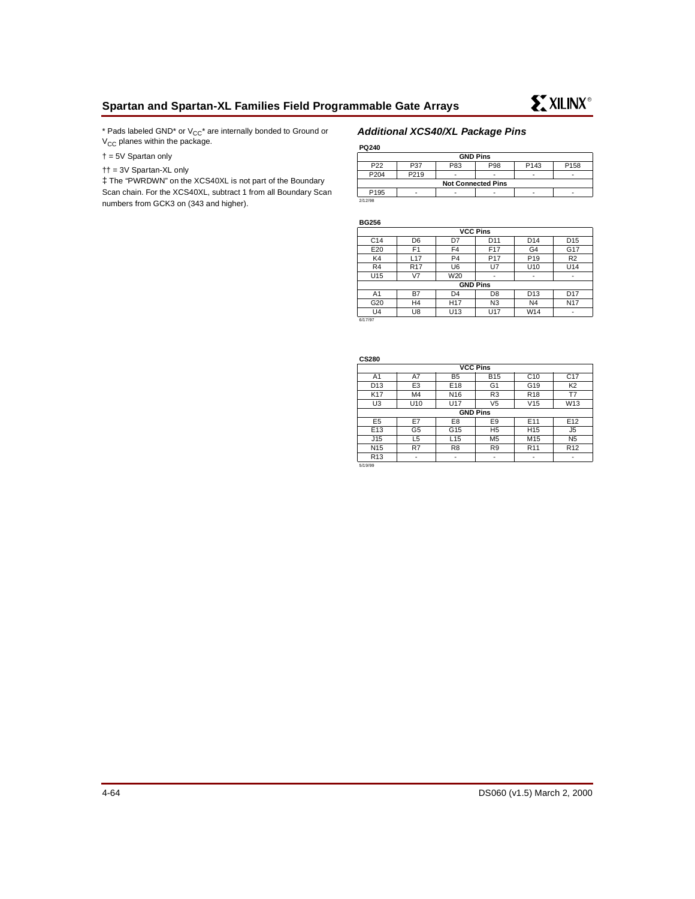\* Pads labeled GND\* or  $V_{CC}$ \* are internally bonded to Ground or  $V_{CC}$  planes within the package.

† = 5V Spartan only

†† = 3V Spartan-XL only

‡ The "PWRDWN" on the XCS40XL is not part of the Boundary Scan chain. For the XCS40XL, subtract 1 from all Boundary Scan numbers from GCK3 on (343 and higher).

### **Additional XCS40/XL Package Pins**

**PQ240**

| <b>GND Pins</b>                                                              |      |  |                          |   |   |  |  |  |
|------------------------------------------------------------------------------|------|--|--------------------------|---|---|--|--|--|
| P <sub>22</sub><br>P <sub>158</sub><br>P83<br>P <sub>143</sub><br>P98<br>P37 |      |  |                          |   |   |  |  |  |
| P204                                                                         | P219 |  | $\overline{\phantom{0}}$ | - | - |  |  |  |
| <b>Not Connected Pins</b>                                                    |      |  |                          |   |   |  |  |  |
| P <sub>195</sub>                                                             | -    |  | $\overline{\phantom{0}}$ |   |   |  |  |  |
| 2/12/98                                                                      |      |  |                          |   |   |  |  |  |

**BG256**

| <b>VCC Pins</b> |                 |                 |                 |                 |                 |  |  |  |
|-----------------|-----------------|-----------------|-----------------|-----------------|-----------------|--|--|--|
| C <sub>14</sub> | D <sub>6</sub>  | D7              | D <sub>11</sub> | D <sub>14</sub> | D <sub>15</sub> |  |  |  |
| E20             | F <sub>1</sub>  | F <sub>4</sub>  | F <sub>17</sub> | G <sub>4</sub>  | G17             |  |  |  |
| K4              | L <sub>17</sub> | P <sub>4</sub>  | P <sub>17</sub> | P <sub>19</sub> | R <sub>2</sub>  |  |  |  |
| R <sub>4</sub>  | <b>R17</b>      | U <sub>6</sub>  | U7              | U <sub>10</sub> | U14             |  |  |  |
| U15             | V7              | W20             |                 | -               | ٠               |  |  |  |
|                 |                 | <b>GND Pins</b> |                 |                 |                 |  |  |  |
| A <sub>1</sub>  | B7              | D <sub>4</sub>  | D <sub>8</sub>  | D <sub>13</sub> | D <sub>17</sub> |  |  |  |
| G20             | H4              | H <sub>17</sub> | N <sub>3</sub>  | N <sub>4</sub>  | N <sub>17</sub> |  |  |  |
| U <sub>4</sub>  | U8              | U <sub>13</sub> | U17             | W14             | ٠               |  |  |  |
| 6/17/97         |                 |                 |                 |                 |                 |  |  |  |

**CS280**

| -----           |                 |                 |                          |                 |                 |  |  |  |
|-----------------|-----------------|-----------------|--------------------------|-----------------|-----------------|--|--|--|
| <b>VCC Pins</b> |                 |                 |                          |                 |                 |  |  |  |
| A <sub>1</sub>  | A7              | C <sub>10</sub> | C <sub>17</sub>          |                 |                 |  |  |  |
| D <sub>13</sub> | E <sub>3</sub>  | E <sub>18</sub> | G <sub>1</sub>           | G19             | K <sub>2</sub>  |  |  |  |
| K17             | M <sub>4</sub>  | N <sub>16</sub> | R <sub>3</sub>           | R <sub>18</sub> | Т7              |  |  |  |
| U <sub>3</sub>  | U <sub>10</sub> | U17             | V <sub>5</sub>           | V15             | W <sub>13</sub> |  |  |  |
|                 | <b>GND Pins</b> |                 |                          |                 |                 |  |  |  |
| E <sub>5</sub>  | E7              | E8              | E9                       | E <sub>11</sub> | E12             |  |  |  |
| E <sub>13</sub> | G <sub>5</sub>  | G <sub>15</sub> | H <sub>5</sub>           | H <sub>15</sub> | J5              |  |  |  |
| J15             | L5              | L <sub>15</sub> | M <sub>5</sub>           | M15             | N <sub>5</sub>  |  |  |  |
| N <sub>15</sub> | R7              | R <sub>8</sub>  | R9                       | R <sub>11</sub> | R <sub>12</sub> |  |  |  |
| R <sub>13</sub> | -               | ٠               | $\overline{\phantom{a}}$ | -               | -               |  |  |  |
|                 |                 |                 |                          |                 |                 |  |  |  |

5/19/99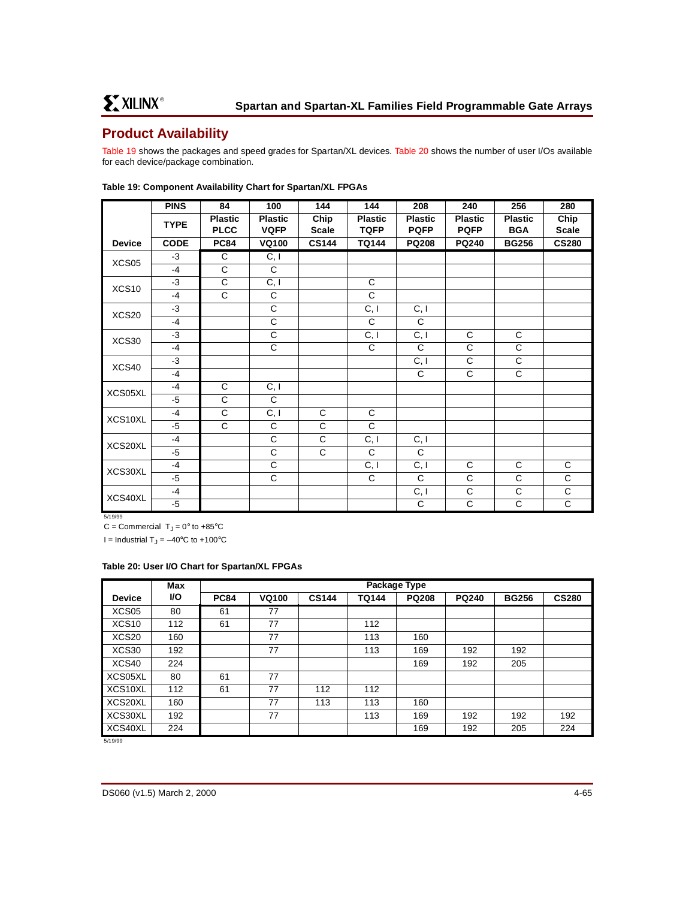# **Product Availability**

[Table 19](#page-64-0) shows the packages and speed grades for Spartan/XL devices. [Table 20](#page-64-1) shows the number of user I/Os available for each device/package combination.

|               | <b>PINS</b> | 84                            | 100                           | 144                  | 144                           | 208                           | 240                           | 256                          | 280                  |
|---------------|-------------|-------------------------------|-------------------------------|----------------------|-------------------------------|-------------------------------|-------------------------------|------------------------------|----------------------|
|               | <b>TYPE</b> | <b>Plastic</b><br><b>PLCC</b> | <b>Plastic</b><br><b>VQFP</b> | Chip<br><b>Scale</b> | <b>Plastic</b><br><b>TQFP</b> | <b>Plastic</b><br><b>PQFP</b> | <b>Plastic</b><br><b>PQFP</b> | <b>Plastic</b><br><b>BGA</b> | Chip<br><b>Scale</b> |
| <b>Device</b> | <b>CODE</b> | <b>PC84</b>                   | <b>VQ100</b>                  | <b>CS144</b>         | <b>TQ144</b>                  | <b>PQ208</b>                  | <b>PQ240</b>                  | <b>BG256</b>                 | <b>CS280</b>         |
| XCS05         | $-3$        | C                             | C, I                          |                      |                               |                               |                               |                              |                      |
|               | $-4$        | C                             | $\mathsf{C}$                  |                      |                               |                               |                               |                              |                      |
| XCS10         | $-3$        | C                             | C, I                          |                      | C                             |                               |                               |                              |                      |
|               | $-4$        | C                             | C                             |                      | C                             |                               |                               |                              |                      |
|               | $-3$        |                               | C                             |                      | C, I                          | C, I                          |                               |                              |                      |
| XCS20         | $-4$        |                               | $\mathsf C$                   |                      | C                             | C                             |                               |                              |                      |
| XCS30         | $-3$        |                               | C                             |                      | C, I                          | C, I                          | C                             | C                            |                      |
|               | $-4$        |                               | $\mathsf{C}$                  |                      | $\mathsf{C}$                  | C                             | $\mathsf{C}$                  | C                            |                      |
| XCS40         | $-3$        |                               |                               |                      |                               | C, I                          | $\overline{c}$                | $\overline{\mathsf{c}}$      |                      |
|               | $-4$        |                               |                               |                      |                               | C                             | $\overline{C}$                | $\overline{C}$               |                      |
| XCS05XL       | $-4$        | C                             | C, I                          |                      |                               |                               |                               |                              |                      |
|               | $-5$        | C                             | C                             |                      |                               |                               |                               |                              |                      |
| XCS10XL       | $-4$        | C                             | $\overline{C, I}$             | C                    | C                             |                               |                               |                              |                      |
|               | $-5$        | C                             | C                             | C                    | $\mathsf{C}$                  |                               |                               |                              |                      |
| XCS20XL       | $-4$        |                               | C                             | C                    | C, I                          | C, I                          |                               |                              |                      |
|               | $-5$        |                               | C                             | C                    | $\mathsf{C}$                  | C                             |                               |                              |                      |
|               | $-4$        |                               | C                             |                      | $\overline{C, I}$             | $\overline{C, I}$             | $\mathsf C$                   | C                            | $\mathsf{C}$         |
| XCS30XL       | $-5$        |                               | C                             |                      | C                             | $\mathsf{C}$                  | C                             | C                            | $\mathbf C$          |
|               | $-4$        |                               |                               |                      |                               | C, I                          | $\mathsf C$                   | C                            | $\mathbf C$          |
| XCS40XL       | $-5$        |                               |                               |                      |                               | $\mathsf C$                   | $\mathsf C$                   | C                            | $\mathsf{C}$         |

#### <span id="page-64-0"></span>**Table 19: Component Availability Chart for Spartan/XL FPGAs**

5/19/99

C = Commercial  $T_J = 0^\circ$  to +85°C

I = Industrial  $T_J = -40$ °C to +100°C

#### <span id="page-64-1"></span>**Table 20: User I/O Chart for Spartan/XL FPGAs**

|               | Max       |             | Package Type |              |              |              |              |              |              |
|---------------|-----------|-------------|--------------|--------------|--------------|--------------|--------------|--------------|--------------|
| <b>Device</b> | <b>VO</b> | <b>PC84</b> | <b>VQ100</b> | <b>CS144</b> | <b>TQ144</b> | <b>PQ208</b> | <b>PQ240</b> | <b>BG256</b> | <b>CS280</b> |
| XCS05         | 80        | 61          | 77           |              |              |              |              |              |              |
| XCS10         | 112       | 61          | 77           |              | 112          |              |              |              |              |
| XCS20         | 160       |             | 77           |              | 113          | 160          |              |              |              |
| XCS30         | 192       |             | 77           |              | 113          | 169          | 192          | 192          |              |
| XCS40         | 224       |             |              |              |              | 169          | 192          | 205          |              |
| XCS05XL       | 80        | 61          | 77           |              |              |              |              |              |              |
| XCS10XL       | 112       | 61          | 77           | 112          | 112          |              |              |              |              |
| XCS20XL       | 160       |             | 77           | 113          | 113          | 160          |              |              |              |
| XCS30XL       | 192       |             | 77           |              | 113          | 169          | 192          | 192          | 192          |
| XCS40XL       | 224       |             |              |              |              | 169          | 192          | 205          | 224          |

5/19/99